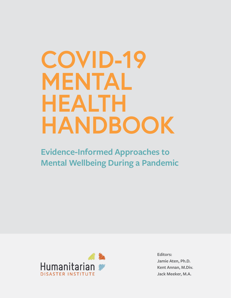# **COVID-19 MENTAL HEALTH HANDBOOK**

**Evidence-Informed Approaches to Mental Wellbeing During a Pandemic**



**Editors: Jamie Aten, Ph.D. Kent Annan, M.Div. Jack Meeker, M.A.**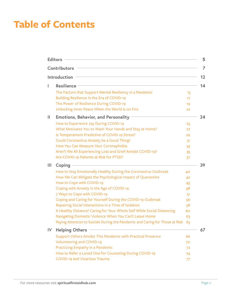### **Table of Contents**

|    | <b>Editors</b>                                                               |                | 5  |
|----|------------------------------------------------------------------------------|----------------|----|
|    | Contributors                                                                 |                | 7  |
|    | Introduction                                                                 |                | 12 |
| L  | <b>Resilience</b>                                                            |                | 14 |
|    | The Factors that Support Mental Resiliency in a Pandemic                     | 15             |    |
|    | Building Resilience in the Era of COVID-19                                   | 17             |    |
|    | The Power of Resilience During COVID-19                                      | 19             |    |
|    | Unlocking Inner Peace When the World is on Fire                              | 22             |    |
| Ш  | <b>Emotions, Behavior, and Personality</b>                                   |                | 24 |
|    | How to Experience Joy During COVID-19                                        | 25             |    |
|    | What Motivates You to Wash Your Hands and Stay at Home?                      | 27             |    |
|    | Is Temperament Predictive of COVID-19 Stress?                                | 29             |    |
|    | <b>Could Coronavirus Anxiety be a Good Thing?</b>                            | 3 <sup>1</sup> |    |
|    | How You Can Measure Your Coronaphobia                                        | 33             |    |
|    | Aren't We All Experiencing Loss and Grief Amidst COVID-19?                   | 35             |    |
|    | Are COVID-19 Patients at Risk for PTSD?                                      | 37             |    |
| Ш  | Coping                                                                       |                | 39 |
|    | How to Stay Emotionally Healthy During the Coronavirus Outbreak              | 40             |    |
|    | How We Can Mitigate the Psychological Impact of Quarantine                   | 42             |    |
|    | How to Cope with COVID-19                                                    | 45             |    |
|    | Coping with Anxiety in the Age of COVID-19                                   | 48             |    |
|    | 7 Ways to Cope with COVID-19                                                 | 51             |    |
|    | Coping and Caring for Yourself During the COVID-19 Outbreak                  | 56             |    |
|    | Repairing Social Interactions in a Time of Isolation                         | 58             |    |
|    | A Healthy Distance? Caring for Your Whole Self While Social Distancing       | 60             |    |
|    | Navigating Domestic Violence When You Can't Leave Home                       | 63             |    |
|    | Paying Attention to Suicide During the Pandemic and Caring for Those at Risk | - 65           |    |
| IV | <b>Helping Others</b>                                                        |                | 67 |
|    | Support Others Amidst This Pandemic with Practical Presence                  | 66             |    |
|    | <b>Volunteering and COVID-19</b>                                             | 70             |    |
|    | Practicing Empathy in a Pandemic                                             | 72             |    |
|    | How to Refer a Loved One for Counseling During COVID-19                      | 74             |    |
|    | <b>COVID-19 and Vicarious Trauma</b>                                         | 77             |    |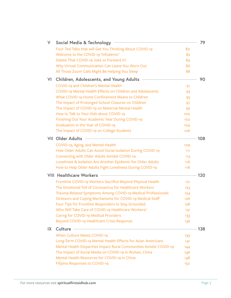| V   | <b>Social Media &amp; Technology</b>                               |     | 79  |
|-----|--------------------------------------------------------------------|-----|-----|
|     | Four Ted Talks that will Get You Thinking About COVID-19           | 80  |     |
|     | Welcome to the COVID-19 'Infodemic'                                | 82  |     |
|     | Delete That COVID-19 Joke or Forward it?                           | 84  |     |
|     | Why Virtual Communication Can Leave You Worn Out                   | 86  |     |
|     | All Those Zoom Calls Might Be Helping You Sleep                    | 88  |     |
| VI  | Children, Adolescents, and Young Adults                            |     | 90  |
|     | COVID-19 and Children's Mental Health                              | 91  |     |
|     | COVID-19 Mental Health Effects on Children and Adolescents         | 93  |     |
|     | What COVID-19 Home Confinement Means to Children                   | 95  |     |
|     | The Impact of Prolonged School Closures on Children                | 97  |     |
|     | The Impact of COVID-19 on Maternal Mental Health                   | 99  |     |
|     | How to Talk to Your Kids about COVID-19                            | 100 |     |
|     | Finishing Out Your Academic Year During COVID-19                   | 102 |     |
|     | Graduation in the Year of COVID-19                                 | 104 |     |
|     | The Impact of COVID-19 on College Students                         | 106 |     |
| VII | <b>Older Adults</b>                                                |     | 108 |
|     | COVID-19, Aging, and Mental Health                                 | 109 |     |
|     | How Older Adults Can Avoid Social Isolation During COVID-19        | 111 |     |
|     | <b>Connecting with Older Adults Amidst COVID-19</b>                | 113 |     |
|     | Loneliness & Isolation Are Another Epidemic for Older Adults       | 116 |     |
|     | How to Help Older Adults Fight Loneliness During COVID-19          | 118 |     |
|     | <b>VIII Healthcare Workers</b>                                     |     | 120 |
|     | Frontline COVID-19 Workers Sacrifice Beyond Physical Health        | 121 |     |
|     | The Emotional Toll of Coronavirus for Healthcare Workers           | 123 |     |
|     | Trauma-Related Symptoms Among COVID-19 Medical Professionals       | 124 |     |
|     | Stressors and Coping Mechanisms for COVID-19 Medical Staff         | 126 |     |
|     | Four Tips for Frontline Responders to Stay Grounded                | 128 |     |
|     | Who Will Take Care of COVID-19 Healthcare Workers?                 | 131 |     |
|     | <b>Caring for COVID-19 Medical Providers</b>                       | 133 |     |
|     | Beyond COVID-19 Healthcare Crisis Response                         | 136 |     |
| IX  | Culture                                                            |     | 138 |
|     | <b>When Culture Meets COVID-19</b>                                 | 139 |     |
|     | Long-Term COVID-19 Mental Health Effects for Asian Americans       | 141 |     |
|     | Mental Health Disparities Impact Rural Communities Amidst COVID-19 | 144 |     |
|     | The Impact of Social Media on COVID-19 in Wuhan, China             | 146 |     |
|     | Mental Health Resources for COVID-19 in China                      | 148 |     |
|     | Filipino Responses to COVID-19                                     | 150 |     |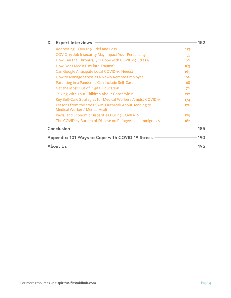| X.                                              | <b>Expert Interviews</b>                                                               | 152 |  |  |
|-------------------------------------------------|----------------------------------------------------------------------------------------|-----|--|--|
|                                                 | Addressing COVID-19 Grief and Loss                                                     | 153 |  |  |
|                                                 | COVID-19 Job Insecurity May Impact Your Personality                                    | 155 |  |  |
|                                                 | How Can the Chronically III Cope with COVID-19 Stress?                                 | 160 |  |  |
|                                                 | How Does Media Play into Trauma?                                                       | 163 |  |  |
|                                                 | Can Google Anticipate Local COVID-19 Needs?                                            | 165 |  |  |
|                                                 | How to Manage Stress as a Newly Remote Employee                                        | 166 |  |  |
|                                                 | Parenting in a Pandemic Can Include Self-Care                                          | 168 |  |  |
|                                                 | Get the Most Out of Digital Education                                                  | 170 |  |  |
|                                                 | Talking With Your Children About Coronavirus                                           | 172 |  |  |
|                                                 | Key Self-Care Strategies for Medical Workers Amidst COVID-19                           | 174 |  |  |
|                                                 | Lessons from the 2003 SARS Outbreak About Tending to<br>Medical Workers' Mental Health | 176 |  |  |
|                                                 | Racial and Economic Disparities During COVID-19                                        | 179 |  |  |
|                                                 | The COVID-19 Burden of Disease on Refugees and Immigrants                              | 182 |  |  |
| Conclusion<br>185                               |                                                                                        |     |  |  |
| Appendix: 101 Ways to Cope with COVID-19 Stress |                                                                                        |     |  |  |
|                                                 | About Us                                                                               | 195 |  |  |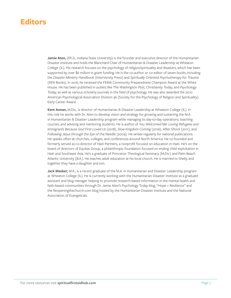### <span id="page-4-0"></span>**Editors**

Jamie Aten, (Ph.D., Indiana State University) is the founder and executive director of the Humanitarian Disaster Institute and holds the Blanchard Chair of Humanitarian & Disaster Leadership at Wheaton College (IL). His research focuses on the psychology of religion/spirituality and disasters, which has been supported by over \$6 million in grant funding. He is the co-author or co-editor of seven books, including the *Disaster Ministry Handbook* (InterVarsity Press) and *Spiritually Oriented Psychotherapy for Trauma* (APA Books). In 2016, he received the FEMA Community Preparedness Champion Award at the White House. He has been published in outlets like *The Washington Post, Christianity Today,* and *Psychology Today,* as well as various scholarly journals in the field of psychology. He was also awarded the 2010 American Psychological Association Division 36 (Society for the Psychology of Religion and Spirituality) Early Career Award.

**Kent Annan,** M.Div., is director of Humanitarian & Disaster Leadership at Wheaton College (IL). In this role he works with Dr. Aten to develop vision and strategy for growing and sustaining the M.A. in Humanitarian & Disaster Leadership program while managing its day-to-day operations, teaching courses, and advising and mentoring students. He is author of *You Welcomed Me: Loving Refugees and Immigrants Because God First Loved Us* (2018), *Slow Kingdom Coming* (2016), *After Shock* (2011), and *Following Jesus through the Eye of the Needle* (2009). He writes regularly for national publications. He speaks often at churches, colleges, and conferences around North America. He co-founded and formerly served as co-director of Haiti Partners, a nonprofit focused on education in Haiti. He's on the board of directors of Equitas Group, a philanthropic foundation focused on ending child exploitation in Haiti and Southeast Asia. He's a graduate of Princeton Theological Seminary (M.Div.) and Palm Beach Atlantic University (B.A.). He teaches adult education at his local church. He is married to Shelly, and together they have a daughter and son.

**Jack Meeker,** M.A., is a recent graduate of the M.A. in Humanitarian and Disaster Leadership program at Wheaton College (IL). He is currently working with the Humanitarian Disaster Institute as a graduate assistant and blog manager helping to promote research-based information in the mental health and faith-based communities through Dr. Jamie Aten's Psychology Today blog, "Hope + Resilience" and the Reopeningthechurch.com blog hosted by the Humanitarian Disaster Institute and the National Association of Evangelicals.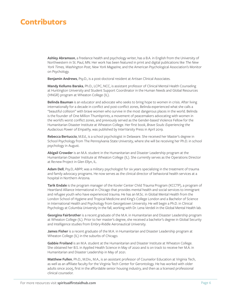### **Contributors**

**Ashley Abramson**, a freelance health and psychology writer, has a B.A. in English from the University of Northwestern in St. Paul, MN. Her work has been featured in print and digital publications like *The New York Times, Washington Post, New York Magazine,* and the American Psychological Association's Monitor on Psychology.

**Benjamin Andrews**, Psy.D., is a post-doctoral resident at Artisan Clinical Associates.

**Mandy Kellums Baraka**, Ph.D., LCPC, NCC, is assistant professor of Clinical Mental Health Counseling at Huntington University and Student Support Coordinator in the Human Needs and Global Resources (HNGR) program at Wheaton College (IL).

**Belinda Bauman** is an educator and advocate who seeks to bring hope to women in crisis. After living internationally for a decade in conflict and post-conflict zones, Belinda experienced what she calls a "beautiful collision" with brave women who survive in the most dangerous places in the world. Belinda is the founder of One Million Thumbprints, a movement of peacemakers advocating with women in the world's worst conflict zones, and previously served as the Gender-based Violence Fellow for the Humanitarian Disaster Institute at Wheaton College. Her first book, *Brave Souls: Experiencing the Audacious Power of Empathy,* was published by InterVarsity Press in April 2019.

**Rebecca Bertuccio**, M.Ed., is a school psychologist in Delaware. She received her Master's degree in School Psychology from The Pennsylvania State University, where she will be receiving her Ph.D. in school psychology in August.

**Abigail Crowder** is an M.A. student in the Humanitarian and Disaster Leadership program at the Humanitarian Disaster Institute at Wheaton College (IL). She currently serves as the Operations Director at Re:new Project in Glen Ellyn, IL.

**Adam Dell**, Psy.D, ABPP, was a military psychologist for six years specializing in the treatment of trauma and family advocacy programs. He now serves as the clinical director of behavioral health services at a hospital in Northern Arizona.

**Tarik Endale** is the program manager of the Kovler Center Child Trauma Program (KCCTP), a program of Heartland Alliance International in Chicago that provides mental health and social services to immigrant and refugee youth who have experienced trauma. He has an M.Sc. in Global Mental Health from the London School of Hygiene and Tropical Medicine and King's College London and a Bachelor of Science in International Health and Psychology from Georgetown University. He will begin a Ph.D. in Clinical Psychology at Columbia University in the fall, working with Dr. Lena Verdeli in the Global Mental Health lab.

**Georgina Fairbrother** is a recent graduate of the M.A. in Humanitarian and Disaster Leadership program at Wheaton College (IL). Prior to her master's degree, she received a bachelor's degree in Global Security and Intelligence studies from Embry-Riddle Aeronautical University.

**James Fisher** is a recent graduate of the M.A. in Humanitarian and Disaster Leadership program at Wheaton College (IL) in the suburbs of Chicago.

**Gabbie Froiland** is an M.A. student at the Humanitarian and Disaster Institute at Wheaton College. She obtained her B.S. in Applied Health Science in May of 2020 and is on track to receive her M.A. in Humanitarian and Disaster Leadership in May of 2021.

**Matthew Fullen**, Ph.D., M.Div., M.A., is an assistant professor of Counselor Education at Virginia Tech, as well as an affiliate faculty for the Virginia Tech Center for Gerontology. He has worked with older adults since 2005, first in the affordable senior housing industry, and then as a licensed professional clinical counselor.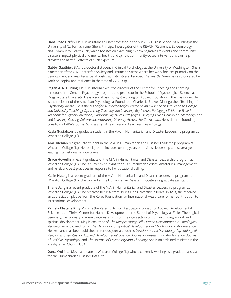<span id="page-6-0"></span>**Dana Rose Garfin**, Ph.D., is assistant adjunct professor in the Sue & Bill Gross School of Nursing at the University of California, Irvine. She is Principal Investigator of the REACH (Resilience, Epidemiology, and Community Health) Lab, which focuses on examining: 1) how negative life events and community disasters impact physical and mental health, and 2) how community-based interventions can help alleviate the harmful effects of such exposure.

**Gabby Gauthier**, B.A., is a doctoral student in Clinical Psychology at the University of Washington. She is a member of the UW Center for Anxiety and Traumatic Stress where her work focuses primarily on the development and maintenance of post-traumatic stress disorder. *The Seattle Times* has also covered her work on coping and resilience in the time of COVID-19.

**Regan A. R. Gurung**, Ph.D., is interim executive director of the Center for Teaching and Learning, director of the General Psychology program, and professor in the School of Psychological Science at Oregon State University. He is a social psychologist working on Applied Cognition in the classroom. He is the recipient of the American Psychological Foundation Charles L. Brewer Distinguished Teaching of Psychology Award. He is the author/co-author/editor/co-editor of *An Evidence-Based Guide to College and University Teaching; Optimizing Teaching and Learning; Big Picture Pedagogy; Evidence-Based Teaching for Higher Education; Exploring Signature Pedagogies, Studying Like a Champion: Metacognition*  and *Learning; Getting Culture: Incorporating Diversity Across the Curriculum*. He is also the founding co-editor of APA's journal *Scholarship of Teaching and Learning in Psychology*.

**Kayla Gustafson** is a graduate student in the M.A. in Humanitarian and Disaster Leadership program at Wheaton College (IL).

**Ami Hileman** is a graduate student in the M.A. in Humanitarian and Disaster Leadership program at Wheaton College (IL). Her background includes over 15 years of business leadership and several years leading international service teams.

**Grace Howell** is a recent graduate of the M.A. in Humanitarian and Disaster Leadership program at Wheaton College (IL). She is currently studying various humanitarian crises, disaster risk management and relief, and best practices in response to her vocational calling.

**Kailin Huang** is a recent graduate of the M.A. in Humanitarian and Disaster Leadership program at Wheaton College (IL). She worked at the Humanitarian Disaster Institute as a graduate assistant.

**Shane Jang** is a recent graduate of the M.A. in Humanitarian and Disaster Leadership program at Wheaton College (IL). She received her B.A. from Kyung Hee University in Korea. In 2017, she received an appreciation plaque from the Korea Foundation for International Healthcare for her contribution to international development.

**Pamela Ebstyne King**, Ph.D., is the Peter L. Benson Associate Professor of Applied Developmental Science at the Thrive Center for Human Development in the School of Psychology at Fuller Theological Seminary. Her primary academic interests focus on the intersection of human thriving, moral, and spiritual development. King is coauthor of *The Reciprocating Self: Human Development in Theological Perspective*, and co-editor of *The Handbook of Spiritual Development in Childhood and Adolescence.* Her research has been published in various journals such as *Developmental Psychology, Psychology of Religion* and *Spirituality, Applied Developmental Science, Journal of Research on Adolescence, Journal of Positive Psychology,* and *The Journal of Psychology and Theology*. She is an ordained minister in the Presbyterian Church, USA.

**Dana Krol** is an M.A. candidate at Wheaton College (IL) who is currently working as a graduate assistant for the Humanitarian Disaster Institute.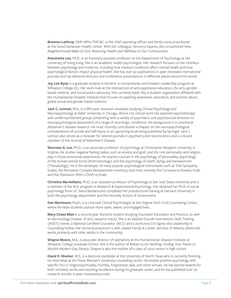**Breanna Lathrop**, DNP, MPH, FNP-BC, is the chief operating officer and family nurse practitioner at the Good Samaritan Health Center. With her colleague, Veronica Squires, she co-authored *How Neighborhoods Make Us Sick: Restoring Health and Wellness to Our Communities.*

**Antoinette Lee**, Ph.D., is an honorary assistant professor at the Department of Psychology at the University of Hong Kong. She is an academic health psychologist. Her research focuses on the interface between psychology and medicine, including how medical conditions affect mental health and how psychological factors impact physical health. She has over 50 publications in peer-reviewed international journals and has delivered lectures and conference presentations in different places around the world.

**Joy Lee-Ryan** is a graduate student in the M.A. in Humanitarian and Disaster Leadership program at Wheaton College (IL). Her work lives at the intersection of anti-oppressive education, the arts, genderbased violence, and social justice advocacy. She currently leads 1N3, a student organization affiliated with the Humanitarian Disaster Institute that focuses on sparking awareness, education, and activism about global sexual and gender-based violence.

**Jack C. Lennon**, M.A., is a fifth-year doctoral candidate studying Clinical Psychology and Neuropsychology at Adler University in Chicago, Illinois. His clinical work has spanned psychotherapy with underrepresented groups presenting with a variety of psychiatric and psychosocial stressors to neuropsychological assessment of a range of neurologic conditions. His background is in preclinical Alzheimer's disease research. He most recently contributed a chapter on the neuropsychological considerations of suicide and self-injury to an upcoming book being published by Springer. Jack C. Lennon also serves as a reviewer for several journals in psychiatry and neuroscience and is a board member of the *Journal of Alzheimer's Disease*.

**Sherman A. Lee**, Ph.D., is an associate professor of psychology at Christopher Newport University in Virginia. He studies negative feeling states, such as anxiety and grief, and the role personality and religion play in those emotional experiences. He teaches courses in the psychology of personality, psychology of the human-animal bond (Anthrozoology), and the psychology of death, dying, and bereavement (Thanatology). He is the developer of many popular psychological instruments such as Trait Sympathy Scales, the Persistent Complex Bereavement Inventory, and most recently the Coronavirus Anxiety Scale and the Obsession With COVID-19 Scale.

**Christine Ma-Kellams**, Ph.D., is an assistant professor of Psychology at San José State University and is a member of the M.A. program in Research & Experimental Psychology. She obtained her Ph.D. in social psychology from UC Santa Barbara and completed her postdoctoral training at Harvard University in both the psychology department and the Kennedy School of Government.

**Dan Martinson**, Psy.D., is a Licensed Clinical Psychologist at the Virginia Tech Cook Counseling Center, where he helps students pursue more open, aware, and engaged lives.

**Mary Chase Mize** is a second-year doctoral student studying Counselor Education and Practice, as well as Gerontology (master of arts, research track). She is an Applied Suicide Intervention Skills Training (ASIST) trainer, a National Certified Counselor (NCC) and a 2018-2019 Chi Sigma Iota Leadership in Counseling Fellow. Her doctoral practicum is with Jewish Family & Career Services of Atlanta, where she works primarily with older adults in the community.

**Shayne Moore,** M.A., is associate director of operations at the Humanitarian Disaster Institute at Wheaton College Graduate School. She is the author of *Refuse to Do Nothing: Finding Your Power to Abolish Modern-Day Slavery*. Shayne is also the mother of a class of 2020 senior in high school.

**David K. Mosher**, M.S., is a doctoral candidate at the University of North Texas who is currently finishing his internship at the Texas Woman's University counseling center. He studies positive psychology with specific foci in religion/spirituality, humility, forgiveness, awe, and other virtues. He has earned awards for both scholarly works and teaching excellence during his graduate career, and he has published over 20 research articles in peer-reviewed journals.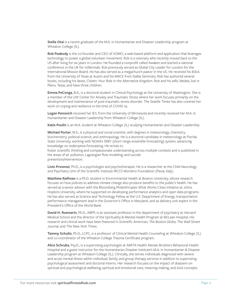**Stella Otai** is a recent graduate of the M.A. in Humanitarian and Disaster Leadership program at Wheaton College (IL).

**Rob Peabody** is the co-founder and CEO of VOMO, a web-based platform and application that leverages technology to power a global volunteer movement. Rob is a visionary who recently moved back to the US after living for six years in London. He founded a nonprofit called Awaken and started a national conference in the UK for millennials. Rob previously served as Global City Leader for London for the International Mission Board. He has also served as a megachurch pastor in the US. He received his B.B.A. from the University of Texas at Austin and his MACE from Dallas Seminary. Rob has authored several books, including his latest, *Citizen: Your Role in the Alternative Kingdom*. Rob and his wife, Medea, live in Plano, Texas, and have three children.

**Emma PeConga**, B.A., is a doctoral student in Clinical Psychology at the University of Washington. She is a member of the UW Center for Anxiety and Traumatic Stress where her work focuses primarily on the development and maintenance of post-traumatic stress disorder. *The Seattle Times* has also covered her work on coping and resilience in the time of COVID-19.

**Logan Penovich** received her B.S. from the University of Minnesota and recently received her M.A. in Humanitarian and Disaster Leadership from Wheaton College (IL).

**Katie Poulin** is an M.A. student at Wheaton College (IL) studying Humanitarian and Disaster Leadership.

**Michael Porter**, M.S., is a physical and social scientist, with degrees in meteorology, chemistry, biochemistry, political science, and anthropology. He is a doctoral candidate in meteorology at Florida State University, working with NOAA's SREF (short range ensemble forecasting) system, advancing knowledge on redemptive forecasting. He strives to

foster scientific thinking and compassionate understanding across multiple contexts and is published in the areas of air pollution, Lagrangian flow modeling, and suicide prevention/intervention.

**Livio Provenzi**, Ph.D., is a psychologist and psychotherapist. He is a researcher at the Child Neurology and Psychiatry Unit of the Scientific Institute IRCCS Mondino Foundation (Pavia, Italy).

**Matthew Raifman** is a Ph.D. student in Environmental Health at Boston University, whose research focuses on how policies to address climate change also produce benefits to the public's health. He has served as a senior advisor with the Bloomberg Philanthropies What Works Cities initiative at Johns Hopkins University, where he supported on developing performance analytics and open data programs. He has also served as Science and Technology Fellow at the U.S. Department of Energy, transportation performance management lead in the Governor's Office in Maryland, and as delivery unit expert in the President's Office of the World Bank.

**David H. Rosmarin**, Ph.D., ABPP, is an assistant professor in the department of psychiatry at Harvard Medical School and the director of the Spirituality & Mental Health Program at McLean Hospital. His research and clinical work have been featured in *Scientific American, The Boston Globe, The Wall Street Journal*, and *The New York Times*.

**Tammy Schultz**, Ph.D., LCPC, is a professor of Clinical Mental Health Counseling at Wheaton College (IL) and co-coordinator of the Wheaton College Trauma Certificate program.

**Alice Schruba**, Psy.D., is a supervising psychologist at AMITA Health Alexian Brothers Behavioral Health Hospital and a guest instructor for the Humanitarian Disaster Institute's M.A. in Humanitarian & Disaster Leadership program at Wheaton College (IL). Clinically, she serves individuals diagnosed with severe and acute mental illness within individual, family, and group therapy services in addition to supervising psychological assessment and doctoral interns. Her research focuses on the impact of disasters on spiritual and psychological wellbeing, spiritual and emotional care, meaning-making, and God concepts.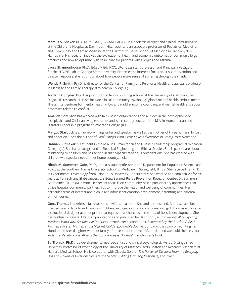**Marcus S. Shaker**, M.D., M.Sc., FAAP, FAAAAI, FACAAI, is a pediatric allergist and clinical immunologist at the Children's Hospital at Dartmouth-Hitchcock, and an associate professor of Pediatrics, Medicine, and Community and Family Medicine at the Dartmouth Geisel School of Medicine in Hanover, New Hampshire. His research involves the evaluation of health and economic outcomes of common allergy practices and how to optimize high-value care for patients with allergies and asthma.

**Laura Shannonhouse**, Ph.D., Ed.S., M.Ed., NCC, LPC, is assistant professor and Principal Investigator for the H.O.P.E. Lab at Georgia State University. Her research interests focus on crisis intervention and disaster response; she is curious about how people make sense of suffering through their faith.

**Wendy R. Smith**, Psy.D., is director of the Center for Family and Relational Health and assistant professor in Marriage and Family Therapy at Wheaton College IL).

**Jordan D. Snyder**, Psy.D., is postdoctoral fellow & visiting scholar at the University of California, San Diego. His research interests include clinical-community psychology, global mental health, serious mental illness, interventions for mental health in low and middle-income countries, and mental health and social processes related to conflict.

**Amanda Sorenson** has worked with faith-based organizations and authors in the development of discipleship and Christian living resources and is a recent graduate of the M.A. in Humanitarian and Disaster Leadership program at Wheaton College (IL).

**Margot Starbuck** is an award-winning writer and speaker, as well as the mother of three humans, by birth and adoption. She's the author of *Small Things With Great Love: Adventures in Loving Your Neighbor*.

**Hannah Sudhakar** is a student in the M.A. in Humanitarian and Disaster Leadership program at Wheaton College (IL). She has a background in Electrical Engineering and Biblical Studies. She is passionate about ministering to children and has served in that capacity at various organizations. She has worked with children with special needs in her home country, India.

**Nicole M. Summers-Gabr**, Ph.D., is an assistant professor in the Department for Population Science and Policy at the Southern Illinois University School of Medicine in Springfield, Illinois. She received her Ph.D. in Experimental Psychology from Saint Louis University. Concurrently, she worked as a data analyst for six years at Pennsylvania State University's Edna Bennett Pierce Prevention Research Center. Dr. Summers-Gabr joined SIU-SOM in 2018. Her recent focus is on community-based participatory approaches that utilize hospital-community partnerships to improve the health and wellbeing of communities. Her particular areas of interest are in child and adolescent emotion development, parenting, and parental ethnotheories.

**Gena Thomas** is a writer, a faith wrestler, a wife, and a mom. She and her husband, Andrew, have been married over a decade and have two children, an 8-year-old boy and a 4-year-old girl. Thomas works as an instructional designer at a nonprofit that equips local churches in the area of holistic development. She has written for several Christian publications and published her first book, *A Smoldering Wick: Igniting Missions Work with Sustainable Practices* in 2016. Her second book, *Separated by the Border: A Birth Mother, a Foster Mother, and a Migrant Child's 3,000-Mile Journey*, unpacks the story of reuniting her Honduran foster daughter with her family after separation at the U.S. border and was published in 2019 with InterVarsity Press. *Alisa & the Coronavirus* is Thomas' first children's book.

**Ed Tronick, Ph.D**., is a developmental neuroscientist and clinical psychologist. He is a Distinguished University Professor of Psychology at the University of Massachusetts Boston and Research Associate at Harvard Medical School. He is co-author with Claudia Gold of *The Power of Discord: How the Everyday Ups and Downs of Relationships Are the Secret Building Intimacy, Resilience, and Trust*.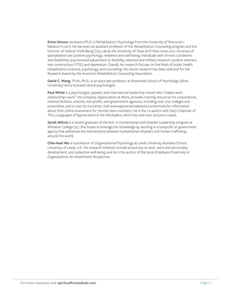**Emre Umucu** received a Ph.D. in Rehabilitation Psychology from the University of Wisconsin-Madison in 2017. He has been an assistant professor of the Rehabilitation Counseling program and the Director of Veteran VVell-Being (V3) Lab at the University of Texas at El Paso since 2017. His areas of specialization are positive psychology, resilience and well-being, individuals with chronic conditions and disabilities, psychosocial adjustment to disability, veterans and military research, student veterans, test construction, PTSD, and depression. Overall, his research focuses on the fields of public health, rehabilitation sciences, psychology, and counseling. His recent research has been selected for the Research Award by the American Rehabilitation Counseling Association.

**David C. Wang**, Th.M., Ph.D., is an associate professor at Rosemead School of Psychology (Biola University) and a licensed clinical psychologist.

**Paul White** is a psychologist, speaker, and international leadership trainer who "makes work relationships work." His company, Appreciation at Work, provides training resources for corporations, medical facilities, schools, non-profits, and government agencies, including over 700 colleges and universities, and in over 60 countries. Visit www.appreciationatwork.com/remote for information about their online assessment for remote team members. He is the co-author with Gary Chapman of The 5 Languages of Appreciation in the Workplace, which has sold over 500,000 copies.

**Sarah Wilcox** is a recent graduate of the M.A. in Humanitarian and Disaster Leadership program at Wheaton College (IL). She hopes to leverage her knowledge by working in a nonprofit or government agency that addresses the intersections between humanitarian disasters and human trafficking around the world.

**Chia-Huei Wu** is a professor of Organizational Psychology at Leeds University Business School, University of Leeds, U.K. His research interests include proactivity at work, work and personality development, and subjective well-being, and he is the author of the book *Employee Proactivity in Organizations: An Attachment Perspective.*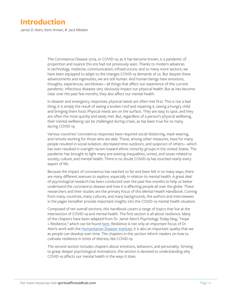### <span id="page-11-0"></span>**Introduction**

*Jamie D. Aten, Kent Annan, & Jack Meeker*

The Coronavirus Disease 2019, or COVID-19, as it has become known, is a pandemic of proportion and nuance this era had not previously seen. Thanks to modern advances in technology, medicine, communication, infrastructure, and so many more sectors, we have been equipped to adapt to the changes COVID-19 demands of us. But despite these advancements and ingenuities, we are still human. And human beings have emotions, thoughts, experiences, worldviews—all things that affect our experience of this current pandemic. Infectious diseases very obviously impact our physical health. But as has become clear over the past few months, they also affect our mental health.

In disaster and emergency responses, physical needs are often met first. This is not a bad thing; it is simply the result of seeing a broken roof and repairing it, seeing a hungry child and bringing them food. Physical needs are on the surface. They are easy to spot, and they are often the most quickly and easily met. But, regardless of a person's physical wellbeing, their mental wellbeing can be challenged during crises, as has been true for so many during COVID-19.

Various countries' coronavirus responses have required social distancing, mask wearing, and remote working for those who are able. These, among other measures, have for many people resulted in social isolation, decreased time outdoors, and suspicion of others—which has even resulted in outright racism toward ethnic minority groups in the United States. The pandemic has brought to light many pre-existing inequalities, unrest, and issues related to society, culture, and mental health. There is no doubt COVID-19 has touched nearly every aspect of life.

Because the impact of coronavirus has reached so far and been felt in so many ways, there are many different avenues to explore, especially in relation to mental health. A great deal of psychological research has been conducted over the past few months to help us better understand the coronavirus disease and how it is affecting people all over the globe. These researchers and their studies are the primary focus of this *Mental Health Handbook*. Coming from many countries, many cultures, and many backgrounds, the authors and interviewees in the pages hereafter provide important insights into the COVID-19 mental health situation.

Composed of ten overall sections, this handbook covers a range of topics that live at the intersection of COVID-19 and mental health. The first section is all about resilience. Many of the chapters have been adapted from Dr. Jamie Aten's Psychology Today blog, "Hope + Resilience," which can be found [here](https://www.psychologytoday.com/us/blog/hope-resilience). Resilience is not only an important focus of Dr. Aten's work with the [Humanitarian Disaster Institute,](https://www.wheaton.edu/academics/academic-centers/humanitarian-disaster-institute/) it is also an important quality that we as people can develop over time. The chapters in this section inform readers on how to cultivate resilience in times of distress, like COVID-19.

The second section includes chapters about emotions, behaviors, and personality. Striving to grasp deeper psychological motivations, this section is devoted to understanding why COVID-19 affects our mental health in the ways it does.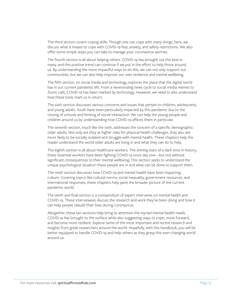The third section covers coping skills. Though one can cope with many things, here, we discuss what it means to cope with COVID-19 fear, anxiety, and safety restrictions. We also offer some simple steps you can take to manage your coronavirus worries.

The fourth section is all about helping others. COVID-19 has brought out the best in many, and this positive trend can continue if we put in the effort to help those around us. By understanding the more impactful ways to do this, we can not only support our communities, but we can also help improve our own resilience and mental wellbeing.

The fifth section, on social media and technology, explores the place that the digital world has in our current pandemic life. From a neverending news cycle to social media memes to Zoom calls, COVID-19 has been marked by technology. However, we need to also understand how these tools mark us in return.

The sixth section discusses various concerns and issues that pertain to children, adolescents, and young adults. Youth have been particularly impacted by this pandemic due to the closing of schools and limiting of social interaction. We can help the young people and children around us by understanding how COVID-19 affects them in particular.

The seventh section, much like the sixth, addresses the concern of a specific demographic: older adults. Not only are they at higher risks for physical health challenges, they also are more likely to be socially isolated and struggle with mental health. These chapters help the reader understand the world older adults are living in and what they can do to help.

The eighth section is all about healthcare workers. The shining stars of a dark time in history, these essential workers have been fighting COVID-19 since day one—but not without significant consequences to their mental wellbeing. This section seeks to understand the unique psychological situation these people are in and what can be done to support them.

The ninth section discusses how COVID-19 and mental health have been impacting culture. Covering topics like cultural norms, social inequality, government resources, and international responses, these chapters help paint the broader picture of the current pandemic world.

The tenth and final section is a compendium of expert interviews on mental health and COVID-19. These interviewees discuss the research and work they've been doing and how it can help people rebuild their lives during coronavirus.

Altogether, these ten sections help bring to attention the myriad mental health needs COVID-19 has brought to the surface while also suggesting ways to cope, move forward, and become more resilient. Explore some of the most important and recent research and insights from great researchers around the world. Hopefully, with this handbook, you will be better equipped to handle COVID-19 and help others as they grasp this ever-changing world around us.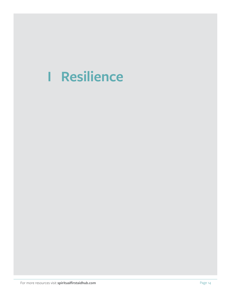## <span id="page-13-0"></span>**I Resilience**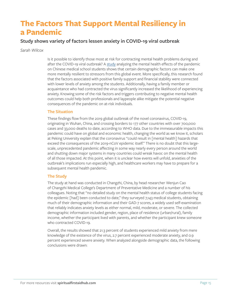### **The Factors That Support Mental Resiliency in a Pandemic**

### **Study shows variety of factors lessen anxiety in COVID-19 viral outbreak**

*Sarah Wilcox*

Is it possible to identify those most at risk for contracting mental health problems during and after the COVID-19 viral outbreak? A [study](https://www.sciencedirect.com/science/article/pii/S0165178120305400#!) analyzing the mental health effects of the pandemic on Chinese medical school students shows that certain demographic factors can make one more mentally resilient to stressors from this global event. More specifically, this research found that the factors associated with positive family support and financial stability were connected with lower levels of anxiety among the students. Additionally, having a family member or acquaintance who had contracted the virus significantly increased the likelihood of experiencing anxiety. Knowing some of the risk factors and triggers contributing to negative mental health outcomes could help both professionals and laypeople alike mitigate the potential negative consequences of the pandemic on at-risk individuals.

### **The Situation**

These findings flow from the 2019 global outbreak of the novel coronavirus, COVID-19, originating in Wuhan, China, and crossing borders to 177 other countries with over 700,000 cases and 33,000 deaths to date, according to WHO data. Due to the immeasurable impacts this pandemic could have on global and economic health, changing the world as we know it, scholars at Peking University explain that the coronavirus "could result in [mental health] hazards that exceed the consequences of the 2019-nCoV epidemic itself." There is no doubt that this largescale, unprecedented pandemic affecting in some way nearly every person around the world and shutting down major systems in many countries could wreak havoc on the mental health of all those impacted. At this point, when it is unclear how events will unfold, anxieties of the outbreak's implications run especially high, and healthcare workers may have to prepare for a subsequent mental health pandemic.

### **The Study**

The study at hand was conducted in Changzhi, China, by head researcher Wenjun Cao of Changzhi Medical College's Department of Preventative Medicine and a number of his colleagues. Noting that "no detailed study on the mental health status of college students facing the epidemic [had] been conducted to date," they surveyed 7,143 medical students, obtaining much of their demographic information and their GAD-7 scores, a widely used self-examination that reliably indicates anxiety levels as either normal, mild, moderate, or severe. The collected demographic information included gender, region, place of residence (urban/rural), family income, whether the participant lived with parents, and whether the participant knew someone who contracted COVID-19.

Overall, the results showed that 21.3 percent of students experienced mild anxiety from mere knowledge of the existence of the virus, 2.7 percent experienced moderate anxiety, and 0.9 percent experienced severe anxiety. When analyzed alongside demographic data, the following conclusions were drawn: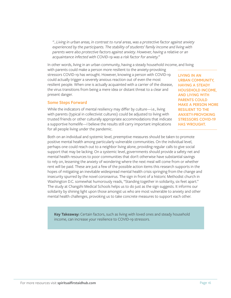*"…Living in urban areas, in contrast to rural areas, was a protective factor against anxiety experienced by the participants. The stability of students' family income and living with parents were also protective factors against anxiety. However, having a relative or an acquaintance infected with COVID-19 was a risk factor for anxiety."*

In other words, living in an urban community, having a steady household income, and living

with parents could make a person more resilient to the anxiety-provoking stressors COVID-19 has wrought. However, knowing a person with COVID-19 could actually trigger a severely anxious reaction out of even the most resilient people. When one is actually acquainted with a carrier of the disease, the virus transitions from being a mere idea or distant threat to a clear and present danger.

#### **Some Steps Forward**

While the indicators of mental resiliency may differ by culture—i.e., living with parents (typical in collectivist cultures) could be adjusted to living with trusted friends or other culturally appropriate accommodations that indicate a supportive homelife—I believe the results still carry important implications for all people living under the pandemic.

**LIVING IN AN URBAN COMMUNITY, HAVING A STEADY HOUSEHOLD INCOME, AND LIVING WITH PARENTS COULD MAKE A PERSON MORE RESILIENT TO THE ANXIETY-PROVOKING STRESSORS COVID-19 HAS WROUGHT.** 

Both on an individual and systemic level, preemptive measures should be taken to promote positive mental health among particularly vulnerable communities. On the individual level, perhaps one could reach out to a neighbor living alone, providing regular calls to give social support that may be lacking. On a systemic level, governments should provide a safety net and mental health resources to poor communities that don't otherwise have substantial savings to rely on, lessening the anxiety of wondering where the next meal will come from or whether rent will be paid. These are just a few of the possible action items this research supports in the hopes of mitigating an inevitable widespread mental health crisis springing from the change and insecurity spurred by the novel coronavirus. The sign in front of a historic Methodist church in Washington D.C. somewhat humorously reads, "Standing together in solidarity, six feet apart." The study at Changzhi Medical Schools helps us to do just as the sign suggests. It informs our solidarity by shining light upon those amongst us who are most vulnerable to anxiety and other mental health challenges, provoking us to take concrete measures to support each other.

**Key Takeaway:** Certain factors, such as living with loved ones and steady household income, can increase your resilience to COVID-19 stressors.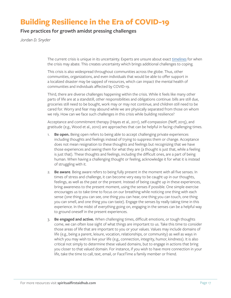### **Building Resilience in the Era of COVID-19**

### **Five practices for growth amidst pressing challenges**

*Jordan D. Snyder*

The current crisis is unique in its uncertainty. Experts are unsure about exact [timelines](https://thehill.com/policy/healthcare/489636-fauci-you-dont-make-the-timeline-the-virus-makes-the-timeline) for when the crisis may abate. This creates uncertainty which brings additional challenges to coping.

This crisis is also widespread throughout communities across the globe. Thus, other communities, organizations, and even individuals that would be able to offer support in a localized disaster may be sapped of resources, which can impact the mental health of communities and individuals affected by COVID-19.

Third, there are diverse challenges happening within the crisis. While it feels like many other parts of life are at a standstill, other responsibilities and obligations continue: bills are still due, groceries still need to be bought, work may or may not continue, and children still need to be cared for. Worry and fear may abound while we are physically separated from those on whom we rely. How can we face such challenges in this crisis while building resilience?

Acceptance and commitment therapy (Hayes et al., 2011), self-compassion (Neff, 2015), and gratitude (e.g., Wood et al., 2010) are approaches that can be helpful in facing challenging times.

- 1. **Be open.** Being open refers to being able to accept challenging private experiences including thoughts and feelings instead of trying to suppress them or change. Acceptance does not mean resignation to these thoughts and feelings but recognizing that we have those experiences and seeing them for what they are (a thought is just that, while a feeling is just that). These thoughts and feelings, including the difficult ones, are a part of being human. When having a challenging thought or feeling, acknowledge it for what it is instead of struggling with it.
- 2. **Be aware**. Being aware refers to being fully present in the moment with all five senses. In times of stress and challenge, it can become very easy to be caught up in our thoughts, feelings, as well as the past or the present. Instead of being caught up in these experiences, bring awareness to the present moment, using the senses if possible. One simple exercise encourages us to take time to focus on our breathing while noticing one thing with each sense (one thing you can see, one thing you can hear, one thing you can touch, one thing you can smell, and one thing you can taste). Engage the senses by really taking time in this experience. In the midst of everything going on, engaging in the senses can be a helpful way to ground oneself in the present experiences.
- 3. **Be engaged and active.** When challenging times, difficult emotions, or tough thoughts come, we can often lose sight of what things are important to us. Take this time to consider those areas of life that are important to you or your values. Values may include domains of life (e.g., being a parent, leisure, vocation, relationships, or community) as well as ways in which you may wish to live your life (e.g., connection, integrity, humor, kindness). It is also critical not simply to determine these valued domains, but to engage in actions that bring you closer to that valued domain. For instance, if you wish to have more connection in your life, take the time to call, text, email, or FaceTime a family member or friend.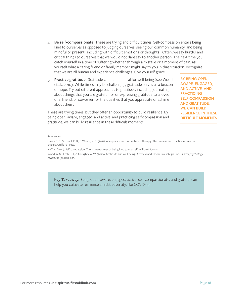- 4. **Be self-compassionate.** These are trying and difficult times. Self-compassion entails being kind to ourselves as opposed to judging ourselves, seeing our common humanity, and being mindful or present (including with difficult emotions or thoughts). Often, we say hurtful and critical things to ourselves that we would not dare say to another person. The next time you catch yourself in a time of suffering whether through a mistake or a moment of pain, ask yourself what a caring friend or family member might say to you in that situation. Recognize that we are all human and experience challenges. Give yourself grace.
- 5. **Practice gratitude.** Gratitude can be beneficial for well-being (see Wood et al., 2010). While times may be challenging, gratitude serves as a beacon of hope. Try out different approaches to gratitude, including journaling about things that you are grateful for or expressing gratitude to a loved one, friend, or coworker for the qualities that you appreciate or admire about them.

These are trying times, but they offer an opportunity to build resilience. By being open, aware, engaged, and active, and practicing self-compassion and gratitude, we can build resilience in these difficult moments.

**BY BEING OPEN, AWARE, ENGAGED, AND ACTIVE, AND PRACTICING SELF-COMPASSION AND GRATITUDE, WE CAN BUILD RESILIENCE IN THESE DIFFICULT MOMENTS.**

#### References

Hayes, S. C., Strosahl, K. D., & Wilson, K. G. (2011). Acceptance and commitment therapy: The process and practice of mindful change. Guilford Press.

Neff, K. (2015). Self-compassion: The proven power of being kind to yourself. William Morrow.

Wood, A. M., Froh, J. J., & Geraghty, A. W. (2010). Gratitude and well-being: A review and theoretical integration. *Clinical psychology review*, 30(7), 890-905.

**Key Takeaway:** Being open, aware, engaged, active, self-compassionate, and grateful can help you cultivate resilience amidst adversity, like COVID-19.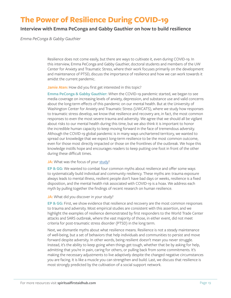### **The Power of Resilience During COVID-19**

### **Interview with Emma PeConga and Gabby Gauthier on how to build resilience**

*Emma PeConga & Gabby Gauthier*

Resilience does not come easily, but there are ways to cultivate it, even during COVID-19. In this interview, Emma PeConga and Gabby Gauthier, doctoral students and members of the UW Center for Anxiety and Traumatic Stress, where their work focuses primarily on the development and maintenance of PTSD, discuss the importance of resilience and how we can work towards it amidst the current pandemic.

**Jamie Aten:** How did you first get interested in this topic?

**Emma PeConga & Gabby Gauthier:** When the COVID-19 pandemic started, we began to see media coverage on increasing levels of anxiety, depression, and substance use and valid concerns about the long-term effects of this pandemic on our mental health. But at the University of Washington Center for Anxiety and Traumatic Stress (UWCATS), where we study how responses to traumatic stress develop, we know that resilience and recovery are, in fact, the most common responses to even the most severe trauma and adversity. We agree that we should all be vigilant about risks to our mental health during this time, but we also think it is important to honor the incredible human capacity to keep moving forward in the face of tremendous adversity. Although the COVID-19 global pandemic is in many ways unchartered territory, we wanted to spread our knowledge that we expect long-term resilience to be the most common outcome, even for those most directly impacted or those on the frontlines of the outbreak. We hope this knowledge instills hope and encourages readers to keep putting one foot in front of the other during these difficult times.

#### **JA:** What was the focus of your [study](https://pubmed.ncbi.nlm.nih.gov/32496106/)?

**EP & GG:** We wanted to combat four common myths about resilience and offer some ways to systematically build individual and community resiliency. These myths are: trauma exposure always leads to mental illness, resilient people don't have bad days or weeks, resilience is a fixed disposition, and the mental health risk associated with COVID-19 is a hoax. We address each myth by pulling together the findings of recent research on human resilience.

**JA:** What did you discover in your study?

**EP & GG:** First, we show evidence that resilience and recovery are the most common responses to trauma and adversity. Most empirical studies are consistent with this assertion, and we highlight the examples of resilience demonstrated by first responders to the World Trade Center attacks and SARS outbreak, where the vast majority of those, in either event, did not meet criteria for post-traumatic stress disorder (PTSD) in the long term.

Next, we dismantle myths about what resilience means. Resilience is not a steady maintenance of well-being, but a set of behaviors that help individuals and communities to persist and move forward despite adversity. In other words, being resilient doesn't mean you never struggle. Instead, it's the ability to keep going when things get tough, whether that be by asking for help, admitting that you're in pain, caring for others, or pulling back from some commitments. It's making the necessary adjustments to live adaptively despite the changed negative circumstances you are facing. It is like a muscle you can strengthen and build. Last, we discuss that resilience is most strongly predicted by the cultivation of a social support network.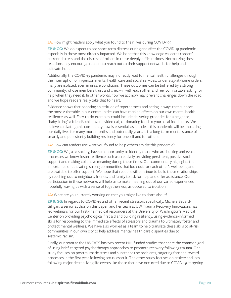**JA:** How might readers apply what you found to their lives during COVID-19?

**EP & GG:** We do expect to see short-term distress during and after the COVID-19 pandemic, especially in those most directly impacted. We hope that this knowledge validates readers' current distress and the distress of others in these deeply difficult times. Normalizing these reactions may encourage readers to reach out to their support networks for help and cultivate hope.

Additionally, the COVID-19 pandemic may indirectly lead to mental health challenges through the interruption of in-person mental health care and social services. Under stay-at-home orders, many are isolated, even in unsafe conditions. These outcomes can be buffered by a strong community, whose members trust and check-in with each other and feel comfortable asking for help when they need it. In other words, how we act now may prevent challenges down the road, and we hope readers really take that to heart.

Evidence shows that adopting an attitude of togetherness and acting in ways that support the most vulnerable in our communities can have marked effects on our own mental health resilience, as well. Easy-to-do examples could include delivering groceries for a neighbor, "babysitting" a friend's child over a video call, or donating food to your local food banks. We believe cultivating this community now is essential, as it is clear this pandemic will be impacting our daily lives for many more months and potentially years. It is a long-term mental stance of smartly and persistently building resiliency for oneself and for others.

**JA:** How can readers use what you found to help others amidst this pandemic?

**EP & GG:** We, as a society, have an opportunity to identify those who are hurting and evoke processes we know foster resilience such as creatively providing persistent, positive social support and making collective meaning during these times. Our commentary highlights the importance of cultivating strong communities that look out for each other's well-being and are available to offer support. We hope that readers will continue to build these relationships by reaching out to neighbors, friends, and family to ask for help and offer assistance. Our participation in these networks will help us to make meaning out of our varied experiences, hopefully leaving us with a sense of togetherness, as opposed to isolation.

JA: What are you currently working on that you might like to share about?

**EP & GG:** In regards to COVID-19 and other recent stressors specifically, Michele Bedard-Gilligan, a senior author on this paper, and her team at UW Trauma Recovery Innovations has led webinars for our first-line medical responders at the University of Washington's Medical Center on providing psychological first aid and building resiliency, using evidence-informed skills for responding to the immediate effects of stressors and trauma to ultimately foster and protect mental wellness. We have also worked as a team to help translate these skills to at-risk communities in our own city to help address mental health care disparities due to systemic racism.

Finally, our team at the UWCATS has two recent NIH-funded studies that share the common goal of using brief, targeted psychotherapy approaches to promote recovery following trauma. One study focuses on posttraumatic stress and substance use problems, targeting fear and reward processes in the first year following sexual assault. The other study focuses on anxiety and loss following major destabilizing life events like those that have occurred due to COVID-19, targeting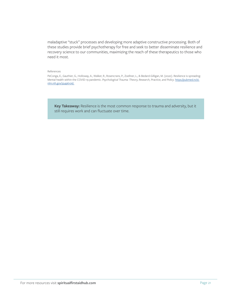maladaptive "stuck" processes and developing more adaptive constructive processing. Both of these studies provide brief psychotherapy for free and seek to better disseminate resilience and recovery science to our communities, maximizing the reach of these therapeutics to those who need it most.

#### References

PeConga, E., Gauthier, G., Holloway, A., Walker, R., Rosencrans, P., Zoellner, L., & Bedard-Gilligan, M. (2020). Resilience is spreading: Mental health within the COVID-19 pandemic. *Psychological Trauma: Theory, Research, Practice, and Policy*. [https://pubmed.ncbi.](https://pubmed.ncbi.nlm.nih.gov/32496106/) [nlm.nih.gov/32496106/.](https://pubmed.ncbi.nlm.nih.gov/32496106/)

**Key Takeaway:** Resilience is the most common response to trauma and adversity, but it still requires work and can fluctuate over time.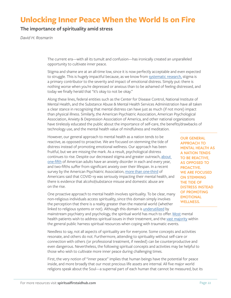### **Unlocking Inner Peace When the World Is on Fire**

### **The importance of spirituality amid stress**

*David H. Rosmarin*

The current era—with all its tumult and confusion—has ironically created an unparalleled opportunity to cultivate inner peace.

Stigma and shame are at an all-time low, since it is now perfectly acceptable and even expected to struggle. This is hugely impactful because, as we know from [systematic research,](https://www.tandfonline.com/doi/abs/10.1080/18374905.2014.11081898) stigma is a primary contributor to the severity and impact of emotional distress. Simply put: there is nothing worse when you're depressed or anxious than to be ashamed of feeling distressed, and today we finally herald that "it's okay to not be okay."

Along these lines, federal entities such as the Center for Disease Control, National Institute of Mental Health, and the Substance Abuse & Mental Health Services Administration have all taken a clear stance in recognizing that mental distress can have just as much (if not more) impact than physical illness. Similarly, the American Psychiatric Association, American Psychological Association, Anxiety & Depression Association of America, and other national organizations have tirelessly educated the public about the importance of self-care, the benefits/drawbacks of technology use, and the mental health value of mindfulness and meditation.

However, our general approach to mental health as a nation tends to be reactive, as opposed to proactive. We are focused on stemming the tide of distress instead of promoting emotional wellness. Our approach has been fruitful, but we are missing the mark. As a result, psychological distress continues to rise. Despite our decreased stigma and greater outreach, [about](https://www.nimh.nih.gov/health/statistics/any-anxiety-disorder.shtml)  [one-fifth](https://www.nimh.nih.gov/health/statistics/any-anxiety-disorder.shtml) of American adults have an anxiety disorder in each and every year, and two-fifths suffer from significant anxiety over their lifespan. In a recent survey by the American Psychiatric Association, [more than one-third](https://www.psychiatry.org/newsroom/news-releases/new-poll-covid-19-impacting-mental-well-being-americans-feeling-anxious-especially-for-loved-ones-older-adults-are-less-anxious) of Americans said that COVID-19 was seriously impacting their mental health, and there is evidence that alcohol/substance misuse and domestic abuse are on the rise.

One proactive approach to mental health involves spirituality. To be clear, many non-religious individuals access spirituality, since this domain simply involves the perception that there is a reality greater than the material world (whether linked to religious systems or not). Although this domain is [underutilized](https://www.thelancet.com/journals/lanpsy/article/PIIS2215-0366(20)30048-1/fulltext) by

mainstream psychiatry and psychology, the spiritual world has much to offer. [Most](https://psycnet.apa.org/record/2008-10828-003) mental health patients wish to address spiritual issues in their treatment, and the [vast majority](https://www.nejm.org/doi/full/10.1056/nejm200111153452024) within the general public harness spiritual resources when coping with traumatic events.

Needless to say, not all aspects of spirituality are for everyone. Some concepts and activities resonate, and others do not. Furthermore, attending to spirituality without self-care or connection with others (or professional treatment, if needed) can be counterproductive and even dangerous. Nevertheless, the following spiritual concepts and activities may be helpful to those who wish to cultivate more inner peace during challenging times.

First, the very notion of "inner peace" implies that human beings have the potential for peace inside, and more broadly that our most precious life assets are internal. All five major world religions speak about the Soul—a supernal part of each human that cannot be measured, but its

**OUR GENERAL APPROACH TO MENTAL HEALTH AS A NATION TENDS TO BE REACTIVE, AS OPPOSED TO PROACTIVE. WE ARE FOCUSED ON STEMMING THE TIDE OF DISTRESS INSTEAD OF PROMOTING EMOTIONAL WELLNESS.**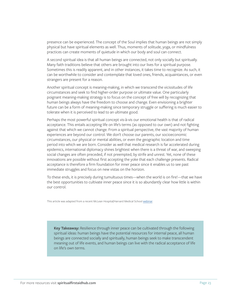presence can be experienced. The concept of the Soul implies that human beings are not simply physical but have spiritual elements as well. Thus, moments of solitude, yoga, or mindfulness practices can create moments of quietude in which our body and soul can connect.

A second spiritual idea is that all human beings are connected, not only socially but spiritually. Many faith traditions believe that others are brought into our lives for a spiritual purpose. Sometimes this is readily apparent, and in other instances, it takes time to recognize. As such, it can be worthwhile to consider and contemplate that loved ones, friends, acquaintances, or even strangers are present for a reason.

Another spiritual concept is meaning-making, in which we transcend the vicissitudes of life circumstances and seek to find higher-order purpose or ultimate value. One particularly poignant meaning-making strategy is to focus on the concept of free will by recognizing that human beings always have the freedom to choose and change. Even envisioning a brighter future can be a form of meaning-making since temporary struggle or suffering is much easier to tolerate when it is perceived to lead to an ultimate good.

Perhaps the most powerful spiritual concept vis-à-vis our emotional health is that of radical acceptance. This entails accepting life on life's terms (as opposed to our own) and not fighting against that which we cannot change. From a spiritual perspective, the vast majority of human experiences are beyond our control. We don't choose our parents, our socioeconomic circumstances, our physical or mental abilities, or even the geographic location and time period into which we are born. Consider as well that medical research is far accelerated during epidemics, international diplomacy shines brightest when there is a threat of war, and sweeping social changes are often preceded, if not preempted, by strife and unrest. Yet, none of these innovations are possible without first accepting the yoke that each challenge presents. Radical acceptance is therefore a firm foundation for inner peace since it enables us to see past immediate struggles and focus on new vistas on the horizon.

To these ends, it is precisely during tumultuous times—when the world is on fire!—that we have the best opportunities to cultivate inner peace since it is so abundantly clear how little is within our control.

This article was adapted from a recent McLean Hospital/Harvard Medical School [webinar](https://home.mcleanhospital.org/webinar-12).

**Key Takeaway:** Resilience through inner peace can be cultivated through the following spiritual ideas: human beings have the potential resources for internal peace, all human beings are connected socially and spiritually, human beings seek to make transcendent meaning out of life events, and human beings can live with the radical acceptance of life on life's own terms.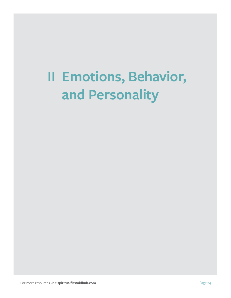## <span id="page-23-0"></span>**II Emotions, Behavior, and Personality**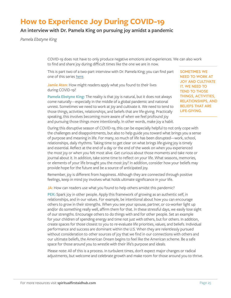### **How to Experience Joy During COVID-19**

### **An interview with Dr. Pamela King on pursuing joy amidst a pandemic**

*Pamela Ebstyne King*

COVID-19 does not have to only produce negative emotions and experiences. We can also work to find and share joy during difficult times like the one we are in now.

This is part two of a two-part interview with Dr. Pamela King; you can find part one of this series [here.](https://www.psychologytoday.com/us/blog/hope-resilience/202007/what-is-joy-and-what-does-it-say-about-us?amp)

**Jamie Aten:** How might readers apply what you found to their lives during COVID-19?

**Pamela Ebstyne King:** The reality is that joy is natural, but it does not always come naturally—especially in the middle of a global pandemic and national unrest. Sometimes we need to work at joy and cultivate it. We need to tend to those things, activities, relationships, and beliefs that are life-giving. Practically speaking, this involves becoming more aware of when we feel profound joy and pursuing those things more intentionally. In other words, make joy a habit.

**SOMETIMES WE NEED TO WORK AT JOY AND CULTIVATE IT. WE NEED TO TEND TO THOSE THINGS, ACTIVITIES, RELATIONSHIPS, AND BELIEFS THAT ARE LIFE-GIVING.**

During this disruptive season of COVID-19, this can be especially helpful to not only cope with the challenges and disappointments, but also to help guide you toward what brings you a sense of purpose and meaning in life. For many, so much of life has been disrupted—work, school, relationships, daily rhythms. Taking time to get clear on what brings life-giving joy is timely and essential. Reflect at the end of a day or the end of the week on when you experienced the most joy or when you felt most alive. Get curious about those moments and take note or journal about it. In addition, take some time to reflect on your life. What seasons, memories, or elements of your life brought you the most joy? In addition, consider how your beliefs may provide hope for the future and be a source of anticipated joy.

Remember, joy is different from happiness. Although they are connected through positive feelings, keep in mind joy involves what holds ultimate significance in your life.

**JA:** How can readers use what you found to help others amidst this pandemic?

**PEK:** Spark joy in other people. Apply this framework of growing as an authentic self, in relationships, and in our values. For example, be intentional about how you can encourage others to grow in their strengths. When you see your spouse, partner, or co-worker light up and/or do something really well, affirm them for that. In these stressful days, we easily lose sight of our strengths. Encourage others to do things with and for other people. Set an example for your children of spending energy and time not just with others, but for others. In addition, create spaces for those closest to you to re-evaluate life priorities, values, and beliefs. Individual performance and success are dominant within the U.S. When they are relentlessly pursued without consideration to other sources of joy that we find in our connections with others and our ultimate beliefs, the American Dream begins to feel like the American scheme. Be a safe space for those around you to wrestle with their life's purpose and ideals.

Please note: All of this is a process. In turbulent times, don't expect major changes or radical adjustments, but welcome and celebrate growth and make room for those around you to thrive.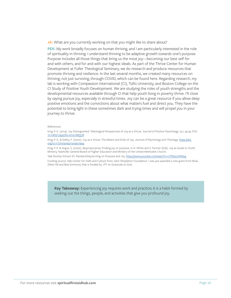JA: What are you currently working on that you might like to share about?

**PEK:** My work broadly focuses on human thriving, and I am particularly interested in the role of spirituality in thriving. I understand thriving to be adaptive growth towards one's purpose. Purpose includes all those things that bring us the most joy—becoming our best self for and with others, and for and with our highest ideals. As part of the Thrive Center for Human Development at Fuller Theological Seminary, we do research and produce resources that promote thriving and resilience. In the last several months, we created many resources on thriving, not just surviving, through COVID, which can be found here. Regarding research, my lab is working with Compassion International (CI), Tufts University, and Boston College on the CI Study of Positive Youth Development. We are studying the roles of youth strengths and the developmental resources available through CI that help youth living in poverty thrive. I'll close by saying pursue joy, especially in stressful times. Joy can be a great resource if you allow deep positive emotions and the convictions about what matters fuel and direct you. They have the potential to bring light in these sometimes dark and trying times and will propel you in your journey to thrive.

#### References

King, P. E. (2019). Joy Distinguished: Teleological Perspectives of Joy as a Virtue. *Journal of Positive Psychology*, 15:1, 33-39, DOI: [10.1080/17439760.2019.1685578](https://www.tandfonline.com/doi/full/10.1080/17439760.2019.1685578)

King, P. E., & Defoy, F. (2020). Joy as a Virtue: The Means and Ends of Joy. *Journal of Psychology and Theology.* [https://doi.](https://journals.sagepub.com/doi/10.1177/0091647120907994) [org/10.1177/0091647120907994](https://journals.sagepub.com/doi/10.1177/0091647120907994)

King, P. E. & Argue, S. (2020). #joyonpurpose: Finding joy on purpose. In D. White and S. Farmer (Eds). Joy as Guide to Youth Ministry. Nashville: General Board of Higher Education and Ministry of the United Methodist Church.

Yale Divinity School: Dr. Pamela Ebstyne King on Purpose and Joy.<https://www.youtube.com/watch?v=UT8SzeJWM94>

Funding source: Yale Center for Faith and Culture from John Templeton Foundation. I was just awarded a new grant from Biola (Pete Hill and Bob Emmons) that is funded by JTF on Gratitude to God.

**Key Takeaway:** Experiencing joy requires work and practice; it is a habit formed by seeking out the things, people, and activities that give you profound joy.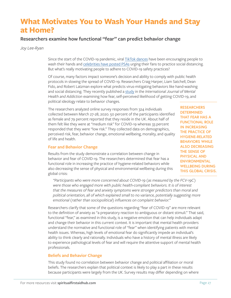### **What Motivates You to Wash Your Hands and Stay at Home?**

### **Researchers examine how functional "fear" can predict behavior change**

*Joy Lee-Ryan*

Since the start of the COVID-19 pandemic, viral [TikTok dances](https://www.bbc.co.uk/newsround/51791722) have been encouraging people to wash their hands and [celebrities have posted PSA](https://qz.com/1829339/all-the-celebrity-coronavirus-psas-ranked/)s urging their fans to practice social distancing. But what's really motivating people to adhere to COVID-19 safety practices?

Of course, many factors impact someone's decision and ability to comply with public health protocols in slowing the spread of COVID-19. Researchers Craig Harper, Liam Satchell, Dean Fido, and Robert Latzman explore what predicts virus-mitigating behaviors like hand-washing and social distancing. They recently published a [study](https://www.ncbi.nlm.nih.gov/pmc/articles/PMC7185265/) in the *International Journal of Mental Health and Addiction* examining how fear, self-perceived likelihood of getting COVID-19, and political ideology relate to behavior changes.

The researchers analyzed online survey responses from 324 individuals collected between March 27-28, 2020. 50 percent of the participants identified as female and 79 percent reported that they reside in the UK. About half of them felt like they were at "medium risk" for COVID-19 whereas 33 percent responded that they were "low risk." They collected data on demographics, perceived risk, fear, behavior change, emotional wellbeing, morality, and quality of life and health.

### **Fear and Behavior Change**

Results from the study demonstrate a correlation between change in behavior and fear of COVID-19. The researchers determined that fear has a functional role in increasing the practice of hygiene-related behaviors while also decreasing the sense of physical and environmental wellbeing during this global crisis:

**RESEARCHERS DETERMINED THAT FEAR HAS A FUNCTIONAL ROLE IN INCREASING THE PRACTICE OF HYGIENE-RELATED BEHAVIORS WHILE ALSO DECREASING THE SENSE OF PHYSICAL AND ENVIRONMENTAL WELLBEING DURING THIS GLOBAL CRISIS.**

*"Participants who were more concerned about COVID-19 (as measured by the FCV-19C) were those who engaged more with public health-compliant behaviors. It is of interest that the measures of fear and anxiety symptoms were stronger predictors than moral and political orientation, all of which explained small to no variance, potentially suggesting more emotional (rather than sociopolitical) influences on complaint behavior."* 

Researchers clarify that some of the questions regarding "fear of COVID-19" are more relevant to the definition of anxiety as "a preparatory reaction to ambiguous or distant stimuli." That said, functional "fear," as examined in this study, is a negative emotion that can help individuals adapt and change their behavior in this current context. It is important that mental health providers understand the normative and functional role of "fear" when identifying patients with mental health issues. Whereas, high levels of emotional fear do significantly impede an individual's ability to think clearly and rationally. Individuals who have a history of mental illness are likely to experience pathological levels of fear and will require the attentive support of mental health professionals.

### **Beliefs and Behavior Change**

This study found no correlation between behavior change and political affiliation or moral beliefs. The researchers explain that political context is likely to play a part in these results because participants were largely from the UK. Survey results may differ depending on where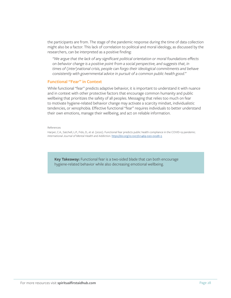the participants are from. The stage of the pandemic response during the time of data collection might also be a factor. This lack of correlation to political and moral ideology, as discussed by the researchers, can be interpreted as a positive finding:

*"We argue that the lack of any significant political orientation or moral foundations effects on behavior change is a positive point from a social perspective, and suggests that, in times of (inter)national crisis, people can forgo their ideological commitments and behave consistently with governmental advice in pursuit of a common public health good."* 

#### **Functional "Fear" in Context**

While functional "fear" predicts adaptive behavior, it is important to understand it with nuance and in context with other protective factors that encourage common humanity and public wellbeing that prioritizes the safety of all peoples. Messaging that relies too much on fear to motivate hygiene-related behavior change may activate a scarcity mindset, individualistic tendencies, or xenophobia. Effective functional "fear" requires individuals to better understand their own emotions, manage their wellbeing, and act on reliable information.

References

Harper, C.A., Satchell, L.P., Fido, D., et al. (2020). Functional fear predicts public health compliance in the COVID-19 pandemic. *International Journal of Mental Health and Addiction*. [https://doi.org/10.1007/s11469-020-00281-5](https://link.springer.com/article/10.1007/s11469-020-00281-5)

**Key Takeaway:** Functional fear is a two-sided blade that can both encourage hygiene-related behavior while also decreasing emotional wellbeing.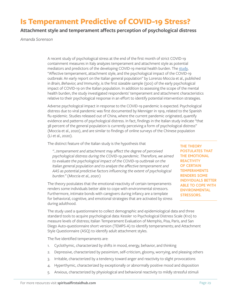### **Is Temperament Predictive of COVID-19 Stress?**

### **Attachment style and temperament affects perception of psychological distress**

*Amanda Sorenson* 

A recent study of psychological stress at the end of the first month of strict COVID-19 containment measures in Italy analyzes temperament and attachment style as potential mediators and predictors of the developing COVID-19 mental health burden. The [study,](https://www.sciencedirect.com/science/article/pii/S0889159120305869?via%3Dihub) "Affective temperament, attachment style, and the psychological impact of the COVID-19 outbreak: An early report on the Italian general population" by Lorenzo Moccia et al., published in *Brain, Behavior, and Immunity*, is the first sizeable sample (500) of the early psychological impact of COVID-19 on the Italian population. In addition to assessing the scope of the mental health burden, the study investigated respondents' temperament and attachment characteristics relative to their psychological response in an effort to identify potential intervention strategies.

Adverse psychological impact in response to the COVID-19 pandemic is expected. Psychological distress due to viral pandemic was first documented by Menniger in 1919, related to the Spanish flu epidemic. Studies released out of China, where the current pandemic originated, quantify evidence and patterns of psychological distress. In fact, findings in the Italian study indicate "that 38 percent of the general population is currently perceiving a form of psychological distress" (Moccia et al., 2020), and are similar to findings of online surveys of the Chinese population (Li et al., 2020).

The distinct feature of the Italian study is the hypothesis that

*"…temperament and attachment may affect the degree of perceived psychological distress during the COVID-19 pandemic. Therefore, we aimed to evaluate the psychological impact of the COVID-19 outbreak on the Italian general population and to analyze the affective temperament and AAS as potential predictive factors influencing the extent of psychological burden." (Moccia et al., 2020)*

The theory postulates that the emotional reactivity of certain temperaments renders some individuals better able to cope with environmental stressors. Furthermore, intimate bonds with caregivers during infancy are a template for behavioral, cognitive, and emotional strategies that are activated by stress during adulthood.

**THE THEORY POSTULATES THAT THE EMOTIONAL REACTIVITY OF CERTAIN TEMPERAMENTS RENDERS SOME INDIVIDUALS BETTER ABLE TO COPE WITH ENVIRONMENTAL STRESSORS.**

The study used a questionnaire to collect demographic and epidemiological data and three standard tools to acquire psychological data: Kessler 10 Psychological Distress Scale (K10) to measure levels of distress; Italian Temperament Evaluation of Memphis, Pisa, Paris, and San Diego Auto-questionnaire short version (TEMPS-A) to identify temperaments; and Attachment Style Questionnaire (ASQ) to identify adult attachment styles.

The five identified temperaments are:

- 1. Cyclothymic, characterized by shifts in mood, energy, behavior, and thinking
- 2. Depressive, characterized by pessimism, self-criticism, gloomy, worrying, and pleasing others
- 3. Irritable, characterized by a tendency toward anger and reactivity to slight provocations
- 4. Hyperthymic, characterized by exceptionally or abnormally positive mood and disposition
- 5. Anxious, characterized by physiological and behavioral reactivity to mildly stressful stimuli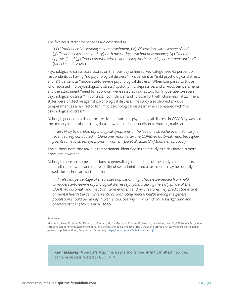The five adult attachment styles are described as:

*"(1) 'Confidence,' describing secure attachment; (2) 'Discomfort with closeness' and (3) 'Relationships as secondary', both measuring attachment avoidance; (4) 'Need for approval,' and (5) 'Preoccupation with relationships,' both assessing attachment anxiety." (Moccia et al., 2020)*

Psychological distress scale scores on the four-day online survey categorized 62 percent of respondents as having "no psychological distress," 19.4 percent as "mild psychological distress," and 18.6 percent as "moderate-to-severe psychological distress." When compared to those who reported "no psychological distress," cyclothymic, depressive, and anxious temperaments and the attachment "need for approval" were rated as risk factors for "moderate-to-severe psychological distress." In contrast, "confidence" and "discomfort with closeness" attachment styles were protective against psychological distress. The study also showed anxious temperament as a risk factor for "mild psychological distress" when compared with "no psychological distress."

Although gender as a risk or protective measure for psychological distress in COVID-19 was not the primary intent of the study, data showed that in comparison to women, males are

*"… less likely to develop psychological symptoms in the face of a stressful event. Similarly, a recent survey conducted in China one month after the COVID-19 outbreak reported higher post-traumatic stress symptoms in women (Liu et al., 2020)." (Moccia et al., 2020)*

The authors note that anxious temperament, identified in their study as a risk factor, is more prevalent in women.

Although there are some limitations to generalizing the findings of the study in that it lacks longitudinal follow-up, and the reliability of self-administered assessments may be partially biased, the authors are satisfied that

*"… A relevant percentage of the Italian population might have experienced from mild to moderate-to-severe psychological distress symptoms during the early phase of the COVID-19 outbreak, and that both temperament and AAS features may predict the extent of mental health burden. Interventions promoting mental health among the general population should be rapidly implemented, bearing in mind individual background and characteristics." (Moccia et al., 2020)*

References

Moccia, L., Janiri, D., Pepe, M., Dattoli, L., Molinaro, M., De Martin, V., Chieffo, D., Janiri, L., Fiorillo, A., Sani, G., & Di Nicola, M. (2020). Affective temperament, attachment style, and the psychological impact of the COVID-19 outbreak: An early report on the Italian general population. *Brain, Behavior, and Immunity.* [https://doi.org/10.1016/j.bbi.2020.04.048](https://www.sciencedirect.com/science/article/pii/S0889159120305869?via%3Dihub)

**Key Takeaway:** A person's attachment style and temperament can affect how they perceive distress related to COVID-19.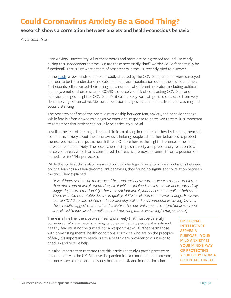### **Could Coronavirus Anxiety Be a Good Thing?**

### **Research shows a correlation between anxiety and health-conscious behavior**

*Kayla Gustafson*

Fear. Anxiety. Uncertainty. All of these words and more are being tossed around like candy during this unprecedented time. But are these necessarily "bad" words? Could fear actually be functional? That is just what a team of researchers in the UK recently tried to discover.

In the [study](https://www.ncbi.nlm.nih.gov/pmc/articles/PMC7185265/), a few hundred people broadly affected by the COVID-19 pandemic were surveyed in order to better understand indicators of behavior modification during these unique times. Participants self-reported their ratings on a number of different indicators including political ideology, emotional distress amid COVID-19, perceived risk of contracting COVID-19, and behavior changes in light of COVID-19. Political ideology was categorized on a scale from very liberal to very conservative. Measured behavior changes included habits like hand-washing and social distancing.

The research confirmed the positive relationship between fear, anxiety, and behavior change. While fear is often viewed as a negative emotional response to perceived threats, it is important to remember that anxiety can actually be critical to survival.

Just like the fear of fire might keep a child from playing in the fire pit, thereby keeping them safe from harm, anxiety about the coronavirus is helping people adjust their behaviors to protect themselves from a real public health threat. Of note here is the slight difference in meaning between fear and anxiety. The researchers distinguish anxiety as a preparatory reaction to a perceived threat, while fear is considered the "reactive removal of oneself from a position of immediate risk" (Harper, 2020).

While the study authors also measured political ideology in order to draw conclusions between political leanings and health-compliant behaviors, they found no significant correlation between the two. They explained,

*"It is of interest that the measures of fear and anxiety symptoms were stronger predictors than moral and political orientation, all of which explained small to no variance, potentially suggesting more emotional (rather than sociopolitical) influences on compliant behavior. There was also no notable decline in quality of life in relation to behavior change. However,*  fear of COVID-19 was related to decreased physical and environmental wellbeing. Overall, *these results suggest that 'fear' and anxiety at the current time have a functional role, and are related to increased compliance for improving public wellbeing." (Harper, 2020)*

There is a fine line, then, between fear and anxiety that must be carefully considered. While anxiety is serving its purpose, helping people stay safe and healthy, fear must not be turned into a weapon that will further harm those with pre-existing mental health conditions. For those who are on the precipice of fear, it is important to reach out to a health-care provider or counselor to check in and receive help.

It is also important to reiterate that this particular study's participants were located mainly in the UK. Because the pandemic is a continued phenomenon, it is necessary to replicate this study both in the UK and in other locations

**EMOTIONAL INTELLIGENCE SERVES A PURPOSE—YOUR MILD ANXIETY IS YOUR MIND'S WAY OF PROTECTING YOUR BODY FROM A POTENTIAL THREAT.**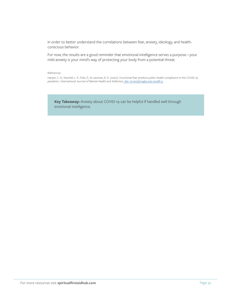in order to better understand the correlations between fear, anxiety, ideology, and healthconscious behavior.

For now, the results are a good reminder that emotional intelligence serves a purpose—your mild anxiety is your mind's way of protecting your body from a potential threat.

References

Harper, C. A., Stachell, L. P., Fido, D., & Latzman, R. D. (2020). Functional fear predicts public health compliance in the COVID-19 pandemic. *International Journal of Mental Health and Addiction*[. doi: 10.1007/s11469-020-00281-5](https://link.springer.com/article/10.1007/s11469-020-00281-5)

**Key Takeaway:** Anxiety about COVID-19 can be helpful if handled well through emotional intelligence.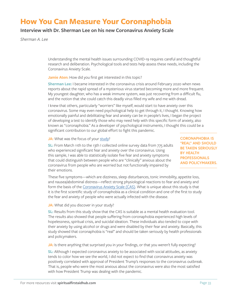### **How You Can Measure Your Coronaphobia**

### **Interview with Dr. Sherman Lee on his new Coronavirus Anxiety Scale**

*Sherman A. Lee*

Understanding the mental health issues surrounding COVID-19 requires careful and thoughtful research and deliberation. Psychological tools and tests help assess these needs, including the Coronavirus Anxiety Scale.

**Jamie Aten:** How did you first get interested in this topic?

**Sherman Lee:** I became interested in the coronavirus crisis around February 2020 when news reports about the rapid spread of a mysterious virus started becoming more and more frequent. My youngest daughter, who has a weak immune system, was just recovering from a difficult flu, and the notion that she could catch this deadly virus filled my wife and me with dread.

I knew that others, particularly "worriers" like myself, would start to have anxiety over this coronavirus. Some may even need psychological help to get through it, I thought. Knowing how emotionally painful and debilitating fear and anxiety can be in people's lives, I began the project of developing a test to identify those who may need help with this specific form of anxiety, also known as "coronaphobia." As a developer of psychological instruments, I thought this could be a significant contribution to our global effort to fight this pandemic.

**JA:** What was the focus of your [study?](https://www.tandfonline.com/doi/full/10.1080/07481187.2020.1748481)

**SL:** From March 11th to the 13th I collected online survey data from 775 adults who experienced significant fear and anxiety over the coronavirus. Using this sample, I was able to statistically isolate five fear and anxiety symptoms that could distinguish between people who are "clinically" anxious about the coronavirus from people who are worried but not functionally impaired by their emotions.

**CORONAPHOBIA IS "REAL" AND SHOULD BE TAKEN SERIOUSLY BY HEALTH PROFESSIONALS AND POLICYMAKERS.**

These five symptoms—which are dizziness, sleep disturbances, tonic immobility, appetite loss, and nausea/abdominal distress—reflect strong physiological reactions to fear and anxiety and form the basis of the [Coronavirus Anxiety Scale \(CAS\)](https://psychcentral.com/quizzes/coronavirus-anxiety-quiz/). What is unique about this study is that it is the first scientific study of coronaphobia as a clinical condition and one of the first to study the fear and anxiety of people who were actually infected with the disease.

#### **JA:** What did you discover in your study?

**SL:** Results from this study show that the CAS is suitable as a mental health evaluation tool. The results also showed that people suffering from coronaphobia experienced high levels of hopelessness, spiritual crisis, and suicidal ideation. These individuals also tended to cope with their anxiety by using alcohol or drugs and were disabled by their fear and anxiety. Basically, this study showed that coronaphobia is "real" and should be taken seriously by health professionals and policymakers.

**JA:** Is there anything that surprised you in your findings, or that you weren't fully expecting?

**SL:** Although I expected coronavirus anxiety to be associated with social attitudes, as anxiety tends to color how we see the world, I did not expect to find that coronavirus anxiety was positively correlated with approval of President Trump's responses to the coronavirus outbreak. That is, people who were the most anxious about the coronavirus were also the most satisfied with how President Trump was dealing with the pandemic.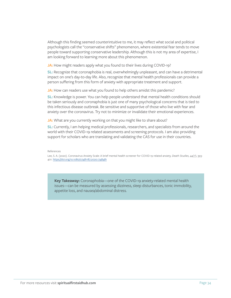Although this finding seemed counterintuitive to me, it may reflect what social and political psychologists call the "conservative shifts" phenomenon, where existential fear tends to move people toward supporting conservative leadership. Although this is not my area of expertise, I am looking forward to learning more about this phenomenon.

**JA:** How might readers apply what you found to their lives during COVID-19?

**SL:** Recognize that coronaphobia is real, overwhelmingly unpleasant, and can have a detrimental impact on one's day-to-day life. Also, recognize that mental health professionals can provide a person suffering from this form of anxiety with appropriate treatment and support.

**JA:** How can readers use what you found to help others amidst this pandemic?

**SL:** Knowledge is power. You can help people understand that mental health conditions should be taken seriously and coronaphobia is just one of many psychological concerns that is tied to this infectious disease outbreak. Be sensitive and supportive of those who live with fear and anxiety over the coronavirus. Try not to minimize or invalidate their emotional experiences.

**JA:** What are you currently working on that you might like to share about?

**SL:** Currently, I am helping medical professionals, researchers, and specialists from around the world with their COVID-19 related assessments and screening protocols. I am also providing support for scholars who are translating and validating the CAS for use in their countries.

#### References

Lee, S. A. (2020). Coronavirus Anxiety Scale: A brief mental health screener for COVID-19 related anxiety. *Death Studies,* 44(7), 393- 401.<https://doi.org/10.1080/07481187.2020.1748481>

**Key Takeaway:** Coronaphobia—one of the COVID-19 anxiety-related mental health issues—can be measured by assessing dizziness, sleep disturbances, tonic immobility, appetite loss, and nausea/abdominal distress.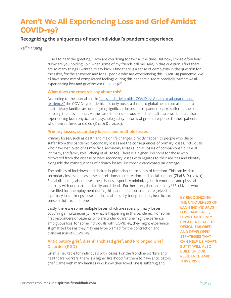### **Aren't We All Experiencing Loss and Grief Amidst COVID-19?**

### **Recognizing the uniqueness of each individual's pandemic experience**

*Kailin Huang*

I used to hear the greeting, "How are you doing today?" all the time. But now, I more often hear "How are you holding up?" when some of my friends call me. And, in that question, I find there are so many things I wanted to say back. I find there is a sense of complexity in the question for the asker, for the answerer, and for all people who are experiencing this COVID-19 pandemic. We all have some mix of complicated feelings during this pandemic. More precisely, "Aren't we all experiencing loss and grief amidst COVID-19?"

#### **What does the research say about this?**

According to the journal article ["Loss and grief amidst COVID-19: A path to adaptation and](https://www.sciencedirect.com/science/article/pii/S0889159120306322?via%3Dihub)  [resilience,"](https://www.sciencedirect.com/science/article/pii/S0889159120306322?via%3Dihub) the COVID-19 pandemic not only poses a threat to global health but also mental health. Many families are undergoing significant losses in this pandemic, like suffering the pain of losing their loved ones. At the same time, numerous frontline healthcare workers are also experiencing both physical and psychological symptoms of grief in response to their patients who have suffered and died (Zhai & Du, 2020).

#### **Primary losses, secondary losses, and multiple losses**

Primary losses, such as death and major life changes, directly happen to people who die or suffer from this pandemic. Secondary losses are the consequences of primary losses. Individuals who have lost loved ones may face secondary losses such as losses of companionship, sexual intimacy, and family role (Zheng et al., 2020). There is a higher likelihood for those who recovered from the disease to have secondary losses with regards to their abilities and identity alongside the consequences of primary losses like chronic cardiovascular damage.

The policies of lockdown and shelter-in-place also cause a loss of freedom. This can lead to secondary losses such as losses of relationship, recreation, and social support (Zhai & Du, 2020). Social distancing also causes these issues, especially minimizing both emotional and physical intimacy with our partners, family, and friends. Furthermore, there are many U.S. citizens who have filed for unemployment during this pandemic. Job loss—categorized as a primary loss—brings losses of financial security, independence, healthcare, a sense of future, and hope.

Lastly, there are some multiple losses which are several primary losses occurring simultaneously, like what is happening in this pandemic. For some first responders or patients who are under quarantine might experience ambiguous loss; for some individuals with COVID-19, they might experience stigmatized loss as they may easily be blamed for the contraction and transmission of COVID-19.

### **Anticipatory grief, disenfranchised grief, and Prolonged Grief Disorder (PGD)**

Grief is inevitable for individuals with losses. For the frontline workers and healthcare workers, there is a higher likelihood for them to have anticipatory grief. Same with many families who know their loved one is suffering and

**BY RECOGNIZING THE UNIQUENESS OF EACH INDIVIDUAL'S LOSS AND GRIEF, IT WILL NOT ONLY CREATE A SPACE TO DESIGN TAILORED AND DEVELOPED STRATEGIES THAT CAN HELP US ADAPT, BUT IT WILL ALSO BUILD UP OUR RESILIENCE AMID THIS CRISIS.**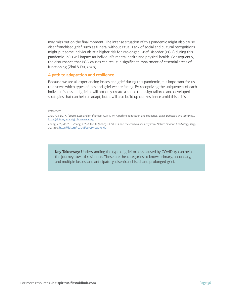may miss out on the final moment. The intense situation of this pandemic might also cause disenfranchised grief, such as funeral without ritual. Lack of social and cultural recognitions might put some individuals at a higher risk for Prolonged Grief Disorder (PGD) during this pandemic. PGD will impact an individual's mental health and physical health. Consequently, the disturbance that PGD causes can result in significant impairment of essential areas of functioning (Zhai & Du, 2020).

#### **A path to adaptation and resilience**

Because we are all experiencing losses and grief during this pandemic, it is important for us to discern which types of loss and grief we are facing. By recognizing the uniqueness of each individual's loss and grief, it will not only create a space to design tailored and developed strategies that can help us adapt, but it will also build up our resilience amid this crisis.

#### References

Zhai, Y., & Du, X. (2020). Loss and grief amidst COVID-19: A path to adaptation and resilience. *Brain, Behavior, and Immunity*. <https://doi.org/10.1016/j.bbi.2020.04.053>

Zheng, Y.-Y., Ma, Y.-T., Zhang, J.-Y., & Xie, X. (2020). COVID-19 and the cardiovascular system. *Nature Reviews Cardiology,* 17(5), 259–260.<https://doi.org/10.1038/s41569-020-0360->

**Key Takeaway:** Understanding the type of grief or loss caused by COVID-19 can help the journey toward resilience. These are the categories to know: primary, secondary, and multiple losses; and anticipatory, disenfranchised, and prolonged grief.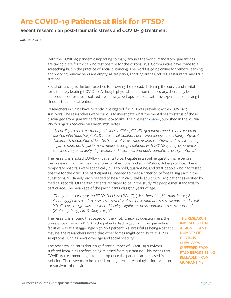# **Are COVID-19 Patients at Risk for PTSD?**

### **Recent research on post-traumatic stress and COVID-19 treatment**

*James Fisher*

With the COVID-19 pandemic impacting so many around the world, mandatory quarantines are taking place for those who test positive for the coronavirus. Communities have come to a screeching halt in the practice of social distancing. The world is going online for remote learning and working. Sunday pews are empty, as are parks, sporting arenas, offices, restaurants, and train stations.

Social distancing is the best practice for slowing the spread, flattening the curve, and is vital for ultimately beating COVID-19. Although physical separation is necessary, there may be consequences for those isolated—especially, perhaps, coupled with the experience of having the illness—that need attention.

Researchers in China have recently investigated if PTSD was prevalent within COVID-19 survivors. The researchers were curious to investigate what the mental health status of those discharged from quarantine facilities looked like. Their research [paper](https://www.cambridge.org/core/journals/psychological-medicine/article/posttraumatic-stress-symptoms-and-attitude-toward-crisis-mental-health-services-among-clinically-stable-patients-with-covid19-in-china/32D66826C54EB1A96C008089C0DE500E), published in the journal *Psychological Medicine* on March 27th, notes:

*"According to the treatment guidelines in China, COVID-19 patients need to be treated in*  isolated infectious hospitals. Due to social isolation, perceived danger, uncertainty, physical *discomfort, medication side effects, fear of virus transmission to others, and overwhelming negative news portrayal in mass media coverage, patients with COVID-19 may experience loneliness, anger, anxiety, depression, and insomnia, and posttraumatic stress symptoms."*

The researchers asked COVID-19 patients to participate in an online questionnaire before their release from the five quarantine facilities constructed in Wuhan, Hubei province. These temporary hospitals were specifically built to hold, quarantine, and treat people who had tested positive for the virus. The participants all needed to meet a criterion before taking part in the questionnaire. Namely, each needed to be a clinically stable adult COVID-19 patient as verified by medical records. Of the 730 patients recruited to be in the study, 714 people met standards to participate. The mean age of the participants was 50.2 years of age.

*"The 17-item self-reported PTSD Checklist (PCL-C) (Weathers, Litz, Herman, Huska, & Keane, 1993) was used to assess the severity of the posttraumatic stress symptoms. A total PCL-C score of ≥50 was considered 'having significant posttraumatic stress symptoms.' (X.-Y. Yang, Yang, Liu, & Yang, 2007)"*

The researchers found that based on the PTSD Checklist questionnaire, the prevalence of serious PTSD in the patients discharged from the quarantine facilities was at a staggeringly high 96.2 percent. As stressful as being a patient may be, the researchers noted that other forces might contribute to PTSD symptoms, such as news coverage and social hostility.

The research indicates that a significant number of COVID-19 survivors suffered from PTSD before being released from quarantine. This means that COVID-19 treatment ought to not stop once the patients are released from isolation. There seems to be a need for long-term psychological interventions for survivors of the virus.

**THE RESEARCH INDICATES THAT A SIGNIFICANT NUMBER OF COVID-19 SURVIVORS SUFFERED FROM PTSD BEFORE BEING RELEASED FROM QUARANTINE.**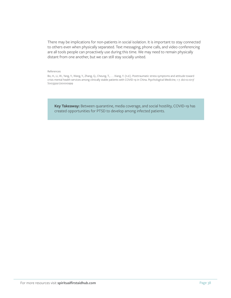There may be implications for non-patients in social isolation. It is important to stay connected to others even when physically separated. Text messaging, phone calls, and video conferencing are all tools people can proactively use during this time. We may need to remain physically distant from one another, but we can still stay socially united.

#### References

Bo, H., Li, W., Yang, Y., Wang, Y., Zhang, Q., Cheung, T., . . . Xiang, Y. (n.d.). Posttraumatic stress symptoms and attitude toward crisis mental health services among clinically stable patients with COVID-19 in China. *Psychological Medicine*, 1-7. doi:10.1017/ S0033291720000999

**Key Takeaway:** Between quarantine, media coverage, and social hostility, COVID-19 has created opportunities for PTSD to develop among infected patients.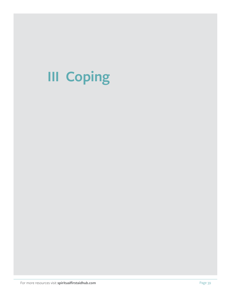# **III Coping**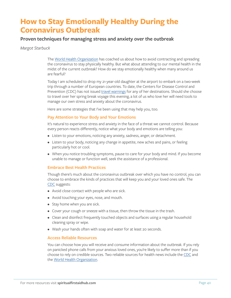# **How to Stay Emotionally Healthy During the Coronavirus Outbreak**

### **Proven techniques for managing stress and anxiety over the outbreak**

#### *Margot Starbuck*

The [World Health Organization](https://www.who.int/health-topics/coronavirus#tab=tab_1) has coached us about how to avoid contracting and spreading the coronavirus to stay physically healthy. But what about attending to our mental health in the midst of the current outbreak? How do we stay emotionally healthy when many around us are fearful?

Today I am scheduled to drop my 21-year-old daughter at the airport to embark on a two-week trip through a number of European countries. To date, the Centers for Disease Control and Prevention (CDC) has not issued [travel warnings](https://wwwnc.cdc.gov/travel/notices) for any of her destinations. Should she choose to travel over her spring break voyage this evening, a lot of us who love her will need tools to manage our own stress and anxiety about the coronavirus.

Here are some strategies that I've been using that may help you, too.

#### **Pay Attention to Your Body and Your Emotions**

It's natural to experience stress and anxiety in the face of a threat we cannot control. Because every person reacts differently, notice what your body and emotions are telling you:

- Listen to your emotions, noticing any anxiety, sadness, anger, or detachment.
- Listen to your body, noticing any change in appetite, new aches and pains, or feeling particularly hot or cool.
- When you notice troubling symptoms, pause to care for your body and mind. If you become unable to manage or function well, seek the assistance of a professional.

#### **Embrace Best Health Practices**

Though there's much about the coronavirus outbreak over which you have no control, you can choose to embrace the kinds of practices that will keep you and your loved ones safe. The [CDC](https://www.cdc.gov/coronavirus/2019-ncov/prevent-getting-sick/prevention.html?CDC_AA_refVal=https%3A%2F%2Fwww.cdc.gov%2Fcoronavirus%2F2019-ncov%2Fprepare%2Fprevention.html) suggests:

- Avoid close contact with people who are sick.
- Avoid touching your eyes, nose, and mouth.
- Stay home when you are sick.
- Cover your cough or sneeze with a tissue, then throw the tissue in the trash.
- Clean and disinfect frequently touched objects and surfaces using a regular household cleaning spray or wipe.
- Wash your hands often with soap and water for at least 20 seconds.

#### **Access Reliable Resources**

You can choose how you will receive and consume information about the outbreak. If you rely on panicked phone calls from your anxious loved ones, you're likely to suffer more than if you choose to rely on credible sources. Two reliable sources for health news include the [CDC](https://www.cdc.gov/coronavirus/2019-ncov/prevent-getting-sick/prevention.html?CDC_AA_refVal=https%3A%2F%2Fwww.cdc.gov%2Fcoronavirus%2F2019-ncov%2Fprepare%2Fprevention.html) and the [World Health Organization.](https://www.who.int/)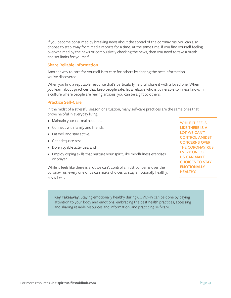If you become consumed by breaking news about the spread of the coronavirus, you can also choose to step away from media reports for a time. At the same time, if you find yourself feeling overwhelmed by the news or compulsively checking the news, then you need to take a break and set limits for yourself.

#### **Share Reliable Information**

Another way to care for yourself is to care for others by sharing the best information you've discovered.

When you find a reputable resource that's particularly helpful, share it with a loved one. When you learn about practices that keep people safe, let a relative who is vulnerable to illness know. In a culture where people are feeling anxious, you can be a gift to others.

#### **Practice Self-Care**

In the midst of a stressful season or situation, many self-care practices are the same ones that prove helpful in everyday living:

- Maintain your normal routines.
- Connect with family and friends.
- Eat well and stay active.
- Get adequate rest.
- Do enjoyable activities; and
- Employ coping skills that nurture your spirit, like mindfulness exercises or prayer.

While it feels like there is a lot we can't control amidst concerns over the coronavirus, every one of us can make choices to stay emotionally healthy. I know I will.

**WHILE IT FEELS LIKE THERE IS A LOT WE CAN'T CONTROL AMIDST CONCERNS OVER THE CORONAVIRUS, EVERY ONE OF US CAN MAKE CHOICES TO STAY EMOTIONALLY HEALTHY.**

**Key Takeaway:** Staying emotionally healthy during COVID-19 can be done by paying attention to your body and emotions, embracing the best health practices, accessing and sharing reliable resources and information, and practicing self-care.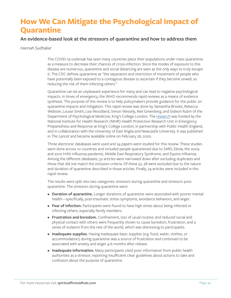# **How We Can Mitigate the Psychological Impact of Quarantine**

### **An evidence-based look at the stressors of quarantine and how to address them**

#### *Hannah Sudhakar*

The COVID-19 outbreak has seen many countries place their populations under mass quarantine as a measure to decrease their chances of cross-infection. Since the modes of exposure to this disease are numerous, quarantine and social distancing are seen as the only ways to truly escape it. The CDC defines quarantine as "the separation and restriction of movement of people who have potentially been exposed to a contagious disease to ascertain if they become unwell, so reducing the risk of them infecting others."

Quarantine can be an unpleasant experience for many and can lead to negative psychological impacts. In times of emergency, the WHO recommends rapid reviews as a means of evidence synthesis. The purpose of this review is to help policymakers provide guidance for the public on quarantine impacts and mitigation. This rapid review was done by Samantha Brooks, Rebecca Webster, Louise Smith, Lisa Woodland, Simon Wessely, Neil Greenberg, and Gideon Rubin of the Department of Psychological Medicine, King's College London. The [research](https://www.sciencedirect.com/science/article/pii/S0140673620304608) was funded by the National Institute for Health Research (NIHR) Health Protection Research Unit in Emergency Preparedness and Response at King's College London, in partnership with Public Health England, and in collaboration with the University of East Anglia and Newcastle University. It was published in *The Lancet* and became available online on February 26, 2020.

Three electronic databases were used and 24 papers were studied for this review. These studies were done across 10 countries and included people quarantined due to SARS, Ebola, the 2009 and 2010 H1N1 Influenza pandemic, Middle East Respiratory Syndrome, and Equine Influenza. Among the different databases, 52 articles were narrowed down after excluding duplicates and those that did not match the inclusion criteria. Of these 52, 28 were excluded due to the nature and duration of quarantine described in those articles. Finally, 24 articles were included in this rapid review.

The results were split into two categories: stressors during quarantine and stressors postquarantine. The stressors during quarantine were:

- **Duration of quarantine.** Longer durations of quarantine were associated with poorer mental health—specifically, post-traumatic stress symptoms, avoidance behaviors, and anger.
- **Fear of infection.** Participants were found to have high stress about being infected or infecting others, especially family members.
- **Frustration and boredom.** Confinement, loss of usual routine, and reduced social and physical contact with others were frequently shown to cause boredom, frustration, and a sense of isolation from the rest of the world, which was distressing to participants.
- **Inadequate supplies.** Having inadequate basic supplies (e.g. food, water, clothes, or accommodation) during quarantine was a source of frustration and continued to be associated with anxiety and anger 4-6 months after release.
- **Inadequate information.** Many participants cited poor information from public health authorities as a stressor, reporting insufficient clear guidelines about actions to take and confusion about the purpose of quarantine.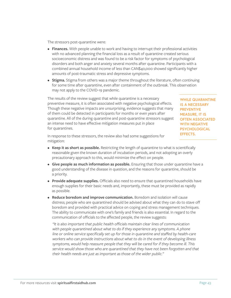The stressors post-quarantine were:

- **Finances.** With people unable to work and having to interrupt their professional activities with no advanced planning the financial loss as a result of quarantine created serious socioeconomic distress and was found to be a risk factor for symptoms of psychological disorders and both anger and anxiety several months after quarantine. Participants with a combined annual household income of less than CAN\$40,000 showed significantly higher amounts of post-traumatic stress and depressive symptoms.
- **Stigma.** Stigma from others was a major theme throughout the literature, often continuing for some time after quarantine, even after containment of the outbreak. This observation may not apply to the COVID-19 pandemic.

The results of the review suggest that while quarantine is a necessary preventive measure, it is often associated with negative psychological effects. Though these negative impacts are unsurprising, evidence suggests that many of them could be detected in participants for months or even years after quarantine. All of the during quarantine and post-quarantine stressors suggest an intense need to have effective mitigation measures put in place for quarantines.

**WHILE QUARANTINE IS A NECESSARY PREVENTIVE MEASURE, IT IS OFTEN ASSOCIATED WITH NEGATIVE PSYCHOLOGICAL EFFECTS.** 

In response to these stressors, the review also had some suggestions for mitigation:

- **Keep it as short as possible.** Restricting the length of quarantine to what is scientifically reasonable given the known duration of incubation periods, and not adopting an overly precautionary approach to this, would minimize the effect on people.
- **Give people as much information as possible.** Ensuring that those under quarantine have a good understanding of the disease in question, and the reasons for quarantine, should be a priority.
- **Provide adequate supplies.** Officials also need to ensure that quarantined households have enough supplies for their basic needs and, importantly, these must be provided as rapidly as possible.
- **Reduce boredom and improve communication.** Boredom and isolation will cause distress; people who are quarantined should be advised about what they can do to stave off boredom and provided with practical advice on coping and stress management techniques. The ability to communicate with one's family and friends is also essential. In regard to the communication of officials to the affected people, the review suggests:

*"It is also important that public health officials maintain clear lines of communication with people quarantined about what to do if they experience any symptoms. A phone line or online service specifically set up for those in quarantine and staffed by health-care workers who can provide instructions about what to do in the event of developing illness symptoms, would help reassure people that they will be cared for if they become ill. This service would show those who are quarantined that they have not been forgotten and that their health needs are just as important as those of the wider public."*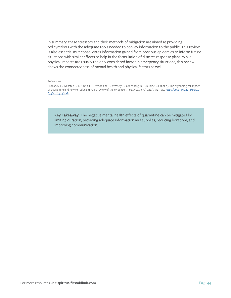In summary, these stressors and their methods of mitigation are aimed at providing policymakers with the adequate tools needed to convey information to the public. This review is also essential as it consolidates information gained from previous epidemics to inform future situations with similar effects to help in the formulation of disaster response plans. While physical impacts are usually the only considered factor in emergency situations, this review shows the connectedness of mental health and physical factors as well.

#### References

Brooks, S. K., Webster, R. K., Smith, L. E., Woodland, L., Wessely, S., Greenberg, N., & Rubin, G. J. (2020). The psychological impact of quarantine and how to reduce it: Rapid review of the evidence. *The Lancet*, 395(10227), 912–920. [https://doi.org/10.1016/S0140-](https://doi.org/10.1016/S0140-6736(20)30460-8 ) [6736\(20\)30460-8](https://doi.org/10.1016/S0140-6736(20)30460-8 )

**Key Takeaway:** The negative mental health effects of quarantine can be mitigated by limiting duration, providing adequate information and supplies, reducing boredom, and improving communication.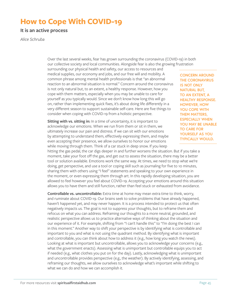# **How to Cope With COVID-19**

**It is an active process**

*Alice Schruba*

Over the last several weeks, fear has grown surrounding the coronavirus (COVID-19) in both our collective society and local communities. Alongside fear is also the growing frustration

surrounding our physical health and safety, our access to resources and medical supplies, our economy and jobs, and our free will and mobility. A common phrase among mental health professionals is that "an abnormal reaction to an abnormal situation is normal." Concern around the coronavirus is not only natural but, to an extent, a healthy response. However, how you cope with them matters, especially when you may be unable to care for yourself as you typically would. Since we don't know how long this will go on, rather than implementing quick fixes, it's about doing life differently in a very different season to support sustainable self-care. Here are five things to consider when coping with COVID-19 from a holistic perspective.

**Sitting with vs. sitting in:** In a time of uncertainty, it is important to acknowledge our emotions. When we run from them or sit in them, we ultimately increase our pain and distress. If we can sit with our emotions by attempting to understand them, effectively expressing them, and maybe even accepting their presence, we allow ourselves to honor our emotions while moving through them. Think of a car stuck in deep snow. If you keep

**CONCERN AROUND THE CORONAVIRUS IS NOT ONLY NATURAL BUT, TO AN EXTENT, A HEALTHY RESPONSE. HOWEVER, HOW YOU COPE WITH THEM MATTERS, ESPECIALLY WHEN YOU MAY BE UNABLE TO CARE FOR YOURSELF AS YOU TYPICALLY WOULD.**

hitting the gas pedal, the car digs deeper in and further worsens the situation. But if you take a moment, take your foot off the gas, and get out to assess the situation, there may be a better tool or solution available. Emotions work the same way. At times, we need to stop what we're doing, get perspective, and use a tool or coping skill such as journaling for five to 10 minutes, sharing them with others using "I feel" statements and speaking to your own experience in the moment, or even expressing them through art. In this rapidly developing situation, you are allowed to feel however you feel about COVID-19. Accepting your emotions around this situation allows you to have them and still function, rather than feel stuck or exhausted from avoidance.

**Controllable vs. uncontrollable:** Extra time at home may mean extra time to think, worry, and ruminate about COVID-19. Our brains seek to solve problems that have already happened, haven't happened yet, and may never happen. It is a process intended to protect us that often negatively impacts us. The goal is not to suppress your thoughts, but to reframe them and refocus on what you can address. Reframing our thoughts to a more neutral, grounded, and realistic perspective allows us to practice alternative ways of thinking about the situation and our experience of it. For example, shifting from "I can't handle this" to "I'm doing the best I can in this moment." Another way to shift your perspective is by identifying what is controllable and important to you and what is not using the quadrant method. By identifying what is important and controllable, you can think about how to address it (e.g., how long you watch the news). Looking at what is important but uncontrollable, allows you to acknowledge your concerns (e.g., what the government enacts). Assessing what is unimportant but controllable equips you to act if needed (e.g., what clothes you put on for the day). Lastly, acknowledging what is unimportant and uncontrollable provides perspective (e.g., the weather). By actively identifying, assessing, and reframing our thoughts, we allow ourselves to acknowledge what's important while shifting to what we can do and how we can accomplish it.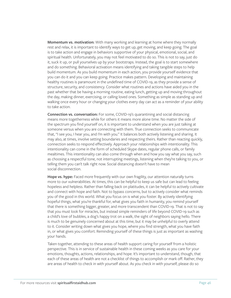**Momentum vs. motivation:** With many working and learning at home where they normally rest and relax, it is important to identify ways to get up, get moving, and keep going. The goal is to take action and engage in behaviors supportive of your physical, emotional, social, and spiritual health. Unfortunately, you may not feel motivated to do so. This is not to say, just do it, suck it up, or pull yourselves up by your bootstraps. Instead, the goal is to start somewhere and do something. Behavioral activation means identifying and taking tangible steps to help build momentum. As you build momentum in each action, you provide yourself evidence that you can do it and you can keep going. Practice makes pattern. Developing and maintaining healthy routines is paramount in the undefined time of COVID-19, as they provide a sense of structure, security, and consistency. Consider what routines and actions have aided you in the past whether that be having a morning routine, eating lunch, getting up and moving throughout the day, making dinner, exercising, or calling loved ones. Something as simple as standing up and walking once every hour or changing your clothes every day can act as a reminder of your ability to take action.

**Connection vs. conversation:** For some, COVID-19's quarantining and social distancing means more togetherness while for others it means more alone time. No matter the side of the spectrum you find yourself on, it is important to understand when you are just talking at someone versus when you are connecting with them. True connection seeks to communicate that, "I see you, I hear you, and I'm with you." It balances both actively listening and sharing. It may also, at times, involve setting boundaries and respecting theirs. Rather than reacting quickly, connection seeks to respond effectively. Approach your relationships with intentionality. This intentionality can come in the form of scheduled Skype dates, regular phone calls, or family mealtimes. This intentionality can also come through when and how you say what you say, such as choosing a respectful tone, not interrupting meetings, listening when they're talking to you, or telling them you can't talk right now. Social distancing doesn't have to mean social disconnection.

Hope vs. hype: Faced more frequently with our own fragility, our attention naturally turns more to our vulnerabilities. At times, this can be helpful to keep us safe but can lead to feeling hopeless and helpless. Rather than falling back on platitudes, it can be helpful to actively cultivate and connect with hope and faith. Not to bypass concerns, but to actively consider what reminds you of the good in this world. What you focus on is what you foster. By actively identifying hopeful things, what you're thankful for, what gives you faith in humanity, you remind yourself that there is something bigger, greater, and more transcendent than COVID-19. That is not to say that you must look for miracles, but instead simple reminders of life beyond COVID-19 such as a child's love of bubbles, a dog's happy trot on a walk, the sight of neighbors saying hello. There is much to be genuinely concerned about at this time, but it may be unhelpful to overly attend to it. Consider writing down what gives you hope, where you find strength, what you have faith in, or what gives you comfort. Reminding yourself of these things is just as important as washing your hands.

Taken together, attending to these areas of health support caring for yourself from a holistic perspective. This is in service of sustainable health in these coming weeks as you care for your emotions, thoughts, actions, relationships, and hope. It's important to understand, though, that each of these areas of health are not a checklist of things to accomplish or mark off. Rather, they are areas of health to check in with yourself about. As you check in with yourself, please do so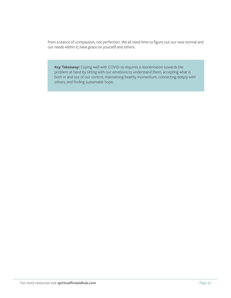from a stance of compassion, not perfection. We all need time to figure out our new normal and our needs within it; have grace on yourself and others.

**Key Takeaway:** Coping well with COVID-19 requires a reorientation towards the problem at hand by sitting with our emotions to understand them, accepting what is both in and out of our control, maintaining healthy momentum, connecting deeply with others, and finding sustainable hope.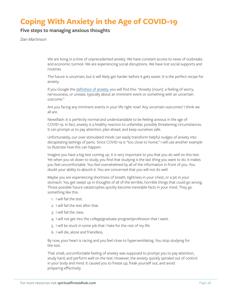# **Coping With Anxiety in the Age of COVID-19**

### **Five steps to managing anxious thoughts**

*Dan Martinson*

We are living in a time of unprecedented anxiety. We have constant access to news of outbreaks and economic turmoil. We are experiencing social disruptions. We have lost social supports and routines.

The future is uncertain, but it will likely get harder before it gets easier. It is the perfect recipe for anxiety.

If you Google the [definition of anxiety,](https://www.google.com/search?q=definition+of+anxiety&rlz=1C1CHBF_enUS779US779&oq=definition&aqs=chrome.1.69i57j0l4j69i61l2j69i60.7811j1j7&sourceid=chrome&ie=UTF-8) you will find this: "Anxiety (noun): a feeling of worry, nervousness, or unease, typically about an imminent event or something with an uncertain outcome."

Are you facing any imminent events in your life right now? Any uncertain outcomes? I think we all are.

Newsflash: It is perfectly normal and understandable to be feeling anxious in the age of COVID-19. In fact, anxiety is a healthy reaction to unfamiliar, possibly threatening circumstances. It can prompt us to pay attention, plan ahead, and keep ourselves safe.

Unfortunately, our over-stimulated minds can easily transform helpful nudges of anxiety into decapitating lashings of panic. Since COVID-19 is "too close to home," I will use another example to illustrate how this can happen:

Imagine you have a big test coming up. It is very important to you that you do well on this test. Yet when you sit down to study, you find that studying is the last thing you want to do. It makes you feel uncomfortable. You feel overwhelmed by all of the information in front of you. You doubt your ability to absorb it. You are concerned that you will not do well.

Maybe you are experiencing shortness of breath, tightness in your chest, or a pit in your stomach. You get swept up in thoughts of all of the terrible, horrible things that could go wrong. Those possible future catastrophes quickly become inevitable facts in your mind. They go something like this:

- 1. I will fail the test.
- 2. I will fail the test after that.
- 3. I will fail the class.
- 4. I will not get into the college/graduate program/profession that I want.
- 5. I will be stuck in some job that I hate for the rest of my life.
- 6. I will die, alone and friendless.

By now, your heart is racing and you feel close to hyperventilating. You stop studying for the test.

That small, uncomfortable feeling of anxiety was supposed to prompt you to pay attention, study hard, and perform well on the test. However, the anxiety quickly spiraled out of control in your body and mind. It caused you to freeze up, freak yourself out, and avoid preparing effectively.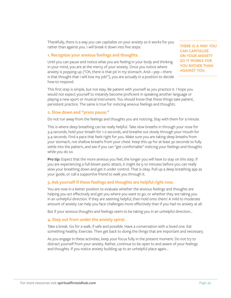Thankfully, there is a way you can capitalize on your anxiety so it works for you rather than against you. I will break it down into five steps:

#### **1. Recognize your anxious feelings and thoughts.**

Until you can pause and notice what you are feeling in your body and thinking in your mind, you are at the mercy of your anxiety. Once you notice where anxiety is popping up ("Oh, there is that pit in my stomach. And—yep—there is that thought that I will lose my job!"), you are actually in a position to decide how to respond.

**THERE IS A WAY YOU CAN CAPITALIZE ON YOUR ANXIETY SO IT WORKS FOR YOU RATHER THAN AGAINST YOU.**

This first step is simple, but not easy. Be patient with yourself as you practice it. I hope you would not expect yourself to instantly become proficient in speaking another language or playing a new sport or musical instrument. You should know that these things take patient, persistent practice. The same is true for noticing anxious feelings and thoughts.

#### **2. Slow down and "press pause."**

Do not run away from the feelings and thoughts you are noticing. Stay with them for a minute.

This is where deep breathing can be really helpful. Take slow breaths in through your nose for 3-4 seconds, hold your breath for 1-2 seconds, and breathe out slowly through your mouth for 3-4 seconds. Find a pace that feels right for you. Make sure you are taking deep breaths from your stomach, not shallow breaths from your chest. Keep this up for at least 30 seconds to fully settle into the pattern, and see if you can "get comfortable" noticing your feelings and thoughts while you do so.

**Pro tip:** Expect that the more anxious you feel, the longer you will have to stay on this step. If you are experiencing a full-blown panic attack, it might be 5-10 minutes before you can really slow your breathing down and get it under control. That is okay. Pull up a deep breathing app as your guide, or call a supportive friend to walk you through it.

#### **3. Ask yourself if these feelings and thoughts are helpful right now.**

You are now in a better position to evaluate whether the anxious feelings and thoughts are helping you act effectively and get you where you want to go, or whether they are taking you in an unhelpful direction. If they are seeming helpful, then hold onto them! A mild to moderate amount of anxiety can help you face challenges more effectively than if you had no anxiety at all.

But if your anxious thoughts and feelings seem to be taking you in an unhelpful direction…

#### **4. Step out from under the anxiety spiral.**

Take a break. Go for a walk, if safe and possible. Have a conversation with a loved one. Eat something healthy. Exercise. Then get back to doing the things that are important and necessary.

As you engage in these activities, keep your focus fully in the present moment. Do not try to distract yourself from your anxiety. Rather, continue to be open to and aware of your feelings and thoughts. If you notice anxiety building up to an unhelpful place again…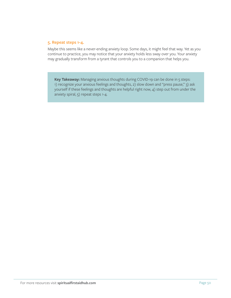#### **5. Repeat steps 1-4.**

Maybe this seems like a never-ending anxiety loop. Some days, it might feel that way. Yet as you continue to practice, you may notice that your anxiety holds less sway over you. Your anxiety may gradually transform from a tyrant that controls you to a companion that helps you.

**Key Takeaway:** Managing anxious thoughts during COVID-19 can be done in 5 steps: 1) recognize your anxious feelings and thoughts, 2) slow down and "press pause," 3) ask yourself if these feelings and thoughts are helpful right now, 4) step out from under the anxiety spiral, 5) repeat steps 1-4.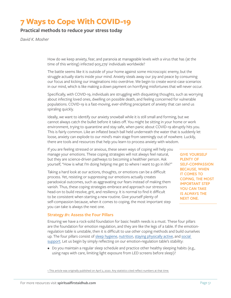# **7 Ways to Cope With COVID-19**

### **Practical methods to reduce your stress today**

*David K. Mosher*

How do we keep anxiety, fear, and paranoia at manageable levels with a virus that has (at the time of this writing) infected 905,279' individuals worldwide?

The battle seems like it is outside of your home against some microscopic enemy, but the struggle actually starts inside your mind. Anxiety steals away our joy and peace by consuming our focus and kicking our imaginations into overdrive. We begin to create worst-case scenarios in our mind, which is like making a down payment on horrifying misfortunes that will never occur.

Specifically, with COVID-19, individuals are struggling with disquieting thoughts, such as worrying about infecting loved ones, dwelling on possible death, and feeling concerned for vulnerable populations. COVID-19 is a fast-moving, ever-shifting precipitant of anxiety that can send us spiraling quickly.

Ideally, we want to identify our anxiety snowball while it is still small and forming, but we cannot always catch the bullet before it takes off. You might be sitting in your home or work environment, trying to quarantine and stay safe, when panic about COVID-19 abruptly hits you. This is fairly common. Like an inflated beach ball held underneath the water that is suddenly let loose, anxiety can explode to our mind's main stage from seemingly out of nowhere. Luckily, there are tools and resources that help you learn to process anxiety with wisdom.

If you are feeling stressed or anxious, these seven ways of coping will help you manage your emotions. These coping strategies will not always feel natural, but they are science-driven pathways to becoming a healthier person. Ask yourself, "How is what I'm doing helping me get to where I want to go in life?"

Taking a hard look at our actions, thoughts, or emotions can be a difficult process. Yet, resisting or suppressing our emotions actually creates paradoxical outcomes, such as aggravating our fears instead of making them vanish. Thus, these coping strategies embrace and approach our stressors head-on to build resolve, grit, and resiliency. It is normal to find it difficult to be consistent when starting a new routine. Give yourself plenty of self-compassion because, when it comes to coping, the most important step you can take is always the next one.

**GIVE YOURSELF PLENTY OF SELF-COMPASSION BECAUSE, WHEN IT COMES TO COPING, THE MOST IMPORTANT STEP YOU CAN TAKE IS ALWAYS THE NEXT ONE.**

#### **Strategy #1: Assess the Four Pillars**

Ensuring we have a rock-solid foundation for basic health needs is a must. These four pillars are the foundation for emotion regulation, and they are like the legs of a table. If the emotionregulation table is unstable, then it is difficult to use other coping methods and build ourselves up. The four pillars consist of [sleep hygiene,](https://www.sleepfoundation.org/articles/sleep-hygiene) [nutrition](https://www.nutrition.gov/), [staying physically active](https://www.cdc.gov/physicalactivity/basics/pa-health/index.htm), and [social](https://www.psychologytoday.com/us/blog/finding-new-home/201805/are-you-getting-the-social-support-you-need)  [support](https://www.psychologytoday.com/us/blog/finding-new-home/201805/are-you-getting-the-social-support-you-need). Let us begin by simply reflecting on our emotion-regulation table's stability:

• Do you maintain a regular sleep schedule and practice other healthy sleeping habits (e.g., using naps with care, limiting light exposure from LED screens before sleep)?

1 This article was originally published on April 2, 2020. Any statistics cited reflect numbers at that time.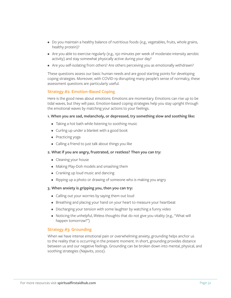- Do you maintain a healthy balance of nutritious foods (e.g., vegetables, fruits, whole grains, healthy protein)?
- Are you able to exercise regularly (e.g., 150 minutes per week of moderate-intensity aerobic activity) and stay somewhat physically active during your day?
- Are you self-isolating from others? Are others perceiving you as emotionally withdrawn?

These questions assess our basic human needs and are good starting points for developing coping strategies. Moreover, with COVID-19 disrupting many people's sense of normalcy, these assessment questions are particularly useful.

#### **Strategy #2: Emotion-Based Coping**

Here is the good news about emotions: Emotions are momentary. Emotions can rise up to be tidal waves, but they will pass. Emotion-based coping strategies help you stay upright through the emotional waves by matching your actions to your feelings.

#### **1. When you are sad, melancholy, or depressed, try something slow and soothing like:**

- Taking a hot bath while listening to soothing music
- Curling up under a blanket with a good book
- Practicing yoga
- Calling a friend to just talk about things you like

#### **2. What if you are angry, frustrated, or restless? Then you can try:**

- Cleaning your house
- Making Play-Doh models and smashing them
- Cranking up loud music and dancing
- Ripping up a photo or drawing of someone who is making you angry

#### **3. When anxiety is gripping you, then you can try:**

- Calling out your worries by saying them out loud
- Breathing and placing your hand on your heart to measure your heartbeat
- Discharging your tension with some laughter by watching a funny video
- Noticing the unhelpful, lifeless thoughts that do not give you vitality (e.g., "What will happen tomorrow?")

#### **Strategy #3: Grounding**

When we have intense emotional pain or overwhelming anxiety, grounding helps anchor us to the reality that is occurring in the present moment. In short, grounding provides distance between us and our negative feelings. Grounding can be broken down into mental, physical, and soothing strategies (Najavits, 2002).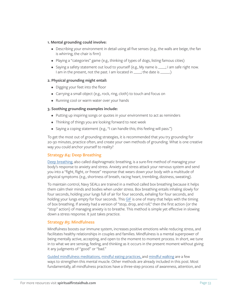#### **1. Mental grounding could involve:**

- Describing your environment in detail using all five senses (e.g., the walls are beige, the fan is whirring, the chair is firm)
- Playing a "categories" game (e.g., thinking of types of dogs, listing famous cities)
- Saying a safety statement out loud to yourself (e.g., My name is \_\_\_\_; I am safe right now. I am in the present, not the past. I am located in \_\_\_\_; the date is \_\_\_\_\_.)

#### **2. Physical grounding might entail:**

- Digging your feet into the floor
- Carrying a small object (e.g., rock, ring, cloth) to touch and focus on
- Running cool or warm water over your hands

#### **3. Soothing grounding examples include:**

- Putting up inspiring songs or quotes in your environment to act as reminders
- Thinking of things you are looking forward to next week
- Saying a coping statement (e.g., "I can handle this; this feeling will pass.")

To get the most out of grounding strategies, it is recommended that you try grounding for 20-30 minutes, practice often, and create your own methods of grounding. What is one creative way you could anchor yourself to reality?

#### **Strategy #4: Deep Breathing**

[Deep breathing](https://www.youtube.com/watch?v=EYQsRBNYdPk), also called diaphragmatic breathing, is a sure-fire method of managing your body's response to anxiety and stress. Anxiety and stress attack your nervous system and send you into a "fight, flight, or freeze" response that wears down your body with a multitude of physical symptoms (e.g., shortness of breath, racing heart, trembling, dizziness, sweating).

To maintain control, Navy SEALs are trained in a method called box breathing because it helps them calm their minds and bodies when under stress. Box breathing entails inhaling slowly for four seconds, holding your lungs full of air for four seconds, exhaling for four seconds, and holding your lungs empty for four seconds. This [GIF](https://www.healthline.com/health/box-breathing#slowly-exhale) is one of many that helps with the timing of box breathing. If anxiety had a version of "stop, drop, and roll," then the first action (or the "stop" action) of managing anxiety is to breathe. This method is simple yet effective in slowing down a stress response. It just takes practice.

#### **Strategy #5: Mindfulness**

Mindfulness boosts our immune system, increases positive emotions while reducing stress, and facilitates healthy relationships in couples and families. Mindfulness is a mental superpower of being mentally active, accepting, and open to the moment to moment process. In short, we tune in to what we are sensing, feeling, and thinking as it occurs in the present moment without giving it any judgments of "good" or "bad."

[Guided mindfulness meditations,](http://marc.ucla.edu/mpeg/01_Breathing_Meditation.mp3) [mindful eating practices, a](https://www.youtube.com/watch?v=C_IrfyjP88w)nd [mindful walking](https://www.youtube.com/watch?v=09EO9IJgOiI) are a few ways to strengthen this mental muscle. Other methods are already included in this post. Most fundamentally, all mindfulness practices have a three-step process of awareness, attention, and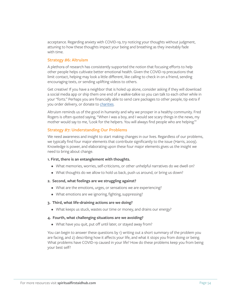acceptance. Regarding anxiety with COVID-19, try noticing your thoughts without judgment, attuning to how these thoughts impact your being and breathing as they inevitably fade with time.

#### **Strategy #6: Altruism**

A plethora of research has consistently supported the notion that focusing efforts to help other people helps cultivate better emotional health. Given the COVID-19 precautions that limit contact, helping may look a little different, like calling to check in on a friend, sending encouraging texts, or sending uplifting videos to others.

Get creative! If you have a neighbor that is holed up alone, consider asking if they will download a social media app or ship them one end of a walkie-talkie so you can talk to each other while in your "forts." Perhaps you are financially able to send care packages to other people, tip extra if you order delivery, or donate to [charities](https://www.charitynavigator.org/index.cfm?bay=content.view&cpid=7779).

Altruism reminds us of the good in humanity and why we prosper in a healthy community. Fred Rogers is often quoted saying, "When I was a boy, and I would see scary things in the news, my mother would say to me, 'Look for the helpers. You will always find people who are helping.'"

#### **Strategy #7: Understanding Our Problems**

We need awareness and insight to start making changes in our lives. Regardless of our problems, we typically find four major elements that contribute significantly to the issue (Harris, 2009). Knowledge is power, and elaborating upon these four major elements gives us the insight we need to bring about change.

#### **1. First, there is an entanglement with thoughts.**

- What memories, worries, self-criticisms, or other unhelpful narratives do we dwell on?
- What thoughts do we allow to hold us back, push us around, or bring us down?

#### **2. Second, what feelings are we struggling against?**

- What are the emotions, urges, or sensations we are experiencing?
- What emotions are we ignoring, fighting, suppressing?

#### **3. Third, what life-draining actions are we doing?**

• What keeps us stuck, wastes our time or money, and drains our energy?

#### **4. Fourth, what challenging situations are we avoiding?**

• What have you quit, put off until later, or stayed away from?

You can begin to answer these questions by 1) writing out a short summary of the problem you are facing, and 2) describing how it affects your life, and what it stops you from doing or being. What problems have COVID-19 caused in your life? How do these problems keep you from being your best self?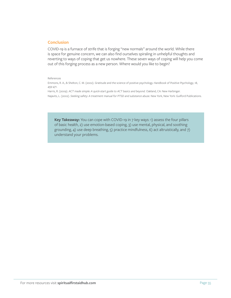#### **Conclusion**

COVID-19 is a furnace of strife that is forging "new normals" around the world. While there is space for genuine concern, we can also find ourselves spiraling in unhelpful thoughts and reverting to ways of coping that get us nowhere. These seven ways of coping will help you come out of this forging process as a new person. Where would you like to begin?

#### References

Emmons, R. A., & Shelton, C. M. (2002). Gratitude and the science of positive psychology. *Handbook of Positive Psychology*, 18, 459-471.

Harris, R. (2009). *ACT made simple: A quick-start guide to ACT basics and beyond.* Oakland, CA: New Harbinger.

Najavits, L. (2002). *Seeking safety: A treatment manual for PTSD and substance abuse.* New York, New York: Guilford Publications.

**Key Takeaway:** You can cope with COVID-19 in 7 key ways: 1) assess the four pillars of basic health, 2) use emotion-based coping, 3) use mental, physical, and soothing grounding, 4) use deep breathing, 5) practice mindfulness, 6) act altruistically, and 7) understand your problems.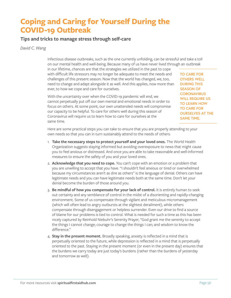# **Coping and Caring for Yourself During the COVID-19 Outbreak**

### **Tips and tricks to manage stress through self-care**

*David C. Wang*

Infectious disease outbreaks, such as the one currently unfolding, can be stressful and take a toll on our mental health and well-being. Because many of us have never lived through an outbreak

in our lifetime, chances are that the strategies we utilized in the past to cope with difficult life stressors may no longer be adequate to meet the needs and challenges of this present season. Now that the world has changed, we, too, need to change and adapt alongside it as well. And this applies, now more than ever, to how we cope and care for ourselves.

With the uncertainty over when the COVID-19 pandemic will end, we cannot perpetually put off our own mental and emotional needs in order to focus on others. At some point, our own unattended needs will compromise our capacity to be helpful. To care for others well during this season of Coronavirus will require us to learn how to care for ourselves at the same time.

**TO CARE FOR OTHERS WELL DURING THIS SEASON OF CORONAVIRUS WILL REQUIRE US TO LEARN HOW TO CARE FOR OURSELVES AT THE SAME TIME.**

Here are some practical steps you can take to ensure that you are properly attending to your own needs so that you can in turn sustainably attend to the needs of others:

- 1. **Take the necessary steps to protect yourself and your loved ones.** The World Health Organization suggests staying informed but avoiding overexposure to news that might cause you to feel anxious or distressed. And once you are able to take reasonable and well-informed measures to ensure the safety of you and your loved ones.
- 2. **Acknowledge that you need to cope.** You can't cope with an emotion or a problem that you are unwilling to accept that you have. "I shouldn't feel anxious or tired or overwhelmed because my circumstances aren't as dire as others" is the language of denial. Others can have legitimate needs and you can have legitimate needs both at the same time. Don't let your denial become the burden of those around you.
- 3. **Be mindful of how you compensate for your lack of control.** It is entirely human to seek out certainty and any semblance of control in the midst of a disorienting and rapidly-changing environment. Some of us compensate through vigilant and meticulous micromanagement (which will often lead to angry outbursts at the slightest derailment), while others compensate through disengagement or helpless surrender. Even our drive to find a source of blame for our problems is tied to control. What is needed for such a time as this has been nicely captured by Reinhold Niebuhr's Serenity Prayer, "God grant me the serenity to accept the things I cannot change; courage to change the things I can; and wisdom to know the difference."
- 4. **Stay in the present moment.** Broadly speaking, anxiety is reflected in a mind that is perpetually oriented to the future, while depression is reflected in a mind that is perpetually oriented to the past. Staying in the present moment (or even in the present day) ensures that the burdens we carry today are just today's burdens (rather than the burdens of yesterday and tomorrow as well).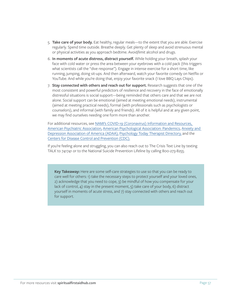- 5. **Take care of your body.** Eat healthy, regular meals—to the extent that you are able. Exercise regularly. Spend time outside. Breathe deeply. Get plenty of sleep and avoid strenuous mental or physical activities as you approach bedtime. Avoid/limit alcohol and drugs.
- 6. **In moments of acute distress, distract yourself.** While holding your breath, splash your face with cold water or press the area between your eyebrows with a cold pack (this triggers what scientists call the "dive response"). Engage in intense exercise for a short time, like running, jumping, doing sit-ups. And then afterward, watch your favorite comedy on Netflix or YouTube. And while you're doing that, enjoy your favorite snack (I love BBQ Lays Chips).
- 7. **Stay connected with others and reach out for support.** Research suggests that one of the most consistent and powerful predictors of resilience and recovery in the face of emotionally distressful situations is social support—being reminded that others care and that we are not alone. Social support can be emotional (aimed at meeting emotional needs), instrumental (aimed at meeting practical needs), formal (with professionals such as psychologists or counselors), and informal (with family and friends). All of it is helpful and at any given point, we may find ourselves needing one form more than another.

For additional resources, see N[AMI's COVID-19 \(Coronavirus\) Information and Resources,](https://www.nami.org/Press-Media/Press-Releases/2020/COVID-19-and-Mental-Illness-NAMI-Releases-Important-Information?fbclid=IwAR154Yb5LrTxTItFhlrHhlhPcJyMBtdGix_BeUWEHkLl5W4yh_WdXS4uLzw)  [American Psychiatric Association,](https://www.psychiatry.org/news-room/apa-blogs/apa-blog/2020/02/coronavirus-and-mental-health-taking-care-of-ourselves-during-infectious-disease-outbreaks) [American Psychological Association: Pandemics](https://www.apa.org/practice/programs/dmhi/research-information/pandemics), [Anxiety and](https://adaa.org/finding-help/coronavirus-anxiety-helpful-resources)  [Depression Association of America \(ADAA\),](https://adaa.org/finding-help/coronavirus-anxiety-helpful-resources) [Psychology Today Therapist Directory,](https://www.psychologytoday.com/us) and the [Centers for Disease Control and Prevention \(CDC\).](https://www.cdc.gov/coronavirus/2019-ncov/index.html?CDC_AA_refVal=https%3A%2F%2Fwww.cdc.gov%2Fcoronavirus%2Findex.html)

If you're feeling alone and struggling, you can also reach out to The Crisis Text Line by texting TALK to 741741 or to the National Suicide Prevention Lifeline by calling 800-273-8255.

**Key Takeaway:** Here are some self-care strategies to use so that you can be ready to care well for others: 1) take the necessary steps to protect yourself and your loved ones, 2) acknowledge that you need to cope, 3) be mindful of how you compensate for your lack of control, 4) stay in the present moment, 5) take care of your body, 6) distract yourself in moments of acute stress, and 7) stay connected with others and reach out for support.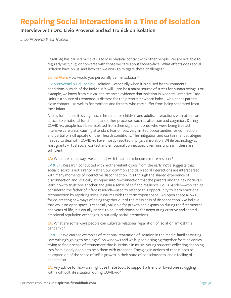# **Repairing Social Interactions in a Time of Isolation**

### **Interview with Drs. Livio Provenzi and Ed Tronick on isolation**

*Livio Provenzi & Ed Tronick*

COVID-19 has caused most of us to lose physical contact with other people. We are not able to regularly visit, hug, or converse with those we care about face-to-face. What effects does social isolation have on us, and how can we work to mitigate these challenges?

#### **Jamie Aten:** How would you personally define isolation?

**Livio Provenzi & Ed Tronick:** Isolation—especially when it is caused by environmental conditions outside of the individual's will—can be a major source of stress for human beings. For example, we know from clinical and research evidence that isolation in Neonatal Intensive Care Units is a source of tremendous distress for the preterm newborn baby—who needs parental close contact—as well as for mothers and fathers, who may suffer from being separated from their infant.

As it is for infants, it is very much the same for children and adults. Interactions with others are critical to emotional functioning and other processes such as attention and cognition. During COVID-19, people have been isolated from their significant ones who were being treated in intensive care units, causing attendant fear of loss, very limited opportunities for connection, and partial or null update on their health conditions. The mitigation and containment strategies needed to deal with COVID-19 have mostly resulted in physical isolation. While technology at least grants virtual social contact and emotional connection, it remains unclear if these are sufficient.

#### **JA:** What are some ways we can deal with isolation to become more resilient?

**LP & ET:** Research conducted with mother-infant dyads from the early 1970s suggests that social discord is not a rarity. Rather, our common and daily social interactions are interspersed with many moments of interactive disconnection. It is through the shared experience of disconnection and, critically, its repair into re-connection that the parents and the newborn can learn how to trust one another and gain a sense of self and resilience. Louis Sander—who can be considered the father of infant research—used to refer to this opportunity to learn emotional reconnection by repairing social ruptures with the term "open space." An open space allows for co-creating new ways of being together out of the messiness of disconnection. We believe that while an open space is especially valuable for growth and expansion during the first months and years of life, it is equally critical to adult relationships for negotiating creative and shared emotional regulation exchanges in our daily social interactions.

**JA:** What are some ways people can cultivate relational reparation of isolation amidst this pandemic?

**LP & ET:** We can see examples of relational reparation of isolation in the media: families writing "everything's going to be alright" on windows and walls; people singing together from balconies trying to find a sense of attunement that is intrinsic in music; young students collecting shopping lists from elderly people to help them with groceries. Engaging in actions of repair leads to an expansion of the sense of self, a growth in their state of consciousness, and a feeling of connection.

**JA:** Any advice for how we might use these tools to support a friend or loved one struggling with a difficult life situation during COVID-19?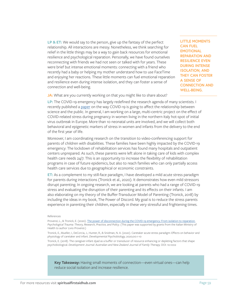**LP & ET:** We would say to the person, give up the fantasy of the perfect relationship. All interactions are messy. Nonetheless, we think searching for relief in the little things may be a way to gain back resources for emotional resilience and psychological reparation. Personally, we have found ourselves reconnecting with friends we had not seen or talked with for years. These were brief but intense emotional moments: connecting with a friend who recently had a baby or helping my mother understand how to use FaceTime and enjoying her reactions. These little moments can fuel emotional reparation and resilience even during intense isolation, and they can foster a sense of connection and well-being.

**LITTLE MOMENTS CAN FUEL EMOTIONAL REPARATION AND RESILIENCE EVEN DURING INTENSE ISOLATION, AND THEY CAN FOSTER A SENSE OF CONNECTION AND WELL-BEING.**

**JA:** What are you currently working on that you might like to share about?

**LP:** The COVID-19 emergency has largely redefined the research agenda of many scientists. I recently published a [paper](https://www.frontiersin.org/articles/10.3389/fpubh.2020.00282/full) on the way COVID-19 is going to affect the relationship between science and the public. In general, I am working on a large, multi-centric project on the effect of COVID-related stress during pregnancy in women living in the northern Italy hot-spot of initial virus outbreak in Europe. More than 10 neonatal units are involved, and we will collect both behavioral and epigenetic markers of stress in women and infants from the delivery to the end of the first year of life.

Moreover, I am coordinating research on the transition to video-conferencing support for parents of children with disabilities. These families have been highly impacted by the COVID-19 emergency: The lockdown of rehabilitation services has found many hospitals and outpatient centers unprepared. As such, these parents were left alone in taking care of kids with complex health care needs 24/7. This is an opportunity to increase the flexibility of rehabilitation programs in case of future epidemics, but also to reach families who can only partially access health care services due to geographical or economic constraints.

**ET:** As a complement to my still-face paradigm, I have developed a mild acute stress paradigm for parents during interactions (Tronick et al., 2020). It demonstrates how even mild stressors disrupt parenting. In ongoing research, we are looking at parents who had a range of COVID-19 stress and evaluating the disruption of their parenting and its effects on their infants. I am also elaborating on my theory of the Buffer-Transducer Model of Parenting (Tronick, 2018) by including the ideas in my book, The Power of Discord. My goal is to reduce the stress parents experience in parenting their children, especially in these very stressful and frightening times.

#### References

Provenzi, L., & Tronick, E. (2020). [The power of disconnection during the COVID-19 emergency: From isolation to reparation.](https://psycnet.apa.org/fulltext/2020-37330-001.html) *Psychological Trauma: Theory, Research, Practice, and Policy*. (This paper was supported by grants from the Italian Ministry of Health to author Livio Provenzi.)

Tronick, E., Mueller, I., DeCorcia, J., Hunter, R., & Snidman, N. A. (2020). Caretaker acute stress paradigm: Effects on behavior and physiology of caretaker and infant. *Developmental Psychobiology,* 2020;00:1-10

Tronick, E. (2018). The caregiver-infant dyad as a buffer or transducer of resource enhancing or depleting factors that shape psychobiological. *Development Journal: Australian and New Zealand Journal of Family Therapy.* DOI: 10.1002

**Key Takeaway:** Having small moments of connection—even virtual ones—can help reduce social isolation and increase resilience.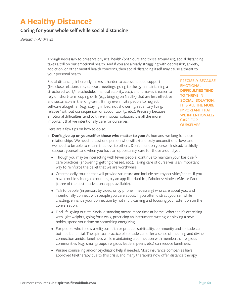# **A Healthy Distance?**

### **Caring for your whole self while social distancing**

*Benjamin Andrews*

Though necessary to preserve physical health (both ours and those around us), social distancing takes a toll on our emotional health. And if you are already struggling with depression, anxiety, addiction, or other mental health concerns, then social distancing itself may cause a threat to your personal health.

Social distancing inherently makes it harder to access needed support (like close relationships, support meetings, going to the gym, maintaining a structured work/life schedule, financial stability, etc.), and it makes it easier to rely on short-term coping skills (e.g., binging on Netflix) that are less effective and sustainable in the long-term. It may even invite people to neglect self-care altogether (e.g., staying in bed, not showering, sedentary living, relapse "without consequence" or accountability, etc.). Precisely because emotional difficulties tend to thrive in social isolation, it is all the more important that we intentionally care for ourselves.

**PRECISELY BECAUSE EMOTIONAL DIFFICULTIES TEND TO THRIVE IN SOCIAL ISOLATION, IT IS ALL THE MORE IMPORTANT THAT WE INTENTIONALLY CARE FOR OURSELVES.**

Here are a few tips on how to do so:

- 1. **Don't give up on yourself or those who matter to you:** As humans, we long for close relationships. We need at least one person who will extend truly unconditional love, and we need to be able to return that love to others. Don't abandon yourself. Instead, faithfully support yourself, and when you have an opportunity, care for those around you.
	- Though you may be interacting with fewer people, continue to maintain your basic selfcare practices (showering, getting dressed, etc.). Taking care of ourselves is an important way to reinforce the belief that we are worthwhile.
	- Create a daily routine that will provide structure and include healthy activities/habits. If you have trouble sticking to routines, try an app like Habitica, Fabulous: MotivateMe, or Pact (three of the best motivational apps available).
	- Talk to people (in person, by video, or by phone if necessary) who care about you, and intentionally connect with people you care about. If you often distract yourself while chatting, enhance your connection by not multi-tasking and focusing your attention on the conversation.
	- Find life-giving outlets. Social distancing means more time at home. Whether it's exercising with light weights, going for a walk, practicing an instrument, writing, or picking a new hobby, spend your time on something energizing.
	- For people who follow a religious faith or practice spirituality, community and solitude can both be beneficial. The spiritual practice of solitude can offer a sense of meaning and divine connection amidst loneliness while maintaining a connection with members of religious communities (e.g., small groups, religious leaders, peers, etc.) can reduce loneliness.
	- Pursue counseling and/or psychiatric help if needed. Most insurance companies have approved teletherapy due to this crisis, and many therapists now offer distance therapy.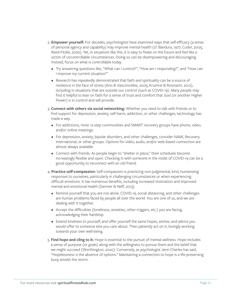- 2**. Empower yourself:** For decades, psychologists have examined ways that self-efficacy (a sense of personal agency and capability) may improve mental health (cf. Bandura, 1977; Cutler, 2005; Reed-Fitzke, 2020). Yet, in situations like this, it is easy to fixate on the future and feel like a victim of uncontrollable circumstances. Doing so can be disempowering and discouraging. Instead, focus on what is controllable today.
	- Try answering questions like, "What can I control?", "How am I responding?", and "How can I improve my current situation?"
	- Research has repeatedly demonstrated that faith and spirituality can be a source of resilience in the face of stress (Ano & Vasconcelles, 2005; Krumrei & Rosmarin, 2012), including in situations that are outside our control (such as COVID-19). Many people may find it helpful to lean on faith for a sense of trust and comfort that God (or another Higher Power) is in control and will provide.
- 3. **Connect with others via social networking:** Whether you need to talk with friends or to find support for depression, anxiety, self-harm, addiction, or other challenges, technology has made a way.
	- For addictions, most 12-step communities and SMART recovery groups have phone, video, and/or online meetings.
	- For depression, anxiety, bipolar disorders, and other challenges, consider NAMI, Recovery International, or other groups. Options for video, audio, and/or web-based connection are almost always available.
	- Connect with friends. As people begin to "shelter in place," their schedules become increasingly flexible and open. Checking in with someone in the midst of COVID-19 can be a good opportunity to reconnect with an old friend.
- 4. **Practice self-compassion:** Self-compassion is practicing non-judgmental, kind, humanizing responses to ourselves, particularly in challenging circumstances or when experiencing difficult emotions. It has numerous benefits, including increased motivation and improved mental and emotional health (Germer & Neff, 2013).
	- Remind yourself that you are not alone. COVID-19, social distancing, and other challenges are human problems faced by people all over the world. You are one of us, and we are dealing with it together.
	- Accept the difficulties (loneliness, anxieties, other triggers, etc.) you are facing, acknowledging their hardship.
	- Extend kindness to yourself, and offer yourself the same hopes, wishes, and advice you would offer to someone else you care about. Then patiently act on it, lovingly working towards your own well-being.
- 5. **Find hope and cling to it:** Hope is essential to the pursuit of mental wellness. Hope includes a sense of purpose (or goals) along with the willingness to pursue them and the belief that we might succeed (Worthington, 2020). Conversely, as psychologist Jenn Charles has said, "Hopelessness is the absence of options." Maintaining a connection to hope is a life-preserving buoy amidst the storm.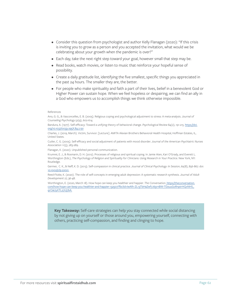- Consider this question from psychologist and author Kelly Flanagan (2020): "If this crisis is inviting you to grow as a person and you accepted the invitation, what would we be celebrating about your growth when the pandemic is over?"
- Each day, take the next right step toward your goal, however small that step may be.
- Read books, watch movies, or listen to music that reinforce your hopeful sense of possibility.
- Create a daily gratitude list, identifying the five smallest, specific things you appreciated in the past 24 hours. The smaller they are, the better.
- For people who make spirituality and faith a part of their lives, belief in a benevolent God or Higher Power can sustain hope. When we feel hopeless or despairing, we can find an ally in a God who empowers us to accomplish things we think otherwise impossible.

#### References

Ano, G. G., & Vasconcelles, E. B. (2005). Religious coping and psychological adjustment to stress: A meta-analysis. *Journal of Counseling Psychology* 52(4), 602-614.

Bandura, A. (1977). Self-efficacy: Toward a unifying theory of behavioral change. *Psychological Review* 84(2), 191-215. [https://doi.](https://doi.org/10.1037/0033-295X.84.2.191 ) [org/10.1037/0033-295X.84.2.191](https://doi.org/10.1037/0033-295X.84.2.191 )

Charles, J. (2019, March). Victim, Survivor. [Lecture]. AMITA Alexian Brothers Behavioral Health Hospital, Hoffman Estates, IL, United States.

Cutler, C. G. (2005). Self-efficacy and social adjustment of patients with mood disorder. *Journal of the American Psychiatric Nurses Association* 11(5), 283-289.

Flanagan, K. (2020). Unpublished personal communication.

Krumrei, E. J., & Rosmarin, D. H. (2012). Processes of religious and spiritual coping. In Jamie Aten, Kari O'Grady, and Everett L. Worthington (Eds.), *The Psychology of Religion and Spirituality for Clinicians: Using Research in Your Practice.* New York, NY: Routledge.

Germer, C. K., & Neff, K. D. (2013). Self-compassion in clinical practice. *Journal of Clinical Psychology: In Session*, 69(8), 856-867. doi: [10.1002/jclp.22021.](https://pubmed.ncbi.nlm.nih.gov/23775511/)

Reed-Fitzke, K. (2020). The role of self-concepts in emerging adult depression: A systematic research synthesis. *Journal of Adult Development* 27, 36-48.

Worthington, E. (2020, March 18). How hope can keep you healthier and happier. *The Conversation*[. https://theconversation.]( https://theconversation.com/how-hope-can-keep-you-healthier-and-happier-132507?fbclid=IwAR1-ZL13TbHaZwf7J65rnBW-TDzuuGoRnptrHQvNHS_qrOaUyXTL27Uj7bA.) [com/how-hope-can-keep-you-healthier-and-happier-132507?fbclid=IwAR1-ZL13TbHaZwf7J65rnBW-TDzuuGoRnptrHQvNHS\\_]( https://theconversation.com/how-hope-can-keep-you-healthier-and-happier-132507?fbclid=IwAR1-ZL13TbHaZwf7J65rnBW-TDzuuGoRnptrHQvNHS_qrOaUyXTL27Uj7bA.) [qrOaUyXTL27Uj7bA.]( https://theconversation.com/how-hope-can-keep-you-healthier-and-happier-132507?fbclid=IwAR1-ZL13TbHaZwf7J65rnBW-TDzuuGoRnptrHQvNHS_qrOaUyXTL27Uj7bA.)

**Key Takeaway:** Self-care strategies can help you stay connected while social distancing by not giving up on yourself or those around you, empowering yourself, connecting with others, practicing self-compassion, and finding and clinging to hope.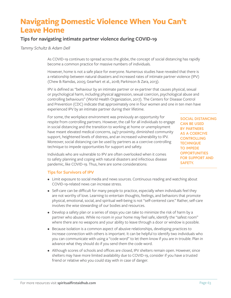# **Navigating Domestic Violence When You Can't Leave Home**

### **Tips for navigating intimate partner violence during COVID-19**

*Tammy Schultz & Adam Dell*

As COVID-19 continues to spread across the globe, the concept of social distancing has rapidly become a common practice for massive numbers of individuals.

However, home is not a safe place for everyone. Numerous studies have revealed that there is a relationship between natural disasters and increased rates of intimate partner violence (IPV) (Chew & Ramdas, 2005; Gearhart et al., 2018; Parkinson & Zara, 2013).

IPV is defined as "behaviour by an intimate partner or ex-partner that causes physical, sexual or psychological harm, including physical aggression, sexual coercion, psychological abuse and controlling behaviours" (World Health Organization, 2017). The Centers for Disease Control and Prevention (CDC) indicate that approximately one in four women and one in ten men have experienced IPV by an intimate partner during their lifetime.

For some, the workplace environment was previously an opportunity for respite from controlling partners. However, the call for all individuals to engage in social distancing and the transition to working at home or unemployment have meant elevated medical concerns, 24/7 proximity, diminished community support, heightened levels of distress, and an increased vulnerability to IPV. Moreover, social distancing can be used by partners as a coercive controlling technique to impede opportunities for support and safety.

**SOCIAL DISTANCING CAN BE USED BY PARTNERS AS A COERCIVE CONTROLLING TECHNIQUE TO IMPEDE OPPORTUNITIES FOR SUPPORT AND SAFETY.**

Individuals who are vulnerable to IPV are often overlooked when it comes to safety planning and coping with natural disasters and infectious disease pandemic, like COVID-19. Thus, here are some considerations:

#### **Tips for Survivors of IPV**

- Limit exposure to social media and news sources. Continuous reading and watching about COVID-19-related news can increase stress.
- Self-care can be difficult for many people to practice, especially when individuals feel they are not worthy of love. Learning to entertain thoughts, feelings, and behaviors that promote physical, emotional, social, and spiritual well-being is not "self-centered care." Rather, self-care involves the wise stewarding of our bodies and resources.
- Develop a safety plan or a series of steps you can take to minimize the risk of harm by a partner who abuses. While no room in your home may feel safe, identify the "safest room" where there are no weapons and your ability to leave through a door or window is possible.
- Because isolation is a common aspect of abusive relationships, developing practices to increase connection with others is important. It can be helpful to identify two individuals who you can communicate with using a "code word" to let them know if you are in trouble. Plan in advance what they should do if you send them the code word.
- Although scores of schools and offices are closed, IPV shelters remain open. However, since shelters may have more limited availability due to COVID-19, consider if you have a trusted friend or relative who you could stay with in case of danger.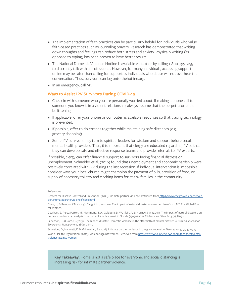- The implementation of faith practices can be particularly helpful for individuals who value faith-based practices such as journaling prayers. Research has demonstrated that writing down thoughts and feelings can reduce both stress and anxiety. Physically writing (as opposed to typing) has been proven to have better results.
- The National Domestic Violence Hotline is available via text or by calling 1-800-799-7233 to discreetly talk with a professional. However, for many individuals, accessing support online may be safer than calling for support as individuals who abuse will not overhear the conversation. Thus, survivors can log onto thehotline.org.
- In an emergency, call 911.

#### **Ways to Assist IPV Survivors During COVID-19**

- Check in with someone who you are personally worried about. If making a phone call to someone you know is in a violent relationship, always assume that the perpetrator could be listening.
- If applicable, offer your phone or computer as available resources so that tracing technology is prevented.
- If possible, offer to do errands together while maintaining safe distances (e.g., grocery shopping).
- Some IPV survivors may turn to spiritual leaders for wisdom and support before secular mental health providers. Thus, it is important that clergy are educated regarding IPV so that they can develop safe and effective response teams and provide referrals to IPV experts.

If possible, clergy can offer financial support to survivors facing financial distress or unemployment. Schneider et al. (2016) found that unemployment and economic hardship were positively correlated with IPV during the last recession. If individual intervention is impossible, consider ways your local church might champion the payment of bills, provision of food, or supply of necessary toiletry and clothing items for at-risk families in the community.

#### References

Centers for Disease Control and Prevention. (2018). Intimate partner violence. Retrieved from [https://www.cdc.gov/violencepreven]( https://www.cdc.gov/violenceprevention/intimatepartnerviolence/index.html )[tion/intimatepartnerviolence/index.html]( https://www.cdc.gov/violenceprevention/intimatepartnerviolence/index.html )

Chew, L., & Ramdas, K.N. (2005). Caught in the storm: The impact of natural disasters on women. New York, NY: The Global Fund for Women.

Gearhart, S., Perez-Patron, M., Hammond, T. A., Goldberg, D. W., Klein, A., & Horney, J. A. (2018). The impact of natural disasters on domestic violence: an analysis of reports of simple assault in Florida (1999–2007). *Violence and Gender*, 5(2), 87-92.

Parkinson, D., & Zara, C. (2013). The hidden disaster: Domestic violence in the aftermath of natural disaster. *Australian Journal of Emergency Management*, 28(2), 28-35.

Schneider, D., Harknett, K. & McLanahan, S. (2016). Intimate partner violence in the great recession. *Demography*, 53, 471–505. World Health Organization. (2017). Violence against women. Retrieved from [https://www.who.int/en/news-room/fact-sheets/detail/](https://www.who.int/en/news-room/fact-sheets/detail/violence-against-women ) [violence-against-women](https://www.who.int/en/news-room/fact-sheets/detail/violence-against-women )

**Key Takeaway:** Home is not a safe place for everyone, and social distancing is increasing risk for intimate partner violence.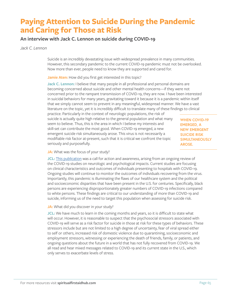# **Paying Attention to Suicide During the Pandemic and Caring for Those at Risk**

### **An interview with Jack C. Lennon on suicide during COVID-19**

*Jack C. Lennon*

Suicide is an incredibly devastating issue with widespread prevalence in many communities. However, this secondary pandemic to the current COVID-19 pandemic must not be overlooked. Now more than ever, people need to know they are supported and cared for.

**Jamie Aten:** How did you first get interested in this topic?

**Jack C. Lennon:** I believe that many people in all professional and personal domains are becoming concerned about suicide and other mental health concerns—if they were not concerned prior to the rampant transmission of COVID-19, they are now. I have been interested in suicidal behaviors for many years, gravitating toward it because it is a pandemic within itself that we simply cannot seem to prevent in any meaningful, widespread manner. We have a vast literature on the topic, yet it is incredibly difficult to translate many of these findings to clinical

practice. Particularly in the context of neurologic populations, the risk of suicide is actually quite high relative to the general population and what many seem to believe. Thus, this is the area in which I believe my interests and skill-set can contribute the most good. When COVID-19 emerged, a new emergent suicide risk simultaneously arose. This virus is not necessarily a modifiable risk factor at-present, such that it is critical we confront the topic seriously and purposefully.

**WHEN COVID-19 EMERGED, A NEW EMERGENT SUICIDE RISK SIMULTANEOUSLY AROSE.**

#### **JA:** What was the focus of your study?

**JCL:** [This publication](https://doi.apa.org/fulltext/2020-37340-001.html) was a call for action and awareness, arising from an ongoing review of the COVID-19 studies on neurologic and psychological impacts. Current studies are focusing on clinical characteristics and outcomes of individuals presenting to hospitals with COVID-19. Ongoing studies will continue to monitor the outcomes of individuals recovering from the virus. Importantly, this pandemic is illuminating the flaws of our healthcare system and the political and socioeconomic disparities that have been present in the U.S. for centuries. Specifically, black persons are experiencing disproportionately greater numbers of COVID-19 infections compared to white persons. These findings are critical to our understanding of more than COVID-19 and suicide, informing us of the need to target this population when assessing for suicide risk.

**JA:** What did you discover in your study?

**JCL:** We have much to learn in the coming months and years, so it is difficult to state what will occur. However, it is reasonable to suspect that the psychosocial stressors associated with COVID-19 will serve as a risk factor for suicide in those at risk for these types of behaviors. These stressors include but are not limited to a high degree of uncertainty, fear of viral spread either to self or others, increased risk of domestic violence due to quarantining, socioeconomic and employment stressors, witnessing or experiencing the death of friends, family, or patients, and ongoing questions about the future in a world that has not fully recovered from COVID-19. We all read and hear mixed messages related to COVID-19 and its current state in the U.S., which only serves to exacerbate levels of stress.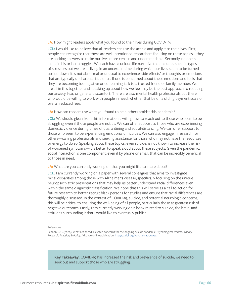JA: How might readers apply what you found to their lives during COVID-19?

**JCL:** I would like to believe that all readers can use the article and apply it to their lives. First, people can recognize that there are well-intentioned researchers focusing on these topics—they are seeking answers to make our lives more certain and understandable. Secondly, no one is alone in his or her struggles. We each have a unique life narrative that includes specific types of stressors but we are all living in an uncertain time during which our lives seem to be turned upside-down. It is not abnormal or unusual to experience 'side effects' or thoughts or emotions that are typically uncharacteristic of us. If one is concerned about these emotions and feels that they are becoming too negative or concerning, talk to a trusted friend or family member. We are all in this together and speaking up about how we feel may be the best approach to reducing our anxiety, fear, or general discomfort. There are also mental health professionals out there who would be willing to work with people in need, whether that be on a sliding payment scale or overall reduced fees.

JA: How can readers use what you found to help others amidst this pandemic?

**JCL:** We should glean from this information a willingness to reach out to those who seem to be struggling, even if those people are not us. We can offer support to those who are experiencing domestic violence during times of quarantining and social-distancing. We can offer support to those who seem to be experiencing emotional difficulties. We can also engage in research for others—calling professionals and seeking assistance for those who may not have the resources or energy to do so. Speaking about these topics, even suicide, is not known to increase the risk of worsened symptoms—it is better to speak aloud about these subjects. Given the pandemic, social interaction is one component, even if by phone or email, that can be incredibly beneficial to those in need.

JA: What are you currently working on that you might like to share about?

**JCL:** I am currently working on a paper with several colleagues that aims to investigate racial disparities among those with Alzheimer's disease, specifically focusing on the unique neuropsychiatric presentations that may help us better understand racial differences even within the same diagnostic classification. We hope that this will serve as a call to action for future research to better recruit black persons for studies and ensure that racial differences are thoroughly discussed. In the context of COVID-19, suicide, and potential neurologic concerns, this will be critical to ensuring the well-being of all people, particularly those at greatest risk of negative outcomes. Lastly, I am currently working on a book related to suicide, the brain, and attitudes surrounding it that I would like to eventually publish.

#### References

Lennon, J. C. (2020). What lies ahead: Elevated concerns for the ongoing suicide pandemic. *Psychological Trauma: Theory, Research, Practice, & Policy*. Advance online publication. [http://dx.doi.org/10.1037/tra0000741](http://dx.doi.org/10.1037/tra0000741 )

**Key Takeaway:** COVID-19 has increased the risk and prevalence of suicide; we need to seek out and support those who are struggling.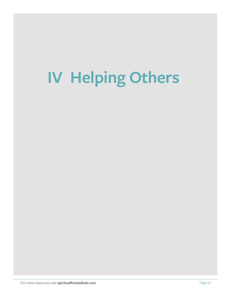# **IV Helping Others**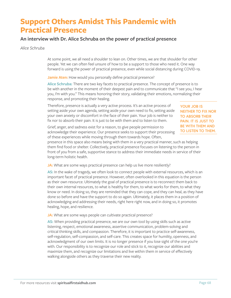# **Support Others Amidst This Pandemic with Practical Presence**

### **An interview with Dr. Alice Schruba on the power of practical presence**

*Alice Schruba*

At some point, we all need a shoulder to lean on. Other times, we are that shoulder for other people. Yet we can often feel unsure of how to be a support to those who need it. One way forward is using the power of practical presence, even while social distancing during COVID-19.

Jamie Aten: How would you personally define practical presence?

**Alice Schruba:** There are two key facets to practical presence. The concept of presence is to be with another in the moment of their deepest pain and to communicate that "I see you, I hear you, I'm with you." This means honoring their story, validating their emotions, normalizing their response, and promoting their healing.

Therefore, presence is actually a very active process. It's an active process of setting aside your own agenda, setting aside your own need to fix, setting aside your own anxiety or discomfort in the face of their pain. Your job is neither to fix nor to absorb their pain. It is just to be with them and to listen to them.

**YOUR JOB IS NEITHER TO FIX NOR TO ABSORB THEIR PAIN. IT IS JUST TO BE WITH THEM AND TO LISTEN TO THEM.**

Grief, anger, and sadness exist for a reason, to give people permission to acknowledge their experience. Our presence seeks to support their processing of these experiences while moving through them towards hope. Often,

presence in this space also means being with them in a very practical manner, such as helping them find food or shelter. Collectively, practical presence focuses on listening to the person in front of you from a safe, supportive stance to address their immediate needs in service of their long-term holistic health.

**JA:** What are some ways practical presence can help us live more resiliently?

**AS:** In the wake of tragedy, we often look to connect people with external resources, which is an important facet of practical presence. However, often overlooked in this equation is the person as their own resource. Ultimately the goal of practical presence is to reconnect them back to their own internal resources, to what is healthy for them, to what works for them, to what they know or need. In doing so, they are reminded that they can cope, and they can heal, as they have done so before and have the support to do so again. Ultimately, it places them in a position of acknowledging and addressing their needs, right here right now, and in doing so, it promotes healing, hope, and resilience.

**JA:** What are some ways people can cultivate practical presence?

**AS:** When providing practical presence, we are our own tool by using skills such as active listening, respect, emotional awareness, assertive communication, problem-solving and critical thinking skills, and compassion. Therefore, it is important to practice self-awareness, self-regulation, self-compassion, and self-care. This creates space for humility, openness, and acknowledgment of our own limits. It is no longer presence if you lose sight of the one you're with. Our responsibility is to recognize our role and stick to it, recognize our abilities and maximize them, and recognize our limitations and live within them in service of effectively walking alongside others as they traverse their new reality.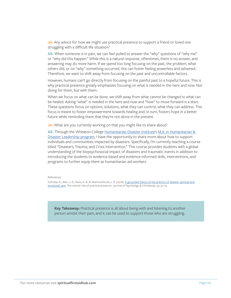**JA:** Any advice for how we might use practical presence to support a friend or loved one struggling with a difficult life situation?

**AS:** When someone is in pain, we can feel pulled to answer the "why" questions of "why me" or "why did this happen." While this is a natural response, oftentimes, there is no answer, and answering may do more harm. If we spend too long focusing on the past, the problem, what others did, or on "why" something occurred, this can foster feeling powerless and ashamed. Therefore, we want to shift away from focusing on the past and uncontrollable factors.

However, humans can't go directly from focusing on the painful past to a hopeful future. This is why practical presence greatly emphasizes focusing on what is needed in the here and now. Not doing for them, but with them.

When we focus on what can be done, we shift away from what cannot be changed to what can be healed. Asking "what" is needed in the here and now and "how" to move forward is a start. These questions focus on options, solutions, what they can control, what they can address. This focus is meant to foster empowerment towards healing and, in turn, fosters hope in a better future while reminding them that they're not alone in the present.

JA: What are you currently working on that you might like to share about?

**AS:** Through the Wheaton College [Humanitarian Disaster Institute'](https://www.wheaton.edu/academics/academic-centers/humanitarian-disaster-institute/)s [M.A. in Humanitarian &](https://www.wheaton.edu/graduate-school/degrees/ma-in-humanitarian-and-disaster-leadership/)  [Disaster Leadership program,](https://www.wheaton.edu/graduate-school/degrees/ma-in-humanitarian-and-disaster-leadership/) I have the opportunity to share more about how to support individuals and communities impacted by disasters. Specifically, I'm currently teaching a course titled "Disasters, Trauma, and Crisis Intervention." This course provides students with a global understanding of the biopsychosocial impact of disasters and traumatic events in addition to introducing the students to evidence-based and evidence-informed skills, interventions, and programs to further equip them as humanitarian aid workers.

References

Schruba, A., Aten, J. D., Davis, E. B., & Shannonhouse, L. R. (2018). [A grounded theory of the practice of disaster spiritual and](https://psycnet.apa.org/record/2018-39522-006)  [emotional care:](https://psycnet.apa.org/record/2018-39522-006) The central role of practical presence. *Journal of Psychology & Christianity*, 37, 57-73.

**Key Takeaway:** Practical presence is all about being with and listening to another person amidst their pain, and it can be used to support those who are struggling.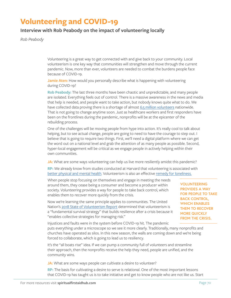# **Volunteering and COVID-19**

### **Interview with Rob Peabody on the impact of volunteering locally**

*Rob Peabody*

Volunteering is a great way to get connected with and give back to your community. Local volunteerism is one key way that communities will strengthen and move through the current pandemic. Now, more than ever, volunteers are needed to combat the burdens people face because of COVID-19.

**Jamie Aten:** How would you personally describe what is happening with volunteering during COVID-19?

**Rob Peabody:** The last three months have been chaotic and unpredictable, and many people are isolated. Everything feels out of control. There is a massive awareness in the news and media that help is needed, and people want to take action, but nobody knows quite what to do. We have collected data proving there is a shortage of almost [6.5 million volunteers](https://beaneighborcampaign.com/volunteergap/) nationwide. That is not going to change anytime soon. Just as healthcare workers and first responders have been on the frontlines during the pandemic, nonprofits will be at the epicenter of the rebuilding process.

One of the challenges will be moving people from hype into action. It's really cool to talk about helping, but to see actual change, people are going to need to have the courage to step out. I believe that is going to require two things. First, we'll need a digital platform where we can get the word out on a national level and grab the attention of as many people as possible. Second, hyper-local engagement will be critical as we engage people in actively helping within their own communities.

**JA:** What are some ways volunteering can help us live more resiliently amidst this pandemic?

**RP:** We already know from studies conducted at Harvard that volunteering is associated with [better physical and mental health.](https://www.hsph.harvard.edu/news/features/can-volunteering-lead-to-better-health/) Volunteerism is also an effective [remedy for loneliness.](https://vomo.org/blog/a-remedy-for-loneliness/)

When people stop focusing on themselves and engage in meeting the needs around them, they cease being a consumer and become a producer within society. Volunteering provides a way for people to take back control, which enables them to recover more quickly from the crisis.

Now we're learning the same principle applies to communities. The United Nation's [2018 State of Volunteerism Report](https://unv-swvr2018.org/) determined that volunteerism is a "fundamental survival strategy" that builds resilience after a crisis because it "enables collective strategies for managing risk."

**VOLUNTEERING PROVIDES A WAY FOR PEOPLE TO TAKE BACK CONTROL, WHICH ENABLES THEM TO RECOVER MORE QUICKLY FROM THE CRISIS.**

Injustices and faults were in the system before COVID-19 hit. The pandemic puts everything under a microscope so we see it more clearly. Traditionally, many nonprofits and churches have operated as silos. In this new season, the walls are coming down and we're being forced to collaborate, which is going to lead us to resiliency.

It's the "all boats rise" idea. If we can pump a community full of volunteers and streamline their approach, then the nonprofits receive the help they need, people are unified, and the community wins.

**JA:** What are some ways people can cultivate a desire to volunteer?

**RP:** The basis for cultivating a desire to serve is relational. One of the most important lessons that COVID-19 has taught us is to take initiative and get to know people who are not like us. Start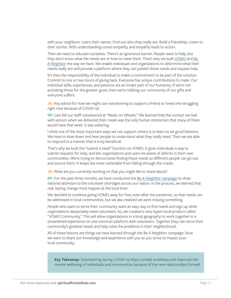with your neighbors. Learn their names. Find out who they really are. Build a friendship. Listen to their stories. With understanding comes empathy, and empathy leads to action.

Then we need to educate ourselves. There's an ignorance barrier. People want to help, but they don't know what the needs are or how to meet them. That's why we built [VOMO](https://vomo.org/) and [Be](https://beaneighborcampaign.com/)  [A Neighbor](https://beaneighborcampaign.com/) the way we have. We enable individuals and organizations to determine what their needs really are and provide a platform where they can publish those needs and request help.

It's then the responsibility of the individual to make a commitment to be part of the solution. Commit to one or two hours of giving back. Everyone has unique contributions to make. Our individual skills, experiences, and passions are an innate part of our humanity. If we're not activating those for the greater good, then we're robbing our community of our gifts and everyone suffers.

JA: Any advice for how we might use volunteering to support a friend or loved one struggling right now because of COVID-19?

**RP:** Last fall our staff volunteered at "Meals on Wheels." We learned that the contact we had with seniors when we delivered their meals was the only human interaction that many of them would have that week. It was sobering.

I think one of the most important ways we can support others is to learn to be good listeners. We have to slow down and hear people to understand what they really need. Then we are able to respond in a manner that is truly beneficial.

That's why we built the "submit a need" function on VOMO. It gives individuals a way to submit requests for help, and lets organizations and users be aware of deficits in their own communities. We're trying to democratize finding those needs so different people can go out and source them. It keeps the most vulnerable from falling through the cracks.

JA: What are you currently working on that you might like to share about?

**RP:** For the past three months, we have conducted the [Be A Neighbor campaign](https://beaneighborcampaign.com/) to draw national attention to the volunteer shortages across our nation. In the process, we learned that real, lasting change must happen at the local level.

We decided to continue giving VOMO away for free, even after the pandemic, so that needs can be addressed in local communities, but we also realized we were missing something.

People who want to serve their community want an easy way to find needs and sign up while organizations desperately need volunteers. So, we created a new, hyper-local product called "VOMO Community." This will allow organizations in a local geography to work together in a streamlined experience on one common platform with volunteers. Together they can serve their community's greatest needs and help solve the problems in their neighborhood.

All of these lessons are things we have learned through the Be A Neighbor campaign. Now we want to share our knowledge and experience with you as you strive to impact your local community.

**Key Takeaway:** Volunteering during COVID-19 helps combat loneliness and improves the mental wellbeing of individuals and communities because of the new relationships formed.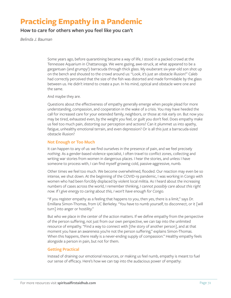# **Practicing Empathy in a Pandemic**

**How to care for others when you feel like you can't**

*Belinda J. Bauman*

Some years ago, before quarantining became a way of life, I stood in a packed crowd at the Tennessee Aquarium in Chattanooga. We were gazing, awe-struck, at what appeared to be a gargantuan (and grumpy!) barracuda through thick glass. My exuberant six-year-old son shot up on the bench and shouted to the crowd around us: "Look, it's just an obstacle illusion!" Caleb had correctly perceived that the size of the fish was distorted and made formidable by the glass between us. He didn't intend to create a pun. In his mind, optical and obstacle were one and the same.

And maybe they are.

Questions about the effectiveness of empathy generally emerge when people plead for more understanding, compassion, and cooperation in the wake of a crisis. You may have heeded the call for increased care for your extended family, neighbors, or those at risk early on. But now you may be tired, exhausted even, by the weight you feel, or guilt you don't feel. Does empathy make us feel too much pain, distorting our perception and actions? Can it plummet us into apathy, fatigue, unhealthy emotional terrain, and even depression? Or is all this just a barracuda-sized obstacle illusion?

#### **Not Enough or Too Much**

It can happen to any of us: we find ourselves in the presence of pain, and we feel precisely *nothing*. As a gender-based violence specialist, I often travel to conflict zones, collecting and writing war stories from women in dangerous places. I hear the stories, and unless I have someone to process with, I can find myself growing cold, passive-aggressive, numb.

Other times we feel too much. We become overwhelmed, flooded. Our reaction may even be so intense, we shut down. At the beginning of the COVID-19 pandemic, I was working in Congo with women who had been forcibly displaced by violent local militia. As I heard about the increasing numbers of cases across the world, I remember thinking, *I cannot possibly care about this right now. If I give energy to caring about this, I won't have enough for Congo.*

"If you register empathy as a feeling that happens to you, then yes, there is a limit," says Dr. Emillana Simon-Thomas, from UC Berkeley. "You have to numb yourself, to disconnect, or it [will turn] into anger or hostility."

But who we place in the center of the action matters. If we define empathy from the perspective of the person suffering, not just from our own perspective, we can tap into the unlimited resource of empathy. "Find a way to connect with [the story of another person], and at that moment you have an awareness you're not the person suffering," explains Simon-Thomas. When this happens, there really is a never-ending supply of compassion." Healthy empathy feels alongside a person in pain, but not for them.

### **Getting Practical**

Instead of draining our emotional resources, or making us feel numb, empathy is meant to fuel our sense of efficacy. Here's how we can tap into the audacious power of empathy: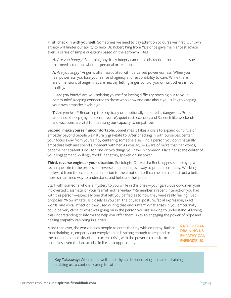**First, check in with yourself.** Sometimes we need to pay attention to ourselves first. Our own anxiety will hinder our ability to help. Dr. Robert King from Yale once gave me his "best advice ever," a series of simple questions based on the acronym HALT:

**H.** *Are you hungry?* Becoming physically hungry can cause distraction from deeper issues that need attention, whether personal or relational.

**A.** *Are you angry?* Anger is often associated with perceived powerlessness. When you feel powerless, you lose your sense of agency and responsibility to care. While there are dimensions of anger that are healthy, letting anger control you or hurt others is not healthy.

**L.** *Are you lonely?* Are you isolating yourself or having difficulty reaching out to your community? Keeping connected to those who know and care about you is key to keeping your own empathy levels high.

**T.** *Are you tired?* Becoming too physically or emotionally depleted is dangerous. Proper amounts of sleep (my personal favorite), quiet rest, exercise, and Sabbath-like weekends and vacations are vital to increasing our capacity to empathize.

**Second, make yourself uncomfortable.** Sometimes it takes a crisis to expand our circle of empathy beyond people we naturally gravitate to. After checking in with ourselves, center your focus away from yourself by centering someone else. Find a person you don't naturally empathize with and spend a moment with her. As you do, be aware of more than her words; become her student. Look for one or two things you have in common. Place her at the center of your engagement. Willingly "hold" her story, spoken or unspoken.

**Third, reverse engineer your situation.** Sociologist Dr. Martha Beck suggests employing a technique akin to the process of reverse engineering as a way to practice empathy. Working backward from the *effects* of an emotion to the emotion itself can help us reconstruct a better, more streamlined way to understand, and help, another person.

Start with someone who is a mystery to you while in this crisis—your garrulous coworker, your introverted classmate, or your fearful mother-in-law. "Remember a recent interaction you had with this person—especially one that left you baffled as to how they were really feeling," Beck proposes. "Now imitate, as closely as you can, the physical posture, facial expression, exact words, and vocal inflection they used during that encounter." What arises in you emotionally could be very close to what was going on in the person you are seeking to understand. Allowing this understanding to inform the help you offer them is key to engaging the power of hope and healing empathy can bring in a crisis.

More than ever, the world needs people to enter the fray with empathy. Rather than draining us, empathy can energize us. It is strong enough to respond to the pain and complexity of our current crisis, with the power to transform obstacles, even the barracudas in life, into opportunity.

**RATHER THAN DRAINING US, EMPATHY CAN ENERGIZE US.**

**Key Takeaway:** When done well, empathy can be energizing instead of draining, enabling us to continue caring for others.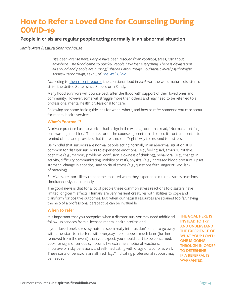### **How to Refer a Loved One for Counseling During COVID-19**

#### **People in crisis are regular people acting normally in an abnormal situation**

*Jamie Aten & Laura Shannonhouse*

*"It's been intense here. People have been rescued from rooftops, trees, just about anywhere. The flood came so quickly. People have lost everything. There is devastation all around and people are hurting," shared Baton Rouge, Louisiana clinical psychologist, Andrew Yarborough, Psy.D., of [The Well Clinic.](https://mywellclinic.com/)*

According to [then-recent reports](https://www.cnn.com/2016/08/18/us/louisiana-flooding/), the Louisiana flood in 2016 was the worst natural disaster to strike the United States since Superstorm Sandy.

Many flood survivors will bounce back after the flood with support of their loved ones and community. However, some will struggle more than others and may need to be referred to a professional mental health professional for care.

Following are some basic guidelines for when, where, and how to refer someone you care about for mental health services.

#### **What's "normal"?**

A private practice I use to work at had a sign in the waiting room that read, "Normal…a setting on a washing machine." The director of the counseling center had placed it front and center to remind clients and providers that there is no one "right" way to respond to distress.

Be mindful that survivors are normal people acting normally in an abnormal situation. It is common for disaster survivors to experience emotional (e.g., feeling sad, anxious, irritable), cognitive (e.g., memory problems, confusion, slowness of thinking), behavioral (e.g., change in activity, difficulty communicating, inability to rest), physical (e.g., increased blood pressure, upset stomach, change in appetite), and spiritual stress (e.g., questions faith, anger at God, lack of meaning).

Survivors are more likely to become impaired when they experience multiple stress reactions simultaneously and intensely.

The good news is that for a lot of people these common stress reactions to disasters have limited long-term effects. Humans are very resilient creatures with abilities to cope and transform for positive outcomes. But, when our natural resources are strained too far, having the help of a professional perspective can be invaluable.

#### **When to refer**

It is important that you recognize when a disaster survivor may need additional follow-up services from a licensed mental health professional.

If your loved one's stress symptoms seem really intense, don't seem to go away with time, start to interfere with everyday life, or appear much later (further removed from the event) than you expect, you should start to be concerned. Look for signs of serious symptoms like extreme emotional reactions, impulsive or risky behaviors, and self-medicating with drugs or alcohol as well. These sorts of behaviors are all "red flags" indicating professional support may be needed.

**THE GOAL HERE IS INSTEAD TO TRY AND UNDERSTAND THE EXPERIENCE OF WHAT YOUR LOVED ONE IS GOING THROUGH IN ORDER TO DETERMINE IF A REFERRAL IS WARRANTED.**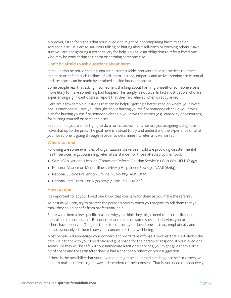Moreover, listen for signals that your loved one might be contemplating harm to self or someone else. Be alert to survivors talking or hinting about self-harm or harming others. Make sure you are not ignoring a potential cry for help. You have an obligation to refer a loved one who may be considering self-harm or harming someone else.

#### **Don't be afraid to ask questions about harm**

It should also be noted that it is against current suicide intervention best practices to either minimize or deflect such feelings of self-harm. Instead, empathy and active listening are essential until response can be made by a trained suicide interventionalist.

Some people fear that asking if someone is thinking about harming oneself or someone else is more likely to make something bad happen. This simply is not true. In fact most people who are experiencing significant distress report that they felt relieved when directly asked.

Here are a few sample questions that can be helpful getting a better read on where your loved one is emotionally: Have you thought about hurting yourself or someone else? Do you have a plan for hurting yourself or someone else? Do you have the means (e.g., capability or resources) for hurting yourself or someone else?

Keep in mind you are not trying to do a formal assessment, nor are you assigning a diagnosis leave that up to the pros. The goal here is instead to try and understand the experience of what your loved one is going through in order to determine if a referral is warranted.

#### **Where to refer**

Following are some examples of organizations we've been told are providing disaster mental health services (e.g., counseling, referral assistance) for those affected by the flood:

- SAMHSA's National Helpline (Treatment Referral Routing Service): 1-800-662-HELP (4357)
- National Alliance on Mental Illness (NAMI) HelpLine: 1-800-950-NAMI (6264)
- National Suicide Prevention Lifeline: 1-800-273-TALK (8255)
- National Red Cross: 1-800-733-2767 (1-800-RED-CROSS)

#### **How to refer**

It's important to let your loved one know that you care for them as you make the referral.

As best as you can, try to protect the person's privacy when you prepare to tell them that you think they could benefit from professional help.

Share with them a few specific reasons why you think they might need to talk to a licensed mental health professional. Be concrete, and focus on some specific behaviors you or others have observed. The goal is not to confront your loved one. Instead, emphatically and compassionately let them know your concern for their well-being.

Most people will appreciate your concern and won't take offense. However, that's not always the case. Be patient with your loved one and give space for the person to respond. If your loved one seems like they will be safe without immediate additional services, you might give them a little bit of space and try again after they've had a chance to reflect on your suggestion.

If there is the possibility that your loved one might be an immediate danger to self or others, you need to make a referral right away independent of their consent. That is, you need to proactively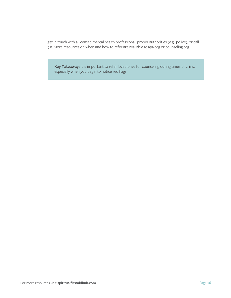get in touch with a licensed mental health professional, proper authorities (e.g., police), or call 911. More resources on when and how to refer are available at apa.org or counseling.org.

**Key Takeaway:** It is important to refer loved ones for counseling during times of crisis, especially when you begin to notice red flags.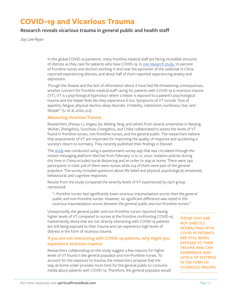### **COVID-19 and Vicarious Trauma**

#### **Research reveals vicarious trauma in general public and health staff**

*Joy Lee-Ryan*

In this global COVID-19 pandemic, many frontline medical staff are facing incredible amounts of distress as they care for patients who have COVID-19. In [one research study,](https://jamanetwork.com/journals/jamanetworkopen/fullarticle/2763229) 70 percent of frontline nurses and doctors working in and near the epicenter of the outbreak in China reported experiencing distress, and about half of them reported experiencing anxiety and depression.

Though the disease and the lack of information about it have had life-threatening consequences, another concern for frontline medical staff caring for patients with COVID-19 is vicarious trauma (VT). VT is a psychological byproduct where a helper is exposed to a patient's psychological trauma and the helper feels like they experience it too. Symptoms of VT include "loss of appetite, fatigue, physical decline, sleep disorder, irritability, inattention, numbness, fear, and despair" (Li et al, 2020, p.2).

#### **Measuring Vicarious Trauma**

Researchers Zhenyu Li, Jingwu Ge, Meiling Yang, and others from several universities in Nanjing, Wuhan, Zhengzhou, Soochow, Changzhou, and Chiba collaborated to assess the levels of VT found in frontline nurses, non-frontline nurses, and the general public. The researchers believe that assessments of VT are important for improving the quality of response and quickening a society's return to normalcy. They recently published their findings in Elsevier.

The [study](https://www.sciencedirect.com/science/article/pii/S0889159120303093) was conducted using a questionnaire survey app that was circulated through the instant messaging platform WeChat from February 17 to 21, 2020. Isolation policies during this time in China included social distancing and an order to stay at home. There were 740 participants in total: 526 of them were nurses while 214 of them were part of the general populace. The survey included questions about life belief and physical, psychological, emotional, behavioural, and cognitive responses.

Results from the study compared the severity levels of VT experienced by each group mentioned:

*"…frontline nurses had significantly lower vicarious traumatization scores than the general public and non-frontline nurses. However, no significant difference was noted in the vicarious traumatization scores between the general public and non-frontline nurses."*

Unexpectedly, the general public and non-frontline nurses reported having higher levels of VT compared to nurses at the frontline confronting COVID-19. Inadvertently, those that are not directly interacting with COVID-19 patients are still being exposed to their trauma and can experience high levels of distress in the form of vicarious trauma.

#### **If you are not interacting with COVID-19 patients, why might you experience vicarious trauma?**

Researchers collaborating on this study suggest a few reasons for higher levels of VT found in the general populace and non-frontline nurses. To account for the exposure to trauma, the researchers propose that the stay-at-home order provides more time for the general public to consume media about patients with COVID-19. Therefore, the general populace would **THOSE THAT ARE NOT DIRECTLY INTERACTING WITH COVID-19 PATIENTS ARE STILL BEING EXPOSED TO THEIR TRAUMA AND CAN EXPERIENCE HIGH LEVELS OF DISTRESS IN THE FORM OF VICARIOUS TRAUMA.**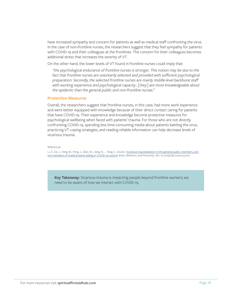have increased sympathy and concern for patients as well as medical staff confronting the virus. In the case of non-frontline nurses, the researchers suggest that they feel sympathy for patients with COVID-19 and their colleagues at the frontlines. The concern for their colleagues becomes additional stress that increases the severity of VT.

On the other hand, the lower levels of VT found in frontline nurses could imply that:

*"the psychological endurance of frontline nurses is stronger. This notion may be due to the*  fact that frontline nurses are voluntarily selected and provided with sufficient psychological *preparation. Secondly, the selected frontline nurses are mainly middle-level backbone staff with working experience and psychological capacity…[they] are more knowledgeable about the epidemic than the general public and non-frontline nurses."*

#### **Protective Measures**

Overall, the researchers suggest that frontline nurses, in this case, had more work experience and were better equipped with knowledge because of their direct contact caring for patients that have COVID-19. Their experience and knowledge become protective measures for psychological wellbeing when faced with patients' trauma. For those who are not directly confronting COVID-19, spending less time-consuming media about patients battling the virus, practicing VT coping strategies, and reading reliable information can help decrease levels of vicarious trauma.

#### References

Li, Z., Ge, J., Yang, M., Feng, J., Qiao, M., Jiang, R., … Yang, C. (2020). [Vicarious traumatization in the general public, members, and](https://www.sciencedirect.com/science/article/pii/S0889159120303093)  [non-members of medical teams aiding in COVID-19 control.](https://www.sciencedirect.com/science/article/pii/S0889159120303093) *Brain, Behavior, and Immunity*. doi: 10.1016/j.bbi.2020.03.007

**Key Takeaway:** Vicarious trauma is impacting people beyond frontline workers; we need to be aware of how we interact with COVID-19.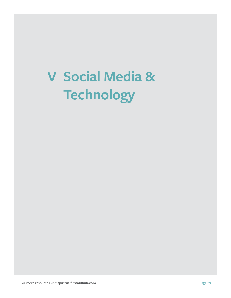# **V Social Media & Technology**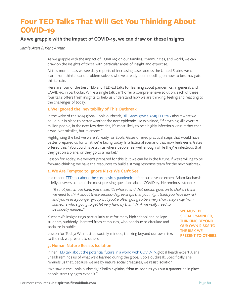### **Four TED Talks That Will Get You Thinking About COVID-19**

#### **As we grapple with the impact of COVID-19, we can draw on these insights**

*Jamie Aten & Kent Annan*

As we grapple with the impact of COVID-19 on our families, communities, and world, we can draw on the insights of those with particular areas of insight and expertise.

At this moment, as we see daily reports of increasing cases across the United States, we can learn from thinkers and problem-solvers who've already been noodling on how to best navigate this terrain.

Here are four of the best TED and TED-Ed talks for learning about pandemics, in general, and COVID-19, in particular. While a single talk can't offer a comprehensive solution, each of these four talks offers fresh insights to help us understand how we are thinking, feeling and reacting to the challenges of today.

#### **1. We Ignored the Inevitability of This Outbreak**

In the wake of the 2014 global Ebola outbreak, [Bill Gates gave a 2015 TED talk](https://www.youtube.com/watch?v=6Af6b_wyiwI) about what we could put in place to better weather the next epidemic. He explained, "If anything kills over 10 million people, in the next few decades, it's most likely to be a highly infectious virus rather than a war. Not missiles, but microbes."

Highlighting the fact we weren't ready for Ebola, Gates offered practical steps that would have better prepared us for what we're facing today. In a fictional scenario that now feels eerie, Gates offered this: "You could have a virus where people feel well enough while they're infectious that they get on a plane, or they go to a market."

Lesson for Today: We weren't prepared for this, but we can be in the future. If we're willing to be forward-thinking, we have the resources to build a strong response team for the next outbreak.

#### **2. We Are Tempted to Ignore Risks We Can't See**

In a recent [TED talk about the coronavirus pandemic](https://www.ted.com/talks/adam_kucharski_how_can_we_control_the_coronavirus_pandemic#t-119332), infectious disease expert Adam Kucharski briefly answers some of the most pressing questions about COVID-19. He reminds listeners:

*"It's not just whose hand you shake, it's whose hand that person goes on to shake. I think we need to think about these second-degree steps that you might think you have low risk and you're in a younger group, but you're often going to be a very short step away from someone who's going to get hit very hard by this. I think we really need to be socially minded."*

Kucharski's insight rings particularly true for many high school and college students, suddenly liberated from campuses, who continue to circulate and socialize in public.

Lesson for Today: We must be socially-minded, thinking beyond our own risks to the risk we present to others.

**WE MUST BE SOCIALLY-MINDED, THINKING BEYOND OUR OWN RISKS TO THE RISK WE PRESENT TO OTHERS.**

#### **3. Human Nature Resists Isolation**

In her [TED talk about the potential future in a world with COVID-19,](https://www.ted.com/talks/alanna_shaikh_coronavirus_is_our_future?language=en) global health expert Alana Shaikh reminds us of what we'd learned during the global Ebola outbreak. Specifically, she reminds us that, because we are by nature social creatures, we resist isolation.

"We saw in the Ebola outbreak," Shaikh explains, "that as soon as you put a quarantine in place, people start trying to evade it."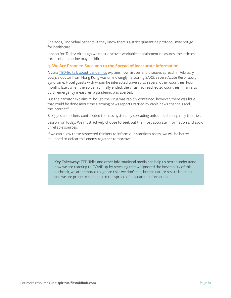She adds, "Individual patients, if they know there's a strict quarantine protocol, may not go for healthcare."

Lesson for Today: Although we must discover workable containment measures, the strictest forms of quarantine may backfire.

#### **4. We Are Prone to Succumb to the Spread of Inaccurate Information**

A 2012 [TED-Ed talk about pandemics](https://www.youtube.com/watch?time_continue=20&v=UG8YbNbdaco&feature=emb_logo) explains how viruses and diseases spread. In February 2003, a doctor from Hong Kong was unknowingly harboring SARS, Severe Acute Respiratory Syndrome. Hotel guests with whom he interacted traveled to several other countries. Four months later, when the epidemic finally ended, the virus had reached 29 countries. Thanks to quick emergency measures, a pandemic was averted.

But the narrator explains: "Though the virus was rapidly contained, however, there was little that could be done about the alarming news reports carried by cable news channels and the internet."

Bloggers and others contributed to mass hysteria by spreading unfounded conspiracy theories.

Lesson for Today: We must actively choose to seek out the most accurate information and avoid unreliable sources.

If we can allow these respected thinkers to inform our reactions today, we will be better equipped to defeat this enemy together tomorrow.

**Key Takeaway:** TED Talks and other informational media can help us better understand how we are reacting to COVID-19 by revealing that we ignored the inevitability of this outbreak, we are tempted to ignore risks we don't see, human nature resists isolation, and we are prone to succumb to the spread of inaccurate information.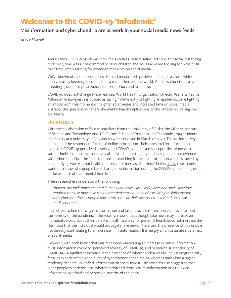### **Welcome to the COVID-19 'Infodemic'**

#### **Misinformation and cyberchondria are at work in your social media news feeds**

*Grace Howell*

Amidst the COVID-19 pandemic, time feels endless. Before self-quarantine and social distancing took over, time was a hot commodity. Now, children and adults alike are looking for ways to fill their time, often settling for extended moments on social media.

We've known of the consequences of social media, both positive and negative, for a while. It serves us by keeping us connected to each other and the world. Yet, it also functions as a breeding ground for polarization, self-promotion, and fake news.

COVID-19 does not change these realities. World Health Organization Director-General Tedros Adhanom Ghebreyesus is quoted as saying: "We're not just fighting an epidemic; we're fighting an infodemic." This moment of heightened anxieties and increased time on social media warrants the question: What are the mental health implications of this 'infodemic' taking over our feeds?

#### **The Research**

With the collaboration of four researchers from the University of Turku, the Military Institute of Science and Technology, and J.E. Cairnes School of Business and Economics, 294 students and faculty at a university in Bangladesh were surveyed in March of 2020. This online survey questioned the respondents' trust of online information, their threshold for information overload, COVID-19 perceived severity, and COVID-19 perceived susceptibility. Along with various individual factors, the survey also asked about the respondents' personal experience with cyberchondria—the "constant online searching for health information which is fueled by an underlying worry about health that results in increased anxiety." In this [study,](https://arxiv.org/abs/2004.09600) researchers wanted to know why people keep sharing misinformation during the COVID-19 pandemic, even at the expense of their mental health.

These researchers understood the following:

*"Indeed, the lock-down enacted in many countries with workplaces and social activities required to close may have the unintended consequence of escalating misinformation and cyberchondria as people have more time at their disposal to overload on social media content."*

In an effort to find out why misinformation and fake news is still ever-present—even amidst the severity of the pandemic—the research found that, though fake news may increase an individual's worry about their personal health, a worry for personal health does not increase the likelihood that the individual would propagate fake news. Therefore, the presence of this crisis is not directly contributing to an increase in misinformation. It is simply an unfortunate side effect of social media.

However, with each factor that was measured—indicating an increase in online information trust, information overload, perceived severity of COVID-19, and perceived susceptibility of COVID-19—a significant increase in the presence of cyberchondria was found. Demographically, females experienced higher levels of cyberchondria than males, whereas males had a higher tendency to share unverified information on social media. The research also suggested that older people experience less cyberchondria and share less misinformation due to lower information overload and perceived severity of the crisis.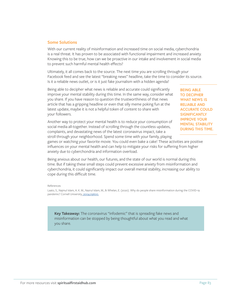#### **Some Solutions**

With our current reality of misinformation and increased time on social media, cyberchondria is a real threat. It has proven to be associated with functional impairment and increased anxiety. Knowing this to be true, how can we be proactive in our intake and involvement in social media to prevent such harmful mental health effects?

Ultimately, it all comes back to the source. The next time you are scrolling through your Facebook feed and see the latest "breaking news" headline, take the time to consider its source. Is it a reliable news outlet, or is it just fake journalism with a hidden agenda?

Being able to decipher what news is reliable and accurate could significantly improve your mental stability during this time. In the same way, consider what you share. If you have reason to question the trustworthiness of that news article that has a gripping headline or even that silly meme poking fun at the latest update, maybe it is not a helpful token of content to share with your followers.

**BEING ABLE TO DECIPHER WHAT NEWS IS RELIABLE AND ACCURATE COULD SIGNIFICANTLY IMPROVE YOUR MENTAL STABILITY DURING THIS TIME.**

Another way to protect your mental health is to reduce your consumption of social media all-together. Instead of scrolling through the countless updates, complaints, and devastating news of the latest coronavirus impact, take a stroll through your neighborhood. Spend some time with your family, playing

games or watching your favorite movie. You could even bake a cake! These activities are positive influences on your mental health and can help to mitigate your risks for suffering from higher anxiety due to cyberchondria and information overload.

Being anxious about our health, our futures, and the state of our world is normal during this time. But if taking these small steps could prevent excessive anxiety from misinformation and cyberchondria, it could significantly impact our overall mental stability, increasing our ability to cope during this difficult time.

#### References

Laato, S., Najmul Islam, A. K. M., Nazrul Islam, M., & Whelan, E. (2020). Why do people share misinformation during the COVID-19 pandemic? Cornell University, [2004.09600.](https://arxiv.org/abs/2004.09600v1)

**Key Takeaway:** The coronavirus "infodemic" that is spreading fake news and misinformation can be stopped by being thoughtful about what you read and what you share.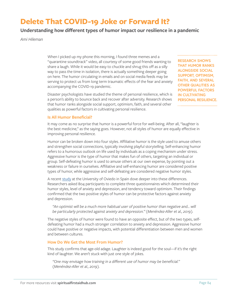### **Delete That COVID-19 Joke or Forward It?**

#### **Understanding how different types of humor impact our resilience in a pandemic**

*Ami Hileman*

When I picked up my phone this morning, I found three memes and a "quarantine soundtrack" video, all courtesy of some good friends wanting to share a laugh. While it would be easy to chuckle and shrug this off as a silly way to pass the time in isolation, there is actually something deeper going on here. The humor circulating in emails and on social media feeds may be serving to protect us from long term traumatic effects of the fear and anxiety accompanying the COVID-19 pandemic.

Disaster psychologists have studied the theme of personal resilience, which is a person's ability to bounce back and recover after adversity. Research shows that humor ranks alongside social support, optimism, faith, and several other qualities as powerful factors in cultivating personal resilience.

**RESEARCH SHOWS THAT HUMOR RANKS ALONGSIDE SOCIAL SUPPORT, OPTIMISM, FAITH, AND SEVERAL OTHER QUALITIES AS POWERFUL FACTORS IN CULTIVATING PERSONAL RESILIENCE.**

#### **Is All Humor Beneficial?**

It may come as no surprise that humor is a powerful force for well-being. After all, "laughter is the best medicine," as the saying goes. However, not all styles of humor are equally effective in improving personal resilience.

Humor can be broken down into four styles. Affiliative humor is the style used to amuse others and strengthen social connections, typically involving playful storytelling. Self-enhancing humor refers to a humorous outlook on life used by individuals as a coping mechanism under stress. Aggressive humor is the type of humor that makes fun of others, targeting an individual or group. Self-defeating humor is used to amuse others at our own expense, by pointing out a weakness or failure in ourselves. Affiliative and self-enhancing humor are considered positive types of humor, while aggressive and self-defeating are considered negative humor styles.

A recent [study](https://www.sciencedirect.com/science/article/pii/S1697260019302509?via%3Dihub) at the University of Oviedo in Spain dove deeper into these differences. Researchers asked 804 participants to complete three questionnaires which determined their humor styles, level of anxiety and depression, and tendency toward optimism. Their findings confirmed that the two positive styles of humor can be protective factors against anxiety and depression.

"An optimist will be a much more habitual user of positive humor than negative and... will *be particularly protected against anxiety and depression." (Menéndez-Aller et al., 2019).*

The negative styles of humor were found to have an opposite effect, but of the two types, selfdefeating humor had a much stronger correlation to anxiety and depression. Aggressive humor could have positive or negative impacts, with potential differentiation between men and women and between cultures.

#### **How Do We Get the Most From Humor?**

This study confirms that age-old adage. Laughter is indeed good for the soul—if it's the right kind of laughter. We aren't stuck with just one style of jokes.

*"One may envisage how training in a different use of humor may be beneficial." (Menéndez-Aller et al., 2019).*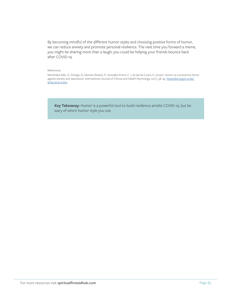By becoming mindful of the different humor styles and choosing positive forms of humor, we can reduce anxiety and promote personal resilience. The next time you forward a meme, you might be sharing more than a laugh; you could be helping your friends bounce back after COVID-19.

#### References

Menéndez-Aller, Á., Postigo, Á., Montes-Álvarez, P., González-Primo, F. J., & García-Cueto, E. (2020). Humor as a protective factor against anxiety and depression. *International Journal of Clinical and Health Psychology, 20(1)*, 38-45. [https://doi.org/10.1016/j.](https://doi.org/10.1016/j.ijchp.2019.12.002 ) [ijchp.2019.12.002](https://doi.org/10.1016/j.ijchp.2019.12.002 )

**Key Takeaway:** Humor is a powerful tool to build resilience amidst COVID-19, but be wary of which humor style you use.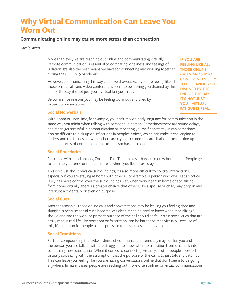### **Why Virtual Communication Can Leave You Worn Out**

#### **Communicating online may cause more stress than connection**

*Jamie Aten*

More than ever, we are reaching out online and communicating virtually. Remote communication is essential to combating loneliness and feelings of isolation. It's also the best means we have for connecting and working together during the COVID-19 pandemic.

However, communicating this way can have drawbacks. If you are feeling like all those online calls and video conferences seem to be leaving you drained by the end of the day, it's not just you—virtual fatigue is real.

Below are five reasons you may be feeling worn out and tired by virtual communication.

**Social Nonverbals**

With Zoom or FaceTime, for example, you can't rely on body language for communication in the same way you might when talking with someone in person. Sometimes there are sound delays, and it can get stressful in communicating or repeating yourself constantly. It can sometimes also be difficult to pick up on inflections in peoples' voices, which can make it challenging to understand the fullness of what others are trying to communicate. It also makes picking up nuanced forms of communication like sarcasm harder to detect.

#### **Social Boundaries**

For those with social anxiety, Zoom or FaceTime makes it harder to draw boundaries. People get to see into your environmental context, where you live or are staying.

This isn't just about physical surroundings; it's also more difficult to control interactions, especially if you are staying at home with others. For example, a person who works at an office likely has more control over the surroundings. Yet, when working from home or socializing from home virtually, there's a greater chance that others, like a spouse or child, may drop in and interrupt accidentally or even on purpose.

#### **Social Cues**

Another reason all those online calls and conversations may be leaving you feeling tired and sluggish is because social cues become less clear. It can be hard to know when "socializing" should end and the work or primary purpose of the call should shift. Certain social cues that are easily read in real life, like boredom or frustration, can be harder to read virtually. Because of this, it's common for people to feel pressure to fill silences and converse.

#### **Social Transitions**

Further compounding the awkwardness of communicating remotely may be that you and the person you are talking with are struggling to know when to transition from small talk into something more substantial. When it comes to connecting virtually, a lot of people approach virtually socializing with the assumption that the purpose of the call is to just talk and catch up. This can leave you feeling like you are having conversations online that don't seem to be going anywhere. In many cases, people are reaching out more often online for virtual communications

**IF YOU ARE FEELING LIKE ALL THOSE ONLINE CALLS AND VIDEO CONFERENCES SEEM TO BE LEAVING YOU DRAINED BY THE END OF THE DAY, IT'S NOT JUST YOU—VIRTUAL FATIGUE IS REAL.**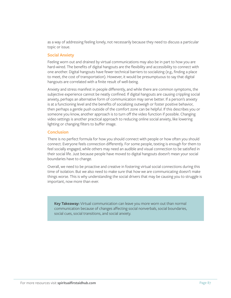as a way of addressing feeling lonely, not necessarily because they need to discuss a particular topic or issue.

#### **Social Anxiety**

Feeling worn out and drained by virtual communications may also be in part to how you are hard-wired. The benefits of digital hangouts are the flexibility and accessibility to connect with one another. Digital hangouts have fewer technical barriers to socializing (e.g., finding a place to meet, the cost of transportation). However, it would be presumptuous to say that digital hangouts are correlated with a finite result of well-being.

Anxiety and stress manifest in people differently, and while there are common symptoms, the subjective experience cannot be neatly confined. If digital hangouts are causing crippling social anxiety, perhaps an alternative form of communication may serve better. If a person's anxiety is at a functioning level and the benefits of socializing outweigh or foster positive behavior, then perhaps a gentle push outside of the comfort zone can be helpful. If this describes you or someone you know, another approach is to turn off the video function if possible. Changing video settings is another practical approach to reducing online social anxiety, like lowering lighting or changing filters to buffer image.

#### **Conclusion**

There is no perfect formula for how you should connect with people or how often you should connect. Everyone feels connection differently. For some people, texting is enough for them to feel socially engaged, while others may need an audible and visual connection to be satisfied in their social life. Just because people have moved to digital hangouts doesn't mean your social boundaries have to change.

Overall, we need to be proactive and creative in fostering virtual social connections during this time of isolation. But we also need to make sure that how we are communicating doesn't make things worse. This is why understanding the social drivers that may be causing you to struggle is important, now more than ever.

**Key Takeaway:** Virtual communication can leave you more worn out than normal communication because of changes affecting social nonverbals, social boundaries, social cues, social transitions, and social anxiety.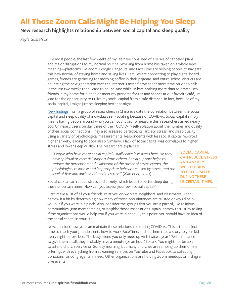### **All Those Zoom Calls Might Be Helping You Sleep**

**New research highlights relationship between social capital and sleep quality**

*Kayla Gustafson*

Like most people, the last few weeks of my life have consisted of a series of canceled plans and major disruptions to my normal routine. Working from home has taken on a whole new meaning—platforms like Zoom, Google Hangouts, and FaceTime are helping people to navigate this new normal of staying home and saving lives. Families are connecting to play digital board games, friends are gathering for morning coffee in their pajamas, and entire school districts are educating the next generation over the internet. I myself have spent more time on video calls in the last two weeks than I care to count. And while I'd love nothing more than to have all my friends in my home for dinner, or meet my grandma for tea and scones at our favorite café, I'm glad for the opportunity to utilize my social capital from a safe distance. In fact, because of my social capital, I might just be sleeping better at night.

[New findings](https://www.medscimonit.com/abstract/index/idArt/923921) from a group of researchers in China evaluate the correlation between the social capital and sleep quality of individuals self-isolating because of COVID-19. Social capital simply means having people around who you can count on. To measure this, researchers asked nearly 200 Chinese citizens on day three of their COVID-19 self-isolation about the number and quality of their social connections. They also assessed participants' anxiety, stress, and sleep quality using a variety of psychological measurements. Respondents with less social capital reported higher anxiety, leading to poor sleep. Similarly, a lack of social capital was correlated to higher stress and lower sleep quality. The researchers explained,

*"People who have more social capital usually have less stress because they have spiritual or material support from others. Social support helps to reduce the perception and evaluation of the threat of stress events, the physiological response and inappropriate behavior caused by stress, and the level of fear and anxiety induced by stress." (Xiao et al., 2020)*

**SOCIAL CAPITAL CAN REDUCE STRESS AND ANXIETY, WHICH LEADS TO BETTER SLEEP DURING THESE UNCERTAIN TIMES.** 

Social capital can reduce stress and anxiety, which leads to better sleep during these uncertain times. How can you assess your own social capital?

First, make a list of all your friends, relatives, co-workers, neighbors, and classmates. Then, narrow it a bit by determining how many of those acquaintances are trusted or would help you out if you were in a pinch. Also, consider the groups that you are a part of, like religious communities, gym memberships, or neighborhood associations. Again, narrow this list by asking if the organizations would help you if you were in need. By this point, you should have an idea of the social capital in your life.

Now, consider how you can maintain these relationships during COVID-19. This is the perfect time to teach your grandparents how to work FaceTime, and let them read a story to your kids every night before bed. The busy friend you only meet up with twice a year? Perfect chance to give them a call, they probably have a minute (or an hour) to talk. You might not be able to attend church service on Sunday morning, but many churches are ramping up their online offerings with everything from streaming services on YouTube and Facebook to collecting donations for congregants in need. Other organizations are holding Zoom meetups or Instagram Live events.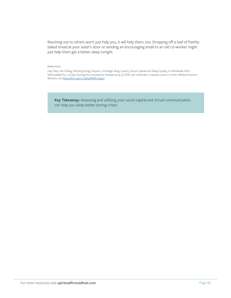Reaching out to others won't just help you, it will help them, too. Dropping off a loaf of freshlybaked bread at your sister's door or sending an encouraging email to an old co-worker might just help them get a better sleep tonight.

#### References

Han Xiao, Yan Zhang, Desheng Kong, Shiyue Li, & Ningxi Yang. (2020). Social Capital and Sleep Quality in Individuals Who Self-Isolated for 14 Days During the Coronavirus Disease 2019 (COVID-19) Outbreak in January 2020 in China. *Medical Science Monitor*, 26. <https://doi.org/10.12659/MSM.923921>

**Key Takeaway:** Assessing and utilizing your social capital and virtual communication can help you sleep better during crises.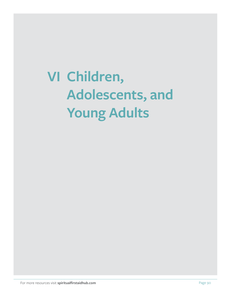# **VI Children, Adolescents, and Young Adults**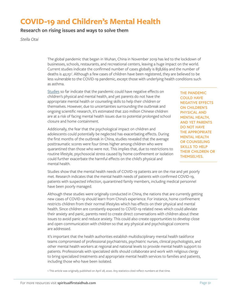### **COVID-19 and Children's Mental Health**

#### **Research on rising issues and ways to solve them**

*Stella Otai*

The global pandemic that began in Wuhan, China in November 2019 has led to the lockdown of businesses, schools, restaurants, and recreational centers, leaving a huge impact on the world. Current studies indicate the confirmed number of cases globally is 858,669 and the number of deaths is 42,151<sup>1</sup>. Although a few cases of children have been registered, they are believed to be less vulnerable to the COVID-19 pandemic, except those with underlying health conditions such as asthma.

[Studies](https://www.sciencedirect.com/science/article/abs/pii/S2212420919303796?via%3Dihub) so far indicate that the pandemic could have negative effects on children's physical and mental health, and yet parents do not have the appropriate mental health or counseling skills to help their children or themselves. However, due to uncertainties surrounding the outbreak and ongoing scientific research, it's estimated that 220 million Chinese children are at a risk of facing mental health issues due to potential prolonged school closure and home containment.

Additionally, the fear that the psychological impact on children and adolescents could potentially be neglected has exacerbating effects. During the first months of the outbreak in China, studies revealed that the average posttraumatic scores were four times higher among children who were quarantined than those who were not. This implies that, due to restrictions to routine lifestyle, psychosocial stress caused by home confinement or isolation could further exacerbate the harmful effects on the child's physical and mental health.

**THE PANDEMIC COULD HAVE NEGATIVE EFFECTS ON CHILDREN'S PHYSICAL AND MENTAL HEALTH, AND YET PARENTS DO NOT HAVE THE APPROPRIATE MENTAL HEALTH OR COUNSELING SKILLS TO HELP THEIR CHILDREN OR THEMSELVES.** 

Studies show that the mental health needs of COVID-19 patients are on the rise and yet poorly met. Research indicates that the mental health needs of patients with confirmed COVID-19, patients with suspected infection, quarantined family members, including medical personnel have been poorly managed.

Although these studies were originally conducted in China, the nations that are currently getting new cases of COVID-19 should learn from China's experience. For instance, home confinement restricts children from their normal lifestyles which has effects on their physical and mental health. Since children are constantly exposed to COVID-19 related news which could alleviate their anxiety and panic, parents need to create direct conversations with children about these issues to avoid panic and reduce anxiety. This could also create opportunities to develop close and open communication with children so that any physical and psychological concerns are addressed.

It's important that the health authorities establish multidisciplinary mental health taskforce teams compromised of professional psychiatrists, psychiatric nurses, clinical psychologists, and other mental health workers at regional and national levels to provide mental health support to patients. Professionals with specialized skills should collaborate and work with religious clergy to bring specialized treatments and appropriate mental health services to families and patients, including those who have been isolated.

1 This article was originally published on April 28, 2020. Any statistics cited reflect numbers at that time.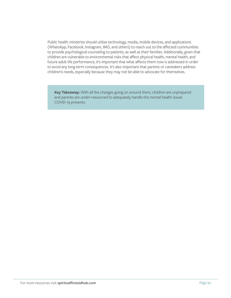Public health ministries should utilize technology, media, mobile devices, and applications (WhatsApp, Facebook, Instagram, IMO, and others) to reach out to the affected communities to provide psychological counseling to patients, as well as their families. Additionally, given that children are vulnerable to environmental risks that affect physical health, mental health, and future adult life performance, it's important that what affects them now is addressed in order to avoid any long-term consequences. It's also important that parents or caretakers address children's needs, especially because they may not be able to advocate for themselves.

**Key Takeaway:** With all the changes going on around them, children are unprepared and parents are under-resourced to adequately handle the mental health issues COVID-19 presents.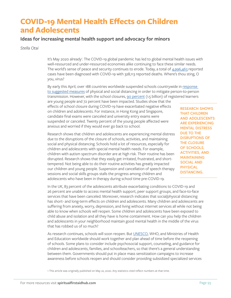### **COVID-19 Mental Health Effects on Children and Adolescents**

#### **Ideas for increasing mental health support and advocacy for minors**

*Stella Otai*

It's May 2020 already<sup>1</sup>. The COVID-19 global pandemic has led to global mental health issues with well-resourced and under-resourced economies alike continuing to face these similar needs. The world's sense of peace and security continues to erode. Today, a total of [4,996,463](https://www.kff.org/global-health-policy/fact-sheet/coronavirus-tracker/) reported cases have been diagnosed with COVID-19 with 328,113 reported deaths. Where's thou sting, O you, virus?

By early this April, over 188 countries worldwide suspended schools countrywide in [response](https://jamanetwork.com/journals/jamapediatrics/fullarticle/2764730)  [to suggested measures](https://jamanetwork.com/journals/jamapediatrics/fullarticle/2764730) of physical and social distancing in order to mitigate person-to-person transmission. However, with the school closures, [90 percent](https://www.thelancet.com/pdfs/journals/lancet/PIIS0140-6736(20)30964-8.pdf) (1.5 billion) of registered learners

are young people and 72 percent have been impacted. Studies show that the effects of school closure during COVID-19 have exacerbated negative effects on children and adolescents. For instance, in Hong Kong and Singapore, candidate final exams were canceled and university entry exams were suspended or canceled. Twenty percent of the young people affected were anxious and worried if they would ever go back to school.

Research shows that children and adolescents are experiencing mental distress due to the disruptions of the closure of schools, activities, and maintaining social and physical distancing. Schools hold a lot of resources, especially for children and adolescents with special mental health needs. For example, children with autism spectrum disorder are at high risk. Their routine has been disrupted. Research shows that they easily get irritated, frustrated, and shorttempered. Not being able to do their routine activities has greatly impacted our children and young people. Suspension and cancellation of speech therapy sessions and social skills groups stalls the progress among children and adolescents who have been in therapy during school time pre-COVID-19.

**RESEARCH SHOWS THAT CHILDREN AND ADOLESCENTS ARE EXPERIENCING MENTAL DISTRESS DUE TO THE DISRUPTIONS OF THE CLOSURE OF SCHOOLS, ACTIVITIES, AND MAINTAINING SOCIAL AND PHYSICAL DISTANCING.**

In the UK, 83 percent of the adolescents attribute exacerbating conditions to COVID-19 and 26 percent are unable to access mental health support, peer support groups, and face-to-face services that have been canceled. Moreover, research indicates that social/physical distancing has short- and long-term effects on children and adolescents. Many children and adolescents are suffering from anxiety, worry, depression, and living without internet services all while not being able to know when schools will reopen. Some children and adolescents have been exposed to child abuse and isolation and all they have is home containment. How can you help the children and adolescents in your neighborhood maintain good mental health in the middle of the virus that has robbed us of so much?

As research continues, schools will soon reopen. But [UNESCO,](https://en.unesco.org/news/prioritize-health-and-well-being-now-and-when-schools-reopen) WHO, and Ministries of Health and Education worldwide should work together and plan ahead of time before the reopening of schools. Some plans to consider include psychosocial support, counseling, and guidance for children and adolescents, families, and schoolteachers, so that there's a general understanding between them. Governments should put in place mass sensitization campaigns to increase awareness before schools reopen and should consider providing subsidized specialized services

1 This article was originally published on May 22, 2020. Any statistics cited reflect numbers at that time.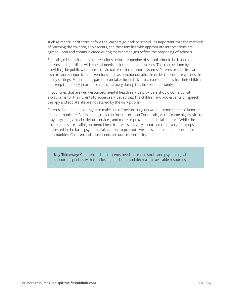such as mental healthcare before the learners go back to school. It's important that the methods of reaching the children, adolescents, and their families with appropriate interventions are agreed upon and communicated during mass campaigns before the reopening of schools.

Special guidelines for early interventions before reopening of schools should be issued to parents and guardians with special needs children and adolescents. This can be done by providing the public with access to virtual or online support systems. Parents or families can also provide supportive interventions such as psychoeducation in order to promote wellness in family settings. For instance, parents can take the initiative to create schedules for their children and keep them busy in order to reduce anxiety during this time of uncertainty.

In countries that are well-resourced, mental health service providers should come up with e-platforms for their clients to access services so that the children and adolescents on speech therapy and social skills are not stalled by the disruptions.

Parents should be encouraged to make use of their existing networks—coordinate, collaborate, and communicate. For instance, they can form afternoon Zoom calls, virtual game nights, virtual prayer groups, virtual religious services, and more to provide peer social support. While the professionals are scaling up mental health services, it's very important that everyone keeps interested in the basic psychosocial support to promote wellness and maintain hope in our communities. Children and adolescents are our responsibility.

**Key Takeaway:** Children and adolescents need increased social and psychological support, especially with the closing of schools and decrease in available resources.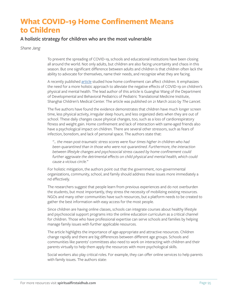### **What COVID-19 Home Confinement Means to Children**

#### **A holistic strategy for children who are the most vulnerable**

*Shane Jang*

To prevent the spreading of COVID-19, schools and educational institutions have been closing all around the world. Not only adults, but children are also facing uncertainty and chaos in this season. But one significant difference between adults and children is that children often lack the ability to advocate for themselves, name their needs, and recognize what they are facing.

A recently published [article](https://www.thelancet.com/pdfs/journals/lancet/PIIS0140-6736(20)30547-X.pdf) studied how home confinement can affect children. It emphasizes the need for a more holistic approach to alleviate the negative effects of COVID-19 on children's physical and mental health. The lead author of this article is Guanghai Wang of the Department of Developmental and Behavioral Pediatrics of Pediatric Translational Medicine Institute, Shanghai Children's Medical Center. The article was published on 21 March 2020 by *The Lancet*.

The five authors have found the evidence demonstrates that children have much longer screen time, less physical activity, irregular sleep hours, and less organized diets when they are out of school. These daily changes cause physical changes, too, such as a loss of cardiorespiratory fitness and weight gain. Home confinement and lack of interaction with same-aged friends also have a psychological impact on children. There are several other stressors, such as fears of infection, boredom, and lack of personal space. The authors state that:

*"... the mean post-traumatic stress scores were four times higher in children who had been quarantined than in those who were not quarantined. Furthermore, the interaction between lifestyle changes and psychosocial stress caused by home confinement could further aggravate the detrimental effects on child physical and mental health, which could cause a vicious circle."*

For holistic mitigation, the authors point out that the government, non-governmental organizations, community, school, and family should address these issues more immediately a nd effectively.

The researchers suggest that people learn from previous experiences and do not overburden the students, but most importantly, they stress the necessity of mobilizing existing resources. NGOs and many other communities have such resources, but a platform needs to be created to gather the best information with easy access for the most people.

Since children are having online classes, schools can integrate courses about healthy lifestyle and psychosocial support programs into the online education curriculum as a critical channel for children. Those who have professional expertise can serve schools and families by helping manage family issues with further applicable resources.

The article highlights the importance of age-appropriate and attractive resources. Children change rapidly and there are big differences between different age groups. Schools and communities like parents' committees also need to work on interacting with children and their parents virtually to help them apply the resources with more psychological skills.

Social workers also play critical roles. For example, they can offer online services to help parents with family issues. The authors state: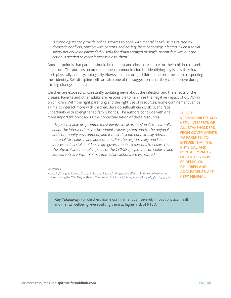*"Psychologists can provide online services to cope with mental health issues caused by domestic conflicts, tension with parents, and anxiety from becoming infected…Such a social safety net could be particularly useful for disadvantaged or single-parent families, but the action is needed to make it accessible to them."*

Another point is that parents should be the best and closest resource for their children to seek help from. The authors recommend open communication for identifying any issues they have both physically and psychologically. However, monitoring children does not mean not respecting their identity. Self-discipline skills are also one of the suggestions that they can improve during this big change in education.

Children are exposed to constantly updating news about the infection and the effects of the disease. Parents and other adults are responsible to minimize the negative impact of COVID-19 on children. With the right parenting and the right use of resources, home confinement can be

a time to interact more with children, develop self-sufficiency skills, and face uncertainty with strengthened family bonds. The authors conclude with one more important point about the contextualization of these resources:

*"Any sustainable programme must involve local professionals to culturally*  adapt the interventions to the administrative system and to the regional *and community environment, and it must develop contextually relevant material for children and adolescents…It is the responsibility and keen interests of all stakeholders, from governments to parents, to ensure that the physical and mental impacts of the COVID-19 epidemic on children and adolescents are kept minimal. Immediate actions are warranted."*

**IT IS THE RESPONSIBILITY AND KEEN INTERESTS OF ALL STAKEHOLDERS, FROM GOVERNMENTS TO PARENTS, TO ENSURE THAT THE PHYSICAL AND MENTAL IMPACTS OF THE COVID-19 EPIDEMIC ON CHILDREN AND ADOLESCENTS ARE KEPT MINIMAL.**

References

Wang, G., Zhang, Y., Zhao, J., Zhang, J., & Jiang, F. (2020). Mitigate the effects of home confinement on children during the COVID-19 outbreak. *The Lancet*. Doi: [https://doi.org/10.1016/S0140-6736\(20\)30547-X](https://doi.org/10.1016/S0140-6736(20)30547-X )

**Key Takeaway:** For children, home confinement can severely impact physical health and mental wellbeing, even putting them at higher risk of PTSD.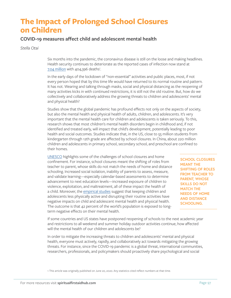### **The Impact of Prolonged School Closures on Children**

#### **COVID-19 measures affect child and adolescent mental health**

*Stella Otai*

Six months into the pandemic, the coronavirus disease is still on the loose and making headlines. Health security continues to deteriorate as the reported cases of infection now stand at  $7.04$  million with  $404,396$  deaths<sup>1</sup>. .

In the early days of the lockdown of "non-essential" activities and public places, most, if not every person hoped that by this time life would have returned to its normal routine and pattern. It has not. Wearing and talking through masks, social and physical distancing as the reopening of many activities kicks in with continued restrictions, it is still not the old routine. But, how do we collectively and collaboratively address the growing threats to children and adolescents' mental and physical health?

Studies show that the global pandemic has profound effects not only on the aspects of society, but also the mental health and physical health of adults, children, and adolescents. It's very important that the mental health care for children and adolescents is taken seriously. To this, research shows that most children's mental health disorders begin in childhood and, if not identified and treated early, will impact that child's development, potentially leading to poor health and social outcomes. Studies indicate that, in the US, close to 55 million students from kindergarten through 12th grade are affected by school closures. In China, about 220 million children and adolescents in primary school, secondary school, and preschool are confined to their homes.

[UNESCO](https://en.unesco.org/covid19/educationresponse/consequences) highlights some of the challenges of school closures and home confinement. For instance, school closures meant the shifting of roles from teacher to parent, whose skills do not match the needs of home and distance schooling. Increased social isolation, inability of parents to assess, measure, and validate learning—especially calendar-based assessments to determine advancement to next education levels—increased exposure of children to violence, exploitation, and maltreatment, all of these impact the health of a child. Moreover, the [empirical studies](https://www.thelancet.com/journals/lancet/article/PIIS0140-6736(20)30964-8/fulltext) suggest that keeping children and adolescents less physically active and disrupting their routine activities have negative impacts on child and adolescent mental health and physical health. The outcome is that 42 percent of the world's population is exposed to longterm negative effects on their mental health.

**SCHOOL CLOSURES MEANT THE SHIFTING OF ROLES FROM TEACHER TO PARENT, WHOSE SKILLS DO NOT MATCH THE NEEDS OF HOME AND DISTANCE SCHOOLING.**

If some countries and US states have postponed reopening of schools to the next academic year and restrictions to all weekend and summer holiday outdoor activities continue, how affected will the mental health of our children and adolescents be?

In order to mitigate the increasing threats to children and adolescents' mental and physical health, everyone must actively, rapidly, and collaboratively act towards mitigating the growing threats. For instance, since the COVID-19 pandemic is a global threat, international communities, researchers, professionals, and policymakers should proactively share psychological and social

1 This article was originally published on June 20, 2020. Any statistics cited reflect numbers at that time.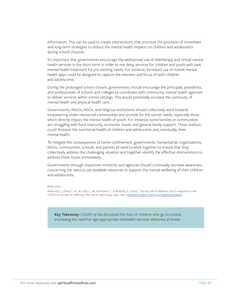information. This can be used to create interventions that prioritise the provision of immediate and long-term strategies to reduce the mental health impacts on children and adolescents during school closures.

It's important that governments encourage the widespread use of teletherapy and virtual mental health services in the short-term in order to not delay services for children and youth with past mental health treatment for pre-existing needs. For instance, increased use of mobile mental health apps could be designed to capture the interests and focus of both children and adolescents.

During the prolonged school closure, governments should encourage the principals, presidents, and professionals of schools and colleges to coordinate with community mental health agencies to deliver services within school settings. This would potentially increase the continuity of mental health and physical health care.

Governments, INGOs, NGOs, and religious institutions should collectively work towards empowering under-resourced communities and provide for the unmet needs, especially those which directly impact the mental health of youth. For instance, some families or communities are struggling with food insecurity, economic needs, and general family support. These realities could threaten the nutritional health of children and adolescents and, eventually, their mental health.

To mitigate the consequences of home confinement, governments, humanitarian organisations, NGOs, communities, schools, and parents all need to work together to ensure that they collectively address the challenging situation and together identify the effective interventions to address these issues immediately.

Governments through respective ministries and agencies should continually increase awareness concerning the need to use available resources to support the mental wellbeing of their children and adolescents.

#### References

Radbruch, L., Knaul, F. M., de Lima, L., de Joncheere, C., & Bhadelia, A. (2020). The key role of palliative care in response to the COVID-19 tsunami of suffering. *The Lancet*, 395(10235), 1467–1469. [https://doi.org/10.1016/S0140-6736\(20\)30964-8](https://doi.org/10.1016/S0140-6736(20)30964-8 )

**Key Takeaway:** COVID-19 has disrupted the lives of children who go to school, increasing the need for age-appropriate telehealth services delivered at home.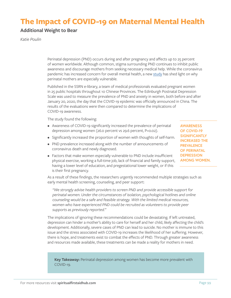### **The Impact of COVID-19 on Maternal Mental Health**

#### **Additional Weight to Bear**

*Katie Poulin*

Perinatal depression (PND) occurs during and after pregnancy and affects up to 25 percent of women worldwide. Although common, stigma surrounding PND continues to inhibit public awareness and discourage mothers from seeking necessary medical help. While the coronavirus pandemic has increased concern for overall mental health, a new [study](https://papers.ssrn.com/sol3/papers.cfm?abstract_id=3539359) has shed light on why perinatal mothers are especially vulnerable.

Published in the SSRN e-library, a team of medical professionals evaluated pregnant women in 25 public hospitals throughout 10 Chinese Provinces. The Edinburgh Postnatal Depression Scale was used to measure the prevalence of PND and anxiety in women, both before and after January 20, 2020, the day that the COVID-19 epidemic was officially announced in China. The results of the evaluations were then compared to determine the implications of COVID-19 awareness.

The study found the following:

- Awareness of COVID-19 significantly increased the prevalence of perinatal depression among women (26.0 percent vs 29.6 percent, P=0.02).
- Significantly increased the proportion of women with thoughts of self-harm.
- PND prevalence increased along with the number of announcements of coronavirus death and newly diagnosed.
- Factors that make women especially vulnerable to PND include insufficient physical exercise, working a full-time job, lack of financial and family support, having a lower level of education, and pregestational lower weight, or if this is their first pregnancy.

**SIGNIFICANTLY INCREASED THE PREVALENCE OF PERINATAL DEPRESSION AMONG WOMEN.** 

**AWARENESS OF COVID-19** 

As a result of these findings, the researchers urgently recommended multiple strategies such as early mental health screening, counseling, and peer support:

*"We strongly advise health providers to screen PND and provide accessible support for perinatal women. Under the circumstances of isolation, psychological hotlines and online counseling would be a safe and feasible strategy. With the limited medical resources, women who have experienced PND could be recruited as volunteers to provide peer supports as previously reported."*

The implications of ignoring these recommendations could be devastating. If left untreated, depression can hinder a mother's ability to care for herself and her child, likely affecting the child's development. Additionally, severe cases of PND can lead to suicide. No mother is immune to this issue and the stress associated with COVID-19 increases the likelihood of her suffering. However, there is hope, and treatments exist to combat the effects of PND. Through greater awareness and resources made available, these treatments can be made a reality for mothers in need.

**Key Takeaway:** Perinatal depression among women has become more prevalent with COVID-19.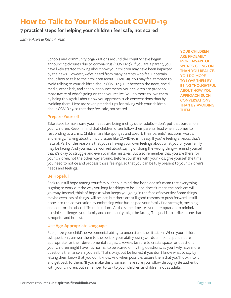### **How to Talk to Your Kids about COVID-19**

**7 practical steps for helping your children feel safe, not scared**

*Jamie Aten & Kent Annan*

Schools and community organizations around the country have begun announcing closures due to coronavirus (COVID-19). If you are a parent, you have likely started thinking about how your children may have been impacted by the news. However, we've heard from many parents who feel uncertain about how to talk to their children about COVID-19. You may feel tempted to avoid talking to your children about COVID-19. But between the news, social media, other kids, and school announcements, your children are probably more aware of what's going on than you realize. You do more to love them by being thoughtful about how you approach such conversations than by avoiding them. Here are seven practical tips for talking with your children about COVID-19 so that they feel safe, not scared.

**YOUR CHILDREN ARE PROBABLY MORE AWARE OF WHAT'S GOING ON THAN YOU REALIZE. YOU DO MORE TO LOVE THEM BY BEING THOUGHTFUL ABOUT HOW YOU APPROACH SUCH CONVERSATIONS THAN BY AVOIDING THEM.**

#### **Prepare Yourself**

Take steps to make sure your needs are being met by other adults—don't put that burden on your children. Keep in mind that children often follow their parents' lead when it comes to responding to a crisis. Children are like sponges and absorb their parents' reactions, words, and energy. Talking about difficult issues like COVID-19 isn't easy. If you're feeling anxious, that's natural. Part of the reason is that you're having your own feelings about what you or your family may be facing. And you may be worried about saying or doing the wrong thing—remind yourself that it's okay to struggle and even to make mistakes. But also remember that you are there for your children, not the other way around. Before you share with your kids, give yourself the time you need to notice and process those feelings, so that you can be fully present to your children's needs and feelings.

#### **Be Hopeful**

Seek to instill hope among your family. Keep in mind that hope doesn't mean that everything is going to work out the way you long for things to be. Hope doesn't mean the problem will go away. Instead, think of hope as what keeps you going in the face of adversity: Some things, maybe even lots of things, will be lost, but there are still good reasons to push forward. Instill hope into the conversation by embracing what has helped your family find strength, meaning, and comfort in other difficult situations. At the same time, resist the temptation to minimize possible challenges your family and community might be facing. The goal is to strike a tone that is hopeful and honest.

#### **Use Age-Appropriate Language**

Recognize your child's developmental ability to understand the situation. When your children ask questions, answer them to the best of your ability, using words and concepts that are appropriate for their developmental stages. Likewise, be sure to create space for questions your children might have. It's normal to be scared of inviting questions, as you likely have more questions than answers yourself. That's okay, but be honest if you don't know what to say by letting them know that you don't know. And when possible, assure them that you'll look into it and get back to them. (If you make this promise, make sure you follow through.) Be authentic with your children, but remember to talk to your children as children, not as adults.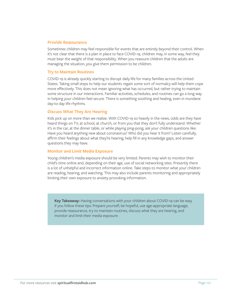#### **Provide Reassurance**

Sometimes children may feel responsible for events that are entirely beyond their control. When it's not clear that there is a plan in place to face COVID-19, children may, in some way, feel they must bear the weight of that responsibility. When you reassure children that the adults are managing the situation, you give them permission to be children.

#### **Try to Maintain Routines**

COVID-19 is already quickly starting to disrupt daily life for many families across the United States. Taking small steps to help our students regain some sort of normalcy will help them cope more effectively. This does not mean ignoring what has occurred, but rather trying to maintain some structure in our interactions. Familiar activities, schedules, and routines can go a long way in helping your children feel secure. There is something soothing and healing, even in mundane day-to-day life rhythms.

#### **Discuss What They Are Hearing**

Kids pick up on more than we realize. With COVID-19 so heavily in the news, odds are they have heard things on TV, at school, at church, or from you that they don't fully understand. Whether it's in the car, at the dinner table, or while playing ping-pong, ask your children questions like: Have you heard anything new about coronavirus? Who did you hear it from? Listen carefully, affirm their feelings about what they're hearing, help fill in any knowledge gaps, and answer questions they may have.

#### **Monitor and Limit Media Exposure**

Young children's media exposure should be very limited. Parents may wish to monitor their child's time online and, depending on their age, use of social networking sites. Presently there is a lot of unhelpful and incorrect information online. Take steps to monitor what your children are reading, hearing, and watching. This may also include parents monitoring and appropriately limiting their own exposure to anxiety-provoking information.

**Key Takeaway:** Having conversations with your children about COVID-19 can be easy if you follow these tips: Prepare yourself, be hopeful, use age-appropriate language, provide reassurance, try to maintain routines, discuss what they are hearing, and monitor and limit their media exposure.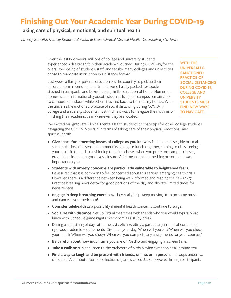### **Finishing Out Your Academic Year During COVID-19**

#### **Taking care of physical, emotional, and spiritual health**

*Tammy Schultz, Mandy Kellums Baraka, & their Clinical Mental Health Counseling students*

Over the last two weeks, millions of college and university students experienced a drastic shift in their academic journey. During COVID-19, for the overall well-being of students, staff, and faculty, many colleges and universities chose to reallocate instruction in a distance format.

Last week, a flurry of parents drove across the country to pick up their children, dorm rooms and apartments were hastily packed, textbooks stashed in backpacks and boxes heading in the direction of home. Numerous domestic and international graduate students living off-campus remain close to campus but indoors while others traveled back to their family homes. With the universally-sanctioned practice of social distancing during COVID-19, college and university students must find new ways to navigate the rhythms of finishing their academic year, wherever they are located.

**WITH THE UNIVERSALLY-SANCTIONED PRACTICE OF SOCIAL DISTANCING DURING COVID-19, COLLEGE AND UNIVERSITY STUDENTS MUST FIND NEW WAYS TO NAVIGATE.** 

We invited our graduate Clinical Mental Health students to share tips for other college students navigating the COVID-19 terrain in terms of taking care of their physical, emotional, and spiritual health.

- **Give space for lamenting losses of college as you knew it.** Name the losses, big or small, such as the loss of a sense of community, going for lunch together, coming to class, seeing your crush in the hall, transitioning to online classes when you prefer on-campus classes, graduation, in-person-goodbyes, closure. Grief means that something or someone was important to you.
- **Students with anxiety concerns are particularly vulnerable to heightened fears.**  Be assured that it is common to feel concerned about this serious emerging health crisis. However, there is a difference between being well-informed and reading the news 24/7. Practice breaking news detox for good portions of the day and allocate limited times for news reviews.
- **Engage in deep breathing exercises.** They really help. Keep moving. Turn on some music and dance in your bedroom!
- **Consider telehealth** as a possibility if mental health concerns continue to surge.
- **Socialize with distance.** Set up virtual mealtimes with friends who you would typically eat lunch with. Schedule game nights over Zoom as a study break.
- During a long string of days at home, **establish routines**, particularly in light of continuing rigorous academic requirements. Divide up your day. When will you eat? When will you check your email? When will you study? When will you complete any assignments for your courses?
- **Be careful about how much time you are on Netflix** and engaging in screen time.
- **Take a walk or run** and listen to the orchestra of birds playing symphonies all around you.
- **Find a way to laugh and be present with friends, online, or in person.** In groups under 10, of course! A computer-based collection of games called Jackbox works through participants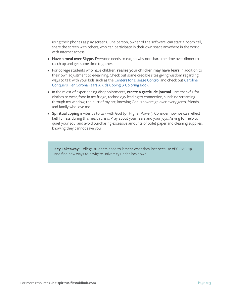using their phones as play screens. One person, owner of the software, can start a Zoom call, share the screen with others, who can participate in their own space anywhere in the world with Internet access.

- **Have a meal over Skype.** Everyone needs to eat, so why not share the time over dinner to catch up and get some time together.
- For college students who have children, **realize your children may have fears** in addition to their own adjustment to e-learning. Check out some credible sites giving wisdom regarding ways to talk with your kids such as the [Centers for Disease Control](https://www.cdc.gov/coronavirus/2019-ncov/daily-life-coping/talking-with-children.html?CDC_AA_refVal=https%3A%2F%2Fwww.cdc.gov%2Fcoronavirus%2F2019-ncov%2Fcommunity%2Fschools-childcare%2Ftalking-with-children.html) and check out Ca[roline](https://alliedhealth.lsuhsc.edu/clinics/docs/CarolineConquersherCoronoaFears31820.pdf)  [Conquers Her Corona Fears A Kids Coping & Coloring Book](https://alliedhealth.lsuhsc.edu/clinics/docs/CarolineConquersherCoronoaFears31820.pdf).
- In the midst of experiencing disappointments, **create a gratitude journal**. I am thankful for clothes to wear, food in my fridge, technology leading to connection, sunshine streaming through my window, the purr of my cat, knowing God is sovereign over every germ, friends, and family who love me.
- **Spiritual coping** invites us to talk with God (or Higher Power). Consider how we can reflect faithfulness during this health crisis. Pray about your fears and your joys. Asking for help to quiet your soul and avoid purchasing excessive amounts of toilet paper and cleaning supplies, knowing they cannot save you.

**Key Takeaway:** College students need to lament what they lost because of COVID-19 and find new ways to navigate university under lockdown.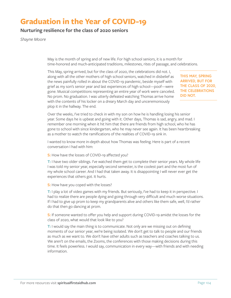### **Graduation in the Year of COVID-19**

#### **Nurturing resilience for the class of 2020 seniors**

*Shayne Moore*

May is the month of spring and of new life. For high school seniors, it is a month for time-honored and much-anticipated traditions, milestones, rites of passage, and celebrations.

This May, spring arrived, but for the class of 2020, the celebrations did not. I, along with all the other mothers of high school seniors, watched in disbelief as the news painfully rolled in about the COVID-19 pandemic, beside myself with grief as my son's senior year and last experiences of high school—poof—were gone. Musical competitions representing an entire year of work were canceled. No prom. No graduation. I was utterly defeated watching Thomas arrive home with the contents of his locker on a dreary March day and unceremoniously plop it in the hallway. The end.

**THIS MAY, SPRING ARRIVED, BUT FOR THE CLASS OF 2020, THE CELEBRATIONS DID NOT.**

Over the weeks, I've tried to check in with my son on how he is handling losing his senior year. Some days he is upbeat and going with it. Other days, Thomas is sad, angry, and mad. I remember one morning when it hit him that there are friends from high school, who he has gone to school with since kindergarten, who he may never see again. It has been heartbreaking as a mother to watch the ramifications of the realities of COVID-19 sink in.

I wanted to know more in-depth about how Thomas was feeling. Here is part of a recent conversation I had with him:

**S:** How have the losses of COVID-19 affected you?

**T:** I have two older siblings. I've watched them get to complete their senior years. My whole life I was told my senior year, especially second semester, is the coolest part and the most fun of my whole school career. And I had that taken away. It is disappointing I will never ever get the experiences that others got. It hurts.

**S:** How have you coped with the losses?

**T:** I play a lot of video games with my friends. But seriously, I've had to keep it in perspective. I had to realize there are people dying and going through very difficult and much worse situations. If I had to give up prom to keep my grandparents alive and others like them safe, well, I'd rather do that then go dancing at prom.

**S:** If someone wanted to offer you help and support during COVID-19 amidst the losses for the class of 2020, what would that look like to you?

**T:** I would say the main thing is to communicate. Not only are we missing out on defining moments of our senior year, we're being isolated. We don't get to talk to people and our friends as much as we want to. We don't have other adults such as teachers and coaches talking to us. We aren't on the emails, the Zooms, the conferences with those making decisions during this time. It feels powerless. I would say, communication in every way—with friends and with needing information.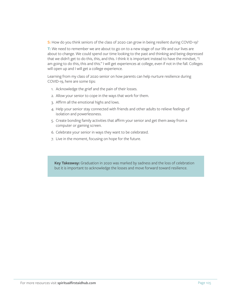**S:** How do you think seniors of the class of 2020 can grow in being resilient during COVID-19?

**T:** We need to remember we are about to go on to a new stage of our life and our lives are about to change. We could spend our time looking to the past and thinking and being depressed that we didn't get to do this, this, and this. I think it is important instead to have the mindset, "I am going to do this, this and this." I will get experiences at college, even if not in the fall. Colleges will open up and I will get a college experience.

Learning from my class of 2020 senior on how parents can help nurture resilience during COVID-19, here are some tips:

- 1. Acknowledge the grief and the pain of their losses.
- 2. Allow your senior to cope in the ways that work for them.
- 3. Affirm all the emotional highs and lows.
- 4. Help your senior stay connected with friends and other adults to relieve feelings of isolation and powerlessness.
- 5. Create bonding family activities that affirm your senior and get them away from a computer or gaming screen.
- 6. Celebrate your senior in ways they want to be celebrated.
- 7. Live in the moment, focusing on hope for the future.

**Key Takeaway:** Graduation in 2020 was marked by sadness and the loss of celebration but it is important to acknowledge the losses and move forward toward resilience.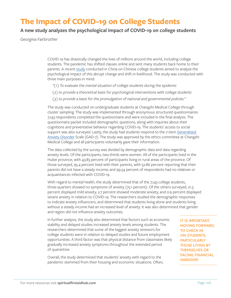### **The Impact of COVID-19 on College Students**

#### **A new study analyzes the psychological impact of COVID-19 on college students**

*Georgina Fairbrother*

COVID-19 has drastically changed the lives of millions around the world, including college students. The pandemic has shifted classes online and sent many students back home to their parents. A recent [study](https://europepmc.org/article/med/32229390) conducted in China on Chinese college students aimed to analyze the psychological impact of this abrupt change and shift in livelihood. The study was conducted with three main purposes in mind:

- *"(1) To evaluate the mental situation of college students during the epidemic*
- *(2) to provide a theoretical basis for psychological interventions with college students*
- *(3) to provide a basis for the promulgation of national and governmental policies."*

The study was conducted on undergraduate students at Changzhi Medical College through cluster sampling. The study was implemented through anonymous structured questionnaires: 7,143 respondents completed the questionnaire and were included in the final analysis. The questionnaire packet included demographic questions, along with inquiries about their cognitions and preventative behavior regarding COVID-19. The students' access to social support was also surveyed. Lastly, the study had students respond to the 7-item Generalized [Anxiety Disorder](https://www.psychologytoday.com/us/conditions/generalized-anxiety-disorder) Scale (GAD-7). The study was approved by the ethics committee at Changzhi Medical College and all participants voluntarily gave their information.

The data collected by the survey was divided by demographic data and data regarding anxiety levels. Of the participants, two-thirds were women. All of the participants lived in the Hubei province, with 43.83 percent of participants living in rural areas of the province. Of those surveyed, 95.4 percent lived with their parents, with 52.86 percent reporting that their parents did not have a steady income; and 99.54 percent of respondents had no relatives or acquaintances infected with COVID-19.

With regard to mental health, the study determined that of the 7,143 college students, three-quarters showed no symptoms of anxiety (75.1 percent). Of the others surveyed, 21.3 percent displayed mild anxiety, 2.7 percent showed moderate anxiety, and 0.9 percent displayed severe anxiety in relation to COVID-19. The researchers studied the demographic responses to indicate anxiety influencers, and determined that students living alone and students living without a steady income had an increased level of anxiety. It was also determined that gender and region did not influence anxiety outcomes.

In further analysis, the study also determined that factors such as economic stability and delayed studies increased anxiety levels among students. The researchers determined that some of the biggest anxiety stressors for college students were in relation to delayed studies and future employment opportunities. A third factor was that physical distance from classmates likely gradually increased anxiety symptoms throughout the extended period of quarantine.

Overall, the study determined that students' anxiety with regard to the pandemic stemmed from their housing and economic situations. Often, **IT IS IMPORTANT, MOVING FORWARD, TO CHECK IN ON STUDENTS, PARTICULARLY THOSE LIVING BY THEMSELVES OR FACING FINANCIAL HARDSHIP.**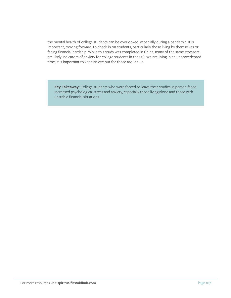the mental health of college students can be overlooked, especially during a pandemic. It is important, moving forward, to check in on students, particularly those living by themselves or facing financial hardship. While this study was completed in China, many of the same stressors are likely indicators of anxiety for college students in the U.S. We are living in an unprecedented time; it is important to keep an eye out for those around us.

**Key Takeaway:** College students who were forced to leave their studies in person faced increased psychological stress and anxiety, especially those living alone and those with unstable financial situations.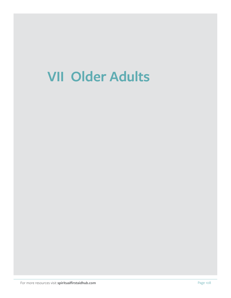## **VII Older Adults**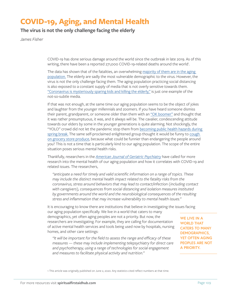# **COVID-19, Aging, and Mental Health**

**The virus is not the only challenge facing the elderly**

*James Fisher*

COVID-19 has done serious damage around the world since the outbreak in late 2019. As of this writing, there have been a reported 271,000 COVID-19-related deaths around the world<sup>1</sup>. .

The data has shown that of the fatalities, an overwhelming majority of them are in the aging [population.](https://www1.nyc.gov/assets/doh/downloads/pdf/imm/covid-19-daily-data-summary-deaths-04152020-1.pdf) The elderly are sadly the most vulnerable demographic to the virus. However, the virus is not the only challenge facing them. The aging population practicing social distancing is also exposed to a constant supply of media that is not overly sensitive towards them. ["Coronavirus is mysteriously sparing kids and killing the elderly,"](https://www.washingtonpost.com/health/2020/03/10/coronavirus-is-mysteriously-sparing-kids-killing-elderly-understanding-why-may-help-defeat-virus/) is just one example of the not-so-subtle media.

If that was not enough, at the same time our aging population seems to be the object of jokes and laughter from the younger millennials and zoomers. If you have heard someone dismiss their parent, grandparent, or someone older than them with an ["OK boomer"](https://www.wsj.com/articles/ok-boomer-a-defining-generation-becomes-a-label-for-irrelevance-11576904461) and thought that it was rather presumptuous, it was, and it always will be. The cavalier, condescending attitude towards our elders by some in the younger generations is quite alarming. Not shockingly, the "YOLO" crowd did not let the pandemic stop them from [becoming public health hazards during](https://www.youtube.com/watch?v=oa4i9Ap6dCg&feature=youtu.be)  [spring break.](https://www.youtube.com/watch?v=oa4i9Ap6dCg&feature=youtu.be) The same self-proclaimed enlightened group thought it would be funny to cough [on grocery store produce](https://www.dailymail.co.uk/news/article-8137915/Police-warn-disturbing-new-social-media-trend-teens-cough-grocery-store-produce.html), because what could be funnier than endangering the people around you? This is not a time that is particularly kind to our aging population. The scope of the entire situation poses serious mental health risks.

Thankfully, researchers in the *[American Journal of Geriatric Psychiatry](https://www.sciencedirect.com/science/article/pii/S1064748120302712?via%3Dihub)* have called for more research into the mental health of our aging population and how it correlates with COVID-19 and related issues. The researchers,

*"anticipate a need for timely and valid scientific information on a range of topics. These may include the distinct mental health impact related to the fatality risks from the coronavirus, stress around behaviors that may lead to contact/infection (including contact with caregivers), consequences from social distancing and isolation measures instituted by governments around the world and the neurobiological consequences of the resulting stress and inflammation that may increase vulnerability to mental health issues."*

It is encouraging to know there are institutions that believe in investigating the issues facing our aging population specifically. We live in a world that caters to many demographics, yet often aging peoples are not a priority. But now, the researchers are investigating. For example, they are calling for documentation of active mental health services and tools being used now by hospitals, nursing homes, and other care settings:

*"It will be important for the field to assess the range and efficacy of these measures — these may include implementing telepsychiatry for direct care and psychotherapy, using a range of technologies for social engagement and measures to facilitate physical activity and nutrition."*

**WE LIVE IN A WORLD THAT CATERS TO MANY DEMOGRAPHICS, YET OFTEN AGING PEOPLES ARE NOT A PRIORITY.**

1 This article was originally published on June 2, 2020. Any statistics cited reflect numbers at that time.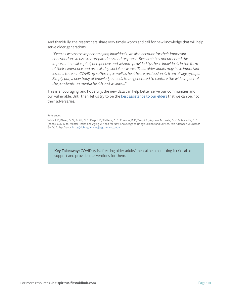And thankfully, the researchers share very timely words and call for new knowledge that will help serve older generations:

*"Even as we assess impact on aging individuals, we also account for their important contributions in disaster preparedness and response. Research has documented the important social capital, perspective and wisdom provided by these individuals in the form of their experience and pre-existing social networks. Thus, older adults may have important*  lessons to teach COVID-19 sufferers, as well as healthcare professionals from all age groups. Simply put, a new body of knowledge needs to be generated to capture the wide impact of *the pandemic on mental health and wellness."*

This is encouraging, and hopefully, the new data can help better serve our communities and our vulnerable. Until then, let us try to be the [best assistance to our elders](https://sojo.net/articles/how-talk-your-aging-parent-about-covid-19-thoughtful-approach-conversations) that we can be, not their adversaries.

#### References

Vahia, I. V., Blazer, D. G., Smith, G. S., Karp, J. F., Steffens, D. C., Forester, B. P., Tampi, R., Agronin, M., Jeste, D. V., & Reynolds, C. F. (2020). COVID-19, Mental Health and Aging: A Need for New Knowledge to Bridge Science and Service. *The American Journal of Geriatric Psychiatry*. [https://doi.org/10.1016/j.jagp.2020.03.007](https://doi.org/10.1016/j.jagp.2020.03.007 )

**Key Takeaway:** COVID-19 is affecting older adults' mental health, making it critical to support and provide interventions for them.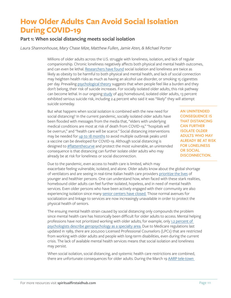# **How Older Adults Can Avoid Social Isolation During COVID-19**

### **Part 1: When social distancing meets social isolation**

*Laura Shannonhouse, Mary Chase Mize, Matthew Fullen, Jamie Aten, & Michael Porter*

Millions of older adults across the U.S. struggle with loneliness, isolation, and lack of regular companionship. Chronic loneliness negatively affects both physical and mental health outcomes, and can even be lethal. [Researchers have found](https://pubmed.ncbi.nlm.nih.gov/25910392/) social isolation and loneliness are twice as likely as obesity to be harmful to both physical and mental health, and lack of social connection may heighten health risks as much as having an alcohol use disorder, or smoking 15 cigarettes per day. Prevailing [psychological theory](https://www.ncbi.nlm.nih.gov/pmc/articles/PMC3130348/) suggests that when people feel like a burden and they don't belong, their risk of suicide increases. For socially isolated older adults, this risk pathway can become lethal. In our ongoing [study](https://news.gsu.edu/2018/10/10/researcher-gets-699362-federal-grant-to-identify-support-older-adults-in-mental-health-distress/) of 493 homebound, isolated older adults, 13 percent exhibited serious suicide risk, including 2.4 percent who said it was "likely" they will attempt suicide someday.

But what happens when social isolation is combined with the new need for social distancing? In the current pandemic, socially isolated older adults have been flooded with messages from the media that, "elders with underlying medical conditions are most at risk of death from COVID-19," "hospitals will be overrun," and "health care will be scarce." Social distancing interventions may be needed for [up to 18 months](https://www.imperial.ac.uk/media/imperial-college/medicine/sph/ide/gida-fellowships/Imperial-College-COVID19-NPI-modelling-16-03-2020.pdf) to avoid multiple outbreak peaks until a vaccine can be developed for COVID-19. Although social distancing is designed to **#flattenthecurve** and protect the most vulnerable, an unintended consequence is that distancing can further isolate older adults who may already be at risk for loneliness or social disconnection.

**AN UNINTENDED CONSEQUENCE IS THAT DISTANCING CAN FURTHER ISOLATE OLDER ADULTS WHO MAY ALREADY BE AT RISK FOR LONELINESS OR SOCIAL DISCONNECTION.**

Due to the pandemic, even access to health care is limited, which may exacerbate feeling vulnerable, isolated, and alone. Older adults know about the global shortage of ventilators and are seeing in real-time Italian health care providers [prioritize the lives](https://www.theatlantic.com/ideas/archive/2020/03/who-gets-hospital-bed/607807/) of younger and healthier persons. One can understand how, when faced with these stark realities, homebound older adults can feel further isolated, hopeless, and in need of mental health services. Even older persons who have been actively engaged with their community are also experiencing isolation since many [senior centers have closed.](https://www.ncoa.org/news/ncoa-news/national-institute-of-senior-centers-news/covid-19-resources-for-senior-centers/) Those normal avenues for socialization and linkage to services are now increasingly unavailable in order to protect the physical health of seniors.

The ensuing mental health strain caused by social distancing only compounds the problem since mental health care has historically been difficult for older adults to access. Mental helping professions have not prioritized working with older adults; for example, only [1.2 percent of](https://www.ncbi.nlm.nih.gov/pmc/articles/PMC6530929/)  [psychologists describe geropsychology as a specialty area.](https://www.ncbi.nlm.nih.gov/pmc/articles/PMC6530929/) Due to Medicare regulations last updated in 1989, there are 200,000 Licensed Professional Counselors (LPCs) that are restricted from working with older adults and people with long-term disabilities, even during the current crisis. The lack of available mental health services means that social isolation and loneliness may persist.

When social isolation, social distancing, and systemic health care restrictions are combined, there are unfortunate consequences for older adults. During the March 19 [AARP tele-town](https://www.aarp.org/health/conditions-treatments/info-2020/tele-town-hall-coronavirus.html)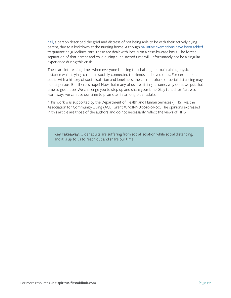[hall,](https://www.aarp.org/health/conditions-treatments/info-2020/tele-town-hall-coronavirus.html) a person described the grief and distress of not being able to be with their actively dying parent, due to a lockdown at the nursing home. Although palliative exemptions have been added to quarantine guidelines care, these are dealt with locally on a case-by-case basis. The forced separation of that parent and child during such sacred time will unfortunately not be a singular experience during this crisis.

These are interesting times when everyone is facing the challenge of maintaining physical distance while trying to remain socially connected to friends and loved ones. For certain older adults with a history of social isolation and loneliness, the current phase of social distancing may be dangerous. But there is hope! Now that many of us are sitting at home, why don't we put that time to good use? We challenge you to step up and share your time. Stay tuned for Part 2 to learn ways we can use our time to promote life among older adults.

\*This work was supported by the Department of Health and Human Services (HHS), via the Association for Community Living (ACL) Grant #: 90INNU0010-01-00. The opinions expressed in this article are those of the authors and do not necessarily reflect the views of HHS.

**Key Takeaway:** Older adults are suffering from social isolation while social distancing, and it is up to us to reach out and share our time.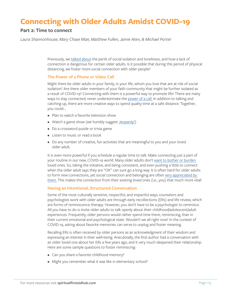# **Connecting with Older Adults Amidst COVID-19**

### **Part 2: Time to connect**

*Laura Shannonhouse, Mary Chase Mize, Matthew Fullen, Jamie Aten, & Michael Porter*

Previously, we [talked about](https://www.psychologytoday.com/us/blog/hope-resilience/202003/covid-19-and-older-adults) the perils of social isolation and loneliness, and how a lack of connection is dangerous for certain older adults. Is it possible that during this period of physical distancing, we foster more social connection with older people?

#### **The Power of a Phone or Video Call**

Might there be older adults in your family, in your life, whom you love that are at risk of social isolation? Are there older members of your faith community that might be further isolated as a result of COVID-19? Connecting with them is a powerful way to promote life! There are many ways to stay connected; never underestimate the [power of a call.](https://www.youtube.com/watch?v=MIa7NRT64us) In addition to talking and catching up, there are more creative ways to spend quality time at a safe distance. Together, you could…

- Plan to watch a favorite television show
- Watch a game show (we humbly suggest [Jeopardy!\)](https://www.nytimes.com/2019/12/04/magazine/jeopardy-alex-trebek-cancer.html)
- Do a crossword puzzle or trivia game
- Listen to music or read a book
- Do any number of creative, fun activities that are meaningful to you and your loved older adult.

It is even more powerful if you schedule a regular time to talk. Make connecting just a part of your routine in our new, COVID-19 world. Many older adults don't [want to bother or burden](https://www.ncbi.nlm.nih.gov/pmc/articles/PMC2825742/) loved ones. So, taking the initiative, and being consistent, and even pushing a little to connect when the older adult says they are "OK" can sure go a long way. It is often hard for older adults to form new connections, yet social connection and belonging are often [very appreciated by](https://www.psychologytoday.com/us/blog/sense-belonging/201906/the-importance-belonging-across-life)  [them.](https://www.psychologytoday.com/us/blog/sense-belonging/201906/the-importance-belonging-across-life) This makes the connection from their existing loved ones (i.e., you) that much more vital!

#### **Having an Intentional, Structured Conversation**

Some of the most culturally sensitive, respectful, and impactful ways counselors and psychologists work with older adults are through early recollections (ERs) and life review, which are forms of reminiscence therapy. However, you don't have to be a psychologist to reminisce. All you have to do is invite older adults to talk openly about their childhood/adolescent/adult experiences. Frequently, older persons would rather spend time there, reminiscing, than in their current emotional and psychological state. Wouldn't we all right now? In the context of COVID-19, asking about favorite memories can serve to unplug and foster meaning.

Recalling ERs is often received by older persons as an acknowledgment of their wisdom and expressing an interest in their well-being. Anecdotally, the first author had a conversation with an older loved one about her ERs a few years ago, and it very much deepened their relationship. Here are some sample questions to foster reminiscing:

- Can you share a favorite childhood memory?
- Might you remember what it was like in elementary school?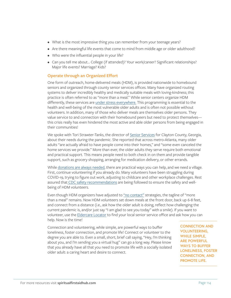- What is the most impressive thing you can remember from your teenage years?
- Are there meaningful life events that come to mind from middle age or older adulthood?
- Who were the influential people in your life?
- Can you tell me about… College (if attended)? Your work/career? Significant relationships? Major life events? Marriage? Kids?

#### **Operate through an Organized Effort**

One form of outreach, home-delivered meals (HDM), is provided nationwide to homebound seniors and organized through county senior services offices. Many have organized routing systems to deliver incredibly healthy and medically suitable meals with loving-kindness; this practice is often referred to as "more than a meal." While senior centers organize HDM differently, these services are [under stress everywhere.](https://www.mealsonwheelsamerica.org/take-action/covid-19-response) This programming is essential to the health and well-being of the most vulnerable older adults and is often not possible without volunteers. In addition, many of those who deliver meals are themselves older persons. They value service to and connection with their homebound peers but need to protect themselves this crisis really has even hindered the most active and able older persons from being engaged in their communities!

We spoke with Tori Strawter-Tanks, the director of [Senior Services](https://www.claytoncountyga.gov/government/senior-services) for Clayton County, Georgia, about their needs during the pandemic. She reported that across metro-Atlanta, many older adults "are actually afraid to have people come into their homes," and "some even canceled the home services we provide." More than ever, the older adults they serve require both emotional and practical support. This means people need to both check in on them and provide tangible support, such as grocery shopping, arranging for medication delivery, or other errands.

While [donations are always needed](https://ams.mealsonwheelsamerica.org/eweb/DynamicPage.aspx?WebCode=globaldonate&site=mowa&CampCode=AnnualCampaign&AplCode=AnnCampWeb&_ga=2.93249885.1702030918.1584732216-1320925575.1584732216), there are practical ways you can help, and we need a village. First, continue volunteering if you already do. Many volunteers have been struggling during COVID-19, trying to figure out work, adjusting to childcare and other workplace challenges. Rest assured tha[t CDC safety recommendations](https://www.cdc.gov/coronavirus/2019-ncov/prevent-getting-sick/prevention.html?CDC_AA_refVal=https%3A%2F%2Fwww.cdc.gov%2Fcoronavirus%2F2019-ncov%2Fneed-extra-precautions%2Fwhat-you-can-do.html) are being followed to ensure the safety and wellbeing of HDM volunteers.

Even though HDM organizers have adjusted to ["no contact"](https://www.mowp.org/2020/03/meals-on-wheels-people-modifies-service-model/) strategies, the tagline of "more than a meal" remains. Now HDM volunteers set down meals at the front door, back up 6-8 feet, and connect from a distance (i.e., ask how the older adult is doing, reflect how challenging the current pandemic is, and/or just say "I am glad to see you today" with a smile). If you want to volunteer, use the [Eldercare Locator](https://eldercare.acl.gov/Public/Index.aspx) to find your local senior service office and ask how you can help. Now is the time!

Connection and volunteering, while simple, are powerful ways to buffer loneliness, foster connection, and promote life! Connect or volunteer to the degree you are able to. Even a small, short, brief call saying, "Hey, I'm thinking about you, and I'm sending you a virtual hug" can go a long way. Please know that you already have all that you need to promote life with a socially isolated older adult: a caring heart and desire to connect.

**CONNECTION AND VOLUNTEERING, WHILE SIMPLE, ARE POWERFUL WAYS TO BUFFER LONELINESS, FOSTER CONNECTION, AND PROMOTE LIFE.**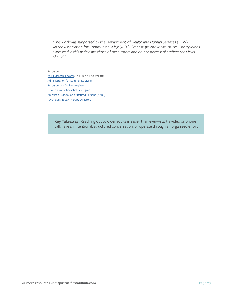*\*This work was supported by the Department of Health and Human Services (HHS), via the Association for Community Living (ACL) Grant #: 90INNU0010-01-00. The opinions expressed in this article are those of the authors and do not necessarily reflect the views of HHS."*

Resources:

[ACL Eldercare Locator](https://eldercare.acl.gov/Public/Index.aspx), Toll-Free: 1-800-677-1116 **[Administration for Community Living](https://acl.gov/COVID-19)** [Resources for family caregivers](https://www.aarp.org/caregiving/) [How to make a household care plan](https://www.cdc.gov/coronavirus/2019-ncov/daily-life-coping/checklist-household-ready.html?CDC_AA_refVal=https%3A%2F%2Fwww.cdc.gov%2Fcoronavirus%2F2019-ncov%2Fdaily-life-coping%2Fget-your-household-ready-for-COVID-19.html) [American Association of Retired Persons \(AARP\)](https://www.aarp.org/) [Psychology Today Therapy Directory](https://www.psychologytoday.com/us/therapists)

> **Key Takeaway:** Reaching out to older adults is easier than ever—start a video or phone call, have an intentional, structured conversation, or operate through an organized effort.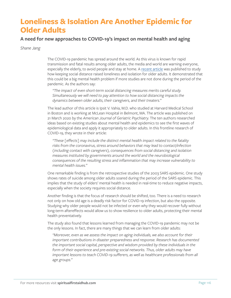# **Loneliness & Isolation Are Another Epidemic for Older Adults**

### **A need for new approaches to COVID-19's impact on mental health and aging**

*Shane Jang*

The COVID-19 pandemic has spread around the world. As this virus is known for rapid transmission and fatal results among older adults, the media and world are warning everyone, especially the elderly, to avoid people and stay at home. A [recent article](https://www.sciencedirect.com/science/article/pii/S1064748120302712?via%3Dihub) was published to study how keeping social distance raised loneliness and isolation for older adults. It demonstrated that this could be a big mental health problem if more studies are not done during the period of the pandemic. As the authors say:

*"The impact of even short-term social distancing measures merits careful study. Simultaneously we will need to pay attention to how social distancing impacts the dynamics between older adults, their caregivers, and their treaters."*

The lead author of this article is Ipsit V. Vahia, M.D. who studied at Harvard Medical School in Boston and is working at McLean Hospital in Belmont, MA. The article was published on 21 March 2020 by the *American Journal of Geriatric Psychiatry.* The ten authors researched ideas based on existing studies about mental health and epidemics to see the first waves of epidemiological data and apply it appropriately to older adults. In this frontline research of COVID-19, they wrote in their article:

*"These [effects] may include the distinct mental health impact related to the fatality risks from the coronavirus, stress around behaviors that may lead to contact/infection (including contact with caregivers), consequences from social distancing and isolation measures instituted by governments around the world and the neurobiological consequences of the resulting stress and inflammation that may increase vulnerability to mental health issues."*

One remarkable finding is from the retrospective studies of the 2003 SARS epidemic. One study shows rates of suicide among older adults soared during the period of the SARS epidemic. This implies that the study of elders' mental health is needed in real-time to reduce negative impacts, especially when the society requires social distance.

Another finding is that the focus of research should be shifted, too. There is a need to research not only on how old age is a deadly risk factor for COVID-19 infection, but also the opposite. Studying why older people would not be infected or even why they would recover fully without long-term aftereffects would allow us to show resilience to older adults, protecting their mental health preventatively.

The study also found that lessons learned from managing the COVID-19 pandemic may not be the only lessons. In fact, there are many things that we can learn from older adults:

*"Moreover, even as we assess the impact on aging individuals, we also account for their important contributions in disaster preparedness and response. Research has documented the important social capital, perspective and wisdom provided by these individuals in the*  form of their experience and pre-existing social networks. Thus, older adults may have *important lessons to teach COVID-19 sufferers, as well as healthcare professionals from all age groups."*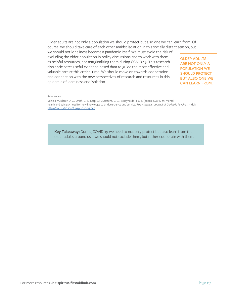Older adults are not only a population we should protect but also one we can learn from. Of course, we should take care of each other amidst isolation in this socially distant season, but

we should not loneliness become a pandemic itself. We must avoid the risk of excluding the older population in policy discussions and to work with them as helpful resources, not marginalizing them during COVID-19. This research also anticipates useful evidence-based data to guide the most effective and valuable care at this critical time. We should move on towards cooperation and connection with the new perspectives of research and resources in this epidemic of loneliness and isolation.

**OLDER ADULTS ARE NOT ONLY A POPULATION WE SHOULD PROTECT BUT ALSO ONE WE CAN LEARN FROM.**

#### References

Vahia, I. V., Blazer, D. G., Smith, G. S., Karp, J. F., Steffens, D. C… & Reynolds III, C. F. (2020). COVID-19, Mental health and aging: A need for new knowledge to bridge science and service. *The American Journal of Geriatric Psychiatry*. doi: <https://doi.org/10.1016/j.jagp.2020.03.007>

**Key Takeaway:** During COVID-19 we need to not only protect but also learn from the older adults around us—we should not exclude them, but rather cooperate with them.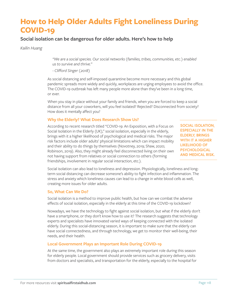# **How to Help Older Adults Fight Loneliness During COVID-19**

### **Social isolation can be dangerous for older adults. Here's how to help**

*Kailin Huang*

*"We are a social species. Our social networks (families, tribes, communities, etc.) enabled us to survive and thrive."*

*- Clifford Singer (2018)*

As social distancing and self-imposed quarantine become more necessary and this global pandemic spreads more widely and quickly, workplaces are urging employees to avoid the office. The COVID-19 outbreak has left many people more alone than they've been in a long time, or ever.

When you stay in place without your family and friends, when you are forced to keep a social distance from all your coworkers, will you feel isolated? Rejected? Disconnected from society? How does it mentally affect you?

#### **Why the Elderly? What Does Research Show Us?**

According to recent research titled "COVID-19: An Exposition, with a Focus on Social Isolation in the Elderly (UK)," social isolation, especially in the elderly, brings with it a higher likelihood of psychological and medical risks. The major risk factors include older adults' physical limitations which can impact mobility and their ability to do things by themselves (Novotney, 2019; Shaw, 2020; Robinson, 2019). Also, they might already feel disconnected living on their own not having support from relatives or social connection to others (forming friendships, involvement in regular social interaction, etc.).

**SOCIAL ISOLATION, ESPECIALLY IN THE ELDERLY, BRINGS WITH IT A HIGHER LIKELIHOOD OF PSYCHOLOGICAL AND MEDICAL RISK.**

Social isolation can also lead to loneliness and depression. Physiologically, loneliness and longterm social distancing can decrease someone's ability to fight infection and inflammation. The stress and anxiety which loneliness causes can lead to a change in white blood cells as well, creating more issues for older adults.

#### **So, What Can We Do?**

Social isolation is a method to improve public health, but how can we combat the adverse effects of social isolation, especially in the elderly at this time of the COVID-19 lockdown?

Nowadays, we have the technology to fight against social isolation, but what if the elderly don't have a smartphone, or they don't know how to use it? The research suggests that technology experts and specialists have innovated varied ways of keeping connected with the isolated elderly. During this social-distancing season, it is important to make sure that the elderly can have social connectedness, and through technology, we get to monitor their well-being, their needs, and their health.

### **Local Government Plays an Important Role During COVID-19**

At the same time, the government also plays an extremely important role during this season for elderly people. Local government should provide services such as grocery delivery, visits from doctors and specialists, and transportation for the elderly, especially to the hospital for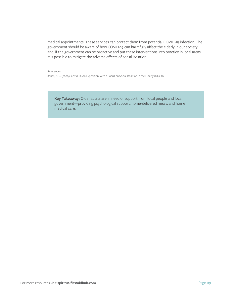medical appointments. These services can protect them from potential COVID-19 infection. The government should be aware of how COVID-19 can harmfully affect the elderly in our society and, if the government can be proactive and put these interventions into practice in local areas, it is possible to mitigate the adverse effects of social isolation.

References

Jones, X. R. (2020). Covid-19: An Exposition, with a Focus on Social Isolation in the Elderly (UK). 10.

**Key Takeaway:** Older adults are in need of support from local people and local government—providing psychological support, home-delivered meals, and home medical care.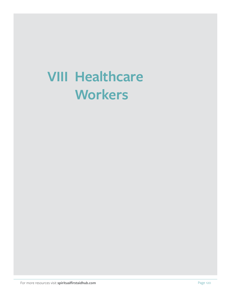# **VIII Healthcare Workers**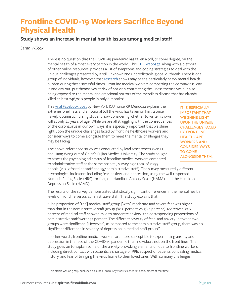# **Frontline COVID-19 Workers Sacrifice Beyond Physical Health**

### **Study shows an increase in mental health issues among medical staff**

*Sarah Wilcox*

There is no question that the COVID-19 pandemic has taken a toll, to some degree, on the mental health of almost every person in the world. This [CDC webpage](https://www.cdc.gov/coronavirus/2019-ncov/daily-life-coping/managing-stress-anxiety.html), along with a plethora of other online resources, provides a list of symptoms and coping strategies to deal with the unique challenges presented by a still unknown and unpredictable global outbreak. There is one group of individuals, however, that [research](https://www.sciencedirect.com/science/article/pii/S0165178120305850) shows may bear a particularly heavy mental health burden during these stressful times. Frontline medical workers combatting the coronavirus, day in and day out, put themselves at risk of not only contracting the illness themselves but also being exposed to the mental and emotional horrors of the merciless disease that has already killed at least 248,000 people in only 6 months<sup>1</sup>. .

This [viral Facebook post](https://www.facebook.com/photo.php?fbid=10216675094816293&set=a.1373217096986&type=3&theater) by New York ICU nurse KP Mendoza explains the extreme loneliness and emotional toll the virus has taken on him, a once naively optimistic nursing student now considering whether to write his own will at only 24 years of age. While we are all struggling with the consequences of the coronavirus in our own ways, it is especially important that we shine light upon the unique challenges faced by frontline healthcare workers and consider ways to come alongside them to meet the mental challenges they may be facing.

The above-referenced study was conducted by lead researchers Wen Lu and Hang Wang out of China's Fujian Medical University. The study sought to assess the psychological status of frontline medical workers compared to administrative staff at the same hospital, surveying a total of 2,299

people (2,042 frontline staff and 257 administrative staff). The survey measured 3 different psychological indicators including fear, anxiety, and depression, using the well-respected Numeric Rating Scale (NRS) for fear, the Hamilton Anxiety Scale (HAMA), and the Hamilton

Depression Scale (HAMD).

The results of the survey demonstrated statistically significant differences in the mental health levels of frontline versus administrative staff. The study explains that:

"The proportion of [the] medical staff group [with] moderate and severe fear was higher than that in the administrative staff group (70.6 percent VS 58.4 percent). Moreover, 22.6 percent of medical staff showed mild to moderate anxiety…the corresponding proportions of administrative staff were 17.1 percent. The different severity of fear…and anxiety…between two groups were significant. [However], as compared to the administrative staff group, there was no significant difference in severity of depression in medical staff group."

In other words, frontline medical workers are more susceptible to experiencing anxiety and depression in the face of the COVID-19 pandemic than individuals not on the front lines. The study goes on to explain some of the anxiety-provoking elements unique to frontline workers, including direct contact with patients, a shortage of PPE, suspect of patients concealing medical history, and fear of bringing the virus home to their loved ones. With so many challenges,

1 This article was originally published on June 6, 2020. Any statistics cited reflect numbers at that time.

**IT IS ESPECIALLY IMPORTANT THAT WE SHINE LIGHT UPON THE UNIQUE CHALLENGES FACED BY FRONTLINE HEALTHCARE WORKERS AND CONSIDER WAYS TO COME ALONGSIDE THEM.**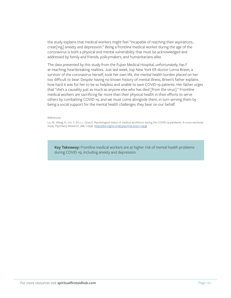the study explains that medical workers might feel "incapable of reaching their aspirations… creat[ing] anxiety and depression." Being a frontline medical worker during the age of the coronavirus is both a physical and mental vulnerability that must be acknowledged and addressed by family and friends, policymakers, and humanitarians alike.

The data presented by this study from the Fujian Medical Hospital, unfortunately, has f ar-reaching, heartbreaking realities. Just last week, top New York ER doctor Lorna Breen, a survivor of the coronavirus herself, took her own life, the mental health burden placed on her too difficult to bear. Despite having no known history of mental illness, Breen's father explains how hard it was for her to be so helpless and unable to save COVID-19 patients. Her father urges that "she's a causality just as much as anyone else who has died [from the virus]." Frontline medical workers are sacrificing far more than their physical health in their efforts to serve others by combatting COVID-19, and we must come alongside them, in turn serving them by being a social support for the mental health challenges they bear on our behalf.

References

Lu, W., Wang, H., Lin, Y., & Li, L. (2020). Psychological status of medical workforce during the COVID-19 pandemic: A cross-sectional study. *Psychiatry Research*, 288, 112936. [https://doi.org/10.1016/j.psychres.2020.112936](https://doi.org/10.1016/j.psychres.2020.112936 )

**Key Takeaway:** Frontline medical workers are at higher risk of mental health problems during COVID-19, including anxiety and depression.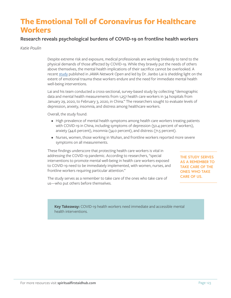# **The Emotional Toll of Coronavirus for Healthcare Workers**

### **Research reveals psychological burdens of COVID-19 on frontline health workers**

*Katie Poulin*

Despite extreme risk and exposure, medical professionals are working tirelessly to tend to the physical demands of those affected by COVID-19. While they bravely put the needs of others above themselves, the mental health implications of their sacrifice cannot be overlooked. A recent [study](https://jamanetwork.com/journals/jamanetworkopen/fullarticle/2763229) published in *JAMA Network Open* and led by Dr. Jianbo Lai is shedding light on the extent of emotional trauma these workers endure and the need for immediate mental health well-being interventions.

Lai and his team conducted a cross-sectional, survey-based study by collecting "demographic data and mental health measurements from 1,257 health care workers in 34 hospitals from January 29, 2020, to February 3, 2020, in China." The researchers sought to evaluate levels of depression, anxiety, insomnia, and distress among healthcare workers.

Overall, the study found:

- High prevalence of mental health symptoms among health care workers treating patients with COVID-19 in China, including symptoms of depression (50.4 percent of workers), anxiety (44.6 percent), insomnia (34.0 percent), and distress (71.5 percent).
- Nurses, women, those working in Wuhan, and frontline workers reported more severe symptoms on all measurements.

These findings underscore that protecting health care workers is vital in addressing the COVID-19 pandemic. According to researchers, "special interventions to promote mental well-being in health care workers exposed to COVID-19 need to be immediately implemented, with women, nurses, and frontline workers requiring particular attention."

**THE STUDY SERVES AS A REMEMBER TO TAKE CARE OF THE ONES WHO TAKE CARE OF US.**

The study serves as a remember to take care of the ones who take care of us—who put others before themselves.

**Key Takeaway:** COVID-19 health workers need immediate and accessible mental health interventions.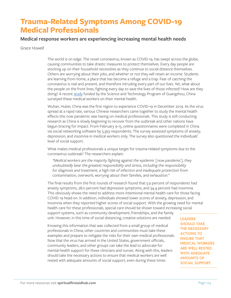# **Trauma-Related Symptoms Among COVID-19 Medical Professionals**

### **Medical response workers are experiencing increasing mental health needs**

*Grace Howell*

The world is on edge. The novel coronavirus, known as COVID-19, has swept across the globe, causing communities to take drastic measures to protect themselves. Every day people are stocking up on their household necessities as they continue to social distance themselves. Others are worrying about their jobs, and whether or not they will retain an income. Students are learning from home, a place that has become a refuge and a trap. Fear of catching the coronavirus is real and present, and therefore intruding every part of our lives. Yet, what about the people on the front lines, fighting every day to save the lives of those infected? How are they doing? A recent [study](https://www.medrxiv.org/content/10.1101/2020.02.23.20026872v2) funded by the Science and Technology Program of Guangzhou, China surveyed these medical workers on their mental health.

Wuhan, Hubei, China was the first region to experience COVID-19 in December 2019. As the virus spread at a rapid rate, various Chinese researchers came together to study the mental health effects this now pandemic was having on medical professionals. This study is still conducting research as China is slowly beginning to recover from the outbreak and other nations have begun bracing for impact. From February 9-15, online questionnaires were completed in China via social networking software by 5,393 respondents. The survey assessed symptoms of anxiety, depression, and insomnia in medical workers only. The survey also questioned the individuals' level of social support.

What makes medical professionals a unique target for trauma-related symptoms due to the coronavirus outbreak? The researchers explain:

*"Medical workers are the majority fighting against the epidemic [now pandemic], they undoubtedly bear the greatest responsibility and stress, including the responsibility for diagnosis and treatment, a high risk of infection and inadequate protection from contamination, overwork, worrying about their families, and exhaustion."*

The final results from the first rounds of research found that 5.9 percent of respondents had anxiety symptoms, 28.0 percent had depressive symptoms, and 34.4 percent had insomnia. This obviously shows the need to address more intentional mental health care for those facing COVID-19 head-on. In addition, individuals showed lower scores of anxiety, depression, and insomnia when they reported higher scores of social support. With the growing need for mental health care for these professionals, special care should be shown toward increasing social support systems, such as community development, friendships, and the family

unit. However, in this time of social distancing, creative solutions are needed.

Knowing this information that was collected from a small group of medical professionals in China, other countries and communities must take these examples and prepare to mitigate the risks for their own medical professionals. Now that the virus has arrived in the United States, government officials, community leaders, and other groups can take the lead to advocate for mental-health support for these clinicians and nurses. Along with this, leaders should take the necessary actions to ensure that medical workers are well rested with adequate amounts of social support, even during these times

**LEADERS SHOULD TAKE THE NECESSARY ACTIONS TO ENSURE THAT MEDICAL WORKERS ARE WELL RESTED WITH ADEQUATE AMOUNTS OF SOCIAL SUPPORT.**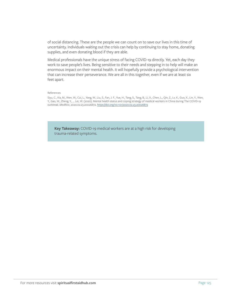of social distancing. These are the people we can count on to save our lives in this time of uncertainty. Individuals waiting out the crisis can help by continuing to stay home, donating supplies, and even donating blood if they are able.

Medical professionals have the unique stress of facing COVID-19 directly. Yet, each day they work to save people's lives. Being sensitive to their needs and stepping in to help will make an enormous impact on their mental health. It will hopefully provide a psychological intervention that can increase their perseverance. We are all in this together, even if we are at least six feet apart.

#### References

Siyu, C., Xia, M., Wen, W., Cui, L., Yang, W., Liu, S., Fan, J. F., Yue, H., Tang, S., Tang, B., Li, X., Chen, L., Qin, Z., Lv, K., Guo, X., Lin, Y., Wen, Y., Gao, W., Zheng, Y., … Lei, W. (2020). Mental health status and coping strategy of medical workers in China during The COVID-19 outbreak. *MedRxiv*, 2020.02.23.20026872. [https://doi.org/10.1101/2020.02.23.20026872](https://doi.org/10.1101/2020.02.23.20026872 )

**Key Takeaway:** COVID-19 medical workers are at a high risk for developing trauma-related symptoms.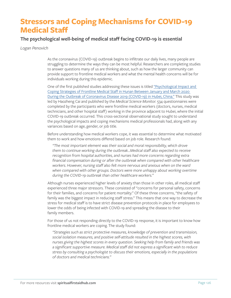# **Stressors and Coping Mechanisms for COVID-19 Medical Staff**

### **The psychological well-being of medical staff facing COVID-19 is essential**

*Logan Penovich*

As the coronavirus (COVID-19) outbreak begins to infiltrate our daily lives, many people are struggling to determine the ways they can be most helpful. Researchers are completing studies to answer questions many of us are thinking about, such as how the larger community can provide support to frontline medical workers and what the mental health concerns will be for individuals working during this epidemic.

One of the first published studies addressing these issues is titled "Psychological Impact and [Coping Strategies of Frontline Medical Staff in Hunan Between January and March 2020](https://www.medscimonit.com/abstract/index/idArt/924171)  [During the Outbreak of Coronavirus Disease 2019 \(COVID-19\) in Hubei, China."](https://www.medscimonit.com/abstract/index/idArt/924171) This study was led by Haozheng Cai and published by the *Medical Science Monitor.* 534 questionnaires were completed by the participants who were frontline medical workers (doctors, nurses, medical technicians, and other hospital staff) working in the province adjacent to Hubei, where the initial COVID-19 outbreak occurred. This cross-sectional observational study sought to understand the psychological impacts and coping mechanisms medical professionals had, along with any variances based on age, gender, or job title.

Before understanding how medical workers cope, it was essential to determine what motivated them to work and how emotions differed based on job role. Research found:

*"The most important element was their social and moral responsibility, which drove them to continue working during the outbreak…Medical staff also expected to receive recognition from hospital authorities, and nurses had more concerns regarding extra financial compensation during or after the outbreak when compared with other healthcare workers. However, nursing staff also felt more nervous and anxious when on the ward when compared with other groups. Doctors were more unhappy about working overtime during the COVID-19 outbreak than other healthcare workers."*

Although nurses experienced higher levels of anxiety than those in other roles, all medical staff experienced three major stressors. These consisted of "concerns for personal safety, concerns for their families, and concerns for patient mortality." Of these three concerns, "the safety of family was the biggest impact in reducing staff stress." This means that one way to decrease the stress for medical staff is to have strict disease prevention protocols in place for employees to lower the odds of being infected with COVID-19 and spreading the disease to their family members.

For those of us not responding directly to the COVID-19 response, it is important to know how frontline medical workers are coping. The study found:

*"Strategies such as strict protective measures, knowledge of prevention and transmission, social isolation measures, and positive self-attitude resulted in the highest scores, with nurses giving the highest scores in every question. Seeking help from family and friends was a significant supportive measure. Medical staff did not express a significant wish to reduce stress by consulting a psychologist to discuss their emotions, especially in the populations of doctors and medical technicians."*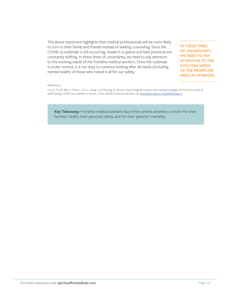The above statement highlights that medical professionals will be more likely to turn to their family and friends instead of seeking counseling. Since the COVID-19 outbreak is still occurring, research is sparse and best practices are constantly shifting. In these times of uncertainty, we need to pay attention to the evolving needs of the frontline medical workers. Once the outbreak is under control, it is our duty to continue looking after all needs (including mental health) of those who risked it all for our safety.

**IN THESE TIMES OF UNCERTAINTY, WE NEED TO PAY ATTENTION TO THE EVOLVING NEEDS OF THE FRONTLINE MEDICAL WORKERS.**

#### References

Cai, H., Tu, B., Ma, J., Chen, L., Fu, L., Jiang, Y., & Zhuang, Q. (2020). Psychological impacts and coping strategies of front-line medical staff during COVID-19 outbreak in Hunan, China. *Medical Science Monitor*, 26. <https://doi.org/10.12659/MSM.924171>

**Key Takeaway:** Frontline medical workers face three central anxieties: concern for their families' health, their personal safety, and for their patients' mortality.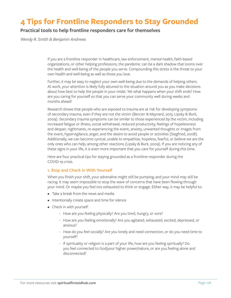# **4 Tips for Frontline Responders to Stay Grounded**

### **Practical tools to help frontline responders care for themselves**

*Wendy R. Smith & Benjamin Andrews*

If you are a frontline responder in healthcare, law enforcement, mental health, faith-based organizations, or other helping professions, the pandemic can be a dark shadow that looms over the health and well-being of the people you serve. Compounding this stress is the threat to your own health and well-being as well as those you love.

Further, it may be easy to neglect your own well-being due to the demands of helping others. At work, your attention is likely fully attuned to the situation around you as you make decisions about how best to help the people in your midst. Yet what happens when your shift ends? How are you caring for yourself so that you can serve your community well during weeks and months ahead?

Research shows that people who are exposed to trauma are at risk for developing symptoms of secondary trauma, even if they are not the victim (Bercier & Maynard, 2015; Lipsky & Burk, 2009). Secondary trauma symptoms can be similar to those experienced by the victim, including increased fatigue or illness, social withdrawal, reduced productivity, feelings of hopelessness and despair, nightmares, re-experiencing the event, anxiety, unwanted thoughts or images from the event, hypervigilance, anger, and the desire to avoid people or activities (Siegfried, 2008). Additionally, we can become cynical, unable to empathize, hopeless, fearful, or believe we are the only ones who can help, among other reactions (Lipsky & Burk, 2009). If you are noticing any of these signs in your life, it is even more important that you care for yourself during this time.

Here are four practical tips for staying grounded as a frontline responder during the COVID-19 crisis.

#### **1. Stop and Check in With Yourself**

When you finish your shift, your adrenaline might still be pumping, and your mind may still be racing. It may seem impossible to stop the wave of concerns that have been flowing through your mind. Or maybe you feel too exhausted to think or engage. Either way, it may be helpful to:

- Take a break from the news and media
- Intentionally create space and time for silence
- Check in with yourself:
	- How are you feeling physically? Are you tired, hungry, or sore?
	- How are you feeling emotionally? Are you agitated, exhausted, excited, depressed, or anxious?
	- How do you feel socially? Are you lonely and need connection, or do you need time to yourself?
	- If spirituality or religion is a part of your life, how are you feeling spiritually? Do you feel connected to God/your higher power/nature, or are you feeling alone and disconnected?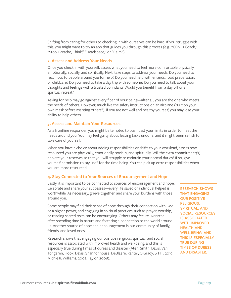Shifting from caring for others to checking in with ourselves can be hard. If you struggle with this, you might want to try an app that guides you through this process (e.g., "COVID Coach," "Stop, Breathe, Think," "Headspace," or "Calm").

#### **2. Assess and Address Your Needs**

Once you check in with yourself, assess what you need to feel more comfortable physically, emotionally, socially, and spiritually. Next, take steps to address your needs. Do you need to reach out to people around you for help? Do you need help with errands, food preparation, or childcare? Do you need to take a day trip with someone? Do you need to talk about your thoughts and feelings with a trusted confidant? Would you benefit from a day off or a spiritual retreat?

Asking for help may go against every fiber of your being—after all, you are the one who meets the needs of others. However, much like the safety instructions on an airplane ("Put on your own mask before assisting others"), if you are not well and healthy yourself, you may lose your ability to help others.

#### **3. Assess and Maintain Your Resources**

As a frontline responder, you might be tempted to push past your limits in order to meet the needs around you. You may feel guilty about leaving tasks undone, and it might seem selfish to take care of yourself.

When you have a choice about adding responsibilities or shifts to your workload, assess how resourced you are physically, emotionally, socially, and spiritually. Will the extra commitment(s) deplete your reserves so that you will struggle to maintain your normal duties? If so, give yourself permission to say "no" for the time being. You can pick up extra responsibilities when you are more resourced.

#### **4. Stay Connected to Your Sources of Encouragement and Hope**

Lastly, it is important to be connected to sources of encouragement and hope. Celebrate and share your successes—every life saved or individual helped is worthwhile. As necessary, grieve together, and share your burdens with those around you.

Some people may find their sense of hope through their connection with God or a higher power, and engaging in spiritual practices such as prayer, worship, or reading sacred texts can be encouraging. Others may feel rejuvenated after spending time in nature and fostering a connection to the world around us. Another source of hope and encouragement is our community of family, friends, and loved ones.

Research shows that engaging our positive religious, spiritual, and social resources is associated with improved health and well-being, and this is especially true during times of duress and disaster (Aten, Smith, Davis, Van Tongeren, Hook, Davis, Shannonhouse, DeBlaere, Ranter, O'Grady, & Hill, 2019; Michie & Williams, 2002; Taylor, 2008).

**RESEARCH SHOWS THAT ENGAGING OUR POSITIVE RELIGIOUS, SPIRITUAL, AND SOCIAL RESOURCES IS ASSOCIATED WITH IMPROVED HEALTH AND WELL-BEING, AND THIS IS ESPECIALLY TRUE DURING TIMES OF DURESS AND DISASTER.**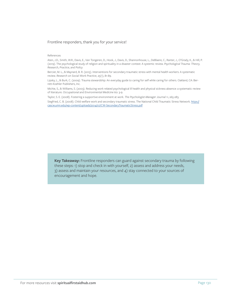#### Frontline responders, thank you for your service!

#### References

Aten, J.D., Smith, W.R., Davis, E., Van Tongeren, D., Hook, J., Davis, D., Shannonhouse, L., DeBlaere, C., Ranter, J., O'Grady, K., & Hill, P. (2019). The psychological study of religion and spirituality in a disaster context: A systemic review. *Psychological Trauma: Theory, Research, Practice, and Policy.* 

Bercier, M. L., & Maynard, B. R. (2015). Interventions for secondary traumatic stress with mental health workers: A systematic review. *Research on Social Work Practice*, 25(1), 81-89.

Lipsky, L., & Burk, C. (2009). Trauma stewardship: An everyday guide to caring for self while caring for others. Oakland, CA: Berrett-Koehler Publishers, Inc.

Michie, S., & Williams, S. (2003). Reducing work related psychological ill health and physical sickness absence: a systematic review of literature. *Occupational and Environmental Medicine* 60: 3-9.

Taylor, S. E. (2008). Fostering a supportive environment at work. *The Psychologist-Manager Journal* 11, 265-283.

Siegfried, C. B. (2008). Child welfare work and secondary traumatic stress. The National Child Traumatic Stress Network. [https://](https://cascw.umn.edu/wp-content/uploads/2014/07/CW-SecondaryTraumaticStress.pdf ) [cascw.umn.edu/wp-content/uploads/2014/07/CW-SecondaryTraumaticStress.pdf](https://cascw.umn.edu/wp-content/uploads/2014/07/CW-SecondaryTraumaticStress.pdf )

**Key Takeaway:** Frontline responders can guard against secondary trauma by following these steps: 1) stop and check in with yourself, 2) assess and address your needs, 3) assess and maintain your resources, and 4) stay connected to your sources of encouragement and hope.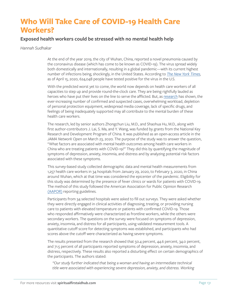# **Who Will Take Care of COVID-19 Health Care Workers?**

### **Exposed health workers could be stressed with no mental health help**

#### *Hannah Sudhakar*

At the end of the year 2019, the city of Wuhan, China, reported a novel pneumonia caused by the coronavirus disease (which has come to be known as COVID-19). The virus spread widely both domestically and internationally, resulting in a global pandemic—with its current highest number of infections being, shockingly, in the United States. According to *The [New York Times](https://www.nytimes.com/2020/03/31/world/coronavirus-live-news-updates.html)*, as of April 15, 2020, 624,048 people have tested positive for the virus in the U.S.

With the predicted worst yet to come, the world now depends on health care workers of all capacities to step up and provide round-the-clock care. They are being rightfully lauded as heroes who have put their lives on the line to serve the afflicted. But, as [research](https://jamanetwork.com/journals/jamanetworkopen/fullarticle/2763229) has shown, the ever-increasing number of confirmed and suspected cases, overwhelming workload, depletion of personal protection equipment, widespread media coverage, lack of specific drugs, and feelings of being inadequately supported may all contribute to the mental burden of these health care workers.

The research, led by senior authors Zhongchun Liu, M.D., and Shaohua Hu, M.D., along with first author-contributors J. Lai, S. Ma, and Y. Wang, was funded by grants from the National Key Research and Development Program of China. It was published as an open-access article in the *JAMA Network Open* on March 23, 2020. The purpose of the study was to answer the question, "What factors are associated with mental health outcomes among health care workers in China who are treating patients with COVID-19?" They did this by quantifying the magnitude of symptoms of depression, anxiety, insomnia, and distress and by analyzing potential risk factors associated with these symptoms.

This survey-based study collected demographic data and mental health measurements from 1,257 health care workers in 34 hospitals from January 29, 2020, to February 3, 2020, in China around Wuhan, which at that time was considered the epicenter of the pandemic. Eligibility for this study was determined by the presence of fever clinics or wards for patients with COVID-19. The method of this study followed the American Association for Public Opinion Research [\(AAPOR\)](https://www.aapor.org/Publications-Media/AAPOR-Journals/Standard-Definitions.aspx) reporting guidelines.

Participants from 34 selected hospitals were asked to fill out surveys. They were asked whether they were directly engaged in clinical activities of diagnosing, treating, or providing nursing care to patients with elevated temperature or patients with confirmed COVID-19. Those who responded affirmatively were characterized as frontline workers, while the others were secondary workers. The questions on the survey were focused on symptoms of depression, anxiety, insomnia, and distress for all participants, using validated measurement tools. A quantitative cutoff score for detecting symptoms was established, and participants who had scores above the cutoff were characterized as having severe symptoms.

The results presented from the research showed that 50.4 percent, 44.6 percent, 34.0 percent, and 71.5 percent of all participants reported symptoms of depression, anxiety, insomnia, and distress, respectively. These results also reported a disturbing effect on certain demographics of the participants. The authors stated:

*"Our study further indicated that being a woman and having an intermediate technical title were associated with experiencing severe depression, anxiety, and distress. Working*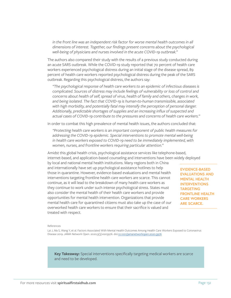in the front line was an independent risk factor for worse mental health outcomes in all *dimensions of interest. Together, our findings present concerns about the psychological well-being of physicians and nurses involved in the acute COVID-19 outbreak."*

The authors also compared their study with the results of a previous study conducted during an acute SARS outbreak. While the COVID-19 study reported that 70 percent of health care workers experienced psychological distress during an initial stage of the disease spread, 89 percent of health care workers reported psychological distress during the peak of the SARS outbreak. Regarding this psychological distress, the authors say:

*"The psychological response of health care workers to an epidemic of infectious diseases is complicated. Sources of distress may include feelings of vulnerability or loss of control and concerns about health of self, spread of virus, health of family and others, changes in work, and being isolated. The fact that COVID-19 is human-to-human transmissible, associated*  with high morbidity, and potentially fatal may intensify the perception of personal danger. *Additionally, predictable shortages of supplies and an increasing influx of suspected and actual cases of COVID-19 contribute to the pressures and concerns of health care workers."*

In order to combat this high prevalence of mental health issues, the authors concluded that:

*"Protecting health care workers is an important component of public health measures for addressing the COVID-19 epidemic. Special interventions to promote mental well-being*  in health care workers exposed to COVID-19 need to be immediately implemented, with *women, nurses, and frontline workers requiring particular attention."*

Amidst this global health crisis, psychological assistance services like telephone-based, internet-based, and application-based counseling and interventions have been widely deployed

by local and national mental health institutions. Many regions both in China and internationally have set up psychological assistance hotlines to help those in quarantine. However, evidence-based evaluations and mental health interventions targeting frontline health care workers are scarce. This cannot continue, as it will lead to the breakdown of many health care workers as they continue to work under such intense psychological stress. States must also consider the mental health of their health care workers and provide opportunities for mental health intervention. Organizations that provide mental health care for quarantined citizens must also take up the case of our overworked health care workers to ensure that their sacrifice is valued and treated with respect.

**EVIDENCE-BASED EVALUATIONS AND MENTAL HEALTH INTERVENTIONS TARGETING FRONTLINE HEALTH CARE WORKERS ARE SCARCE.**

#### References

Lai J, Ma S, Wang Y, et al. Factors Associated With Mental Health Outcomes Among Health Care Workers Exposed to Coronavirus Disease 2019. *JAMA Network Open*. 2020;3(3):e203976. doi[:10.1001/jamanetworkopen.2020.3976](https://jamanetwork.com/journals/jamanetworkopen/fullarticle/2763229)

**Key Takeaway:** Special interventions specifically targeting medical workers are scarce and need to be developed.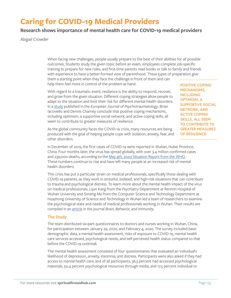# **Caring for COVID-19 Medical Providers**

### **Research shows importance of mental health care for COVID-19 medical providers**

*Abigail Crowder*

When facing new challenges, people usually prepare to the best of their abilities for all possible outcomes. Students study the given topic before an exam, employees complete job-specific training to prepare for new roles, and first-time parents read books or talk to family and friends with experience to have a better-formed view of parenthood. These types of preparation give them a starting point when they face the challenge in front of them and can help them feel more in control of the problem at hand.

With regard to a traumatic event, resilience is the ability to respond, recover, and grow from the given situation. Different coping strategies allow people to adapt to the situation and limit their risk for different mental health disorders. In a [study](https://www.tandfonline.com/doi/full/10.3402/ejpt.v5.23970) published in the *European Journal of Psychotraumatology*, Brian Iacoviello and Dennis Charney conclude that positive coping mechanisms, including optimism, a supportive social network, and active coping skills, all seem to contribute to greater measures of resilience.

As the global community faces the COVID-19 crisis, many resources are being produced with the goal of helping people cope with isolation, anxiety, fear, and other disorders.

**POSITIVE COPING MECHANISMS, INCLUDING OPTIMISM, A SUPPORTIVE SOCIAL NETWORK, AND ACTIVE COPING SKILLS, ALL SEEM TO CONTRIBUTE TO GREATER MEASURES OF RESILIENCE.**

In December of 2019, the first cases of COVID-19 were reported in Wuhan, Hubei Province, China. Four months later, the virus has spread globally, with over 3.4 million confirmed cases and 239,000 deaths, according to the [May 4th, 2020 Situation Report from the WHO.](https://www.who.int/docs/default-source/coronaviruse/situation-reports/20200504-covid-19-sitrep-105.pdf?sfvrsn=4cdda8af_2) These numbers continue to rise and have left many people at an increased risk of mental health disorders.

This crisis has put a particular strain on medical professionals, specifically those dealing with COVID-19 patients, as they work in stressful, isolated, and high-risk situations that can contribute to trauma and psychological distress. To learn more about the mental health impact of the virus on medical professionals, Lijun Kang from the Psychiatry Department at Renmin Hospital of Wuhan University and Simeng Ma from the Computer Science and Technology Department at Huazhong University of Science and Technology in Wuhan led a team of researchers to examine the psychological state and needs of medical professionals working in Wuhan. Their results are compiled in an [article](https://www.sciencedirect.com/science/article/pii/S0889159120303482?via%3Dihub) in the journal *Brain, Behavior, and Immunity*.

#### **The Study**

The team distributed six-part questionnaires to doctors and nurses working in Wuhan, China, for participation between January 29, 2020, and February 4, 2020. The survey included basic demographic data, a mental health assessment, risks of exposure to COVID-19, mental health care services accessed, psychological needs, and self-perceived health status compared to that before the COVID-19 outbreak.

The mental health assessment consisted of four questionnaires that evaluated an individual's likelihood of depression, anxiety, insomnia, and distress. Participants were also asked if they had access to mental health care, and of all participants, 36.3 percent had accessed psychological materials, 50.4 percent psychological resources through media, and 17.5 percent individual or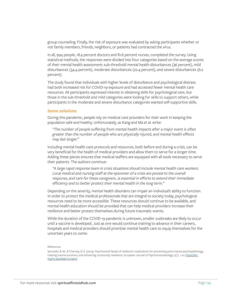group counseling. Finally, the risk of exposure was evaluated by asking participants whether or not family members, friends, neighbors, or patients had contracted the virus.

In all, 994 people, 18.4 percent doctors and 81.6 percent nurses, completed the survey. Using statistical methods, the responses were divided into four categories based on the average scores of their mental health assessment: sub-threshold mental health disturbances (36 percent), mild disturbances (34.4 percent), moderate disturbances (22.4 percent), and severe disturbances (6.2 percent).

The study found that individuals with higher levels of disturbance and psychological distress had both increased risk for COVID-19 exposure and had accessed fewer mental health care resources. All participants expressed interest in obtaining skills for psychological care, but those in the sub-threshold and mild categories were looking for skills to support others, while participants in the moderate and severe disturbance categories wanted self-supportive skills.

#### **Some solutions**

During this pandemic, people rely on medical care providers for their work in keeping the population safe and healthy. Unfortunately, as Kang and Ma et al. write:

*"The number of people suffering from mental health impacts after a major event is often greater than the number of people who are physically injured, and mental health effects may last longer."*

Including mental health care protocols and resources, both before and during a crisis, can be very beneficial for the health of medical providers and allow them to serve for a longer time. Adding these pieces ensures that medical staffers are equipped with all tools necessary to serve their patients. The authors continue:

*"A large rapid response team in crisis situations should include mental health care workers.*  Local medical and nursing staff at the epicenter of a crisis are pivotal to the overall *response, and care for these caregivers…is essential in efforts to extend their immediate efficiency and to better protect their mental health in the long term."*

Depending on the severity, mental health disorders can impair an individual's ability to function. In order to protect the medical professionals that are integral to society today, psychological resources need to be more accessible. These resources should continue to be available, and mental health education should be provided that can help medical providers increase their resilience and better protect themselves during future traumatic events.

While the duration of the COVID-19 pandemic is unknown, smaller outbreaks are likely to occur until a vaccine is developed. Just as one would continue training to advance in their careers, hospitals and medical providers should prioritize mental health care to equip themselves for the uncertain years to come.

#### References

Iacoviello, B. M., & Charney, D. S. (2014). Psychosocial facets of resilience: Implications for preventing post-trauma psychopathology, treating trauma survivors, and enhancing community resilience. *European Journal of Psychotraumatology,* 5(1), 1-10. [https://doi.](https://doi.org/10.3402/ejpt.v5.23970 ) [org/10.3402/ejpt.v5.23970](https://doi.org/10.3402/ejpt.v5.23970 )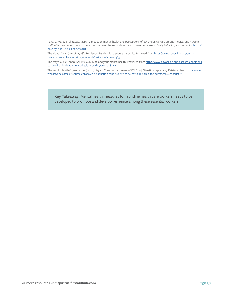Kang, L., Ma, S., et al. (2020, March). Impact on mental health and perceptions of psychological care among medical and nursing staff in Wuhan during the 2019 novel coronavirus disease outbreak: A cross-sectional study. *Brain, Behavior, and Immunity*. [https://](https://doi.org/10.1016/j.bbi.2020.03.028) [doi.org/10.1016/j.bbi.2020.03.028](https://doi.org/10.1016/j.bbi.2020.03.028)

The Mayo Clinic. (2017, May 18). Resilience: Build skills to endure hardship. Retrieved from <u>https://www.mayoclinic.org/tests-</u> [procedures/resilience-training/in-depth/resilience/art-20046311](https://www.mayoclinic.org/tests-procedures/resilience-training/in-depth/resilience/art-20046311)

The Mayo Clinic. (2020, April 2). COVID-19 and your mental health. Retrieved from [https://www.mayoclinic.org/diseases-conditions/](https://www.mayoclinic.org/diseases-conditions/coronavirus/in-depth/mental-health-covid-19/art-20482731 ) [coronavirus/in-depth/mental-health-covid-19/art-20482731](https://www.mayoclinic.org/diseases-conditions/coronavirus/in-depth/mental-health-covid-19/art-20482731 )

The World Health Organization. (2020, May 4). Coronavirus disease (COVID-19): Situation report 105. Retrieved from [https://www.](https://www.who.int/docs/default-source/coronaviruse/situation-reports/20200504-covid-19-sitrep-105.pdf?sfvrsn=4cdda8af_2) [who.int/docs/default-source/coronaviruse/situation-reports/20200504-covid-19-sitrep-105.pdf?sfvrsn=4cdda8af\\_2](https://www.who.int/docs/default-source/coronaviruse/situation-reports/20200504-covid-19-sitrep-105.pdf?sfvrsn=4cdda8af_2)

**Key Takeaway:** Mental health measures for frontline health care workers needs to be developed to promote and develop resilience among these essential workers.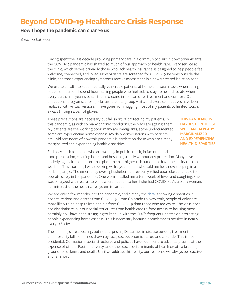# **Beyond COVID-19 Healthcare Crisis Response**

### **How I hope the pandemic can change us**

*Breanna Lathrop*

Having spent the last decade providing primary care in a community clinic in downtown Atlanta, the COVID-19 pandemic has shifted so much of our approach to health care. Every service at the clinic, which serves primarily those who lack health insurance, is designed to help people feel welcome, connected, and loved. Now patients are screened for COVID-19 systems outside the clinic, and those experiencing symptoms receive assessment in a newly created isolation zone.

We use telehealth to keep medically vulnerable patients at home and wear masks when seeing patients in person. I spend hours telling people who feel sick to stay home and isolate when every part of me yearns to tell them to come in so I can offer treatment and comfort. Our educational programs, cooking classes, prenatal group visits, and exercise initiatives have been replaced with virtual versions. I have gone from hugging most of my patients to limited touch, always through a pair of gloves.

These precautions are necessary but fall short of protecting my patients. In this pandemic, as with so many chronic conditions, the odds are against them. My patients are the working poor; many are immigrants, some undocumented; some are experiencing homelessness. My daily conversations with patients are vivid reminders of how this pandemic is hardest on those who are already marginalized and experiencing health disparities.

**THIS PANDEMIC IS HARDEST ON THOSE WHO ARE ALREADY MARGINALIZED AND EXPERIENCING HEALTH DISPARITIES.**

Each day, I talk to people who are working in public transit, in factories and food preparation, cleaning hotels and hospitals, usually without any protection. Many have underlying health conditions that place them at higher risk but do not have the ability to stop working. This morning, I was speaking with a young man who told me he is now sleeping in a parking garage. The emergency overnight shelter he previously relied upon closed, unable to operate safely in the pandemic. One woman called me after a week of fever and coughing. She was paralyzed with fear as to what would happen to her if she had COVID-19. As a black woman, her mistrust of the health care system is earned.

We are only a few months into the pandemic, and already the [data](https://www.cdc.gov/mmwr/volumes/69/wr/mm6915e3.htm?s_cid=mm6915e3_w) is showing disparities in hospitalizations and deaths from COVID-19. From Colorado to New York, people of color are more likely to be hospitalized and die from COVID-19 than those who are white. The virus does not discriminate, but our social structures from health care to food access to housing most certainly do. I have been struggling to keep up with the CDC's frequent updates on protecting people experiencing homelessness. This is necessary because homelessness persists in nearly every U.S. city.

These findings are appalling, but not surprising. Disparities in disease burden, treatment, and mortality fall along lines drawn by race, socioeconomic status, and zip code. This is not accidental. Our nation's social structures and policies have been built to advantage some at the expense of others. Racism, poverty, and other social determinants of health create a breeding ground for sickness and death. Until we address this reality, our response will always be reactive and fall short.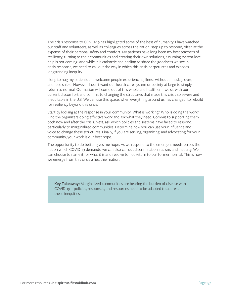The crisis response to COVID-19 has highlighted some of the best of humanity. I have watched our staff and volunteers, as well as colleagues across the nation, step up to respond, often at the expense of their personal safety and comfort. My patients have long been my best teachers of resiliency, turning to their communities and creating their own solutions, assuming system-level help is not coming. And while it is cathartic and healing to share the goodness we see in crisis response, we need to call out the way in which this crisis perpetuates and exposes longstanding inequity.

I long to hug my patients and welcome people experiencing illness without a mask, gloves, and face shield. However, I don't want our health care system or society at large to simply return to normal. Our nation will come out of this whole and healthier if we sit with our current discomfort and commit to changing the structures that made this crisis so severe and inequitable in the U.S. We can use this space, when everything around us has changed, to rebuild for resiliency beyond this crisis.

Start by looking at the response in your community: What is working? Who is doing the work? Find the organizers doing effective work and ask what they need. Commit to supporting them both now and after the crisis. Next, ask which policies and systems have failed to respond, particularly to marginalized communities. Determine how you can use your influence and voice to change these structures. Finally, if you are serving, organizing, and advocating for your community, your work is our best hope.

The opportunity to do better gives me hope. As we respond to the emergent needs across the nation which COVID-19 demands, we can also call out discrimination, racism, and inequity. We can choose to name it for what it is and resolve to not return to our former normal. This is how we emerge from this crisis a healthier nation.

**Key Takeaway:** Marginalized communities are bearing the burden of disease with COVID-19—policies, responses, and resources need to be adapted to address these inequities.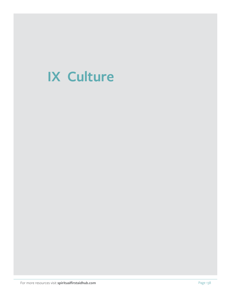# **IX Culture**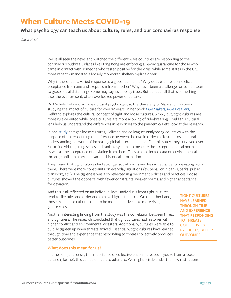# **When Culture Meets COVID-19**

### **What psychology can teach us about culture, rules, and our coronavirus response**

*Dana Krol*

We've all seen the news and watched the different ways countries are responding to the coronavirus outbreak. Places like Hong Kong are enforcing a 14-day quarantine for those who came in contact with someone who tested positive for the virus, while some states in the U.S. more recently mandated a loosely monitored shelter-in-place order.

Why is there such a varied response to a global pandemic? Why does each response elicit acceptance from one and skepticism from another? Why has it been a challenge for some places to grasp social distancing? Some may say it's a policy issue. But beneath all that is something else: the ever-present, often-overlooked power of culture.

Dr. Michele Gelfrand, a cross-cultural psychologist at the University of Maryland, has been studying the impact of culture for over 30 years. In her book *[Rule Makers, Rule Breakers](https://www.michelegelfand.com/rule-makers-rule-breakers)*, Gelfrand explores the cultural concept of tight and loose cultures. Simply put, tight cultures are more rule-oriented while loose cultures are more allowing of rule-breaking. Could this cultural lens help us understand the differences in responses to the pandemic? Let's look at the research.

In one [study](https://digitalcommons.ilr.cornell.edu/articles/1287/) on tight-loose cultures, Gelfrand and colleagues analyzed 33 countries with the purpose of better defining the difference between the two in order to "foster cross-cultural understanding in a world of increasing global interdependence." In this study, they surveyed over 6,000 individuals, using scales and ranking systems to measure the strength of social norms as well as the acceptance of deviating from them. They also collected data on environmental threats, conflict history, and various historical information.

They found that tight cultures had stronger social norms and less acceptance for deviating from them. There were more constraints on everyday situations (ex: behavior in banks, parks, public transport, etc.). The tightness was also reflected in government policies and practices. Loose cultures showed the opposite, with fewer constraints, weaker norms, and higher acceptance for deviation.

And this is all reflected on an individual level. Individuals from tight cultures tend to like rules and order and to have high self-control. On the other hand, those from loose cultures tend to be more impulsive, take more risks, and ignore rules.

Another interesting finding from the study was the correlation between threat and tightness. The research concluded that tight cultures had histories with higher conflict and environmental disasters. Additionally, cultures were able to quickly tighten up when threats arrived. Essentially, tight cultures have learned through time and experience that responding to threats collectively produces better outcomes.

**TIGHT CULTURES HAVE LEARNED THROUGH TIME AND EXPERIENCE THAT RESPONDING TO THREATS COLLECTIVELY PRODUCES BETTER OUTCOMES.**

#### **What does this mean for us?**

In times of global crisis, the importance of collective action increases. If you're from a loose culture (like me), this can be difficult to adjust to. We might bristle under the new restrictions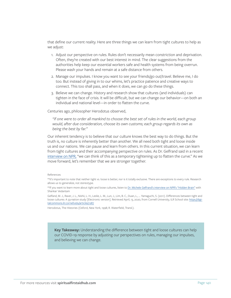that define our current reality. Here are three things we can learn from tight cultures to help as we adjust:

- 1. Adjust our perspective on rules. Rules don't necessarily mean constriction and deprivation. Often, they're created with our best interest in mind. The clear suggestions from the authorities help keep our essential workers safe and health systems from being overrun. Please wash your hands and remain at a safe distance from others.
- 2. Manage our impulses. I know you want to see your friends/go out/travel. Believe me, I do too. But instead of giving in to our whims, let's practice patience and creative ways to connect. This too shall pass, and when it does, we can go do these things.
- 3. Believe we can change. History and research show that cultures (and individuals) can tighten in the face of crisis. It will be difficult, but we can change our behavior—on both an individual and national level—in order to flatten the curve.

Centuries ago, philosopher Herodotus observed,

*"if one were to order all mankind to choose the best set of rules in the world, each group would, after due consideration, choose its own customs; each group regards its own as being the best by far."*

Our inherent tendency is to believe that our culture knows the best way to do things. But the truth is, no culture is inherently better than another. We all need both tight and loose inside us and our nations. We can pause and learn from others. In this current situation, we can learn from tight cultures and their accompanying perspective on rules. As Dr. Gelfrand said in a recent [interview on NPR,](https://www.npr.org/2020/04/06/828257385/playing-tight-and-loose-how-rules-shape-our-lives) "we can think of this as a temporary tightening up to flatten the curve." As we move forward, let's remember that we are stronger together.

References

Herodotus, The Histories (Oxford, New York, 1998; R. Waterfield, Transl.).

**Key Takeaway:** Understanding the difference between tight and loose cultures can help our COVID-19 response by adjusting our perspectives on rules, managing our impulses, and believing we can change.

<sup>\*\*</sup>It's important to note that neither tight vs. loose is better, nor is it totally exclusive. There are exceptions to every rule. Research allows us to generalize, not stereotype.

<sup>\*\*</sup>If you want to learn more about tight and loose cultures, listen to [Dr. Michele Gelfrand's interview on NPR's "Hidden Brain"](https://www.npr.org/2020/04/06/828257385/playing-tight-and-loose-how-rules-shape-our-lives) with Shankar Vedantam

Gelfand, M. J., Raver, J. L., Nishii, L. H., Leslie, L. M., Lun, J., Lim, B. C., Duan, L., … Yamaguchi, S. (2011). Differences between tight and loose cultures: A 33-nation study [Electronic version]. Retrieved April, 13, 2020, from Cornell University, ILR School site: [https://digi](https://digitalcommons.ilr.cornell.edu/articles/1287)[talcommons.ilr.cornell.edu/articles/1287](https://digitalcommons.ilr.cornell.edu/articles/1287)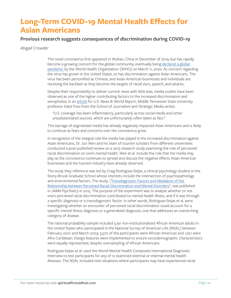# **Long-Term COVID-19 Mental Health Effects for Asian Americans**

### **Previous research suggests consequences of discrimination during COVID-19**

#### *Abigail Crowder*

The novel coronavirus first appeared in Wuhan, China in December of 2019, but has rapidly become a growing concern for the global community, eventually being declared a global [pandemic](https://time.com/5791661/who-coronavirus-pandemic-declaration/) by the World Health Organization (WHO) on March 11, 2020. As concern regarding the virus has grown in the United States, so has discrimination against Asian Americans. The virus has been personified as Chinese, and Asian American businesses and individuals are receiving the backlash as they become the targets of racial slurs, speech, and attacks.

Despite their responsibility to deliver current news with little bias, media outlets have been observed as one of the higher contributing factors to the increased discrimination and xenophobia. In an [article](https://www.usnews.com/news/best-countries/articles/2020-02-07/how-the-global-media-covered-stories-about-the-coronavirus-outbreak) for *U.S. News & World Report*, Middle Tennessee State University professor Katie Foss from the School of Journalism and Strategic Media writes:

*"U.S. coverage has been inflammatory, particularly across social media and other unsubstantiated sources, which are unfortunately often taken as fact."*

This barrage of stigmatized media has already negatively impacted Asian Americans and is likely to continue as fears and concerns over the coronavirus grow.

In recognition of the integral role the media has played in the increased discrimination against Asian Americans, Dr. Jun Wen and his team of tourism scholars from different universities conducted a post-published review on a 2015 research study examining the role of perceived racial discrimination on one's mental health. Wen et al. include the role that the media may play as the coronavirus continues to spread and discuss the negative effects Asian American businesses and the tourism industry have already observed.

The study they reference was led by Craig Rodriguez-Seijas, a clinical psychology student in the Stony Brook Graduate School whose interests include the intersection of psychopathology and environmental factors. The study, "Transdiagnostic Factors and Mediation of the [Relationship between Perceived Racial Discrimination and Mental Disorders",](https://jamanetwork.com/journals/jamapsychiatry/fullarticle/2278024) was published in *JAMA Psychiatry* in 2015. The purpose of the experiment was to analyze whether or not one's perceived racial discrimination contributed to mental health illness, and if it was through a specific diagnosis or a transdiagnostic factor. In other words, Rodriguez-Seijas et al. were investigating whether an encounter of perceived racial discrimination could account for a specific mental illness diagnosis or a generalized diagnosis, one that addresses an overarching category of disease.

The national probability sample included 5,191 non-institutionalized African American adults in the United States who participated in the National Survey of American Life (NSAL) between February 2001 and March 2003; 3,570 of the participants were African American and 1,621 were Afro-Caribbean. Design features were implemented to ensure sociodemographic characteristics were equally represented, despite oversampling of African Americans.

Rodriguez-Seijas et al. used the World Mental Health Composite International Diagnostic Interview to test participants for any of 12 examined external or internal mental health illnesses. The NSAL included nine situations where participants may have experienced racial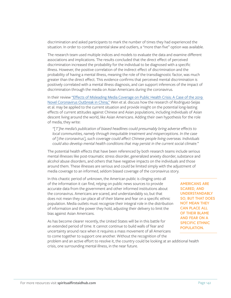discrimination and asked participants to mark the number of times they had experienced the situation. In order to combat potential skew and outliers, a "more than five" option was available.

The research team used multiple indices and models to evaluate the data and examine different associations and implications. The results concluded that the direct effect of perceived discrimination increased the probability for the individual to be diagnosed with a specific illness. However, the positive correlation of the indirect effect of discrimination and the probability of having a mental illness, meaning the role of the transdiagnostic factor, was much greater than the direct effect. This evidence confirms that perceived mental discrimination is positively correlated with a mental illness diagnosis, and can support inferences of the impact of discrimination through the media on Asian Americans during the coronavirus.

In their review ["Effects of Misleading Media Coverage on Public Health Crisis: A Case of the 2019](https://www.tandfonline.com/doi/full/10.1080/13032917.2020.1730621)  [Novel Coronavirus Outbreak in China,"](https://www.tandfonline.com/doi/full/10.1080/13032917.2020.1730621) Wen et al. discuss how the research of Rodriguez-Seijas et al. may be applied to the current situation and provide insight on the potential long-lasting effects of current attitudes against Chinese and Asian populations, including individuals of Asian descent living around the world, like Asian Americans. Adding their own hypothesis for the role of media, they write:

*"[T]he media's publication of biased headlines could presumably bring adverse effects to local communities, namely through inequitable treatment and misperceptions. In the case of [the coronavirus], such coverage could affect Chinese people living overseas. Individuals could also develop mental health conditions that may persist in the current social climate."*

The potential health effects that have been referenced by both research teams include serious mental illnesses like post-traumatic stress disorder, generalized anxiety disorder, substance and alcohol abuse disorders, and others that have negative impacts on the individuals and those around them. These illnesses are serious and could be limited simply with the adjustment of media coverage to an informed, seldom biased coverage of the coronavirus story.

In this chaotic period of unknown, the American public is clinging onto all of the information it can find, relying on public news sources to provide accurate data from the government and other informed institutions about the coronavirus. Americans are scared, and understandably so, but that does not mean they can place all of their blame and fear on a specific ethnic population. Media outlets must recognize their integral role in the distribution of information and the power they hold, adjusting their delivery to limit the bias against Asian Americans.

As has become clearer recently, the United States will be in this battle for an extended period of time. It cannot continue to build walls of fear and uncertainty around race when it requires a mass movement of all Americans to come together to support one another. Without the recognition of the

**AMERICANS ARE SCARED, AND UNDERSTANDABLY SO, BUT THAT DOES NOT MEAN THEY CAN PLACE ALL OF THEIR BLAME AND FEAR ON A SPECIFIC ETHNIC POPULATION.**

problem and an active effort to resolve it, the country could be looking at an additional health crisis, one surrounding mental illness, in the near future.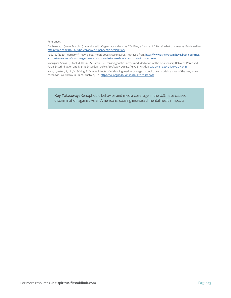#### References

Ducharme, J. (2020, March 11). World Health Organization declares COVID-19 a 'pandemic'. Here's what that means. Retrieved from <https://time.com/5791661/who-coronavirus-pandemic-declaration/>.

Radu, S. (2020, February 7). How global media covers coronavirus. Retrieved from [https://www.usnews.com/news/best-countries/](https://www.usnews.com/news/best-countries/articles/2020-02-07/how-the-global-media-covered-stories-about-the-coronavirus-outbreak) [articles/2020-02-07/how-the-global-media-covered-stories-about-the-coronavirus-outbreak](https://www.usnews.com/news/best-countries/articles/2020-02-07/how-the-global-media-covered-stories-about-the-coronavirus-outbreak).

Rodriguez-Seijas C, Stohl M, Hasin DS, Eaton NR. Transdiagnostic Factors and Mediation of the Relationship Between Perceived Racial Discrimination and Mental Disorders. *JAMA Psychiatry*. 2015;72(7):706–713. doi[:10.1001/jamapsychiatry.2015.0148](https://jamanetwork.com/journals/jamapsychiatry/fullarticle/2278024) Wen, J., Aston, J., Liu, X., & Ying, T. (2020). Effects of misleading media coverage on public health crisis: a case of the 2019 novel coronavirus outbreak in China. Anatolia, 1–6. <https://doi.org/10.1080/13032917.2020.1730621>

**Key Takeaway:** Xenophobic behavior and media coverage in the U.S. have caused discrimination against Asian Americans, causing increased mental health impacts.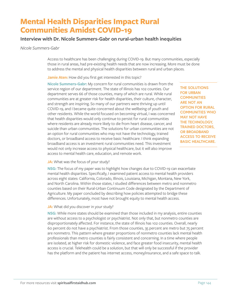# **Mental Health Disparities Impact Rural Communities Amidst COVID-19**

### **Interview with Dr. Nicole Summers-Gabr on rural-urban health inequities**

*Nicole Summers-Gabr*

Access to healthcare has been challenging during COVID-19. But many communities, especially those in rural areas, had pre-existing health needs that are now increasing. More must be done to address the mental and physical health disparities between rural and urban places.

Jamie Aten: How did you first get interested in this topic?

**Nicole Summers-Gabr:** My concern for rural communities is drawn from the service region of our department. The state of Illinois has 102 counties. Our department serves 66 of those counties, many of which are rural. While rural communities are at greater risk for health disparities, their culture, character, and strength are inspiring. So many of our partners were thriving up until COVID-19, and I became quite concerned about the wellbeing of youth and other residents. While the world focused on becoming virtual, I was concerned that health disparities would only continue to persist for rural communities where residents are already more likely to die from heart disease, cancer, and suicide than urban communities. The solutions for urban communities are not an option for rural communities who may not have the technology, trained doctors, or broadband access to receive basic healthcare. I think expanding broadband access is an investment rural communities need. This investment would not only increase access to physical healthcare, but it will also improve access to mental health care, education, and remote work.

**THE SOLUTIONS FOR URBAN COMMUNITIES ARE NOT AN OPTION FOR RURAL COMMUNITIES WHO MAY NOT HAVE THE TECHNOLOGY, TRAINED DOCTORS, OR BROADBAND ACCESS TO RECEIVE BASIC HEALTHCARE.**

#### **JA:** What was the focus of your study?

**NSG:** The focus of my paper was to highlight how changes due to COVID-19 can exacerbate mental health disparities. Specifically, I examined patient access to mental health providers across eight states: California, Colorado, Illinois, Louisiana, Michigan, Montana, New York, and North Carolina. Within those states, I studied differences between metro and nonmetro counties based on their Rural-Urban Continuum Code designated by the Department of Agriculture. My paper concluded by describing how policies attempted to bridge these differences. Unfortunately, most have not brought equity to mental health access.

**JA:** What did you discover in your study?

**NSG:** While more states should be examined than those included in my analysis, entire counties are without access to a psychologist or psychiatrist. Not only that, but nonmetro counties are disproportionately affected. For instance, the state of Illinois has 102 counties. Overall, nearly 60 percent do not have a psychiatrist. From those counties, 35 percent are metro but 75 percent are nonmetro. This pattern where greater proportions of nonmetro counties lack mental health professionals than metro counties is fairly consistent and concerning. In a time where people are isolated, at higher risk for domestic violence, and face greater food insecurity, mental health access is crucial. Telehealth could be a solution, but that will only be successful if the provider has the platform and the patient has internet access, money/insurance, and a safe space to talk.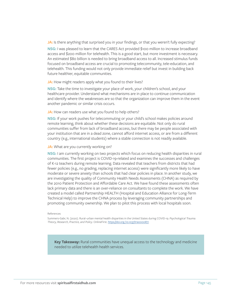**JA:** Is there anything that surprised you in your findings, or that you weren't fully expecting? **NSG:** I was pleased to learn that the CARES Act provided \$100 million to increase broadband access and \$200 million for telehealth. This is a good start, but more investment is necessary. An estimated \$80 billion is needed to bring broadband access to all. Increased stimulus funds focused on broadband access are crucial to promoting telecommunity, tele-education, and telehealth. This funding would not only provide immediate relief but invest in building back future healthier, equitable communities.

#### **JA:** How might readers apply what you found to their lives?

**NSG:** Take the time to investigate your place of work, your children's school, and your healthcare provider. Understand what mechanisms are in place to continue communication and identify where the weaknesses are so that the organization can improve them in the event another pandemic or similar crisis occurs.

#### JA: How can readers use what you found to help others?

**NSG:** If your work pushes for telecommuting or your child's school makes policies around remote learning, think about whether these decisions are equitable. Not only do rural communities suffer from lack of broadband access, but there may be people associated with your institution that are in a dead zone, cannot afford internet access, or are from a different country (e.g., international students) where a stable connection is not readily available.

#### **JA:** What are you currently working on?

**NSG:** I am currently working on two projects which focus on reducing health disparities in rural communities. The first project is COVID-19-related and examines the successes and challenges of K-12 teachers during remote learning. Data revealed that teachers from districts that had fewer policies (e.g., no grading, replacing internet access) were significantly more likely to have moderate or severe anxiety than schools that had clear policies in place. In another study, we are investigating the quality of Community Health Needs Assessments (CHNA) as required by the 2010 Patient Protection and Affordable Care Act. We have found these assessments often lack primary data and there is an over-reliance on consultants to complete the work. We have created a model called Partnership HEALTH (Hospital and Education Alliance for Long-Term Technical Help) to improve the CHNA process by leveraging community partnerships and promoting community ownership. We plan to pilot this process with local hospitals soon.

#### References

Summers-Gabr, N. (2020). Rural–urban mental health disparities in the United States during COVID-19. *Psychological Trauma: Theory, Research, Practice, and Policy*. OnlineFirst. [https://doi.org /10.1037/tra0000871](https://doi.org /10.1037/tra0000871 )

**Key Takeaway:** Rural communities have unequal access to the technology and medicine needed to utilize telehealth health services.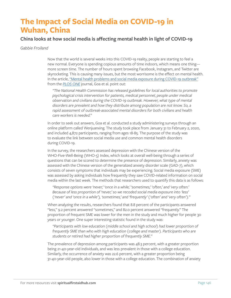# **The Impact of Social Media on COVID-19 in Wuhan, China**

### **China looks at how social media is affecting mental health in light of COVID-19**

#### *Gabbie Froiland*

Now that the world is several weeks into this COVID-19 reality, people are starting to feel a new normal. Everyone is spending copious amounts of time indoors, which means one thing more screen time. The number of hours spent browsing Facebook, Instagram, and Twitter are skyrocketing. This is causing many issues, but the most worrisome is the effect on mental health. In the article, ["Mental health problems and social media exposure during COVID-19 outbreak"](https://journals.plos.org/plosone/article?id=10.1371/journal.pone.0231924) from the *[PLOS ONE](https://journals.plos.org/plosone/)* journal, Goa et al. point out:

*"The National Health Commission has released guidelines for local authorities to promote psychological crisis intervention for patients, medical personnel, people under medical observation and civilians during the COVID-19 outbreak. However, what type of mental disorders are prevalent and how they distribute among population are not know. So, a rapid assessment of outbreak-associated mental disorders for both civilians and health care workers is needed."*

In order to seek out answers, Goa et al. conducted a study administering surveys through an online platform called Wenjuanxing. The study took place from January 31 to February 2, 2020, and included 4,872 participants, ranging from ages 18-85. The purpose of the study was to evaluate the link between social media use and common mental health disorders during COVID-19.

In the survey, the researchers assessed depression with the Chinese version of the WHO-Five-Well-Being (WHO-5) Index, which looks at overall well-being through a series of questions that can be scored to determine the presence of depression. Similarly, anxiety was assessed with the Chinese version of the generalized anxiety disorder scale (GAD-7), which consists of seven symptoms that individuals may be experiencing. Social media exposure (SME) was assessed by asking individuals how frequently they saw COVID-related information on social media within the last week. The methods that researchers used to quantify this data is as follows:

*"Response options were 'never,' 'once in a while,' 'sometimes,' 'often,' and 'very often.' Because of less proportion of 'never,' so we recoded social media exposure into 'less' ('never' and 'once in a while'), 'sometimes,' and 'frequently' ('often' and 'very often')."*

When analyzing the results, researchers found that 8.8 percent of the participants answered "less," 9.2 percent answered "sometimes," and 82.0 percent answered "frequently." The proportion of frequent SME was lower for the men in the study and much higher for people 30 years or younger. One super interesting statistic found in the study was:

*"Participants with low education (middle school and high school) had lower proportion of frequently SME than who with high education (college and master). Participants who are students or retired had higher proportion of frequently SME."*

The prevalence of depression among participants was 48.3 percent, with a greater proportion being 21-40-year-old individuals, and was less prevalent in those with a college education. Similarly, the occurrence of anxiety was 22.6 percent, with a greater proportion being 31-40-year-old people, also lower in those with a college education. The combination of anxiety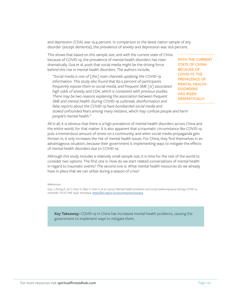and depression (CDA) was 19.4 percent. In comparison to the latest nation sample of any disorder (except dementia), the prevalence of anxiety and depression was 16.6 percent.

This shows that based on this sample size, and with the current state of China because of COVID-19, the prevalence of mental health disorders has risen dramatically. Goa et al. posit that social media might be the driving force behind this rise in mental health disorders. The authors include,

*"Social media is one of [the] main channels updating the COVID-19 information. This study also found that 82.0 percent of participants frequently expose them to social media, and frequent SME [is] associated high odds of anxiety and CDA, which is consistent with previous studies. There may be two reasons explaining the association between frequent SME and mental health. During COVID-19 outbreak, disinformation and false reports about the COVID-19 have bombarded social media and* 

**WITH THE CURRENT STATE OF CHINA BECAUSE OF COVID-19, THE PREVALENCE OF MENTAL HEALTH DISORDERS HAS RISEN DRAMATICALLY.**

*stoked unfounded fears among many netizens, which may confuse people and harm people's mental health."*

All in all, it is obvious that there is a high prevalence of mental health disorders across China and the entire world, for that matter. It is also apparent that a traumatic circumstance like COVID-19 puts a tremendous amount of stress on a community, and when social media propaganda gets thrown in, it only increases the risk of mental health issues. For China, they find themselves in an advantageous situation, because their government is implementing ways to mitigate the effects of mental health disorders due to COVID-19.

Although this study includes a relatively small sample size, it is time for the rest of the world to consider two options. The first one is: How do we start related conversations of mental health in regard to traumatic events? The second one is: What mental health resources do we already have in place that we can utilize during a season of crisis?

References

Gao J, Zheng P, Jia Y, Chen H, Mao Y, Chen S, et al. (2020) Mental health problems and social media exposure during COVID-19 outbreak. *PLOS ONE* 15(4): e0231924. <https://doi.org/10.1371/journal.pone.0231924>

**Key Takeaway:** COVID-19 in China has increased mental health problems, causing the government to implement ways to mitigate them.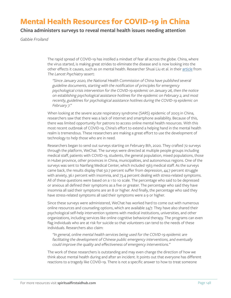# **Mental Health Resources for COVID-19 in China**

### **China administers surveys to reveal mental health issues needing attention**

*Gabbie Froiland*

The rapid spread of COVID-19 has instilled a mindset of fear all across the globe. China, where the virus started, is making great strides to eliminate the disease and is now looking into the other effects it causes, such as on mental health. Researcher Shuai Liu et al. in their [article](https://www.thelancet.com/journals/lanpsy/article/PIIS2215-0366(20)30077-8/fulltext) from *The Lancet Psychiatry* assert:

*"Since January 2020, the National Health Commission of China have published several guideline documents, starting with the notification of principles for emergency psychological crisis intervention for the COVID-19 epidemic on January 26, then the notice on establishing psychological assistance hotlines for the epidemic on February 2, and most recently, guidelines for psychological assistance hotlines during the COVID-19 epidemic on February 7."*

When looking at the severe acute respiratory syndrome (SARS) epidemic of 2003 in China, researchers saw that there was a lack of internet and smartphone availability. Because of this, there was limited opportunity for patrons to access online mental health resources. With this most recent outbreak of COVID-19, China's effort to extend a helping hand in the mental health realm is tremendous. These researchers are making a great effort to use the development of technology to help those who are in need.

Researchers began to send out surveys starting on February 8th, 2020. They crafted 72 surveys through the platform, WeChat. The surveys were directed at multiple people groups including medical staff, patients with COVID-19, students, the general population, mixed populations, those in Hubei province, other provinces in China, municipalities, and autonomous regions. One of the surveys was sent to Nanfang Medical Center, which included 1563 medical staff. As the surveys came back, the results display that 50.7 percent suffer from depression, 44.7 percent struggle with anxiety, 36.1 percent with insomnia, and 73.4 percent dealing with stress-related symptoms. All of these questions were based on a 1 to 10 scale. The percentage who said to be depressed or anxious all defined their symptoms as a five or greater. The percentage who said they have insomnia all said their symptoms are an 8 or higher. And finally, the percentage who said they have stress-related symptoms all said their symptoms were a 9 or higher.

Since these surveys were administered, WeChat has worked hard to come out with numerous online resources and counseling options, which are available 24/7. They have also shared their psychological self-help intervention systems with medical institutions, universities, and other organizations, including services like online cognitive behavioral therapy. The programs can even flag individuals who are at risk for suicide so that volunteers can tend to the needs of these individuals. Researchers also claim:

*"In general, online mental health services being used for the COVID-19 epidemic are facilitating the development of Chinese public emergency interventions, and eventually could improve the quality and effectiveness of emergency interventions."*

The work of these researchers is outstanding and may even change the direction of how we think about mental health during and after an incident. It points out that everyone has different reactions to a tragedy like COVID-19. There is not a specific answer to how to treat someone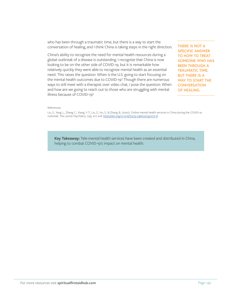who has been through a traumatic time, but there is a way to start the conversation of healing, and I think China is taking steps in the right direction.

China's ability to recognize the need for mental health resources during a global outbreak of a disease is outstanding. I recognize that China is now looking to be on the other side of COVID-19, but it is remarkable how relatively quickly they were able to recognize mental health as an essential need. This raises the question: When is the U.S. going to start focusing on the mental health outcomes due to COVID-19? Though there are numerous ways to still meet with a therapist over video chat, I pose the question: When and how are we going to reach out to those who are struggling with mental illness because of COVID-19?

**THERE IS NOT A SPECIFIC ANSWER TO HOW TO TREAT SOMEONE WHO HAS BEEN THROUGH A TRAUMATIC TIME, BUT THERE IS A WAY TO START THE CONVERSATION OF HEALING.**

#### References

Liu, S., Yang, L., Zhang, C., Xiang, Y.-T., Liu, Z., Hu, S., & Zhang, B. (2020). Online mental health services in China during the COVID-19 outbreak. *The Lancet Psychiatry*, 7(4), e17–e18. [https://doi.org/10.1016/S2215-0366\(20\)30077-8](https://doi.org/10.1016/S2215-0366(20)30077-8)

**Key Takeaway:** Tele-mental health services have been created and distributed in China, helping to combat COVID-19's impact on mental health.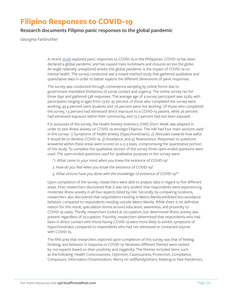# **Filipino Responses to COVID-19**

### **Research documents Filipino panic responses to the global pandemic**

*Georgina Fairbrother*

A recent [study](https://www.researchgate.net/profile/Christian_Jasper_Nicomedes/publication/340081049_An_Analysis_on_the_Panic_of_Filipinos_During_COVID-19_Pandemic_in_the_Philippines/links/5e7606aa299bf1892cfc4dd3/An-Analysis-on-the-Panic-of-Filipinos-During-COVID-19-Pandemic-in-the-Philippines.pdf) explored panic responses to COVID-19 in the Philippines. COVID-19 has been declared a global pandemic and has caused mass lockdowns and closures across the globe. An angle relatively unexplored amidst this global pandemic is the impact of COVID-19 on mental health. The survey conducted was a mixed-method study that gathered qualitative and quantitative data in order to better explore the different dimensions of panic responses.

The survey was conducted through convenience sampling by online forms due to government-mandated limitations of social contact and urgency. The online survey ran for three days and gathered 538 responses. The average age of a survey participant was 23.82, with participants ranging in ages from 13-67. 47 percent of those who completed the survey were working, 45.4 percent were students and 7.6 percent were not working. Of those who completed the survey, 1.3 percent had witnessed direct exposure to a COVID-19 patient, while 26 percent had witnessed exposure within their community, and 72.7 percent had not been exposed.

For purposes of the survey, the Health Anxiety Inventory (HAI) Short Week was adapted in order to test illness anxiety on COVID-19 amongst Filipinos. The HAI had four main sections used in this survey: 1) Symptoms of health anxiety (hypochondriasis), 2) Attitudes towards how awful it would be to develop COVID-19, 3) Avoidance, and 4) Reassurance. Responses to questions answered within these areas were scored on a 0-3 basis, compromising the quantitative portion of the study. To complete the qualitative section of the survey three open-ended questions were used. The open-ended questions used for qualitative purposes in this survey were:

- *"1. What came to your mind when you knew the existence of COVID-19?*
- *2. How do you feel when you know the existence of COVID-19?*
- *3. What actions have you done with the knowledge of existence of COVID-19?"*

Upon completion of the survey, researchers were able to analyze data in regard to five different areas. First, researchers discovered that it was very evident that respondents were experiencing moderate illness anxiety in all four aspects listed by HAI. Secondly, by comparing locations, researchers also discovered that respondents residing in Metro Manila exhibited less avoidance behavior compared to respondents residing outside Metro Manila. While there is no definitive reason for this result, speculation looms around education, awareness, and proximity to COVID-19 cases. Thirdly, researchers looked at occupation, but determined illness anxiety was present regardless of occupation. Fourthly, researchers determined that respondents who had been in direct contact with those having COVID-19 were more likely to exhibit symptoms of hypochondriasis compared to respondents who had not witnessed or contacted anyone with COVID-19.

The fifth area that researchers explored upon completion of this survey was that of feeling, thinking, and behavior in response to COVID-19. Nineteen different themes were ranked by 100 experts based on their positivity and negativity. The themes included items such as the following: Health Consciousness, Optimism, Cautiousness, Protection, Compliance, Composure, Information Dissemination, Worry on self/family/others, Relating to Past Pandemics,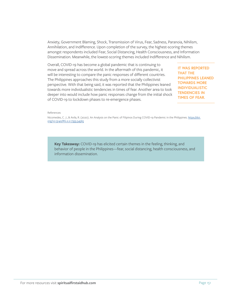Anxiety, Government Blaming, Shock, Transmission of Virus, Fear, Sadness, Paranoia, Nihilism, Annihilation, and Indifference. Upon completion of the survey, the highest-scoring themes amongst respondents included Fear, Social Distancing, Health Consciousness, and Information Dissemination. Meanwhile, the lowest-scoring themes included Indifference and Nihilism.

Overall, COVID-19 has become a global pandemic that is continuing to move and spread across the world. In the aftermath of this pandemic, it will be interesting to compare the panic responses of different countries. The Philippines approaches this study from a more socially collectivist perspective. With that being said, it was reported that the Philippines leaned towards more individualistic tendencies in times of fear. Another area to look deeper into would include how panic responses change from the initial shock of COVID-19 to lockdown phases to re-emergence phases.

**IT WAS REPORTED THAT THE PHILIPPINES LEANED TOWARDS MORE INDIVIDUALISTIC TENDENCIES IN TIMES OF FEAR.**

References

Nicomedes, C. J., & Avila, R. (2020). An Analysis on the Panic of Filipinos During COVID-19 Pandemic in the Philippines. [https://doi.](https://doi.org/10.13140/RG.2.2.17355.54565) [org/10.13140/RG.2.2.17355.54565](https://doi.org/10.13140/RG.2.2.17355.54565)

**Key Takeaway:** COVID-19 has elicited certain themes in the feeling, thinking, and behavior of people in the Philippines—fear, social distancing, health consciousness, and information dissemination.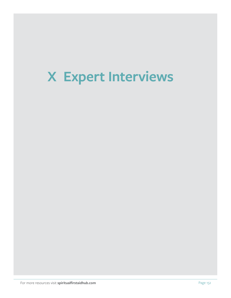# **X Expert Interviews**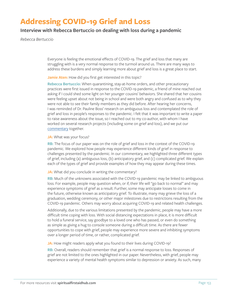# **Addressing COVID-19 Grief and Loss**

### **Interview with Rebecca Bertuccio on dealing with loss during a pandemic**

*Rebecca Bertuccio*

Everyone is feeling the emotional effects of COVID-19. The grief and loss that many are struggling with is a very normal response to the turmoil around us. There are many ways to address these burdens and simply learning more about grief and loss is a great place to start.

#### Jamie Aten: How did you first get interested in this topic?

**Rebecca Bertuccio:** When quarantining, stay-at-home orders, and other precautionary practices were first issued in response to the COVID-19 pandemic, a friend of mine reached out asking if I could shed some light on her younger cousins' behaviors. She shared that her cousins were feeling upset about not being in school and were both angry and confused as to why they were not able to see their family members as they did before. After hearing her concerns, I was reminded of Dr. Pauline Boss' research on ambiguous loss and contemplated the role of grief and loss in people's responses to the pandemic. I felt that it was important to write a paper to raise awareness about the issue, so I reached out to my co-author, with whom I have worked on several research projects (including some on grief and loss), and we put our [commentary](https://psycnet.apa.org/fulltext/2020-37338-001.html) together.

#### **JA:** What was your focus?

**RB:** The focus of our paper was on the role of grief and loss in the context of the COVID-19 pandemic. We explored how people may experience different kinds of grief in response to challenges presented by the pandemic. In our commentary, we highlighted three different types of grief, including (a) ambiguous loss, (b) anticipatory grief, and (c) complicated grief. We explain each of the types of grief and provide examples of how they may appear during these times.

#### **JA:** What did you conclude in writing the commentary?

**RB:** Much of the unknowns associated with the COVID-19 pandemic may be linked to ambiguous loss. For example, people may question when, or if, their life will "go back to normal" and may experience symptoms of grief as a result. Further, some may anticipate losses to come in the future, otherwise known as anticipatory grief. To illustrate, many may grieve the loss of a graduation, wedding ceremony, or other major milestones due to restrictions resulting from the COVID-19 pandemic. Others may worry about acquiring COVID-19 and related health challenges.

Additionally, due to the various limitations presented by the pandemic, people may have a more difficult time coping with loss. With social distancing expectations in place, it is more difficult to hold a funeral service, say goodbye to a loved one who has passed, or even do something as simple as giving a hug to console someone during a difficult time. As there are fewer opportunities to cope with grief, people may experience more severe and inhibiting symptoms over a longer period of time, or rather, complicated grief.

**JA:** How might readers apply what you found to their lives during COVID-19?

**RB:** Overall, readers should remember that grief is a normal response to loss. Responses of grief are not limited to the ones highlighted in our paper. Nevertheless, with grief, people may experience a variety of mental health symptoms similar to depression or anxiety. As such, many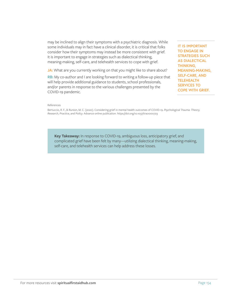may be inclined to align their symptoms with a psychiatric diagnosis. While some individuals may in fact have a clinical disorder, it is critical that folks consider how their symptoms may instead be more consistent with grief. It is important to engage in strategies such as dialectical thinking, meaning-making, self-care, and telehealth services to cope with grief.

**JA:** What are you currently working on that you might like to share about?

**RB:** My co-author and I are looking forward to writing a follow-up piece that will help provide additional guidance to students, school professionals, and/or parents in response to the various challenges presented by the COVID-19 pandemic.

**IT IS IMPORTANT TO ENGAGE IN STRATEGIES SUCH AS DIALECTICAL THINKING, MEANING-MAKING, SELF-CARE, AND TELEHEALTH SERVICES TO COPE WITH GRIEF.**

#### References

Bertuccio, R. F., & Runion, M. C. (2020). Considering grief in mental health outcomes of COVID-19. *Psychological Trauma: Theory, Research, Practice, and Policy.* Advance online publication. https://doi.org/10.1037/tra0000723

**Key Takeaway:** In response to COVID-19, ambiguous loss, anticipatory grief, and complicated grief have been felt by many—utilizing dialectical thinking, meaning-making, self-care, and telehealth services can help address these losses.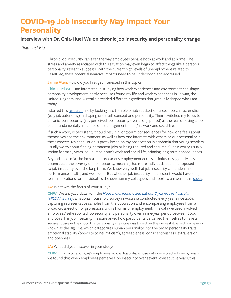# **COVID-19 Job Insecurity May Impact Your Personality**

### **Interview with Dr. Chia-Huei Wu on chronic job insecurity and personality change**

*Chia-Huei Wu*

Chronic job insecurity can alter the way employees behave both at work and at home. The stress and anxiety associated with this situation may even begin to affect things like a person's personality, research suggests. With the current high levels of unemployment related to COVID-19, these potential negative impacts need to be understood and addressed.

**Jamie Aten:** How did you first get interested in this topic?

**Chia-Huei Wu:** I am interested in studying how work experiences and environment can shape personality development, partly because I found my life and work experiences in Taiwan, the United Kingdom, and Australia provided different ingredients that gradually shaped who I am today.

I started this [research](ttps://scholar.google.com/citations?user=6Fum_YMAAAAJ&hl) line by looking into the role of job satisfaction and/or job characteristics (e.g., job autonomy) in shaping one's self-concept and personality. Then I switched my focus to chronic job insecurity (i.e., perceived job insecurity over a long period) as the fear of losing a job could fundamentally influence one's engagement in her/his work and social life.

If such a worry is persistent, it could result in long-term consequences for how one feels about themselves and the environment, as well as how one interacts with others or our personality in these aspects. My speculation is partly based on my observation in academia that young scholars usually worry about finding permanent jobs or being tenured and secured. Such a worry, usually lasting for many years, could impair one's work and social life, bringing long-term consequences.

Beyond academia, the increase of precarious employment across all industries, globally, has accentuated the severity of job insecurity, meaning that more individuals could be exposed to job insecurity over the long term. We know very well that job insecurity can undermine performance, health, and well-being. But whether job insecurity, if persistent, would have long term implications for individuals is the question my colleagues and I seek to answer in this [study](https://doi.apa.org/fulltext/2020-13122-001.html).

**JA:** What was the focus of your study?

**CHW:** We analyzed data from the *[Household, Income and Labour Dynamics in Australia](https://melbourneinstitute.unimelb.edu.au/hilda)  [\(HILDA\) Survey](https://melbourneinstitute.unimelb.edu.au/hilda)*, a national household survey in Australia conducted every year since 2001, capturing representative samples from the population and encompassing employees from a broad cross-section of professions with all forms of employment. The data we used involved employees' self-reported job security and personality over a nine-year period between 2005 and 2013. The job insecurity measure asked how participants perceived themselves to have a secure future in their job. The personality measure was based on the well-established framework known as the Big Five, which categorizes human personality into five broad personality traits: emotional stability (opposite to neuroticism), agreeableness, conscientiousness, extraversion, and openness.

#### **JA:** What did you discover in your study?

**CHW:** From a total of 1,046 employees across Australia whose data were tracked over 9 years, we found that when employees perceived job insecurity over several consecutive years, this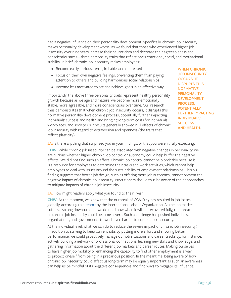had a negative influence on their personality development. Specifically, chronic job insecurity makes personality development worse, as we found that those who experienced higher job insecurity over nine years increase their neuroticism and decrease their agreeableness and conscientiousness—three personality traits that reflect one's emotional, social, and motivational stability. In brief, chronic job insecurity makes employees:

- Become easily anxious, tense, irritable, and depressed
- Focus on their own negative feelings, preventing them from paying attention to others and building harmonious social relationships
- Become less motivated to set and achieve goals in an effective way.

Importantly, the above three personality traits represent healthy personality growth because as we age and mature, we become more emotionally stable, more agreeable, and more conscientious over time. Our research thus demonstrates that when chronic job insecurity occurs, it disrupts this normative personality development process, potentially further impacting individuals' success and health and bringing long-term costs for individuals, workplaces, and society. Our results generally showed null effects of chronic job insecurity with regard to extraversion and openness (the traits that reflect plasticity).

**WHEN CHRONIC JOB INSECURITY OCCURS, IT DISRUPTS THIS NORMATIVE PERSONALITY DEVELOPMENT PROCESS, POTENTIALLY FURTHER IMPACTING INDIVIDUALS' SUCCESS AND HEALTH.** 

**JA:** Is there anything that surprised you in your findings, or that you weren't fully expecting?

**CHW:** While chronic job insecurity can be associated with negative changes in personality, we are curious whether higher chronic job control or autonomy could help buffer the negative effects. We did not find such an effect. Chronic job control cannot help probably because it is a resource for employees to determine their tasks and work activities, which cannot help employees to deal with issues around the sustainability of employment relationships. This null finding suggests that better job design, such as offering more job autonomy, cannot prevent the negative impact of chronic job insecurity. Practitioners should thus be aware of their approaches to mitigate impacts of chronic job insecurity.

**JA:** How might readers apply what you found to their lives?

**CHW:** At the moment, we know that the outbreak of COVID-19 has resulted in job losses globally, according to a [report](https://www.ilo.org/global/about-the-ilo/newsroom/news/WCMS_743036/lang--en/index.htm) by the International Labour Organization. As the job market suffers a strong downturn and we do not know when it will be recovered fully, the threat of chronic job insecurity could become severe. Such a challenge has pushed individuals, organizations, and governments to work even harder to combat job insecurity.

At the individual level, what we can do to reduce the severe impact of chronic job insecurity? In addition to striving to keep current jobs by putting more effort and showing better performance, we could proactively manage our job situations and career tracks by, for instance, actively building a network of professional connections, learning new skills and knowledge, and gathering information about the different job markets and career routes. Making ourselves to have higher job mobility or enhancing the capability to find other employment is a way to protect oneself from being in a precarious position. In the meantime, being aware of how chronic job insecurity could affect us long-term may be equally important as such an awareness can help us be mindful of its negative consequences and find ways to mitigate its influence.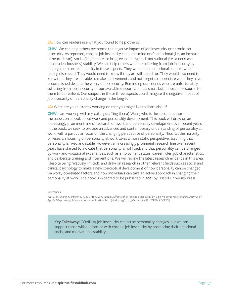**JA:** How can readers use what you found to help others?

**CHW:** We can help others overcome the negative impact of job insecurity or chronic job insecurity. As reported, chronic job insecurity can undermine one's emotional (i.e., an increase of neuroticism), social (i.e., a decrease in agreeableness), and motivational (i.e., a decrease in conscientiousness) stability. We can help others who are suffering from job insecurity by helping them protect stability in these aspects. They would need emotional support when feeling distressed. They would need to know if they are still cared for. They would also need to know that they are still able to make achievements and not forget to appreciate what they have accomplished despite the worry of job security. Reminding our friends who are unfortunately suffering from job insecurity of our available support can be a small, but important resource for them to be resilient. Our support in those three aspects could mitigate the negative impact of job insecurity on personality change in the long run.

#### JA: What are you currently working on that you might like to share about?

**CHW:** I am working with my colleague, Ying (Lena) Wang, who is the second author of the paper, on a book about work and personality development. This book will draw on an increasingly prominent line of research on work and personality development over recent years. In the book, we seek to provide an advanced and contemporary understanding of personality at work, with a particular focus on the changing perspective of personality. Thus far, the majority of research focusing on personality at work takes a more static perspective, assuming that personality is fixed and stable. However, an increasingly prominent research line over recent years have started to indicate that personality is not fixed, and that personality can be changed by work and vocational experiences, such as employment status, career roles, job characteristics, and deliberate training and interventions. We will review the latest research evidence in this area (despite being relatively limited), and draw on research in other relevant fields such as social and clinical psychology to make a new conceptual development of how personality can be changed via work, job-related factors and how individuals can take an active approach in changing their personality at work. The book is expected to be published in 2021 by Bristol University Press.

#### References

Wu, C.-H., Wang, Y., Parker, S. K., & Griffin, M. A. (2020). Effects of chronic job insecurity on Big Five personality change. *Journal of Applied Psychology.* Advance online publication. http://dx.doi.org/10.1037/apl0000488 [OPEN ACCESS].

**Key Takeaway:** COVID-19 job insecurity can cause personality changes, but we can support those without jobs or with chronic job insecurity by promoting their emotional, social, and motivational stability.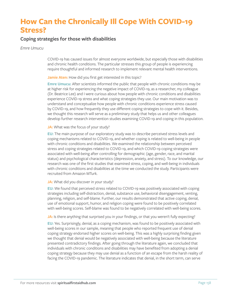# **How Can the Chronically Ill Cope With COVID-19 Stress?**

### **Coping strategies for those with disabilities**

#### *Emre Umucu*

COVID-19 has caused issues for almost everyone worldwide, but especially those with disabilities and chronic health conditions. The particular stresses this group of people is experiencing require thoughtful and informed research to implement relevant mental health interventions.

#### **Jamie Aten:** How did you first get interested in this topic?

**Emre Umucu:** After scientists informed the public that people with chronic conditions may be at higher risk for experiencing the negative impact of COVID-19, as a researcher, my colleague (Dr. Beatrice Lee) and I were curious about how people with chronic conditions and disabilities experience COVID-19 stress and what coping strategies they use. Our main motivation was to understand and conceptualize how people with chronic conditions experience stress caused by COVID-19, and how frequently they use different coping strategies to cope with it. Besides, we thought this research will serve as a preliminary study that helps us and other colleagues develop further research intervention studies examining COVID-19 and coping in this population.

#### **JA:** What was the focus of your study?

**EU:** The main purpose of our exploratory study was to describe perceived stress levels and coping mechanisms related to COVID-19, and whether coping is related to well-being in people with chronic conditions and disabilities. We examined the relationship between perceived stress and coping strategies related to COVID-19, and which COVID-19 coping strategies were associated with well-being after controlling for demographic (age, gender, race, and marital status) and psychological characteristics (depression, anxiety, and stress). To our knowledge, our research was one of the first studies that examined stress, coping, and well-being in individuals with chronic conditions and disabilities at the time we conducted the study. Participants were recruited from Amazon MTurk.

#### **JA:** What did you discover in your study?

**EU:** We found that perceived stress related to COVID-19 was positively associated with coping strategies including self-distraction, denial, substance use, behavioral disengagement, venting, planning, religion, and self-blame. Further, our results demonstrated that active coping, denial, use of emotional support, humor, and religion coping were found to be positively correlated with well-being scores. Self-blame was found to be negatively correlated with well-being scores.

**JA:** Is there anything that surprised you in your findings, or that you weren't fully expecting?

**EU:** Yes. Surprisingly, denial, as a coping mechanism, was found to be positively associated with well-being scores in our sample, meaning that people who reported frequent use of denial coping strategy endorsed higher scores on well-being. This was a highly surprising finding given we thought that denial would be negatively associated with well-being because the literature presented contradictory findings. After going through the literature again, we concluded that individuals with chronic conditions and disabilities may have benefited from adopting a denial coping strategy because they may use denial as a function of an escape from the harsh reality of facing the COVID-19 pandemic. The literature indicates that denial, in the short term, can serve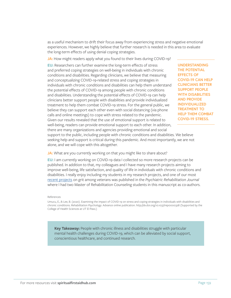as a useful mechanism to drift their focus away from experiencing stress and negative emotional experiences. However, we highly believe that further research is needed in this area to evaluate the long-term effects of using denial coping strategies.

JA: How might readers apply what you found to their lives during COVID-19?

**EU:** Researchers can further examine the long-term effects of stress and preferred coping strategies on well-being in individuals with chronic conditions and disabilities. Regarding clinicians, we believe that measuring and conceptualizing COVID-19-related stress and coping strategies in individuals with chronic conditions and disabilities can help them understand the potential effects of COVID-19 among people with chronic conditions and disabilities. Understanding the potential effects of COVID-19 can help clinicians better support people with disabilities and provide individualized treatment to help them combat COVID-19 stress. For the general public, we believe they can support each other even with social distancing (via phone calls and online meetings) to cope with stress related to the pandemic. Given our results revealed that the use of emotional support is related to well-being, readers can provide emotional support to each other. In addition, there are many organizations and agencies providing emotional and social

**UNDERSTANDING THE POTENTIAL EFFECTS OF COVID-19 CAN HELP CLINICIANS BETTER SUPPORT PEOPLE WITH DISABILITIES AND PROVIDE INDIVIDUALIZED TREATMENT TO HELP THEM COMBAT COVID-19 STRESS.**

support to the public, including people with chronic conditions and disabilities. We believe seeking help and support is critical during this pandemic. And most importantly, we are not alone, and we will cope with this altogether.

#### **JA:** What are you currently working on that you might like to share about?

**EU:** I am currently working on COVID-19 data I collected so more research projects can be published. In addition to that, my colleagues and I have many research projects aiming to improve well-being, life satisfaction, and quality of life in individuals with chronic conditions and disabilities. I really enjoy including my students in my research projects, and one of our most [recent projects](https://www.researchgate.net/publication/341146786_Measuring_grit_in_veterans_with_mental_illnesses_Examining_the_model_structure_of_grit ) on grit among veterans was published in the *Psychiatric Rehabilitation Journal*  where I had two Master of Rehabilitation Counseling students in this manuscript as co-authors.

#### References

Umucu, E., & Lee, B. (2020). Examining the impact of COVID-19 on stress and coping strategies in individuals with disabilities and chronic conditions. *Rehabilitation Psychology*. Advance online publication. http://dx.doi.org/10.1037/rep0000328 (Supported by the College of Health Sciences at UT El Paso.)

**Key Takeaway:** People with chronic illness and disabilities struggle with particular mental health challenges during COVID-19, which can be alleviated by social support, conscientious healthcare, and continued research.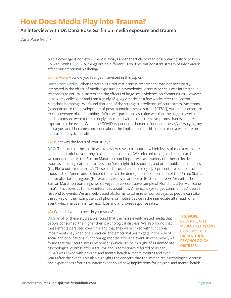## **How Does Media Play into Trauma?**

### **An interview with Dr. Dana Rose Garfin on media exposure and trauma**

*Dana Rose Garfin*

Media coverage is non-stop. There is always another article to read or a breaking story to keep up with. With COVID-19, things are no different. How does this constant stream of information affect our emotional wellbeing?

Jamie Aten: How did you first get interested in this topic?

**Dana Rose Garfin:** When I started as a traumatic stress researcher, I was not necessarily interested in the effect of media exposure on psychological distress per se. I was interested in responses to natural disasters and the effects of large-scale violence on communities. However, in 2013, my colleagues and I ran a study of 4,675 Americans a few weeks after the Boston Marathon bombings. We found that one of the strongest predictors of acute stress symptoms (a precursor to the development of posttraumatic stress disorder [PTSD]) was media exposure to the coverage of the bombings. What was particularly striking was that the highest levels of media exposure were more strongly associated with acute stress symptoms than even direct exposure to the event. When the COVID-19 pandemic began to inundate the 24/7 new cycle, my colleagues and I became concerned about the implications of this intense media exposure on mental and physical health.

#### **JA:** What was the focus of your study?

**DRG:** The focus of the article was to review research about how high levels of media exposure could be harmful to your physical and mental health. We referred to longitudinal research we conducted after the Boston Marathon bombing, as well as a variety of other collective traumas including natural disasters, the Pulse nightclub shooting, and other public health crises (i.e., Ebola outbreak in 2014). These studies used epidemiological, representative samples of thousands of Americans, collected to match the demographic composition of the United States and smaller target regions (for example, we oversampled in Boston and New York after the Boston Marathon bombings; we surveyed a representative sample of Floridians after Hurricane Irma). This allows us to make inferences about how Americans (or target communities) overall respond to events. We use web-based platforms to administer our surveys, so people can take the survey on their computer, cell phone, or mobile device in the immediate aftermath of an event, which helps minimize recall bias and improves response rates.

#### JA: What did you discover in your study?

**DRG:** In all of these studies, we found that the more event-related media that people consumed, the higher their psychological distress. We also found that these effects persisted over time and that they were linked with functional impairment (i.e., when one's physical and emotional health gets in the way of social and occupational functioning) months after the event. In other work, we found that the "acute stress response" (which can be thought of as immediate psychological distress after a trauma and is sometimes referred to as early PTSD) was linked with physical and mental health ailments months and even

**THE MORE EVENT-RELATED MEDIA THAT PEOPLE CONSUMED, THE HIGHER THEIR PSYCHOLOGICAL DISTRESS.**

years after the event. This also highlights the concern that the immediate psychological distress one experiences after a traumatic event could have implications for physical and mental health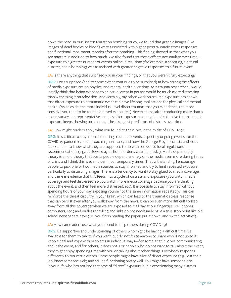down the road. In our Boston Marathon bombing study, we found that graphic images (like images of dead bodies or blood) were associated with higher posttraumatic stress responses and functional impairment months after the bombing. This finding showed us that what you see matters in addition to how much. We also found that these effects accumulate over time exposure to a greater number of events online in real-time (for example, a shooting, a natural disaster, and a bombing) was associated with greater negative responses to a future event.

**JA:** Is there anything that surprised you in your findings, or that you weren't fully expecting?

**DRG:** I was surprised (and to some extent continue to be surprised) at how strong the effects of media exposure are on physical and mental health over time. As a trauma researcher, I would initially think that being exposed to an actual event in person would be much more distressing than witnessing it on television. And certainly, my other work on trauma-exposure has shown that direct exposure to a traumatic event can have lifelong implications for physical and mental health. (As an aside, the more individual-level direct traumas that you experience, the more sensitive you tend to be to media-based exposures.) Nevertheless, after conducting more than a dozen surveys on representative samples after exposure to a myriad of collective trauma, media exposure keeps showing up as one of the strongest predictors of distress over time.

JA: How might readers apply what you found to their lives in the midst of COVID-19?

**DRG:** It is critical to stay informed during traumatic events, especially ongoing events like the COVID-19 pandemic, an approaching hurricane, and now the George Floyd protests and riots. People need to know what they are supposed to do with respect to local regulations and recommendations (e.g., curfews, stay-at-home orders, wearing masks). Media dependency theory is an old theory that posits people depend and rely on the media even more during times of crisis and I think this is even truer in contemporary times. That withstanding, I encourage people to pick one or two media sources to stay informed and try to limit repeated exposure, particularly to disturbing images. There is a tendency to want to stay glued to media coverage, and there is evidence that this feeds into a cycle of distress and exposure (you watch media coverage and feel distressed, so you watch more media coverage because you are thinking about the event, and then feel more distressed, etc). It is possible to stay informed without spending hours of your day exposing yourself to the same information repeatedly. This can reinforce the threat circuitry in your brain, which can lead to the traumatic stress response that can persist even after you walk away from the news. It can be even more difficult to step away from all this coverage when we are exposed to it all day at our fingertips (cell phones, computers, etc.) and endless scrolling and links do not necessarily have a true stop point like old school newspapers have (i.e., you finish reading the paper, put it down, and switch activities).

#### **JA:** How can readers use what you found to help others during COVID-19?

**DRG:** Be supportive and understanding of others who might be having a difficult time. Be available for them to talk to if you want, but do not force anyone to share who is not up to it. People heal and cope with problems in individual ways—for some, that involves communicating about the event, and for others, it does not. For people who do not want to talk about the event, they might enjoy spending time with you or talking about other things. Everybody responds differently to traumatic events. Some people might have a lot of direct exposure (e.g., lost their job, knew someone sick) and still be functioning pretty well. You might have someone else in your life who has not had that type of "direct" exposure but is experiencing many distress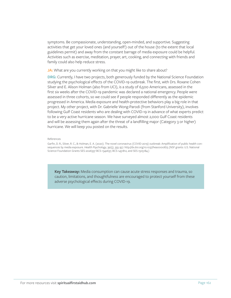symptoms. Be compassionate, understanding, open-minded, and supportive. Suggesting activities that get your loved ones (and yourself!) out of the house (to the extent that local guidelines permit) and away from the constant barrage of media exposure could be helpful. Activities such as exercise, meditation, prayer, art, cooking, and connecting with friends and family could also help reduce stress.

JA: What are you currently working on that you might like to share about?

**DRG:** Currently, I have two projects, both generously funded by the National Science Foundation studying the psychological effects of the COVID-19 outbreak. The first, with Drs. Roxane Cohen Silver and E. Alison Holman (also from UCI), is a study of 6,500 Americans, assessed in the first six weeks after the COVID-19 pandemic was declared a national emergency. People were assessed in three cohorts, so we could see if people responded differently as the epidemic progressed in America. Media exposure and health-protective behaviors play a big role in that project. My other project, with Dr. Gabrielle Wong-Parodi (from Stanford University), involves following Gulf Coast residents who are dealing with COVID-19 in advance of what experts predict to be a very active hurricane season. We have surveyed almost 2,000 Gulf Coast residents and will be assessing them again after the threat of a landfilling major (Category 3 or higher) hurricane. We will keep you posted on the results.

#### References

Garfin, D. R., Silver, R. C., & Holman, E. A. (2020). The novel coronavirus (COVID-2019) outbreak: Amplification of public health consequences by media exposure. *Health Psychology*, 39(5), 355-357. http://dx.doi.org/10.1037/hea0000875 (NSF grants: U.S. National Science Foundation Grants SES-2026337 BCS-1342637, BCS-1451812, and SES-1505184.)

**Key Takeaway:** Media consumption can cause acute stress responses and trauma, so caution, limitations, and thoughtfulness are encouraged to protect yourself from these adverse psychological effects during COVID-19.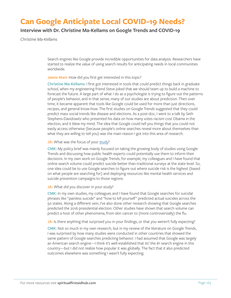# **Can Google Anticipate Local COVID-19 Needs?**

### **Interview with Dr. Christine Ma-Kellams on Google Trends and COVID-19**

*Christine Ma-Kellams*

Search engines like Google provide incredible opportunities for data analysis. Researchers have started to realize the value of using search results for anticipating needs in local communities worldwide.

#### **Jamie Aten:** How did you first get interested in this topic?

**Christine Ma-Kellams:** I first got interested in tools that could predict things back in graduate school, when my engineering friend Steve joked that we should team up to build a machine to forecast the future. A large part of what I do as a psychologist is trying to figure out the patterns of people's behavior, and in that sense, many of our studies are about prediction. Then over time, it became apparent that tools like Google could be used for more than just directions, recipes, and general know-how. The first studies on Google Trends suggested that they could predict mass social trends like disease and elections. As a post-doc, I went to a talk by Seth Stephens-Davidowitz who presented his data on how many votes racism cost Obama in the election, and it blew my mind. The idea that Google could tell you things that you could not easily access otherwise (because people's online searches reveal more about themselves than what they are willing to tell you) was the main reason I got into this area of research.

#### **JA:** What was the focus of your [study](https://doi.apa.org/fulltext/2020-25112-005.html)?

**CMK:** My policy brief was mainly focused on taking the growing body of studies using Google Trends and discussing how public health experts could potentially use them to inform their decisions. In my own work on Google Trends, for example, my colleagues and I have found that online search volume could predict suicide better than traditional surveys at the state level. So, one idea could be to use Google searches to figure out where suicide risk is the highest (based on what people are searching for) and deploying resources like mental health services and suicide prevention campaigns to those regions.

#### JA: What did you discover in your study?

**CMK:** In my own studies, my colleagues and I have found that Google searches for suicidal phrases like "painless suicide" and "how to kill yourself" predicted actual suicides across the 50 states. Along a different vein, I've also done other research showing that Google searches predicted the 2016 presidential election. Other studies have shown that search volume can predict a host of other phenomena, from skin cancer to (more controversially) the flu.

#### **JA:** Is there anything that surprised you in your findings, or that you weren't fully expecting?

**CMK:** Not so much in my own research, but in my review of the literature on Google Trends, I was surprised by how many studies were conducted in other countries that showed the same pattern of Google searches predicting behavior. I had assumed that Google was largely an American search engine—I think it's well established that its' the  $\#$ 1 search engine in this country—but I did not realize how popular it was globally. The fact that it also predicted outcomes elsewhere was something I wasn't fully expecting.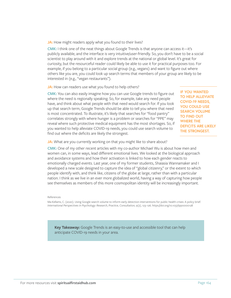**JA:** How might readers apply what you found to their lives?

**CMK:** I think one of the neat things about Google Trends is that anyone can access it—it's publicly available, and the interface is very intuitive/user-friendly. So, you don't have to be a social scientist to play around with it and explore trends at the national or global level. It's great for curiosity, but the resourceful reader could likely be able to use it for practical purposes too. For example, if you belong to a particular social group (e.g., vegans) and want to figure out where others like you are, you could look up search terms that members of your group are likely to be interested in (e.g., "vegan restaurants").

**JA:** How can readers use what you found to help others?

**CMK:** You can also easily imagine how you can use Google trends to figure out where the need is regionally speaking. So, for example, take any need people have, and think about what people with that need would search for. If you look up that search term, Google Trends should be able to tell you where that need is most concentrated. To illustrate, it's likely that searches for "food pantry" correlates strongly with where hunger is a problem or searches for "PPE" may reveal where such protective medical equipment has the most shortages. So, if you wanted to help alleviate COVID-19 needs, you could use search volume to find out where the deficits are likely the strongest.

**IF YOU WANTED TO HELP ALLEVIATE COVID-19 NEEDS, YOU COULD USE SEARCH VOLUME TO FIND OUT WHERE THE DEFICITS ARE LIKELY THE STRONGEST.**

JA: What are you currently working on that you might like to share about?

**CMK:** One of my other recent articles with my co-author Michael Wu is about how men and women can, in some ways, lead different emotional lives. We looked at the biological approach and avoidance systems and how their activation is linked to how each gender reacts to emotionally charged events. Last year, one of my former students, Shaiasia Wannamaker and I developed a new scale designed to capture the idea of "global citizenry," or the extent to which people identify with, and think like, citizens of the globe at large, rather than with a particular nation. I think as we live in an ever more globalized world, having a way of capturing how people see themselves as members of this more cosmopolitan identity will be increasingly important.

#### References

Ma-Kellams, C. (2020). Using Google search volume to inform early detection interventions for public health crises: A policy brief. *International Perspectives in Psychology: Research, Practice, Consultation,* 9(2), 123–126. https://doi.org/10.1037/ipp0000128

**Key Takeaway:** Google Trends is an easy-to-use and accessible tool that can help anticipate COVID-19 needs in your area.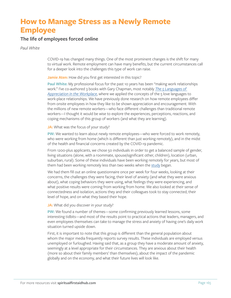# **How to Manage Stress as a Newly Remote Employee**

### **The life of employees forced online**

*Paul White*

COVID-19 has changed many things. One of the most prominent changes is the shift for many to virtual work. Remote employment can have many benefits, but the current circumstances call for a deeper look into the challenges this type of work can raise.

Jamie Aten: How did you first get interested in this topic?

**Paul White:** My professional focus for the past 10 years has been "making work relationships work." I've co-authored 3 books with Gary Chapman, most notably *[The 5 Languages of](https://www.appreciationatwork.com/5-languages-appreciation-workplace-improve-employee-engagement/)  [Appreciation in the Workplace](https://www.appreciationatwork.com/5-languages-appreciation-workplace-improve-employee-engagement/)*, where we applied the concepts of the 5 love languages to work-place relationships. We have previously done research on how remote employees differ from onsite employees in how they like to be shown appreciation and encouragement. With the millions of new remote workers—who face different challenges than traditional remote workers—I thought it would be wise to explore the experiences, perceptions, reactions, and coping mechanisms of this group of workers (and what they are learning).

**JA:** What was the focus of your study?

**PW:** We wanted to learn about newly remote employees—who were forced to work remotely, who were working from home (which is different than just working remotely), and in the midst of the health and financial concerns created by the COVID-19 pandemic.

From 1200-plus applicants, we chose 50 individuals in order to get a balanced sample of gender, living situations (alone, with a roommate, spouse/significant other, children), location (urban, suburban, rural). Some of these individuals have been working remotely for years, but most of them had been working remotely less than two weeks when the [study](https://trainingmag.com/how-support-and-encourage-employees-newly-working-home/) began.

We had them fill out an online questionnaire once per week for four weeks, looking at their concerns, the challenges they were facing, their level of anxiety (and what they were anxious about), what coping behaviors they were using, what feelings they were experiencing, and what positive results were coming from working from home. We also looked at their sense of connectedness and isolation, actions they and their colleagues took to stay connected, their level of hope, and on what they based their hope.

**JA:** What did you discover in your study?

**PW:** We found a number of themes—some confirming previously learned lessons, some interesting tidbits—and most of the results point to practical actions that leaders, managers, and even employees themselves can take to manage the stress and anxiety of having one's daily work situation turned upside down.

First, it is important to note that this group is different than the general population about whom the major media frequently reports survey results. These individuals are employed versus unemployed or furloughed. Having said that, as a group they have a moderate amount of anxiety, seemingly at a level appropriate for their circumstances. They are anxious about their health (more so about their family members' than themselves), about the impact of the pandemic globally and on the economy, and what their future lives will look like.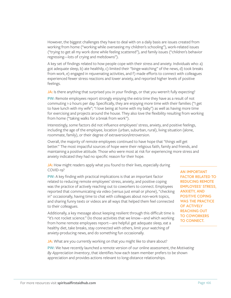However, the biggest challenges they have to deal with on a daily basis are issues created from working from home ("working while overseeing my children's schooling"), work-related issues ("trying to get all my work done while feeling scattered"), and family issues ("children's behavior regressing—lots of crying and meltdowns").

A key set of findings related to how people cope with their stress and anxiety. Individuals who: a) got adequate sleep, b) ate healthily, c) limited their "binge-watching" of the news, d) took breaks from work, e) engaged in rejuvenating activities, and f) made efforts to connect with colleagues experienced fewer stress reactions and lower anxiety, and reported higher levels of positive feelings.

**JA:** Is there anything that surprised you in your findings, or that you weren't fully expecting?

**PW:** Remote employees report strongly enjoying the extra time they have as a result of not commuting 1-2 hours per day. Specifically, they are enjoying more time with their families ("I get to have lunch with my wife"; "I love being at home with my baby") as well as having more time for exercising and projects around the house. They also love the flexibility resulting from working from home ("taking walks for a break from work").

Interestingly, some factors did not influence employees' stress, anxiety, and positive feelings, including the age of the employee, location (urban, suburban, rural), living situation (alone, roommate, family), or their degree of extraversion/introversion.

Overall, the majority of remote employees continued to have hope that "things will get better." The most impactful sources of hope were their religious faith, family and friends, and maintaining a positive attitude. Those who were most at risk for experiencing more stress and anxiety indicated they had no specific reason for their hope.

**JA:** How might readers apply what you found to their lives, especially during COVID-19?

**PW:** A key finding with practical implications is that an important factor related to reducing remote employees' stress, anxiety, and positive coping was the practice of actively reaching out to coworkers to connect. Employees reported that communicating via video (versus just email or phone), "checking in" occasionally, having time to chat with colleagues about non-work topics, and sharing funny texts or videos are all ways that helped them feel connected to their colleagues.

Additionally, a key message about keeping resilient through this difficult time is "it's not rocket science." Do those activities that we know—and which working from home remote employees report—are helpful: get adequate sleep, eat a healthy diet, take breaks, stay connected with others, limit your watching of anxiety-producing news, and do something fun occasionally.

**AN IMPORTANT FACTOR RELATED TO REDUCING REMOTE EMPLOYEES' STRESS, ANXIETY, AND POSITIVE COPING WAS THE PRACTICE OF ACTIVELY REACHING OUT TO COWORKERS TO CONNECT.**

**JA:** What are you currently working on that you might like to share about?

**PW:** We have recently launched a remote version of our online assessment, the *Motivating By Appreciation Inventory*, that identifies how each team member prefers to be shown appreciation and provides actions relevant to long-distance relationships.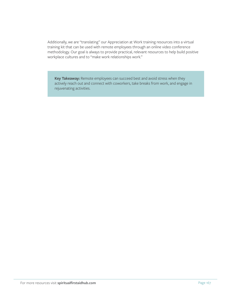Additionally, we are "translating" our Appreciation at Work training resources into a virtual training kit that can be used with remote employees through an online video conference methodology. Our goal is always to provide practical, relevant resources to help build positive workplace cultures and to "make work relationships work."

**Key Takeaway:** Remote employees can succeed best and avoid stress when they actively reach out and connect with coworkers, take breaks from work, and engage in rejuvenating activities.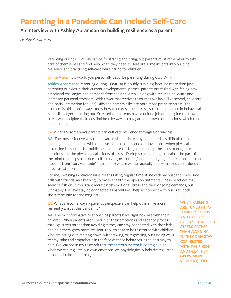# **Parenting in a Pandemic Can Include Self-Care**

### **An interview with Ashley Abramson on building resilience as a parent**

*Ashley Abramson*

Parenting during COVID-19 can be frustrating and tiring, but parents must remember to take care of themselves and find help when they need it. Here are some insights into building resilience and practicing self-care while caring for children.

**Jamie Aten:** How would you personally describe parenting during COVID-19?

**Ashley Abramson:** Parenting during COVID-19 is doubly straining, because more than just parenting our kids in their current developmental phases, parents are tasked with facing new emotional challenges and demands from their children—along with reduced childcare and increased personal stressors. With fewer "protective" resources available (like school, childcare, and social interaction for kids), kids and parents alike are both more prone to stress. The problem is, kids don't always know how to express their stress, so it can come out in behavioral issues like anger or acting out. Stressed-out parents have a unique job of managing their own stress while helping their kids find healthy ways to navigate their own big emotions, which can feel draining.

JA: What are some ways parents can cultivate resilience through Coronavirus?

**AA:** The most effective way to cultivate resilience is to stay connected. It's difficult to maintain meaningful connections with ourselves, our partners, and our loved ones when physical distancing is essential for public health, but prioritizing relationships helps us manage our emotions and the physiological effects of stress. During stress, the logical brain—the part of the mind that helps us process difficulty—goes "offline," and meaningful, safe relationships can move us from "survival mode" into a place where we can actually deal with stress, so it doesn't affect us later on.

For me, investing in relationships means taking regular time alone with my husband, FaceTime calls with friends, and keeping up my telehealth therapy appointments. These practices may seem selfish or unimportant amidst kids' emotional stress and their ongoing demands, but ultimately, I believe staying connected as parents will help us connect with our kids, both short-term and for the long-haul.

**JA:** What are some ways a parent's perspective can help others live more resiliently amidst this pandemic?

AA: The most formative relationships parents have right now are with their children. When parents are tuned in to their emotions and eager to process through stress rather than avoiding it, they can stay connected with their kids and help them grow more resilient, too. It's easy to be frustrated with children who are acting out, melting down, withdrawing, or regressing, but finding ways to stay calm and empathetic in the face of these behaviors is the best way to help. I've learned in my research that [the nervous system is contagious](https://elemental.medium.com/why-calmness-can-be-contagious-17d6c36f4012), so when we can regulate our own emotions, we physiologically help dysregulated children do the same thing!

**WHEN PARENTS ARE TUNED IN TO THEIR EMOTIONS AND EAGER TO PROCESS THROUGH STRESS RATHER THAN AVOIDING IT, THEY CAN STAY CONNECTED WITH THEIR KIDS AND HELP THEM GROW MORE RESILIENT, TOO.**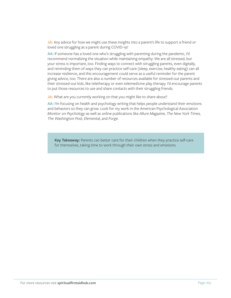**JA:** Any advice for how we might use these insights into a parent's life to support a friend or loved one struggling as a parent during COVID-19?

AA: If someone has a loved one who's struggling with parenting during the pandemic, I'd recommend normalizing the situation while maintaining empathy: We are all stressed, but your stress is important, too. Finding ways to connect with struggling parents, even digitally, and reminding them of ways they can practice self-care (sleep, exercise, healthy eating) can all increase resilience, and this encouragement could serve as a useful reminder for the parent giving advice, too. There are also a number of resources available for stressed-out parents and their stressed-out kids, like teletherapy or even telemedicine play therapy. I'd encourage parents to put those resources to use and share contacts with their struggling friends.

**JA:** What are you currently working on that you might like to share about?

AA: I'm focusing on health and psychology writing that helps people understand their emotions and behaviors so they can grow. Look for my work in the American Psychological Association *Monitor on Psychology* as well as online publications like *Allure Magazine, The New York Times, The Washington Post, Elementa*l, and *Forge*.

**Key Takeaway:** Parents can better care for their children when they practice self-care for themselves, taking time to work through their own stress and emotions.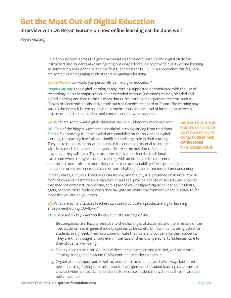# **Get the Most Out of Digital Education**

### **Interview with Dr. Regan Gurung on how online learning can be done well**

*Regan Gurung*

Education systems across the globe are adapting to remote learning and digital platforms. Instructors and students alike are figuring out what it looks like to provide quality online learning. As summer courses continue and the first full semester of COVID-19 approaches this fall, here are some tips on engaging students and navigating e-learning.

**Jamie Aten:** How would you personally define digital education?

**Regan Gurung:** I see digital learning as any learning supported or conducted with the use of technology. This encompasses online or extended campus (Ecampus) classes, blended and hybrid learning, and face-to-face classes that utilize learning management systems such as Canvas or electronic collaborative tools such as Google Jamboard or Zoom. The learning may vary to the extent it is synchronous or asynchronous and the level of interaction between instructor and student, student and content, and between students.

JA: What are some ways digital education can help us become more resilient?

**RG:** One of the biggest ways that I see digital learning varying from traditional face to face learning is in the level of accountability on the student. In digital learning, the learning itself plays a significant and large role in their learning. They make the decision on which parts of the course or material to interact with, how much to connect, and eventually are in the position to influence how much they will learn. This takes more motivation than the traditional classroom where the synchronous meeting with an instructor force attention and the instructor often is more likely to increase accountability. Correspondingly, digital

**DIGITAL EDUCATION FORCES RESILIENCE, AS IT CAN BE MORE CHALLENGING AND OFTEN MORE TIME-CONSUMING.**

education forces resilience, as it can be more challenging and often more time-consuming. In many cases, a physical location (a classroom) and the physical presence of an instructor in front of you and classmates you can turn to and see, provide a sense of security and support

that may not come naturally online, and is part of well-designed digital education. Students, again, become more resilient when they navigate an online environment where it is easy to feel more like you are on your own.

**JA:** What are some practices teachers can use to cultivate a productive digital learning environment during COVID-19?

**RG:** There are six key ways faculty can cultivate learning online.

- 1. Be compassionate. Faculty sensitive to the challenges of academia and the stressors of the lives students lead in general modify courses to be careful of how much is being asked for students every week. They also communicate their care and concern for their students. They are kind, thoughtful, and even in the face of their own personal turbulences, care for their students' well-being.
- 2. Faculty need to be clear. Courses with clear expectations and detailed, well-structured, learning management system (LMS) content are easier to learn in.
- 3. Organization is important. A well-organized instructor and class have always facilitated better learning. Paying close attention to the alignment of student learning outcomes to class activities and assessments stands to increase student motivation as their efforts are better justified.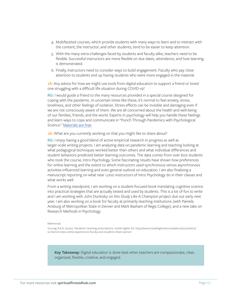- 4. Multifaceted courses, which provide students with many ways to learn and to interact with the content, the instructor, and other students, tend to be easier to keep attention.
- 5. With the many extra challenges faced by students and faculty alike, teachers need to be flexible. Successful instructors are more flexible on due dates, attendance, and how learning is demonstrated.
- 6. Finally, instructors need to consider ways to build engagement. Faculty who pay close attention to students end up having students who were more engaged in the material.

**JA:** Any advice for how we might use tools from digital education to support a friend or loved one struggling with a difficult life situation during COVID-19?

**RG:** I would guide a friend to the many resources provided in a special course designed for coping with the pandemic. In uncertain times like these, it's normal to feel anxiety, stress, loneliness, and other feelings of isolation. Stress effects can be invisible and damaging even if we are not consciously aware of them. We are all concerned about the health and well-being of our families, friends, and the world. Experts in psychology will help you handle these feelings and learn ways to cope and communicate in "Punch Through Pandemics with Psychological Science." [Materials are free.](https://liberalarts.oregonstate.edu/sps/punchcovid19/)

#### JA: What are you currently working on that you might like to share about?

**RG:** I enjoy having a good blend of active empirical research in progress as well as larger-scale writing projects. I am analyzing data on pandemic learning and teaching looking at what pedagogical techniques worked better than others and what individual differences and student behaviors predicted better learning outcomes. The data comes from over 600 students who took the course, Intro Psychology. Some fascinating results have shown how preferences for online learning and the extent to which instructors used synchronous versus asynchronous activities influenced learning and even general outlook on education. I am also finalizing a manuscript reporting on what near 1,000 instructors of Intro Psychology do in their classes and what works well.

From a writing standpoint, I am working on a student-focused book translating cognitive science into practical strategies that are actually tested and used by students. This is a lot of fun to write and I am working with John Dunlosky on this *Study Like A Champion* project due out early next year. I am also working on a book for faculty at primarily teaching institutions (with Pamela Ansburg of Metropolitan State in Denver and Mark Basham of Regis College), and a new take on Research Methods in Psychology.

References

Gurung, R.A.R. (2020). Pandemic teaching prescriptions. *Inside Higher Ed.* https://www.insidehighered.com/advice/2020/06/10/ six-factors-best-online-experiences-faculty-and-students-share-opinion

**Key Takeaway:** Digital education is done best when teachers are compassionate, clear, organized, flexible, creative, and engaged.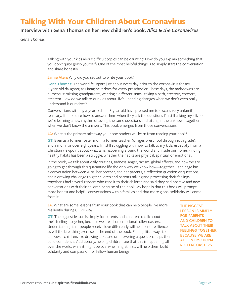# **Talking With Your Children About Coronavirus**

### **Interview with Gena Thomas on her new children's book,** *Alisa & the Coronavirus*

*Gena Thomas*

Talking with your kids about difficult topics can be daunting. How do you explain something that you don't quite grasp yourself? One of the most helpful things is to simply start the conversation and share honestly.

**Jamie Aten:** Why did you set out to write your book?

**Gena Thomas:** The world fell apart just about every day prior to the coronavirus for my 4-year-old daughter, as I imagine it does for every preschooler. These days, the meltdowns are numerous: missing grandparents, wanting a different snack, taking a bath, etcetera, etcetera, etcetera. How do we talk to our kids about life's upending changes when we don't even really understand it ourselves?

Conversations with my 4-year-old and 8-year-old have pressed me to discuss very unfamiliar territory. I'm not sure how to answer them when they ask the questions I'm still asking myself, so we're learning a new rhythm of asking the same questions and sitting in the unknown together when we don't know the answers. This book emerged from those conversations.

**JA:** What is the primary takeaway you hope readers will learn from reading your book?

**GT:** Even as a former foster mom, a former teacher (of ages preschool through 10th grade), and a mom for over eight years, I'm still struggling with how to talk to my kids, especially from a Christian viewpoint about what all is happening around the world and inside our home. Finding healthy habits has been a struggle, whether the habits are physical, spiritual, or emotional.

In the book, we talk about daily routines, sadness, anger, racism, global effects, and how we are going to get through this quarantine life the only way we know how—together. Each page has a conversation between Alisa, her brother, and her parents, a reflection question or questions, and a drawing challenge to get children and parents talking and processing their feelings together. I had several readers who read it to their children and said they had positive and new conversations with their children because of the book. My hope is that this book will prompt more honest and helpful conversations within families and that more global solidarity will come from it.

**JA:** What are some lessons from your book that can help people live more resiliently during COVID-19?

**GT:** The biggest lesson is simply for parents and children to talk about their feelings together, because we are all on emotional rollercoasters. Understanding that people receive love differently will help build resilience, as will the breathing exercise at the end of the book. Finding little ways to empower children, like drawing a picture or answering a question, helps them build confidence. Additionally, helping children see that this is happening all over the world, while it might be overwhelming at first, will help them build solidarity and compassion for fellow human beings.

**THE BIGGEST LESSON IS SIMPLY FOR PARENTS AND CHILDREN TO TALK ABOUT THEIR FEELINGS TOGETHER, BECAUSE WE ARE ALL ON EMOTIONAL ROLLERCOASTERS.**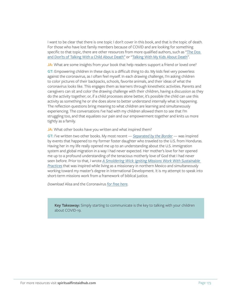I want to be clear that there is one topic I don't cover in this book, and that is the topic of death. For those who have lost family members because of COVID and are looking for something specific to that topic, there are other resources from more qualified authors, such as "[The Dos](https://www.psychologytoday.com/us/blog/two-takes-depression/201612/the-dos-and-donts-talking-child-about-death)  [and Don'ts of Talking With a Child About Death](https://www.psychologytoday.com/us/blog/two-takes-depression/201612/the-dos-and-donts-talking-child-about-death)" or "[Talking With My Kids About Death](https://www.christianitytoday.com/ct/2017/february-web-only/talking-with-my-kids-about-death.html)".

**JA:** What are some insights from your book that help readers support a friend or loved one?

**GT:** Empowering children in these days is a difficult thing to do. My kids feel very powerless against the coronavirus, as I often feel myself. In each drawing challenge, I'm asking children to color pictures of their backpacks, schools, favorite animals, and their ideas of what the coronavirus looks like. This engages them as learners through kinesthetic activities. Parents and caregivers can sit and color the drawing challenge with their children, having a discussion as they do the activity together; or, if a child processes alone better, it's possible the child can use this activity as something he or she does alone to better understand internally what is happening. The reflection questions bring meaning to what children are learning and simultaneously experiencing. The conversations I've had with my children allowed them to see that I'm struggling too, and that equalizes our pain and our empowerment together and knits us more tightly as a family.

**JA:** What other books have you written and what inspired them?

**GT:** I've written two other books. My most recent — *[Separated by the Border](https://www.ivpress.com/separated-by-the-border)* — was inspired by events that happened to my former foster daughter who traveled to the U.S. from Honduras. Having her in my life really opened me up to an understanding about the U.S. immigration system and global migration in a way I had never expected. Her mother's love for her opened me up to a profound understanding of the tenacious motherly love of God that I had never seen before. Prior to that, I wrote *[A Smoldering Wick: Igniting Missions Work With Sustainable](https://www.genathomas.com/smolderingwick.html)  [Practices](https://www.genathomas.com/smolderingwick.html)* that was inspired while living as a missionary in northern Mexico and simultaneously working toward my master's degree in International Development. It is my attempt to speak into short-term missions work from a framework of biblical justice.

*Download* Alisa and the Coronavirus *[for free here](https://www.spiritualfirstaidhub.com/childrens-book-email).*

**Key Takeaway:** Simply starting to communicate is the key to talking with your children about COVID-19.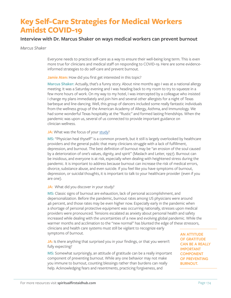# **Key Self-Care Strategies for Medical Workers Amidst COVID-19**

### **Interview with Dr. Marcus Shaker on ways medical workers can prevent burnout**

#### *Marcus Shaker*

Everyone needs to practice self-care as a way to ensure their well-being long term. This is even more true for clinicians and medical staff on responding to COVID-19. Here are some evidenceinformed strategies to do self-care and prevent burnout.

Jamie Aten: How did you first get interested in this topic?

**Marcus Shaker:** Actually, that's a funny story. About nine months ago I was at a national allergy meeting. It was a Saturday evening and I was heading back to my room to try to squeeze in a few more hours of work. On my way to my hotel, I was intercepted by a colleague who insisted I change my plans immediately and join him and several other allergists for a night of Texas barbeque and line-dancing. Well, this group of dancers included some really fantastic individuals from the wellness group of the American Academy of Allergy, Asthma, and Immunology. We had some wonderful Texas hospitality at the "Rustic" and formed lasting friendships. When the pandemic was upon us, several of us connected to provide important guidance on clinician wellness.

#### JA: What was the focus of your [study](https://www.jaci-inpractice.org/article/S2213-2198(20)30327-5/abstract)?

**MS:** "Physician heal thyself" is a common proverb, but it still is largely overlooked by healthcare providers and the general public that many clinicians struggle with a lack of fulfillment, depression, and burnout. The best definition of burnout may be "an erosion of the soul caused by a deterioration of one's values, dignity, and spirit" (Maslach and Leiter, 1997). Burnout can be insidious, and everyone is at risk, especially when dealing with heightened stress during the pandemic. It is important to address because burnout can increase the risk of medical errors, divorce, substance abuse, and even suicide. If you feel like you have symptoms of burnout, depression, or suicidal thoughts, it is important to talk to your healthcare provider (even if you are one).

#### JA: What did you discover in your study?

**MS:** Classic signs of burnout are exhaustion, lack of personal accomplishment, and depersonalization. Before the pandemic, burnout rates among US physicians were around 46 percent, and those rates may be even higher now. Especially early in the pandemic when a shortage of personal protective equipment was occurring nationally, stresses upon medical providers were pronounced. Tensions escalated as anxiety about personal health and safety increased while dealing with the uncertainties of a new and evolving global pandemic. While the warmer months and acclimation to the "new normal" has blunted the edge of these stressors, clinicians and health care systems must still be vigilant to recognize early symptoms of burnout.

JA: Is there anything that surprised you in your findings, or that you weren't fully expecting?

**MS:** Somewhat surprisingly, an attitude of gratitude can be a really important component of preventing burnout. While any one behavior may not make you immune to burnout, counting blessings rather than burdens can really help. Acknowledging fears and resentments, practicing forgiveness, and

**AN ATTITUDE OF GRATITUDE CAN BE A REALLY IMPORTANT COMPONENT OF PREVENTING BURNOUT.**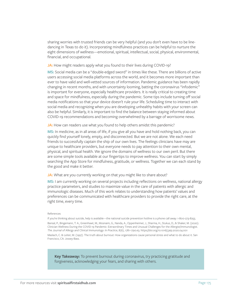sharing worries with trusted friends can be very helpful (and you don't even have to be linedancing in Texas to do it). Incorporating mindfulness practices can be helpful to nurture the eight dimensions of wellness—emotional, spiritual, intellectual, social, physical, environmental, financial, and occupational.

**JA:** How might readers apply what you found to their lives during COVID-19?

**MS:** Social media can be a "double-edged sword" in times like these. There are billions of active users accessing social media platforms across the world, and it becomes more important than ever to have valid and well-vetted sources of information. Pandemic guidance has been rapidly changing in recent months, and with uncertainty looming, batting the coronavirus "infodemic" is important for everyone, especially healthcare providers. It is really critical to creating time and space for mindfulness, especially during the pandemic. Some tips include turning off social media notifications so that your device doesn't rule your life. Scheduling time to interact with social media and recognizing when you are developing unhealthy habits with your screen can also be helpful. Similarly, it is important to find the balance between staying informed about COVID-19 recommendations and becoming overwhelmed by a barrage of worrisome news.

JA: How can readers use what you found to help others amidst this pandemic?

**MS:** In medicine, as in all areas of life, if you give all you have and hold nothing back, you can quickly find yourself lonely, empty, and disconnected. But we are not alone. We each need friends to successfully captain the ship of our own lives. The feelings clinicians have may are unique to healthcare providers, but everyone needs to pay attention to their own mental, physical, and spiritual health. We ignore the domains of wellness to our own peril. But there are some simple tools available at our fingertips to improve wellness. You can start by simply searching the App Store for mindfulness, gratitude, or wellness. Together we can each stand by the good and make it better.

#### **JA:** What are you currently working on that you might like to share about?

**MS:** I am currently working on several projects including reflections on wellness, national allergy practice parameters, and studies to maximize value in the care of patients with allergic and immunologic diseases. Much of this work relates to understanding how patients' values and preferences can be communicated with healthcare providers to provide the right care, at the right time, every time.

#### References

If you're thinking about suicide, help is available—the national suicide prevention hotline is a phone call away: 1-800-273-8255. Bansal, P., Bingemann, T. A., Greenhawt, M., Mosnaim, G., Nanda, A., Oppenheimer, J., Sharma, H., Stukus, D., & Shaker, M. (2020). Clinician Wellness During the COVID-19 Pandemic: Extraordinary Times and Unusual Challenges for the Allergist/Immunologist. *The Journal of Allergy and Clinical Immunology: In Practice*, 8(6), 1781-1790.e3. https://doi.org/10.1016/j.jaip.2020.04.001 Maslach, C. & Leiter, M. (1997). The truth about burnout: How organizations cause personal stress and what to do about it. San Francisco, CA: Jossey-Bass.

**Key Takeaway:** To prevent burnout during coronavirus, try practicing gratitude and forgiveness, acknowledging your fears, and sharing with others.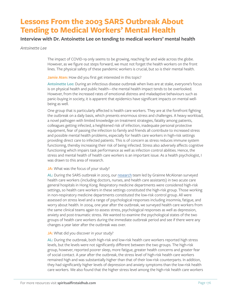# **Lessons From the 2003 SARS Outbreak About Tending to Medical Workers' Mental Health**

### **Interview with Dr. Antoinette Lee on tending to medical workers' mental health**

#### *Antoinette Lee*

The impact of COVID-19 only seems to be growing, reaching far and wide across the globe. However, as we figure out steps forward, we must not forget the health workers on the front lines. The physical safety of these pandemic workers is crucial, but so is their mental health.

#### **Jamie Aten:** How did you first get interested in this topic?

**Antoinette Lee:** During an infectious disease outbreak when lives are at stake, everyone's focus is on physical health and public health—the mental health impact tends to be overlooked. However, from the increased rates of emotional distress and maladaptive behaviours such as panic-buying in society, it is apparent that epidemics have significant impacts on mental wellbeing as well.

One group that is particularly affected is health care workers. They are at the forefront fighting the outbreak on a daily basis, which presents enormous stress and challenges. A heavy workload, a novel pathogen with limited knowledge on treatment strategies, fatality among patients, colleagues getting infected, a heightened risk of infection, inadequate personal protective equipment, fear of passing the infection to family and friends all contribute to increased stress and possible mental health problems, especially for health care workers in high-risk settings providing direct care to infected patients. This is of concern as stress reduces immune system functioning, thereby increasing their risk of being infected. Stress also adversely affects cognitive functioning which impairs task performance as well as infection control abilities. Hence, the stress and mental health of health care workers is an important issue. As a health psychologist, I was drawn to this area of research.

#### **JA:** What was the focus of your study?

**AL:** During the SARS outbreak in 2003, our [research](https://journals.sagepub.com/doi/10.1177/070674370705200406) team led by Grainne McAlonan surveyed health care workers (including doctors, nurses, and health care assistants) in two acute care general hospitals in Hong Kong. Respiratory medicine departments were considered high-risk settings, so health care workers in these settings constituted the high-risk group. Those working in non-respiratory medicine departments constituted the low-risk control group. All were assessed on stress level and a range of psychological responses including insomnia, fatigue, and worry about health. In 2004, one year after the outbreak, we surveyed health care workers from the same clinical teams again to assess stress, psychological responses as well as depression, anxiety and post-traumatic stress. We wanted to examine the psychological states of the two groups of health care workers during the immediate outbreak period and see if there were any changes a year later after the outbreak was over.

#### **JA:** What did you discover in your study?

**AL:** During the outbreak, both high-risk and low-risk health care workers reported high stress levels, but the levels were not significantly different between the two groups. The high-risk group, however, reported poorer sleep, more fatigue, greater health concerns and greater fear of social contact. A year after the outbreak, the stress level of high-risk health care workers remained high and was substantially higher than that of their low-risk counterparts. In addition, they had significantly higher levels of depression and anxiety symptoms than the low-risk health care workers. We also found that the higher stress level among the high-risk health care workers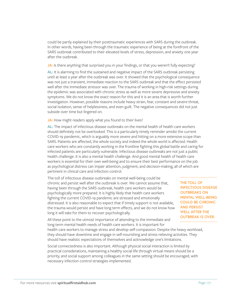could be partly explained by their posttraumatic experiences with SARS during the outbreak. In other words, having been through the traumatic experience of being at the forefront of the SARS outbreak contributed to their elevated levels of stress, depression, and anxiety one year after the outbreak.

**JA:** Is there anything that surprised you in your findings, or that you weren't fully expecting?

**AL:** It is alarming to find the sustained and negative impact of the SARS outbreak persisting until at least a year after the outbreak was over. It showed that the psychological consequence was not just a transient, immediate reaction to the SARS outbreak and that the effect persisted well after the immediate stressor was over. The trauma of working in high-risk settings during the epidemic was associated with chronic stress as well as more severe depressive and anxiety symptoms. We do not know the exact reason for this and it is an area that is worth further investigation. However, possible reasons include heavy strain, fear, constant and severe threat, social isolation, sense of helplessness, and even guilt. The negative consequences did not just subside over time but lingered on.

**JA:** How might readers apply what you found to their lives?

AL: The impact of infectious disease outbreaks on the mental health of health care workers should definitely not be overlooked. This is a particularly timely reminder amidst the current COVID-19 pandemic, which is arguably more severe and hitting on a more extensive scope than SARS. Patients are affected, the whole society and indeed the whole world is affected. Health care workers who are constantly working in the frontline fighting this global battle and caring for infected patients are particularly vulnerable. Infectious disease outbreaks are not just a public health challenge. It is also a mental health challenge. And good mental health of health care workers is essential for their own well-being and to ensure their best performance on the job as psychological distress can impair attention, judgment, and decision-making, all of which are pertinent in clinical care and infection control.

The toll of infectious disease outbreaks on mental well-being could be chronic and persist well after the outbreak is over. We cannot assume that, having been through the SARS outbreak, health care workers would be psychologically more prepared. It is highly likely that health care workers fighting the current COVID-19 pandemic are stressed and emotionally distressed. It is also reasonable to expect that if timely support is not available, the trauma would persist and have long term effects, and we do not know how long it will take for them to recover psychologically.

**THE TOLL OF INFECTIOUS DISEASE OUTBREAKS ON MENTAL WELL-BEING COULD BE CHRONIC AND PERSIST WELL AFTER THE OUTBREAK IS OVER.**

All these point to the utmost importance of attending to the immediate and long term mental health needs of health care workers. It is important for

health care workers to manage stress and develop self-compassion. Despite the heavy workload, they should have downtime and engage in self-nourishing and stress-relieving activities. They should have realistic expectations of themselves and acknowledge one's limitations.

Social connectedness is also important. Although physical social interaction is limited by practical considerations, maintaining a healthy social life through virtual means should be a priority, and social support among colleagues in the same setting should be encouraged, with necessary infection control strategies implemented.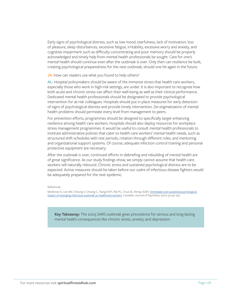Early signs of psychological distress, such as low mood, tearfulness, lack of motivation, loss of pleasure, sleep disturbances, excessive fatigue, irritability, excessive worry and anxiety, and cognitive impairment such as difficulty concentrating and poor memory should be properly acknowledged and timely help from mental health professionals be sought. Care for one's mental health should continue even after the outbreak is over. Only then can resilience be built, creating psychological preparedness for the next outbreak, should one hit again in the future.

**JA:** How can readers use what you found to help others?

**AL:** Hospital policymakers should be aware of the immense stress that health care workers, especially those who work in high-risk settings, are under. It is also important to recognize how both acute and chronic stress can affect their well-being as well as their clinical performance. Dedicated mental health professionals should be designated to provide psychological intervention for at-risk colleagues. Hospitals should put in place measures for early detection of signs of psychological distress and provide timely intervention. De-stigmatization of mental health problems should permeate every level from management to peers.

For prevention efforts, programmes should be designed to specifically target enhancing resilience among health care workers. Hospitals should also deploy resources for workplace stress management programmes. It would be useful to consult mental health professionals to institute administrative policies that cater to health care workers' mental health needs, such as structured shift schedules with rest periods, rotation through different roles, and mentoring and organizational support systems. Of course, adequate infection control training and personal protective equipment are necessary.

After the outbreak is over, continued efforts in debriefing and rebuilding of mental health are of great significance. As our study findings show, we simply cannot assume that health care workers will naturally rebound. Chronic stress and sustained psychological distress are to be expected. Active measures should be taken before our cadre of infectious disease fighters would be adequately prepared for the next epidemic.

#### References

McAlonan G, Lee AM, Cheung V, Cheung C, Tsang KWT, Pak PC, Chua SE, Wong JGWS. [Immediate and sustained psychological](https://journals.sagepub.com/doi/10.1177/070674370705200406)  [impact of emerging infectious outbreak on healthcare workers.](https://journals.sagepub.com/doi/10.1177/070674370705200406) *Canadian Journal of Psychiatry* 2007; 52:241-247.

**Key Takeaway:** The 2003 SARS outbreak gives precedence for serious and long-lasting mental health consequences like chronic stress, anxiety, and depression.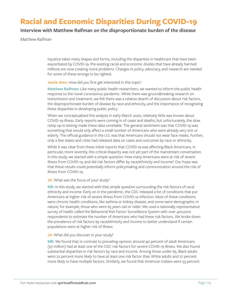# **Racial and Economic Disparities During COVID-19**

### **Interview with Matthew Raifman on the disproportionate burden of the disease**

*Matthew Raifman*

Injustice takes many shapes and forms, including the disparities in healthcare that have been exacerbated by COVID-19. Pre-existing racial and economic divides that have already harmed millions are now creating more problems. Changes in policy, advocacy, and research are needed for some of these wrongs to be righted.

#### **Jamie Aten:** How did you first get interested in this topic?

**Matthew Raifman:** Like many public health researchers, we wanted to inform the public health response to the novel coronavirus pandemic. While there was groundbreaking research on transmission and treatment, we felt there was a relative dearth of discussion about risk factors, the disproportionate burden of disease by race and ethnicity, and the importance of recognizing these disparities in developing public policy.

When we conceptualized this analysis in early March 2020, relatively little was known about COVID-19 illness. Early reports were coming in of cases and deaths, but unfortunately, the slow ramp-up in testing made these data unreliable. The general sentiment was that COVID-19 was something that would only affect a small number of Americans who were already very sick or elderly. The official guidance in the U.S. was that Americans should not wear face masks. Further, only a few states and cities had released data on cases and outcomes by race or ethnicity.

While it was clear from these initial reports that COVID-19 was affecting Black Americans, in particular, more severely, this critical disparity was not yet part of the mainstream conversation. In this study, we started with a simple question: How many Americans were at risk of severe illness from COVID-19, and did risk factors differ by race/ethnicity and income? Our hope was that these results could potentially inform policymaking and communication around the risk of illness from COVID-19.

#### **JA:** What was the focus of your study?

**MR:** In this study, we started with that simple question surrounding the risk factors of race/ ethnicity and income. Early on in the pandemic, the CDC released a list of conditions that put Americans at higher risk of severe illness from COVID-19 infection. Most of these conditions were chronic health conditions, like asthma or kidney disease, and some were demographic in nature, for example, those who were 65 years old or older. We used a nationally representative survey of health called the Behavioral Risk Factor Surveillance System with over 400,000 respondents to estimate the number of Americans who had these risk factors. We broke down the prevalence of risk factors by race/ethnicity and income to better understand if certain populations were at higher risk of illness.

#### **JA:** What did you discover in your study?

**MR:** We found that in contrast to prevailing opinion, around 40 percent of adult Americans (97 million) had at least one of the CDC risk factors for severe COVID-19 illness. We also found substantial disparities in risk factors by race and income. Among those under 65, Black adults were 22 percent more likely to have at least one risk factor than White adults and 27 percent more likely to have multiple factors. Similarly, we found that American Indians were 53 percent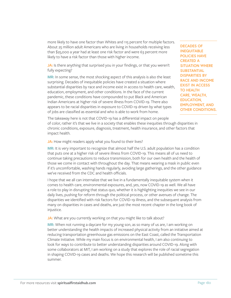more likely to have one factor than Whites and 115 percent for multiple factors. About 25 million adult Americans who are living in households receiving less than \$25,000 a year had at least one risk factor and were 63 percent more likely to have a risk factor than those with higher income.

**JA:** Is there anything that surprised you in your findings, or that you weren't fully expecting?

**MR:** In some sense, the most shocking aspect of this analysis is also the least surprising. Decades of inequitable policies have created a situation where substantial disparities by race and income exist in access to health care, wealth, education, employment, and other conditions. In the face of the current pandemic, these conditions have compounded to put Black and American Indian Americans at higher risk of severe illness from COVID-19. There also appears to be racial disparities in exposure to COVID-19 driven by what types of jobs are classified as essential and who is able to work from home.

**DECADES OF INEQUITABLE POLICIES HAVE CREATED A SITUATION WHERE SUBSTANTIAL DISPARITIES BY RACE AND INCOME EXIST IN ACCESS TO HEALTH CARE, WEALTH, EDUCATION, EMPLOYMENT, AND OTHER CONDITIONS.**

The takeaway here is not that COVID-19 has a differential impact on people of color, rather it's that we live in a society that enables these inequities through disparities in chronic conditions, exposure, diagnosis, treatment, health insurance, and other factors that impact health.

**JA:** How might readers apply what you found to their lives?

**MR:** It is very important to recognize that almost half the U.S. adult population has a condition that puts one at a higher risk of severe illness from COVID-19. This means all of us need to continue taking precautions to reduce transmission, both for our own health and the health of those we come in contact with throughout the day. That means wearing a mask in public even if it's uncomfortable, washing hands regularly, avoiding large gatherings, and the other guidance we've received from the CDC and health officials.

I hope that we all can internalize that we live in a fundamentally inequitable system when it comes to health care, environmental exposures, and, yes, now COVID-19 as well. We all have a role to play in disrupting that status quo, whether it is highlighting inequities we see in our daily lives, pushing for reform through the political process, or other avenues of change. The disparities we identified with risk factors for COVID-19 illness, and the subsequent analysis from many on disparities in cases and deaths, are just the most recent chapter in the long book of injustice.

JA: What are you currently working on that you might like to talk about?

**MR:** When not running a daycare for my young son, as so many of us are, I am working on better understanding the health impacts of increased physical activity from an initiative aimed at reducing transportation greenhouse gas emissions on the East Coast, called the Transportation Climate Initiative. While my main focus is on environmental health, I am also continuing to look for ways to contribute to better understanding disparities around COVID-19. Along with some collaborators at MIT, I am working on a study that explores the role of racial segregation in shaping COVID-19 cases and deaths. We hope this research will be published sometime this summer.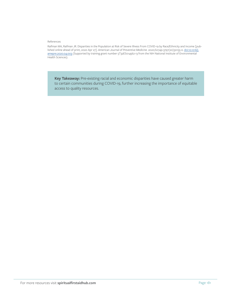#### References

Raifman MA, Raifman JR. Disparities in the Population at Risk of Severe Illness From COVID-19 by Race/Ethnicity and Income [published online ahead of print, 2020 Apr 27]. *American Journal of Preventive Medicine.* 2020;S0749-3797(20)30155-0. [doi:10.1016/j.](https://linkinghub.elsevier.com/retrieve/pii/S0749379720301550) [amepre.2020.04.003](https://linkinghub.elsevier.com/retrieve/pii/S0749379720301550) (Supported by training grant number 5T32ES014562-13 from the NIH National Institute of Environmental Health Sciences).

**Key Takeaway:** Pre-existing racial and economic disparities have caused greater harm to certain communities during COVID-19, further increasing the importance of equitable access to quality resources.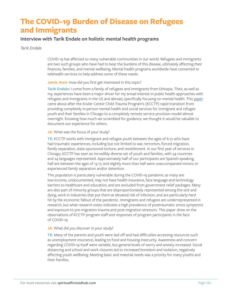# **The COVID-19 Burden of Disease on Refugees and Immigrants**

## **Interview with Tarik Endale on holistic mental health programs**

## *Tarik Endale*

COVID-19 has affected so many vulnerable communities in our world. Refugees and immigrants are two such groups who have had to bear the burdens of this disease, ultimately affecting their finances, families, and mental wellbeing. Mental health programs worldwide have converted to telehealth services to help address some of these needs.

## **Jamie Aten:** How did you first get interested in this topic?

**Tarik Endale:** I come from a family of refugees and immigrants from Ethiopia. Their, as well as my, experiences have been a major driver for my broad interest in public health approaches with refugees and immigrants in the US and abroad, specifically focusing on mental health. This [paper](https://doi.apa.org/fulltext/2020-38396-001.html) came about after the Kovler Center Child Trauma Program's (KCCTP) rapid transition from providing completely in-person mental health and social services for immigrant and refugee youth and their families in Chicago to a completely remote service provision model almost overnight. Knowing how much we scrambled for guidance, we thought it would be valuable to document our experience for others.

## **JA:** What was the focus of your study?

**TE:** KCCTP works with immigrant and refugee youth between the ages of 6-21 who have had traumatic experiences, including but not limited to war, terrorism, forced migration, family separation, state-sponsored torture, and resettlement. In our first year of services in Chicago, KCCTP has seen an incredibly diverse set of youth and families, with 24 countries and 24 languages represented. Approximately half of our participants are Spanish-speaking, half are between the ages of 13-17, and slightly more than half were unaccompanied minors or experienced family separation and/or detention.

This population is particularly vulnerable during the COVID-19 pandemic as many are low-income, undocumented, may not have health insurance, face language and technology barriers to healthcare and education, and are excluded from government relief packages. Many are also part of minority groups that are disproportionately represented among the sick and dying, work in industries that put them at elevated risk of infection, and are particularly hard hit by the economic fallout of the pandemic. Immigrants and refugees are underrepresented in research, but what research exists indicates a high prevalence of posttraumatic stress symptoms and exposure to pre-migration trauma and post-migration stressors. This paper drew on the observations of KCCTP program staff and responses of program participants in the face of COVID-19.

## **JA:** What did you discover in your study?

**TE:** Many of the parents and youth were laid off and had difficulties accessing resources such as unemployment insurance, leading to food and housing insecurity. Awareness and concern regarding COVID-19 itself were variable, but general levels of worry and anxiety increased. Social distancing and school and work closures led to increased boredom and isolation, negatively affecting youth wellbeing. Meeting basic and material needs was a priority for many youths and their families.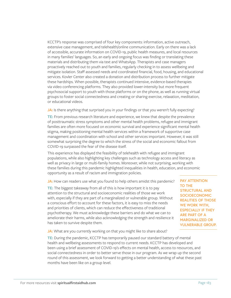KCCTP's response was comprised of four key components: information, active outreach, extensive case management, and telehealth/online communication. Early on there was a lack of accessible, accurate information on COVID-19, public health measures, and local resources in many families' languages. So, an early and ongoing focus was finding or translating these materials and distributing them via text and WhatsApp. Therapists and case managers proactively reached out to youth and families, regularly checking in to assess wellbeing and mitigate isolation. Staff assessed needs and coordinated financial, food, housing, and educational services. Kovler Center also created a donation and distribution process to further mitigate these hardships. When possible, therapists continued intensive, evidence-based therapies via video conferencing platforms. They also provided lower-intensity but more frequent psychosocial support to youth with those platforms or on the phone, as well as running virtual groups to foster social connectedness and creating or sharing exercise, relaxation, meditation, or educational videos.

**JA:** Is there anything that surprised you in your findings or that you weren't fully expecting?

**TE:** From previous research literature and experience, we knew that despite the prevalence of posttraumatic stress symptoms and other mental health problems, refugee and immigrant families are often more focused on economic survival and experience significant mental health stigma, making positioning mental health services within a framework of supportive case management and coordination with school and other services important. However, it was still somewhat surprising the degree to which the stress of the social and economic fallout from COVID-19 surpassed the fear of the disease itself.

This experience has displayed the feasibility of telehealth with refugee and immigrant populations, while also highlighting key challenges such as technology access and literacy as well as privacy in large or multi-family homes. Moreover, while not surprising, working with these families during this pandemic highlighted inequalities in health, education, and economic opportunity as a result of racism and immigration policies.

**JA:** How can readers use what you found to help others amidst this pandemic?

**TE:** The biggest takeaway from all of this is how important it is to pay attention to the structural and socioeconomic realities of those we work with, especially if they are part of a marginalized or vulnerable group. Without a conscious effort to account for these factors, it is easy to miss the needs and priorities of clients, which can reduce the effectiveness of traditional psychotherapy. We must acknowledge these barriers and do what we can to ameliorate their harms, while also acknowledging the strength and resilience it has taken to survive despite them.

**PAY ATTENTION TO THE STRUCTURAL AND SOCIOECONOMIC REALITIES OF THOSE WE WORK WITH, ESPECIALLY IF THEY ARE PART OF A MARGINALIZED OR VULNERABLE GROUP.**

**JA:** What are you currently working on that you might like to share about?

**TE:** During the pandemic, KCCTP has temporarily paused our standard battery of mental health and wellbeing assessments to respond to current needs. KCCTP has developed and been using a brief assessment of COVID-19's effects on mental health, access to resources, and social connectedness in order to better serve those in our program. As we wrap up the second round of this assessment, we look forward to getting a better understanding of what these past months have been like on a group level.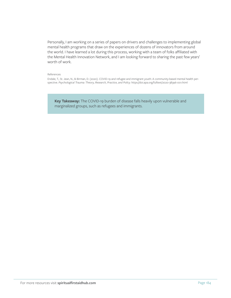Personally, I am working on a series of papers on drivers and challenges to implementing global mental health programs that draw on the experiences of dozens of innovators from around the world. I have learned a lot during this process, working with a team of folks affiliated with the Mental Health Innovation Network, and I am looking forward to sharing the past few years' worth of work.

### References

Endale, T., St. Jean, N., & Birman, D. (2020). COVID-19 and refugee and immigrant youth: A community-based mental health perspective. *Psychological Trauma: Theory, Research, Practice, and Policy.* https://doi.apa.org/fulltext/2020-38396-001.html

**Key Takeaway:** The COVID-19 burden of disease falls heavily upon vulnerable and marginalized groups, such as refugees and immigrants.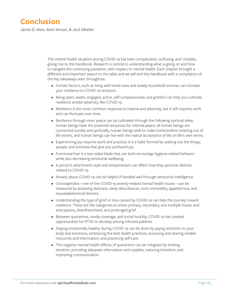# **Conclusion**

*Jamie D. Aten, Kent Annan, & Jack Meeker*

The mental health situation during COVID-19 has been complicated, confusing, and complex, giving rise to this handbook. Research is central to understanding what is going on and how to navigate the continuing pandemic with respect to mental health. Each chapter brought a different and important aspect to the table and we will end this handbook with a compilation of the key takeaways seen throughout:

- Certain factors, such as living with loved ones and steady household income, can increase your resilience to COVID-19 stressors.
- Being open, aware, engaged, active, self-compassionate, and grateful can help you cultivate resilience amidst adversity, like COVID-19.
- Resilience is the most common response to trauma and adversity, but it still requires work and can fluctuate over time.
- Resilience through inner peace can be cultivated through the following spiritual ideas: human beings have the potential resources for internal peace, all human beings are connected socially and spiritually, human beings seek to make transcendent meaning out of life events, and human beings can live with the radical acceptance of life on life's own terms.
- Experiencing joy requires work and practice; it is a habit formed by seeking out the things, people, and activities that give you profound joy.
- Functional fear is a two-sided blade that can both encourage hygiene-related behavior while also decreasing emotional wellbeing.
- A person's attachment style and temperament can affect how they perceive distress related to COVID-19.
- Anxiety about COVID-19 can be helpful if handled well through emotional intelligence.
- Coronaphobia—one of the COVID-19 anxiety-related mental health issues—can be measured by assessing dizziness, sleep disturbances, tonic immobility, appetite loss, and nausea/abdominal distress.
- Understanding the type of grief or loss caused by COVID-19 can help the journey toward resilience. These are the categories to know: primary, secondary, and multiple losses; and anticipatory, disenfranchised, and prolonged grief.
- Between quarantine, media coverage, and social hostility, COVID-19 has created opportunities for PTSD to develop among infected patients.
- Staying emotionally healthy during COVID-19 can be done by paying attention to your body and emotions, embracing the best health practices, accessing and sharing reliable resources and information, and practicing self-care.
- The negative mental health effects of quarantine can be mitigated by limiting duration, providing adequate information and supplies, reducing boredom, and improving communication.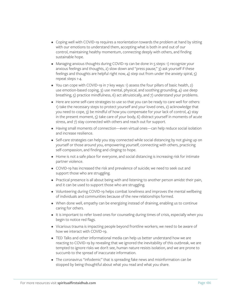- Coping well with COVID-19 requires a reorientation towards the problem at hand by sitting with our emotions to understand them, accepting what is both in and out of our control, maintaining healthy momentum, connecting deeply with others, and finding sustainable hope.
- Managing anxious thoughts during COVID-19 can be done in 5 steps: 1) recognize your anxious feelings and thoughts, 2) slow down and "press pause," 3) ask yourself if these feelings and thoughts are helpful right now,  $4$ ) step out from under the anxiety spiral,  $5$ ) repeat steps 1-4.
- You can cope with COVID-19 in 7 key ways: 1) assess the four pillars of basic health, 2) use emotion-based coping, 3) use mental, physical, and soothing grounding, 4) use deep breathing, 5) practice mindfulness, 6) act altruistically, and 7) understand your problems.
- Here are some self-care strategies to use so that you can be ready to care well for others: 1) take the necessary steps to protect yourself and your loved ones, 2) acknowledge that you need to cope, 3) be mindful of how you compensate for your lack of control, 4) stay in the present moment, 5) take care of your body, 6) distract yourself in moments of acute stress, and 7) stay connected with others and reach out for support.
- Having small moments of connection—even virtual ones—can help reduce social isolation and increase resilience.
- Self-care strategies can help you stay connected while social distancing by not giving up on yourself or those around you, empowering yourself, connecting with others, practicing self-compassion, and finding and clinging to hope.
- Home is not a safe place for everyone, and social distancing is increasing risk for intimate partner violence.
- COVID-19 has increased the risk and prevalence of suicide; we need to seek out and support those who are struggling.
- Practical presence is all about being with and listening to another person amidst their pain, and it can be used to support those who are struggling.
- Volunteering during COVID-19 helps combat loneliness and improves the mental wellbeing of individuals and communities because of the new relationships formed.
- When done well, empathy can be energizing instead of draining, enabling us to continue caring for others.
- It is important to refer loved ones for counseling during times of crisis, especially when you begin to notice red flags.
- Vicarious trauma is impacting people beyond frontline workers; we need to be aware of how we interact with COVID-19.
- TED Talks and other informational media can help us better understand how we are reacting to COVID-19 by revealing that we ignored the inevitability of this outbreak, we are tempted to ignore risks we don't see, human nature resists isolation, and we are prone to succumb to the spread of inaccurate information.
- The coronavirus "infodemic" that is spreading fake news and misinformation can be stopped by being thoughtful about what you read and what you share.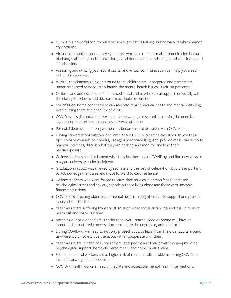- Humor is a powerful tool to build resilience amidst COVID-19, but be wary of which humor style you use.
- Virtual communication can leave you more worn out than normal communication because of changes affecting social nonverbals, social boundaries, social cues, social transitions, and social anxiety.
- Assessing and utilizing your social capital and virtual communication can help you sleep better during crises.
- With all the changes going on around them, children are unprepared and parents are under-resourced to adequately handle the mental health issues COVID-19 presents.
- Children and adolescents need increased social and psychological support, especially with the closing of schools and decrease in available resources.
- For children, home confinement can severely impact physical health and mental wellbeing, even putting them at higher risk of PTSD.
- COVID-19 has disrupted the lives of children who go to school, increasing the need for age-appropriate telehealth services delivered at home.
- Perinatal depression among women has become more prevalent with COVID-19.
- Having conversations with your children about COVID-19 can be easy if you follow these tips: Prepare yourself, be hopeful, use age-appropriate language, provide reassurance, try to maintain routines, discuss what they are hearing, and monitor and limit their media exposure.
- College students need to lament what they lost because of COVID-19 and find new ways to navigate university under lockdown.
- Graduation in 2020 was marked by sadness and the loss of celebration, but it is important to acknowledge the losses and move forward toward resilience.
- College students who were forced to leave their studies in person faced increased psychological stress and anxiety, especially those living alone and those with unstable financial situations.
- COVID-19 is affecting older adults' mental health, making it critical to support and provide interventions for them.
- Older adults are suffering from social isolation while social distancing, and it is up to us to reach out and share our time.
- Reaching out to older adults is easier than ever—start a video or phone call, have an intentional, structured conversation, or operate through an organized effort.
- During COVID-19, we need to not only protect but also learn from the older adults around us—we should not exclude them, but rather cooperate with them.
- Older adults are in need of support from local people and local government—providing psychological support, home-delivered meals, and home medical care.
- Frontline medical workers are at higher risk of mental health problems during COVID-19, including anxiety and depression.
- COVID-19 health workers need immediate and accessible mental health interventions.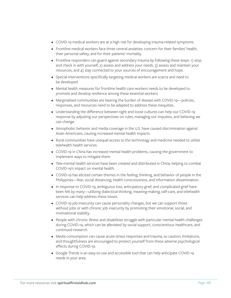- COVID-19 medical workers are at a high risk for developing trauma-related symptoms.
- Frontline medical workers face three central anxieties: concern for their families' health, their personal safety, and for their patients' mortality.
- Frontline responders can guard against secondary trauma by following these steps: 1) stop and check in with yourself, 2) assess and address your needs, 3) assess and maintain your resources, and 4) stay connected to your sources of encouragement and hope.
- Special interventions specifically targeting medical workers are scarce and need to be developed.
- Mental health measures for frontline health care workers needs to be developed to promote and develop resilience among these essential workers.
- Marginalized communities are bearing the burden of disease with COVID-19—policies, responses, and resources need to be adapted to address these inequities.
- Understanding the difference between tight and loose cultures can help our COVID-19 response by adjusting our perspectives on rules, managing our impulses, and believing we can change.
- Xenophobic behavior and media coverage in the U.S. have caused discrimination against Asian Americans, causing increased mental health impacts.
- Rural communities have unequal access to the technology and medicine needed to utilize telehealth health services.
- COVID-19 in China has increased mental health problems, causing the government to implement ways to mitigate them.
- Tele-mental health services have been created and distributed in China, helping to combat COVID-19's impact on mental health.
- COVID-19 has elicited certain themes in the feeling, thinking, and behavior of people in the Philippines—fear, social distancing, health consciousness, and information dissemination.
- In response to COVID-19, ambiguous loss, anticipatory grief, and complicated grief have been felt by many—utilizing dialectical thinking, meaning-making, self-care, and telehealth services can help address these losses.
- COVID-19 job insecurity can cause personality changes, but we can support those without jobs or with chronic job insecurity by promoting their emotional, social, and motivational stability.
- People with chronic illness and disabilities struggle with particular mental health challenges during COVID-19, which can be alleviated by social support, conscientious healthcare, and continued research.
- Media consumption can cause acute stress responses and trauma, so caution, limitations, and thoughtfulness are encouraged to protect yourself from these adverse psychological effects during COVID-19.
- Google Trends is an easy-to-use and accessible tool that can help anticipate COVID-19 needs in your area.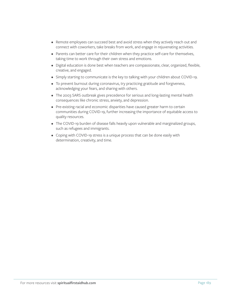- Remote employees can succeed best and avoid stress when they actively reach out and connect with coworkers, take breaks from work, and engage in rejuvenating activities.
- Parents can better care for their children when they practice self-care for themselves, taking time to work through their own stress and emotions.
- Digital education is done best when teachers are compassionate, clear, organized, flexible, creative, and engaged.
- Simply starting to communicate is the key to talking with your children about COVID-19.
- To prevent burnout during coronavirus, try practicing gratitude and forgiveness, acknowledging your fears, and sharing with others.
- The 2003 SARS outbreak gives precedence for serious and long-lasting mental health consequences like chronic stress, anxiety, and depression.
- Pre-existing racial and economic disparities have caused greater harm to certain communities during COVID-19, further increasing the importance of equitable access to quality resources.
- The COVID-19 burden of disease falls heavily upon vulnerable and marginalized groups, such as refugees and immigrants.
- Coping with COVID-19 stress is a unique process that can be done easily with determination, creativity, and time.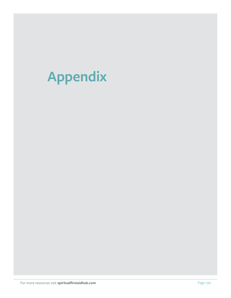# **Appendix**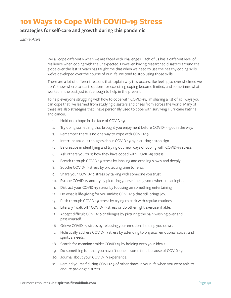## **101 Ways to Cope With COVID-19 Stress**

## **Strategies for self-care and growth during this pandemic**

*Jamie Aten*

We all cope differently when we are faced with challenges. Each of us has a different level of resilience when coping with the unexpected. However, having researched disasters around the globe over the last 15 years has taught me that when we need to use the healthy coping skills we've developed over the course of our life, we tend to stop using those skills.

There are a lot of different reasons that explain why this occurs, like feeling so overwhelmed we don't know where to start, options for exercising coping become limited, and sometimes what worked in the past just isn't enough to help in the present.

To help everyone struggling with how to cope with COVID-19, I'm sharing a list of 101 ways you can cope that I've learned from studying disasters and crises from across the world. Many of these are also strategies that I have personally used to cope with surviving Hurricane Katrina and cancer.

- 1. Hold onto hope in the face of COVID-19.
- 2. Try doing something that brought you enjoyment before COVID-19 got in the way.
- 3. Remember there is no one way to cope with COVID-19.
- 4. Interrupt anxious thoughts about COVID-19 by picturing a stop sign.
- 5. Be creative in identifying and trying out new ways of coping with COVID-19 stress.
- 6. Ask others you trust how they have coped with COVID-19 stress.
- 7. Breath through COVID-19 stress by inhaling and exhaling slowly and deeply.
- 8. Soothe COVID-19 stress by protecting time to relax.
- 9. Share your COVID-19 stress by talking with someone you trust.
- 10. Escape COVID-19 anxiety by picturing yourself being somewhere meaningful.
- 11. Distract your COVID-19 stress by focusing on something entertaining.
- 12. Do what is life-giving for you amidst COVID-19 that still brings joy.
- 13. Push through COVID-19 stress by trying to stick with regular routines.
- 14. Literally "walk off" COVID-19 stress or do other light exercise, if able.
- 15. Accept difficult COVID-19 challenges by picturing the pain washing over and past yourself.
- 16. Grieve COVID-19 stress by releasing your emotions holding you down.
- 17. Holistically address COVID-19 stress by attending to physical, emotional, social, and spiritual needs.
- 18. Search for meaning amidst COVID-19 by holding onto your ideals.
- 19. Do something fun that you haven't done in some time because of COVID-19.
- 20. Journal about your COVID-19 experience.
- 21. Remind yourself during COVID-19 of other times in your life when you were able to endure prolonged stress.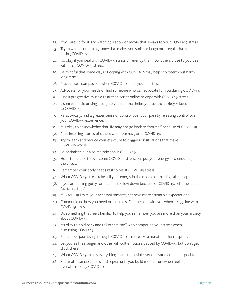- 22. If you are up for it, try watching a show or movie that speaks to your COVID-19 stress.
- 23. Try to watch something funny that makes you smile or laugh on a regular basis during COVID-19.
- 24. It's okay if you deal with COVID-19 stress differently than how others close to you deal with their COVID-19 stress.
- 25. Be mindful that some ways of coping with COVID-19 may help short-term but harm long-term.
- 26. Practice self-compassion when COVID-19 limits your abilities.
- 27. Advocate for your needs or find someone who can advocate for you during COVID-19.
- 28. Find a progressive muscle relaxation script online to cope with COVID-19 stress.
- 29. Listen to music or sing a song to yourself that helps you soothe anxiety related to COVID-19.
- 30. Paradoxically, find a greater sense of control over your pain by releasing control over your COVID-19 experience.
- 31. It is okay to acknowledge that life may not go back to "normal" because of COVID-19.
- 32. Read inspiring stories of others who have navigated COVID-19.
- 33. Try to learn and reduce your exposure to triggers or situations that make COVID-19 worse.
- 34. Be optimistic but also realistic about COVID-19.
- 35. Hope to be able to overcome COVID-19 stress, but put your energy into enduring the stress.
- 36. Remember your body needs rest to resist COVID-19 stress.
- 37. When COVID-19 stress takes all your energy in the middle of the day, take a nap.
- 38. If you are feeling guilty for needing to slow down because of COVID-19, reframe it as "active resting."
- 39. If COVID-19 limits your accomplishments, set new, more attainable expectations.
- 40. Communicate how you need others to "sit" in the pain with you when struggling with COVID-19 stress.
- 41. Do something that feels familiar to help you remember you are more than your anxiety about COVID-19.
- 42. It's okay to hold back and tell others "no" who compound your stress when discussing COVID-19.
- 43. Remember journeying through COVID-19 is more like a marathon than a sprint.
- 44. Let yourself feel anger and other difficult emotions caused by COVID-19, but don't get stuck there.
- 45. When COVID-19 makes everything seem impossible, set one small attainable goal to do.
- 46. Set small attainable goals and repeat until you build momentum when feeling overwhelmed by COVID-19.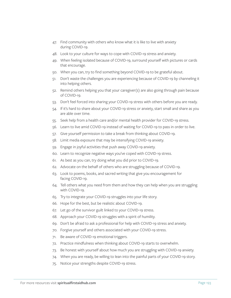- 47. Find community with others who know what it is like to live with anxiety during COVID-19.
- 48. Look to your culture for ways to cope with COVID-19 stress and anxiety.
- 49. When feeling isolated because of COVID-19, surround yourself with pictures or cards that encourage.
- 50. When you can, try to find something beyond COVID-19 to be grateful about.
- 51. Don't waste the challenges you are experiencing because of COVID-19 by channeling it into helping others.
- 52. Remind others helping you that your caregiver(s) are also going through pain because of COVID-19.
- 53. Don't feel forced into sharing your COVID-19 stress with others before you are ready.
- 54. If it's hard to share about your COVID-19 stress or anxiety, start small and share as you are able over time.
- 55. Seek help from a health care and/or mental health provider for COVID-19 stress.
- 56. Learn to live amid COVID-19 instead of waiting for COVID-19 to pass in order to live.
- 57. Give yourself permission to take a break from thinking about COVID-19.
- 58. Limit media exposure that may be intensifying COVID-19 anxiety.
- 59. Engage in joyful activities that push away COVID-19 anxiety.
- 60. Learn to recognize negative ways you've coped with COVID-19 stress.
- 61. As best as you can, try doing what you did prior to COVID-19.
- 62. Advocate on the behalf of others who are struggling because of COVID-19.
- 63. Look to poems, books, and sacred writing that give you encouragement for facing COVID-19.
- 64. Tell others what you need from them and how they can help when you are struggling with COVID-19.
- 65. Try to integrate your COVID-19 struggles into your life story.
- 66. Hope for the best, but be realistic about COVID-19.
- 67. Let go of the survivor guilt linked to your COVID-19 stress.
- 68. Approach your COVID-19 struggles with a spirit of humility.
- 69. Don't be afraid to ask a professional for help with COVID-19 stress and anxiety.
- 70. Forgive yourself and others associated with your COVID-19 stress.
- 71. Be aware of COVID-19 emotional triggers.
- 72. Practice mindfulness when thinking about COVID-19 starts to overwhelm.
- 73. Be honest with yourself about how much you are struggling with COVID-19 anxiety.
- 74. When you are ready, be willing to lean into the painful parts of your COVID-19 story.
- 75. Notice your strengths despite COVID-19 stress.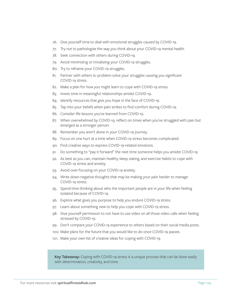- 76. Give yourself time to deal with emotional struggles caused by COVID-19.
- 77. Try not to pathologize the way you think about your COVID-19 mental health.
- 78. Seek connection with others during COVID-19.
- 79. Avoid minimizing or trivializing your COVID-19 struggles.
- 80. Try to reframe your COVID-19 struggles.
- 81. Partner with others to problem-solve your struggles causing you significant COVID-19 stress.
- 82. Make a plan for how you might learn to cope with COVID-19 stress.
- 83. Invest time in meaningful relationships amidst COVID-19.
- 84. Identify resources that give you hope in the face of COVID-19.
- 85. Tap into your beliefs when pain strikes to find comfort during COVID-19.
- 86. Consider life lessons you've learned from COVID-19.
- 87. When overwhelmed by COVID-19, reflect on times when you've struggled with pain but emerged as a stronger person.
- 88. Remember you aren't alone in your COVID-19 journey.
- 89. Focus on one hurt at a time when COVID-19 stress becomes complicated.
- 90. Find creative ways to express COVID-19-related emotions.
- 91. Do something to "pay it forward" the next time someone helps you amidst COVID-19.
- 92. As best as you can, maintain healthy sleep, eating, and exercise habits to cope with COVID-19 stress and anxiety.
- 93. Avoid over-focusing on your COVID-19 anxiety.
- 94. Write down negative thoughts that may be making your pain harder to manage COVID-19 stress.
- 95. Spend time thinking about who the important people are in your life when feeling isolated because of COVID-19.
- 96. Explore what gives you purpose to help you endure COVID-19 stress.
- 97. Learn about something new to help you cope with COVID-19 stress.
- 98. Give yourself permission to not have to use video on all those video calls when feeling stressed by COVID-19.
- 99. Don't compare your COVID-19 experience to others based on their social media posts.
- 100. Make plans for the future that you would like to do once COVID-19 passes.
- 101. Make your own list of creative ideas for coping with COVID-19.

**Key Takeaway:** Coping with COVID-19 stress is a unique process that can be done easily with determination, creativity, and time.